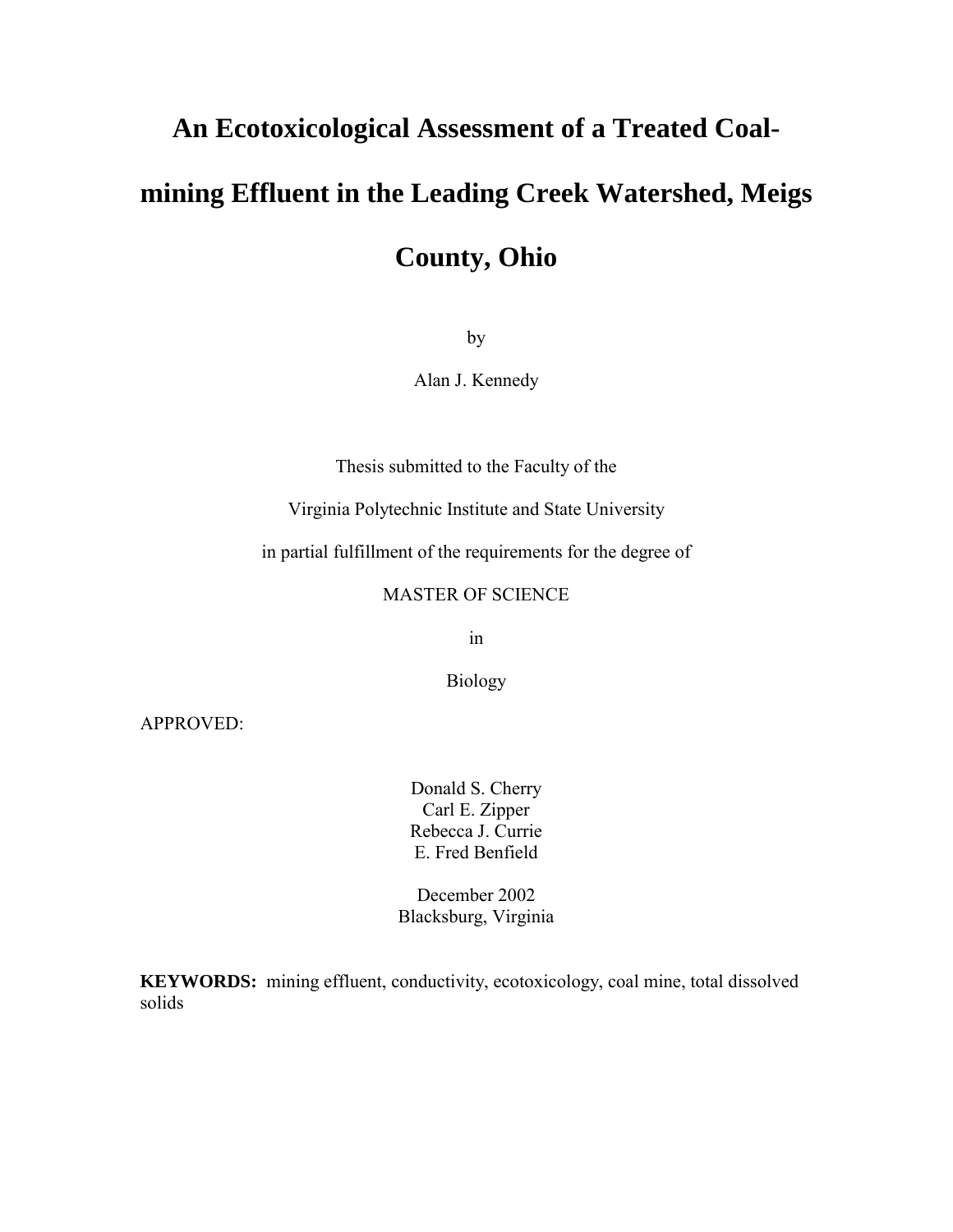# **An Ecotoxicological Assessment of a Treated Coal-**

# **mining Effluent in the Leading Creek Watershed, Meigs**

**County, Ohio**

by

Alan J. Kennedy

Thesis submitted to the Faculty of the

Virginia Polytechnic Institute and State University

in partial fulfillment of the requirements for the degree of

## MASTER OF SCIENCE

in

Biology

APPROVED:

Donald S. Cherry Carl E. Zipper Rebecca J. Currie E. Fred Benfield

December 2002 Blacksburg, Virginia

**KEYWORDS:** mining effluent, conductivity, ecotoxicology, coal mine, total dissolved solids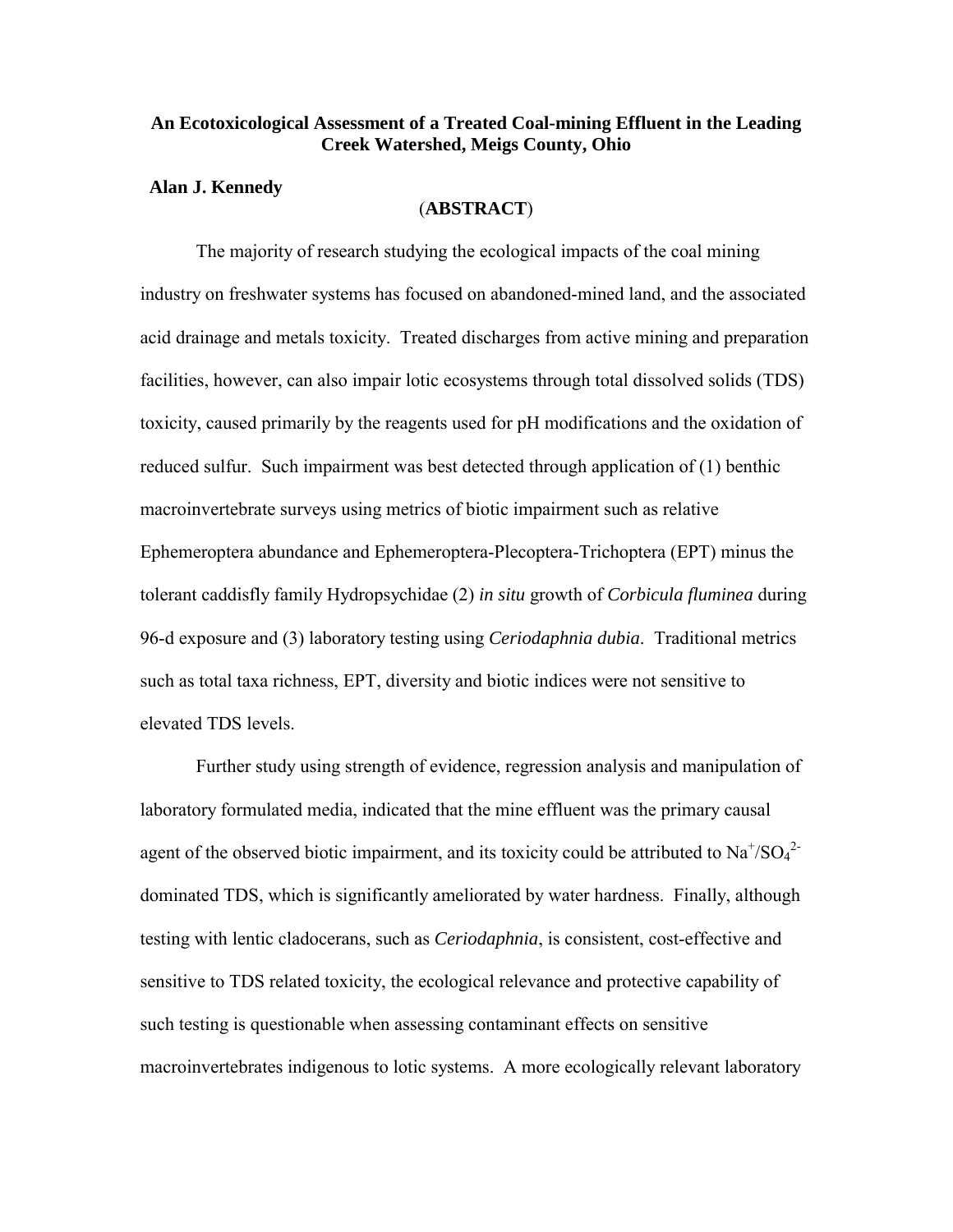#### <span id="page-1-0"></span>**An Ecotoxicological Assessment of a Treated Coal-mining Effluent in the Leading Creek Watershed, Meigs County, Ohio**

#### **Alan J. Kennedy**

#### (**ABSTRACT**)

The majority of research studying the ecological impacts of the coal mining industry on freshwater systems has focused on abandoned-mined land, and the associated acid drainage and metals toxicity. Treated discharges from active mining and preparation facilities, however, can also impair lotic ecosystems through total dissolved solids (TDS) toxicity, caused primarily by the reagents used for pH modifications and the oxidation of reduced sulfur. Such impairment was best detected through application of (1) benthic macroinvertebrate surveys using metrics of biotic impairment such as relative Ephemeroptera abundance and Ephemeroptera-Plecoptera-Trichoptera (EPT) minus the tolerant caddisfly family Hydropsychidae (2) *in situ* growth of *Corbicula fluminea* during 96-d exposure and (3) laboratory testing using *Ceriodaphnia dubia*. Traditional metrics such as total taxa richness, EPT, diversity and biotic indices were not sensitive to elevated TDS levels.

Further study using strength of evidence, regression analysis and manipulation of laboratory formulated media, indicated that the mine effluent was the primary causal agent of the observed biotic impairment, and its toxicity could be attributed to  $Na^{\dagger}/SO_4^{\dagger}$ dominated TDS, which is significantly ameliorated by water hardness. Finally, although testing with lentic cladocerans, such as *Ceriodaphnia*, is consistent, cost-effective and sensitive to TDS related toxicity, the ecological relevance and protective capability of such testing is questionable when assessing contaminant effects on sensitive macroinvertebrates indigenous to lotic systems. A more ecologically relevant laboratory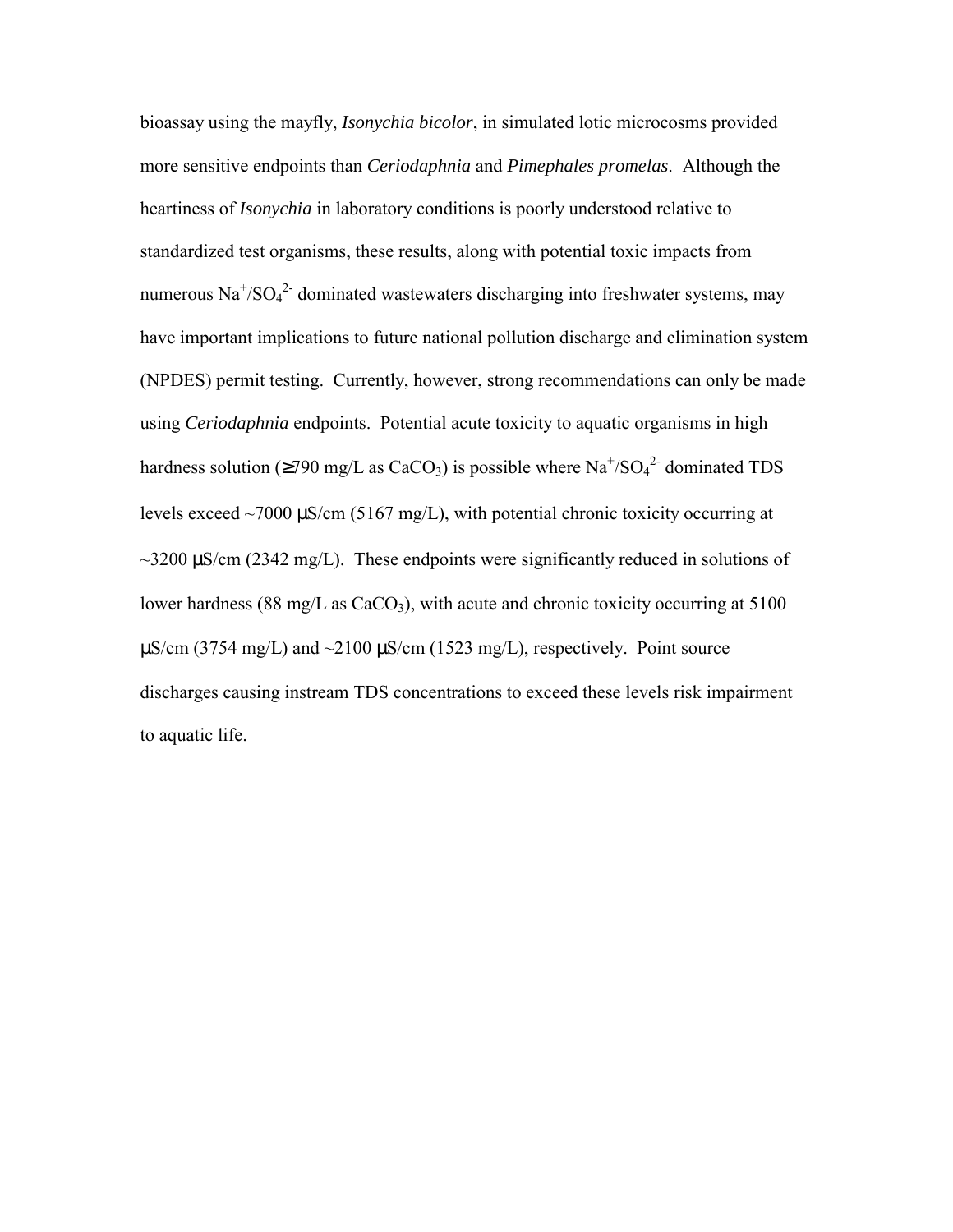bioassay using the mayfly, *Isonychia bicolor*, in simulated lotic microcosms provided more sensitive endpoints than *Ceriodaphnia* and *Pimephales promelas*. Although the heartiness of *Isonychia* in laboratory conditions is poorly understood relative to standardized test organisms, these results, along with potential toxic impacts from numerous  $\text{Na}^+\text{/SO}_4{}^2$  dominated wastewaters discharging into freshwater systems, may have important implications to future national pollution discharge and elimination system (NPDES) permit testing. Currently, however, strong recommendations can only be made using *Ceriodaphnia* endpoints. Potential acute toxicity to aquatic organisms in high hardness solution ( $\geq$ 790 mg/L as CaCO<sub>3</sub>) is possible where Na<sup>+</sup>/SO<sub>4</sub><sup>2-</sup> dominated TDS levels exceed  $\sim$ 7000  $\mu$ S/cm (5167 mg/L), with potential chronic toxicity occurring at  $\sim$ 3200  $\mu$ S/cm (2342 mg/L). These endpoints were significantly reduced in solutions of lower hardness (88 mg/L as  $CaCO<sub>3</sub>$ ), with acute and chronic toxicity occurring at 5100  $\mu$ S/cm (3754 mg/L) and  $\sim$ 2100  $\mu$ S/cm (1523 mg/L), respectively. Point source discharges causing instream TDS concentrations to exceed these levels risk impairment to aquatic life.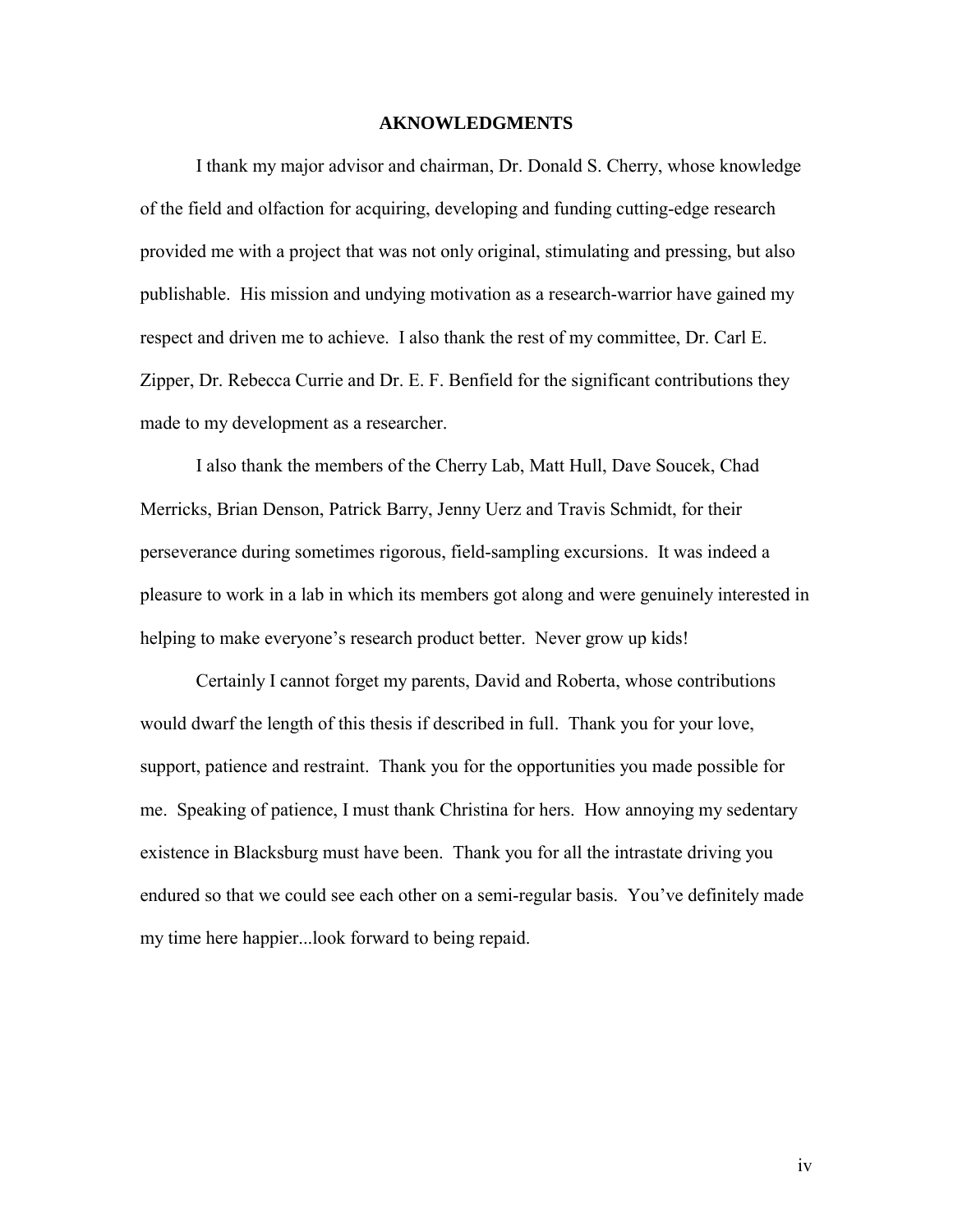#### **AKNOWLEDGMENTS**

<span id="page-3-0"></span> I thank my major advisor and chairman, Dr. Donald S. Cherry, whose knowledge of the field and olfaction for acquiring, developing and funding cutting-edge research provided me with a project that was not only original, stimulating and pressing, but also publishable. His mission and undying motivation as a research-warrior have gained my respect and driven me to achieve. I also thank the rest of my committee, Dr. Carl E. Zipper, Dr. Rebecca Currie and Dr. E. F. Benfield for the significant contributions they made to my development as a researcher.

 I also thank the members of the Cherry Lab, Matt Hull, Dave Soucek, Chad Merricks, Brian Denson, Patrick Barry, Jenny Uerz and Travis Schmidt, for their perseverance during sometimes rigorous, field-sampling excursions. It was indeed a pleasure to work in a lab in which its members got along and were genuinely interested in helping to make everyone's research product better. Never grow up kids!

 Certainly I cannot forget my parents, David and Roberta, whose contributions would dwarf the length of this thesis if described in full. Thank you for your love, support, patience and restraint. Thank you for the opportunities you made possible for me. Speaking of patience, I must thank Christina for hers. How annoying my sedentary existence in Blacksburg must have been. Thank you for all the intrastate driving you endured so that we could see each other on a semi-regular basis. You've definitely made my time here happier...look forward to being repaid.

iv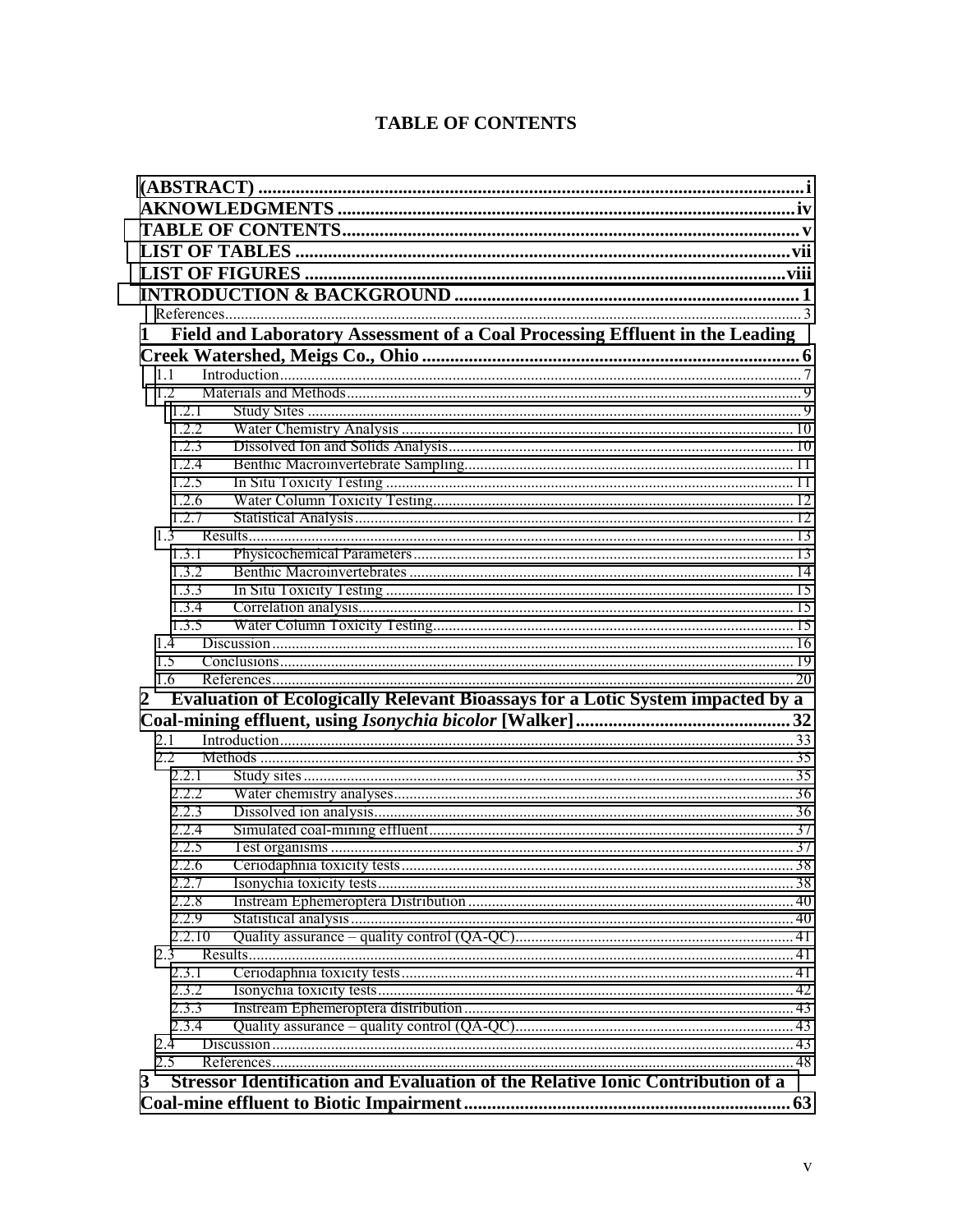# **TABLE OF CONTENTS**

| $\mathbf{1}$   | Field and Laboratory Assessment of a Coal Processing Effluent in the Leading   |  |
|----------------|--------------------------------------------------------------------------------|--|
|                |                                                                                |  |
| 11             | Introduction 17                                                                |  |
| 12<br>1.2.1    |                                                                                |  |
| 1.2.2          |                                                                                |  |
| 1.2.3          |                                                                                |  |
| 1.2.4          |                                                                                |  |
| 1.2.5          |                                                                                |  |
| 1.2.6          |                                                                                |  |
| 1.2.7          |                                                                                |  |
| 1.3            |                                                                                |  |
| 1.3.1          |                                                                                |  |
| 1.3.2          |                                                                                |  |
| 1.3.3          |                                                                                |  |
| 1.3.4          |                                                                                |  |
| 1.3.5          |                                                                                |  |
| 14             |                                                                                |  |
| 1.5            |                                                                                |  |
| 1.6            |                                                                                |  |
| $\overline{2}$ | Evaluation of Ecologically Relevant Bioassays for a Lotic System impacted by a |  |
|                |                                                                                |  |
| 2.1            |                                                                                |  |
| $2.2^{\circ}$  |                                                                                |  |
| 2.2.1          |                                                                                |  |
| 222            |                                                                                |  |
| 2.2.3          |                                                                                |  |
| 2.2.4          |                                                                                |  |
| 2.2.5          |                                                                                |  |
| 2.2.6          |                                                                                |  |
| 2.2.7          |                                                                                |  |
| 2.2.8<br>2.2.9 |                                                                                |  |
| 2.2.10         |                                                                                |  |
| 2.3            |                                                                                |  |
| 2.3.1          |                                                                                |  |
| 2.3.2          |                                                                                |  |
| 2.3.3          |                                                                                |  |
| 2.3.4          |                                                                                |  |
| 2.4            |                                                                                |  |
| 2.5            |                                                                                |  |
| 3              | Stressor Identification and Evaluation of the Relative Ionic Contribution of a |  |
|                |                                                                                |  |
|                |                                                                                |  |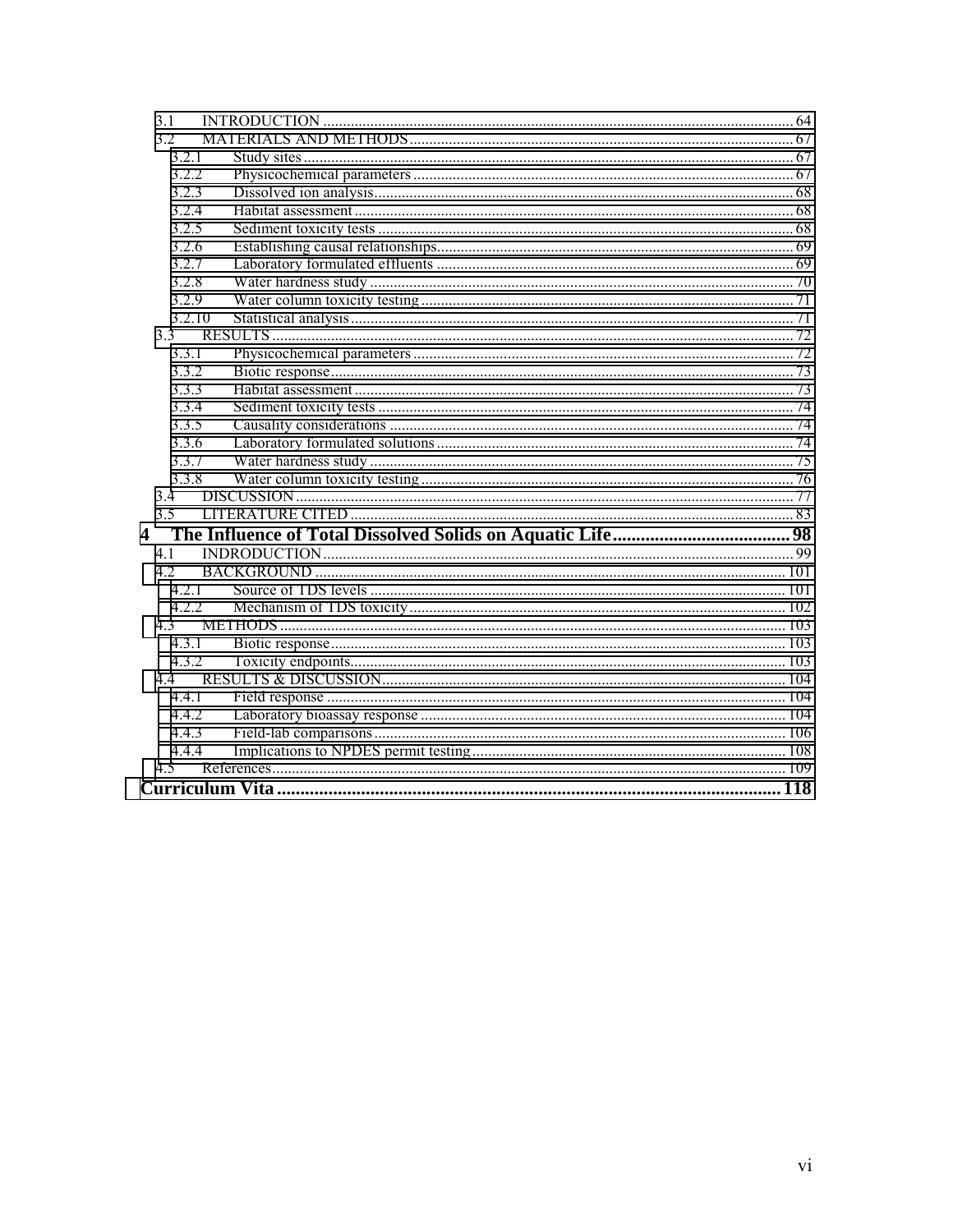| 3.1                  |  |
|----------------------|--|
| 3.2                  |  |
| 3.2.1                |  |
| 3.2.2                |  |
| 3.2.3                |  |
| 3.2.4                |  |
| 3.2.5                |  |
| 3.2.6                |  |
| 3.2.7                |  |
| 3.2.8                |  |
| 3.2.9                |  |
| 3.2.10               |  |
| 3.3                  |  |
| 3.3.1                |  |
| 3.3.2                |  |
| 3.3.3                |  |
| 3.3.4                |  |
| 3.3.5                |  |
| 3.3.6                |  |
| 3.3.7                |  |
| 3.3.8                |  |
| 3.4                  |  |
| 3.5                  |  |
| $\blacktriangleleft$ |  |
| 4 1                  |  |
| 4.2                  |  |
| 4.2.1                |  |
| 4.2.2                |  |
| 4.3                  |  |
| 4.3.1                |  |
| 4.3.2                |  |
| 44                   |  |
| 4.4.1                |  |
| 4.4.2                |  |
| 4.4.3                |  |
| 4.4.4                |  |
| 4.5                  |  |
|                      |  |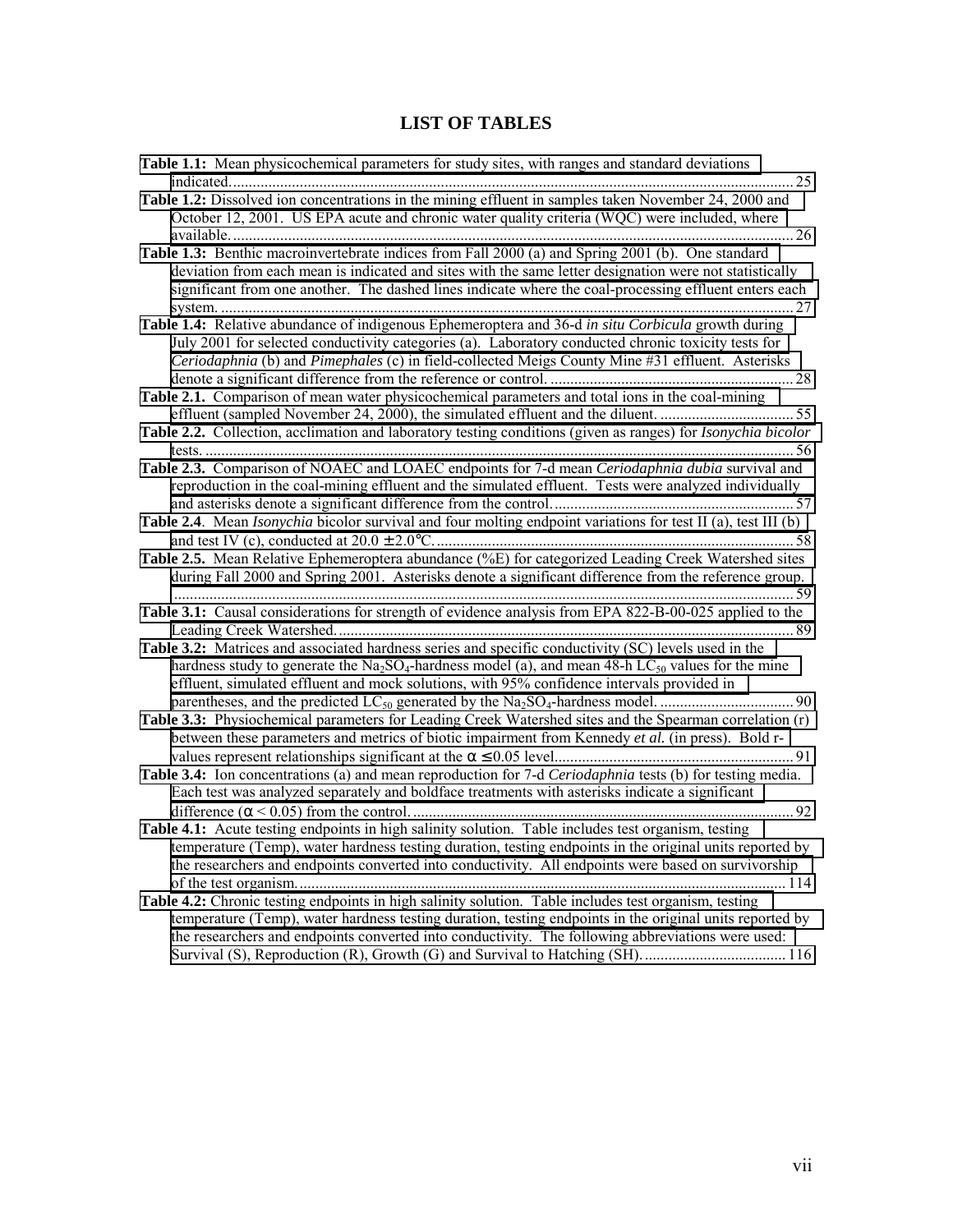# **LIST OF TABLES**

<span id="page-6-0"></span>

| Table 1.1: Mean physicochemical parameters for study sites, with ranges and standard deviations                                                                                                                                                                                                                       |  |
|-----------------------------------------------------------------------------------------------------------------------------------------------------------------------------------------------------------------------------------------------------------------------------------------------------------------------|--|
| Table 1.2: Dissolved ion concentrations in the mining effluent in samples taken November 24, 2000 and                                                                                                                                                                                                                 |  |
| October 12, 2001. US EPA acute and chronic water quality criteria (WQC) were included, where                                                                                                                                                                                                                          |  |
| Table 1.3: Benthic macroinvertebrate indices from Fall 2000 (a) and Spring 2001 (b). One standard                                                                                                                                                                                                                     |  |
| deviation from each mean is indicated and sites with the same letter designation were not statistically<br>significant from one another. The dashed lines indicate where the coal-processing effluent enters each                                                                                                     |  |
| Table 1.4: Relative abundance of indigenous Ephemeroptera and 36-d in situ Corbicula growth during                                                                                                                                                                                                                    |  |
| July 2001 for selected conductivity categories (a). Laboratory conducted chronic toxicity tests for<br>Ceriodaphnia (b) and Pimephales (c) in field-collected Meigs County Mine #31 effluent. Asterisks                                                                                                               |  |
| Table 2.1. Comparison of mean water physicochemical parameters and total ions in the coal-mining                                                                                                                                                                                                                      |  |
| effluent (sampled November 24, 2000), the simulated effluent and the diluent. 55                                                                                                                                                                                                                                      |  |
| Table 2.2. Collection, acclimation and laboratory testing conditions (given as ranges) for <i>Isonychia bicolor</i>                                                                                                                                                                                                   |  |
| Table 2.3. Comparison of NOAEC and LOAEC endpoints for 7-d mean Ceriodaphnia dubia survival and<br>reproduction in the coal-mining effluent and the simulated effluent. Tests were analyzed individually                                                                                                              |  |
| Table 2.4. Mean Isonychia bicolor survival and four molting endpoint variations for test II (a), test III (b)                                                                                                                                                                                                         |  |
| Table 2.5. Mean Relative Ephemeroptera abundance (%E) for categorized Leading Creek Watershed sites                                                                                                                                                                                                                   |  |
| during Fall 2000 and Spring 2001. Asterisks denote a significant difference from the reference group.                                                                                                                                                                                                                 |  |
| Table 3.1: Causal considerations for strength of evidence analysis from EPA 822-B-00-025 applied to the                                                                                                                                                                                                               |  |
| Table 3.2: Matrices and associated hardness series and specific conductivity (SC) levels used in the<br>hardness study to generate the $Na2SO4$ -hardness model (a), and mean 48-h LC <sub>50</sub> values for the mine<br>effluent, simulated effluent and mock solutions, with 95% confidence intervals provided in |  |
| Table 3.3: Physiochemical parameters for Leading Creek Watershed sites and the Spearman correlation (r)                                                                                                                                                                                                               |  |
| between these parameters and metrics of biotic impairment from Kennedy et al. (in press). Bold r-                                                                                                                                                                                                                     |  |
|                                                                                                                                                                                                                                                                                                                       |  |
| Table 3.4: Ion concentrations (a) and mean reproduction for 7-d Ceriodaphnia tests (b) for testing media.<br>Each test was analyzed separately and boldface treatments with asterisks indicate a significant                                                                                                          |  |
|                                                                                                                                                                                                                                                                                                                       |  |
| Table 4.1: Acute testing endpoints in high salinity solution. Table includes test organism, testing                                                                                                                                                                                                                   |  |
| temperature (Temp), water hardness testing duration, testing endpoints in the original units reported by<br>the researchers and endpoints converted into conductivity. All endpoints were based on survivorship                                                                                                       |  |
| Table 4.2: Chronic testing endpoints in high salinity solution. Table includes test organism, testing                                                                                                                                                                                                                 |  |
| temperature (Temp), water hardness testing duration, testing endpoints in the original units reported by<br>the researchers and endpoints converted into conductivity. The following abbreviations were used:                                                                                                         |  |
|                                                                                                                                                                                                                                                                                                                       |  |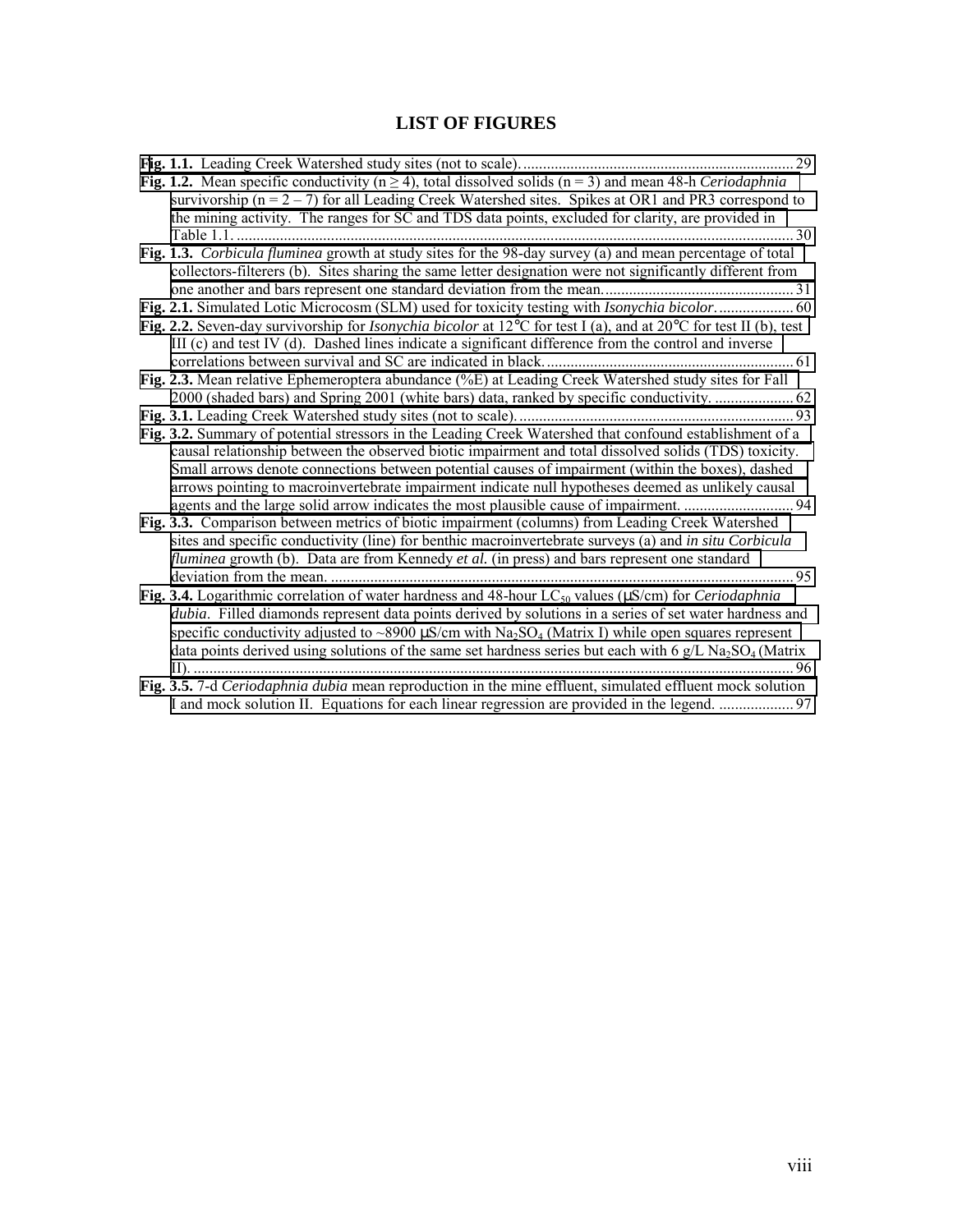# **LIST OF FIGURES**

<span id="page-7-0"></span>

|                                                                                                                                                                                                                                                                                                                                                                                                                                                                                                                                  | 29          |
|----------------------------------------------------------------------------------------------------------------------------------------------------------------------------------------------------------------------------------------------------------------------------------------------------------------------------------------------------------------------------------------------------------------------------------------------------------------------------------------------------------------------------------|-------------|
| Fig. 1.2. Mean specific conductivity ( $n \ge 4$ ), total dissolved solids ( $n = 3$ ) and mean 48-h Ceriodaphnia<br>survivorship ( $n = 2 - 7$ ) for all Leading Creek Watershed sites. Spikes at OR1 and PR3 correspond to<br>the mining activity. The ranges for SC and TDS data points, excluded for clarity, are provided in                                                                                                                                                                                                |             |
|                                                                                                                                                                                                                                                                                                                                                                                                                                                                                                                                  | $\ldots$ 30 |
| Fig. 1.3. Corbicula fluminea growth at study sites for the 98-day survey (a) and mean percentage of total<br>collectors-filterers (b). Sites sharing the same letter designation were not significantly different from                                                                                                                                                                                                                                                                                                           |             |
|                                                                                                                                                                                                                                                                                                                                                                                                                                                                                                                                  |             |
|                                                                                                                                                                                                                                                                                                                                                                                                                                                                                                                                  |             |
| Fig. 2.2. Seven-day survivorship for <i>Isonychia bicolor</i> at $12^{\circ}$ C for test I (a), and at $20^{\circ}$ C for test II (b), test<br>III (c) and test IV (d). Dashed lines indicate a significant difference from the control and inverse                                                                                                                                                                                                                                                                              |             |
|                                                                                                                                                                                                                                                                                                                                                                                                                                                                                                                                  |             |
| Fig. 2.3. Mean relative Ephemeroptera abundance (%E) at Leading Creek Watershed study sites for Fall                                                                                                                                                                                                                                                                                                                                                                                                                             |             |
| 2000 (shaded bars) and Spring 2001 (white bars) data, ranked by specific conductivity.  62                                                                                                                                                                                                                                                                                                                                                                                                                                       |             |
|                                                                                                                                                                                                                                                                                                                                                                                                                                                                                                                                  |             |
| Fig. 3.2. Summary of potential stressors in the Leading Creek Watershed that confound establishment of a<br>causal relationship between the observed biotic impairment and total dissolved solids (TDS) toxicity.<br>Small arrows denote connections between potential causes of impairment (within the boxes), dashed<br>arrows pointing to macroinvertebrate impairment indicate null hypotheses deemed as unlikely causal<br>Fig. 3.3. Comparison between metrics of biotic impairment (columns) from Leading Creek Watershed |             |
| sites and specific conductivity (line) for benthic macroinvertebrate surveys (a) and in situ Corbicula<br><i>fluminea</i> growth (b). Data are from Kennedy et al. (in press) and bars represent one standard                                                                                                                                                                                                                                                                                                                    | 95          |
|                                                                                                                                                                                                                                                                                                                                                                                                                                                                                                                                  |             |
| Fig. 3.4. Logarithmic correlation of water hardness and 48-hour LC <sub>50</sub> values ( $\mu$ S/cm) for <i>Ceriodaphnia</i><br>dubia. Filled diamonds represent data points derived by solutions in a series of set water hardness and<br>specific conductivity adjusted to ~8900 $\mu$ S/cm with Na <sub>2</sub> SO <sub>4</sub> (Matrix I) while open squares represent<br>data points derived using solutions of the same set hardness series but each with 6 $g/L$ Na <sub>2</sub> SO <sub>4</sub> (Matrix                 |             |
| Fig. 3.5. 7-d Ceriodaphnia dubia mean reproduction in the mine effluent, simulated effluent mock solution                                                                                                                                                                                                                                                                                                                                                                                                                        |             |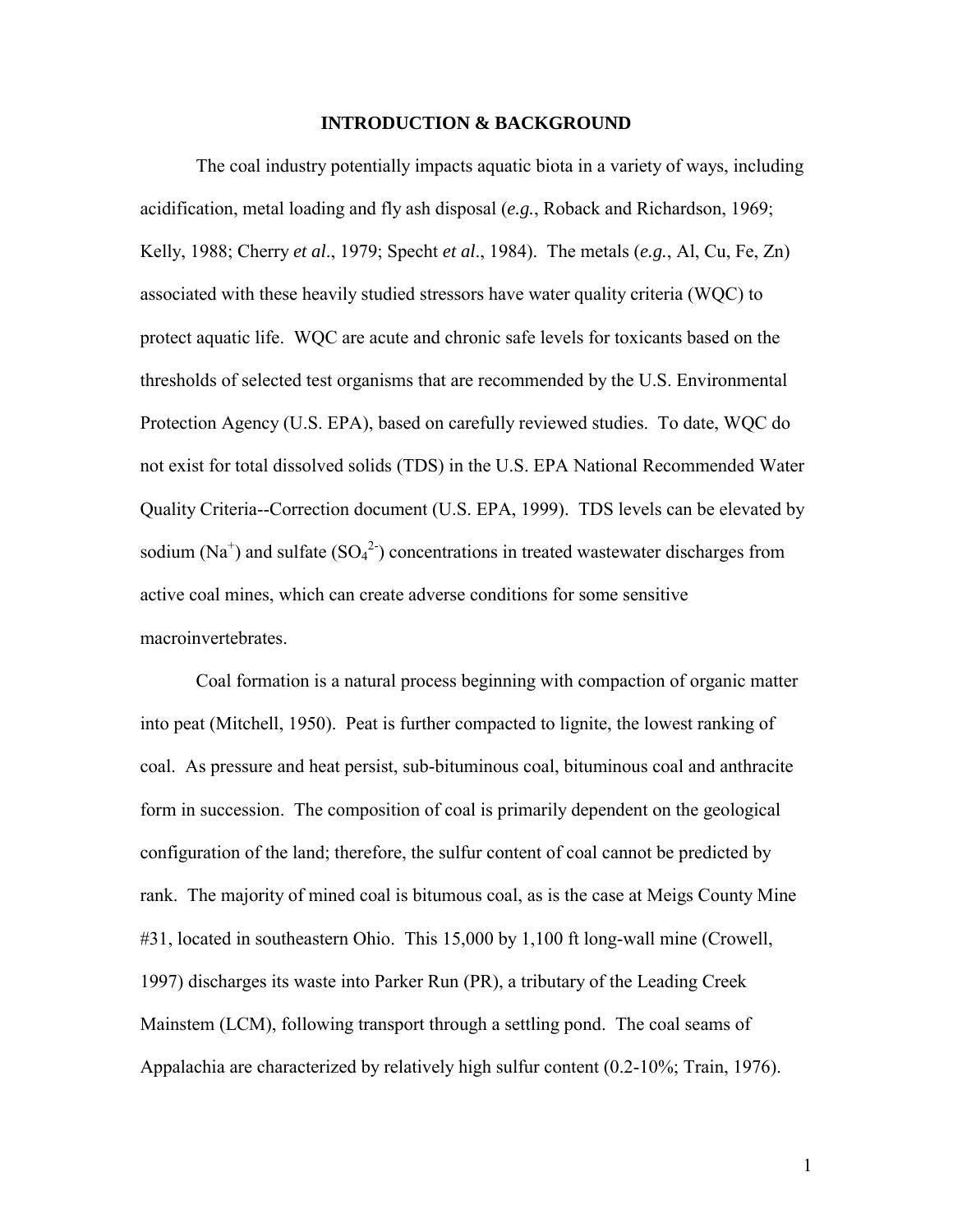#### **INTRODUCTION & BACKGROUND**

<span id="page-8-0"></span> The coal industry potentially impacts aquatic biota in a variety of ways, including acidification, metal loading and fly ash disposal (*e.g.*, Roback and Richardson, 1969; Kelly, 1988; Cherry *et al*., 1979; Specht *et al*., 1984). The metals (*e.g.*, Al, Cu, Fe, Zn) associated with these heavily studied stressors have water quality criteria (WQC) to protect aquatic life. WQC are acute and chronic safe levels for toxicants based on the thresholds of selected test organisms that are recommended by the U.S. Environmental Protection Agency (U.S. EPA), based on carefully reviewed studies. To date, WQC do not exist for total dissolved solids (TDS) in the U.S. EPA National Recommended Water Quality Criteria--Correction document (U.S. EPA, 1999). TDS levels can be elevated by sodium (Na<sup>+</sup>) and sulfate (SO<sub>4</sub><sup>2</sup>) concentrations in treated wastewater discharges from active coal mines, which can create adverse conditions for some sensitive macroinvertebrates.

 Coal formation is a natural process beginning with compaction of organic matter into peat (Mitchell, 1950). Peat is further compacted to lignite, the lowest ranking of coal. As pressure and heat persist, sub-bituminous coal, bituminous coal and anthracite form in succession. The composition of coal is primarily dependent on the geological configuration of the land; therefore, the sulfur content of coal cannot be predicted by rank. The majority of mined coal is bitumous coal, as is the case at Meigs County Mine #31, located in southeastern Ohio. This 15,000 by 1,100 ft long-wall mine (Crowell, 1997) discharges its waste into Parker Run (PR), a tributary of the Leading Creek Mainstem (LCM), following transport through a settling pond. The coal seams of Appalachia are characterized by relatively high sulfur content (0.2-10%; Train, 1976).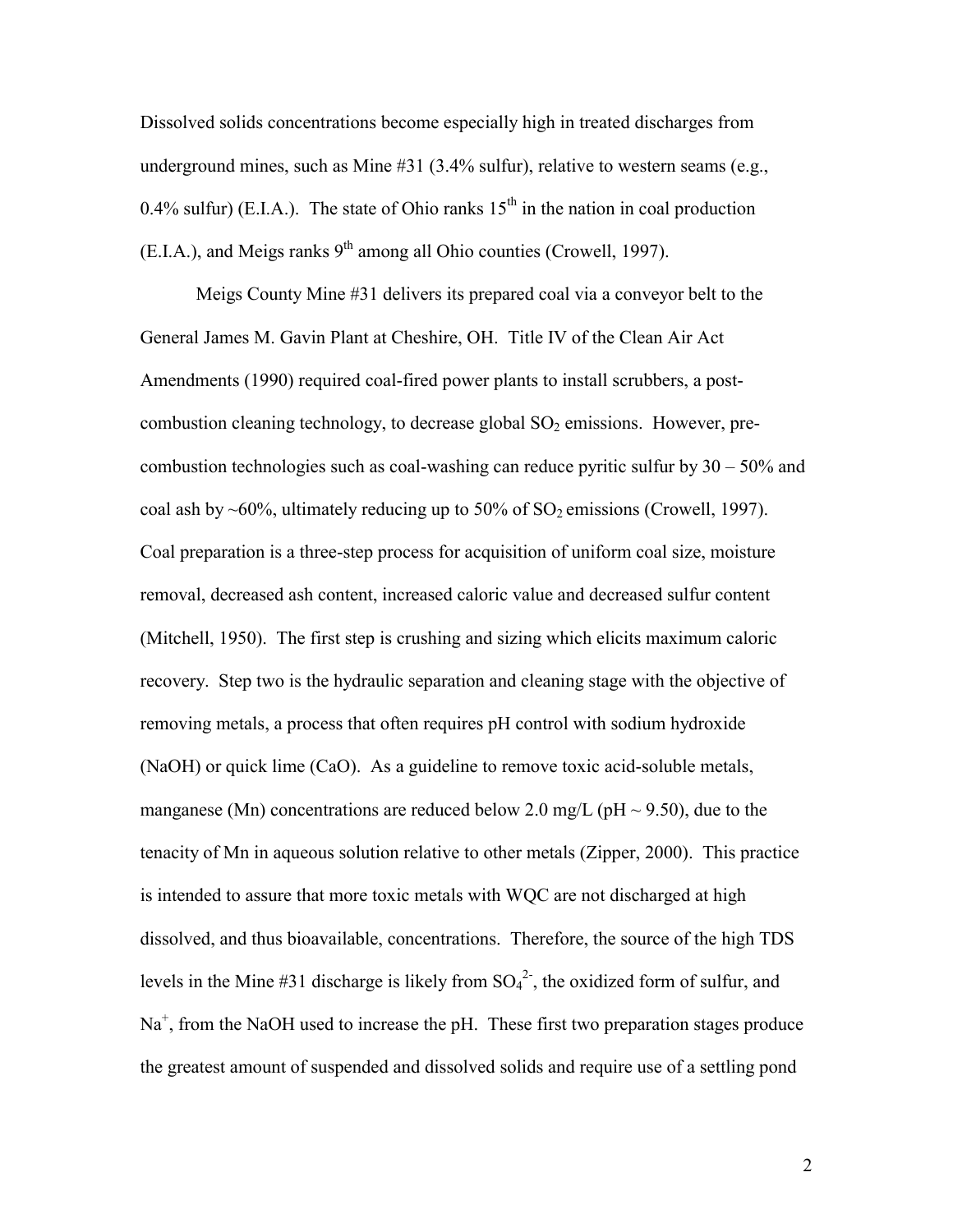Dissolved solids concentrations become especially high in treated discharges from underground mines, such as Mine #31 (3.4% sulfur), relative to western seams (e.g., 0.4% sulfur) (E.I.A.). The state of Ohio ranks  $15<sup>th</sup>$  in the nation in coal production  $(E.I.A.)$ , and Meigs ranks  $9<sup>th</sup>$  among all Ohio counties (Crowell, 1997).

 Meigs County Mine #31 delivers its prepared coal via a conveyor belt to the General James M. Gavin Plant at Cheshire, OH. Title IV of the Clean Air Act Amendments (1990) required coal-fired power plants to install scrubbers, a postcombustion cleaning technology, to decrease global  $SO<sub>2</sub>$  emissions. However, precombustion technologies such as coal-washing can reduce pyritic sulfur by 30 – 50% and coal ash by ~60%, ultimately reducing up to 50% of  $SO_2$  emissions (Crowell, 1997). Coal preparation is a three-step process for acquisition of uniform coal size, moisture removal, decreased ash content, increased caloric value and decreased sulfur content (Mitchell, 1950). The first step is crushing and sizing which elicits maximum caloric recovery. Step two is the hydraulic separation and cleaning stage with the objective of removing metals, a process that often requires pH control with sodium hydroxide (NaOH) or quick lime (CaO). As a guideline to remove toxic acid-soluble metals, manganese (Mn) concentrations are reduced below 2.0 mg/L (pH  $\sim$  9.50), due to the tenacity of Mn in aqueous solution relative to other metals (Zipper, 2000). This practice is intended to assure that more toxic metals with WQC are not discharged at high dissolved, and thus bioavailable, concentrations. Therefore, the source of the high TDS levels in the Mine #31 discharge is likely from  $SO_4^2$ , the oxidized form of sulfur, and Na<sup>+</sup>, from the NaOH used to increase the pH. These first two preparation stages produce the greatest amount of suspended and dissolved solids and require use of a settling pond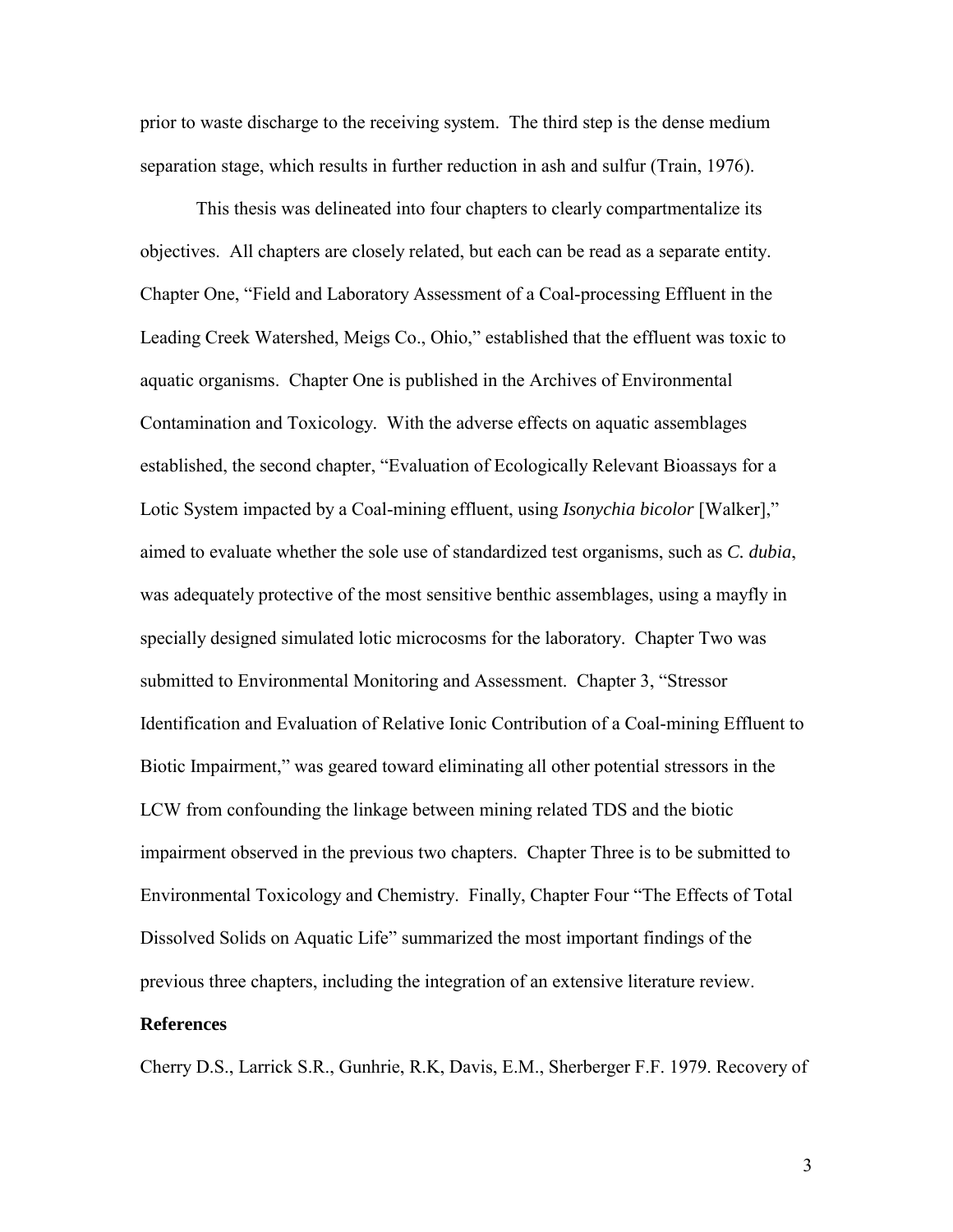<span id="page-10-0"></span>prior to waste discharge to the receiving system. The third step is the dense medium separation stage, which results in further reduction in ash and sulfur (Train, 1976).

 This thesis was delineated into four chapters to clearly compartmentalize its objectives. All chapters are closely related, but each can be read as a separate entity. Chapter One, "Field and Laboratory Assessment of a Coal-processing Effluent in the Leading Creek Watershed, Meigs Co., Ohio," established that the effluent was toxic to aquatic organisms. Chapter One is published in the Archives of Environmental Contamination and Toxicology. With the adverse effects on aquatic assemblages established, the second chapter, "Evaluation of Ecologically Relevant Bioassays for a Lotic System impacted by a Coal-mining effluent, using *Isonychia bicolor* [Walker]," aimed to evaluate whether the sole use of standardized test organisms, such as *C. dubia*, was adequately protective of the most sensitive benthic assemblages, using a mayfly in specially designed simulated lotic microcosms for the laboratory. Chapter Two was submitted to Environmental Monitoring and Assessment. Chapter 3, "Stressor Identification and Evaluation of Relative Ionic Contribution of a Coal-mining Effluent to Biotic Impairment," was geared toward eliminating all other potential stressors in the LCW from confounding the linkage between mining related TDS and the biotic impairment observed in the previous two chapters. Chapter Three is to be submitted to Environmental Toxicology and Chemistry. Finally, Chapter Four "The Effects of Total Dissolved Solids on Aquatic Life" summarized the most important findings of the previous three chapters, including the integration of an extensive literature review.

#### **References**

Cherry D.S., Larrick S.R., Gunhrie, R.K, Davis, E.M., Sherberger F.F. 1979. Recovery of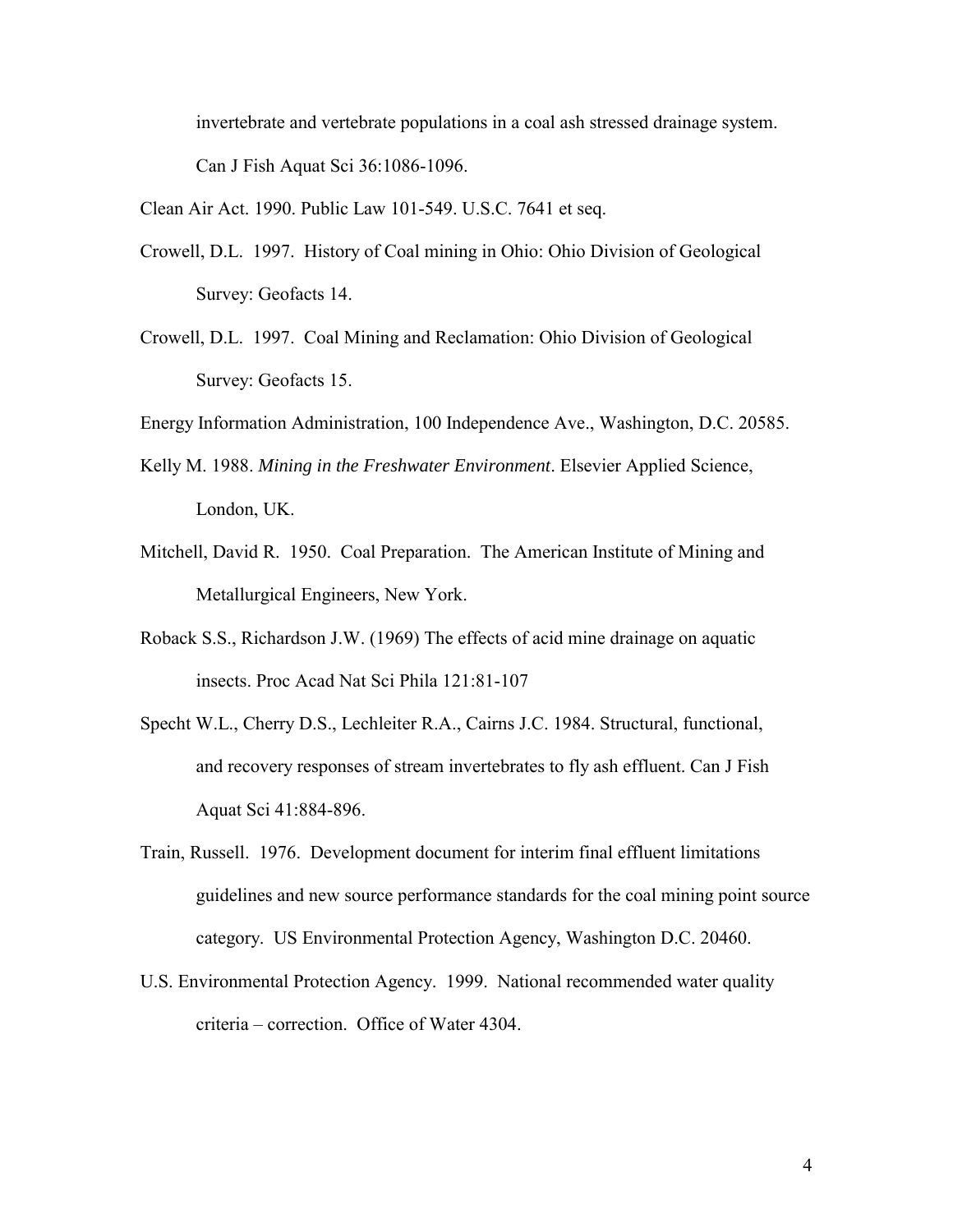invertebrate and vertebrate populations in a coal ash stressed drainage system. Can J Fish Aquat Sci 36:1086-1096.

Clean Air Act. 1990. Public Law 101-549. U.S.C. 7641 et seq.

- Crowell, D.L. 1997. History of Coal mining in Ohio: Ohio Division of Geological Survey: Geofacts 14.
- Crowell, D.L. 1997. Coal Mining and Reclamation: Ohio Division of Geological Survey: Geofacts 15.

Energy Information Administration, 100 Independence Ave., Washington, D.C. 20585.

- Kelly M. 1988. *Mining in the Freshwater Environment*. Elsevier Applied Science, London, UK.
- Mitchell, David R. 1950. Coal Preparation. The American Institute of Mining and Metallurgical Engineers, New York.
- Roback S.S., Richardson J.W. (1969) The effects of acid mine drainage on aquatic insects. Proc Acad Nat Sci Phila 121:81-107
- Specht W.L., Cherry D.S., Lechleiter R.A., Cairns J.C. 1984. Structural, functional, and recovery responses of stream invertebrates to fly ash effluent. Can J Fish Aquat Sci 41:884-896.
- Train, Russell. 1976. Development document for interim final effluent limitations guidelines and new source performance standards for the coal mining point source category. US Environmental Protection Agency, Washington D.C. 20460.
- U.S. Environmental Protection Agency. 1999. National recommended water quality criteria – correction. Office of Water 4304.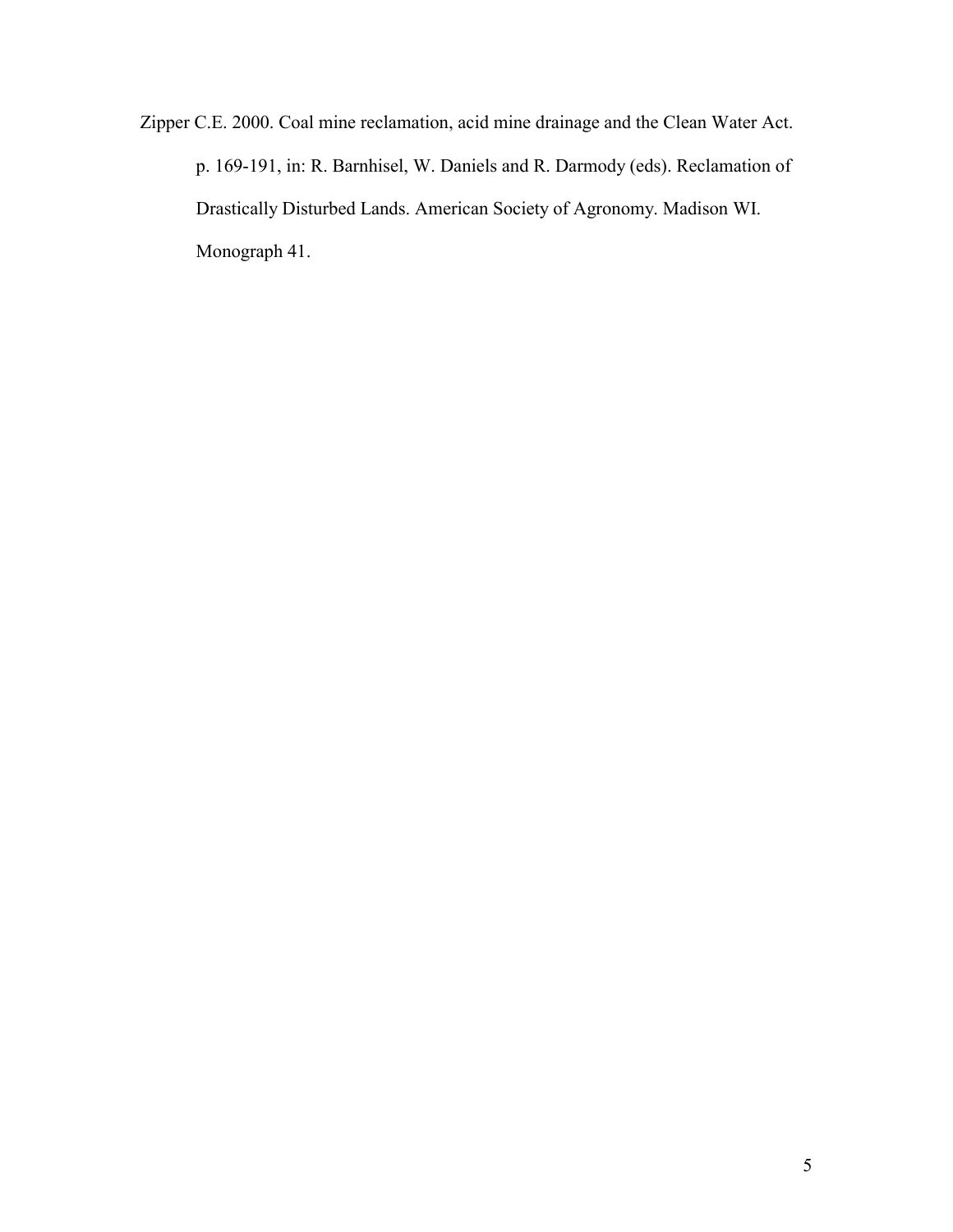Zipper C.E. 2000. Coal mine reclamation, acid mine drainage and the Clean Water Act. p. 169-191, in: R. Barnhisel, W. Daniels and R. Darmody (eds). Reclamation of Drastically Disturbed Lands. American Society of Agronomy. Madison WI. Monograph 41.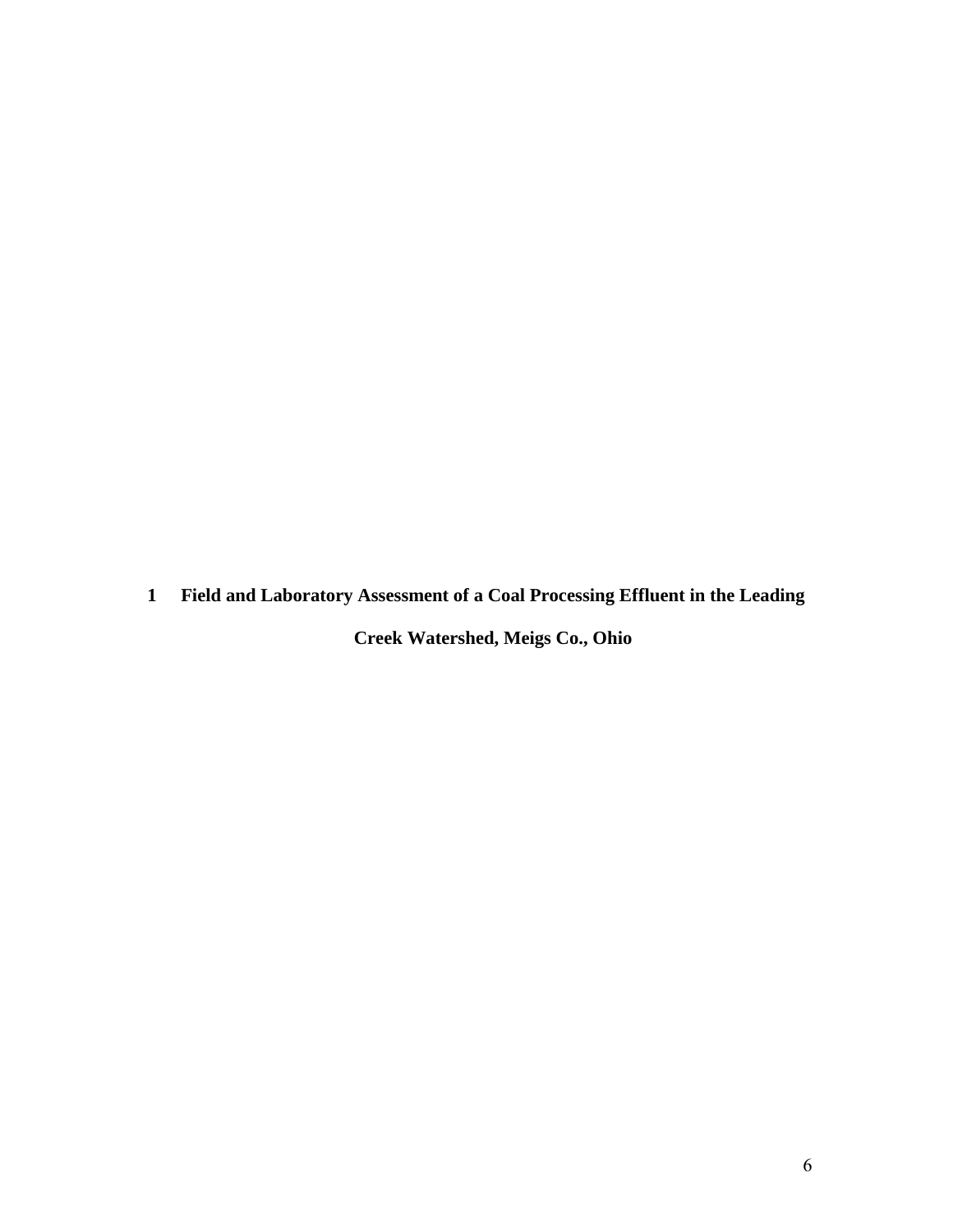<span id="page-13-0"></span>**1 Field and Laboratory Assessment of a Coal Processing Effluent in the Leading** 

**Creek Watershed, Meigs Co., Ohio**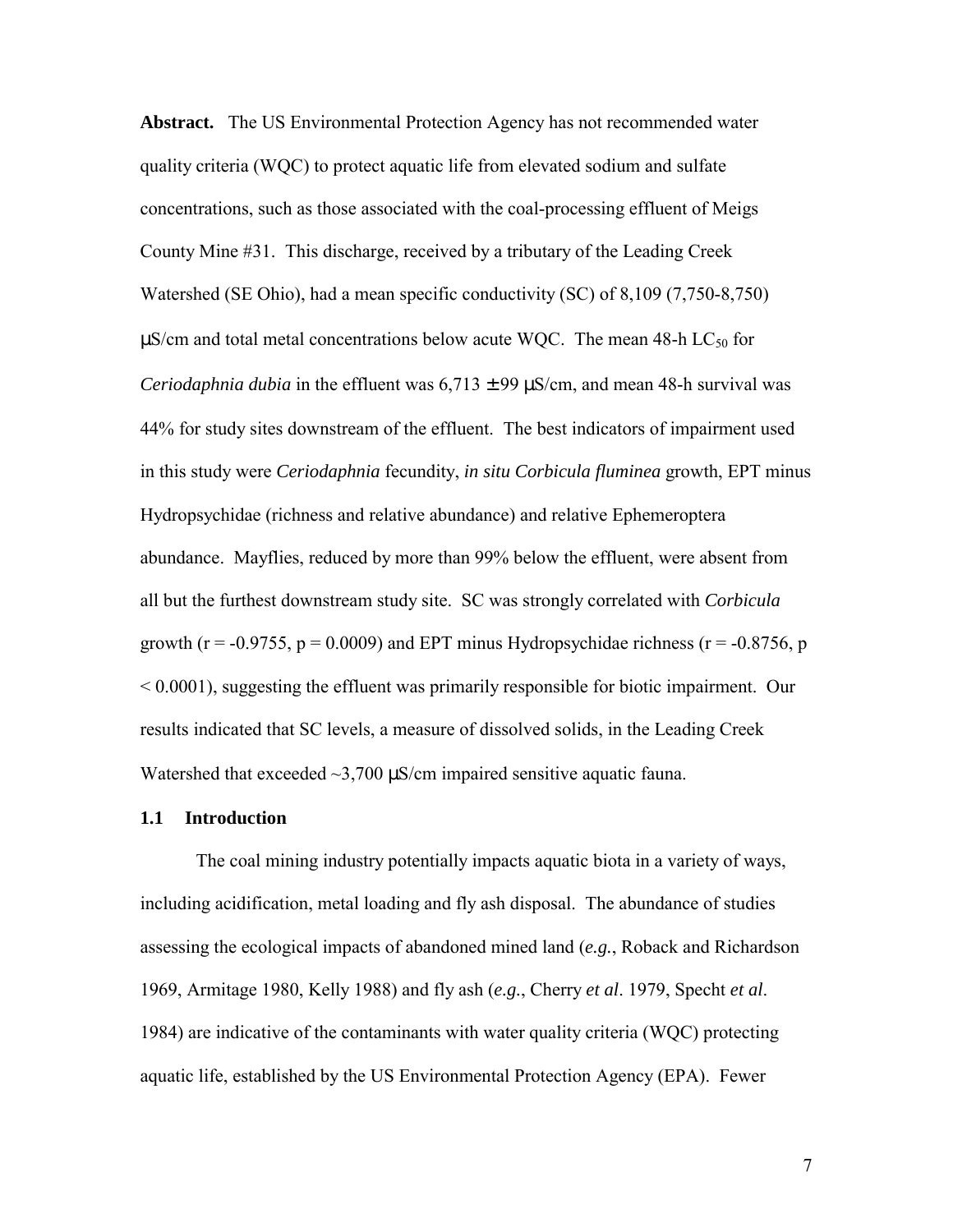<span id="page-14-0"></span>**Abstract.** The US Environmental Protection Agency has not recommended water quality criteria (WQC) to protect aquatic life from elevated sodium and sulfate concentrations, such as those associated with the coal-processing effluent of Meigs County Mine #31. This discharge, received by a tributary of the Leading Creek Watershed (SE Ohio), had a mean specific conductivity (SC) of 8,109 (7,750-8,750)  $\mu$ S/cm and total metal concentrations below acute WQC. The mean 48-h LC<sub>50</sub> for *Ceriodaphnia dubia* in the effluent was  $6,713 \pm 99 \,\mu\text{S/cm}$ , and mean 48-h survival was 44% for study sites downstream of the effluent. The best indicators of impairment used in this study were *Ceriodaphnia* fecundity, *in situ Corbicula fluminea* growth, EPT minus Hydropsychidae (richness and relative abundance) and relative Ephemeroptera abundance. Mayflies, reduced by more than 99% below the effluent, were absent from all but the furthest downstream study site. SC was strongly correlated with *Corbicula* growth ( $r = -0.9755$ ,  $p = 0.0009$ ) and EPT minus Hydropsychidae richness ( $r = -0.8756$ , p  $< 0.0001$ ), suggesting the effluent was primarily responsible for biotic impairment. Our results indicated that SC levels, a measure of dissolved solids, in the Leading Creek Watershed that exceeded  $\sim$ 3,700  $\mu$ S/cm impaired sensitive aquatic fauna.

#### **1.1 Introduction**

 The coal mining industry potentially impacts aquatic biota in a variety of ways, including acidification, metal loading and fly ash disposal. The abundance of studies assessing the ecological impacts of abandoned mined land (*e.g.*, Roback and Richardson 1969, Armitage 1980, Kelly 1988) and fly ash (*e.g.*, Cherry *et al*. 1979, Specht *et al*. 1984) are indicative of the contaminants with water quality criteria (WQC) protecting aquatic life, established by the US Environmental Protection Agency (EPA). Fewer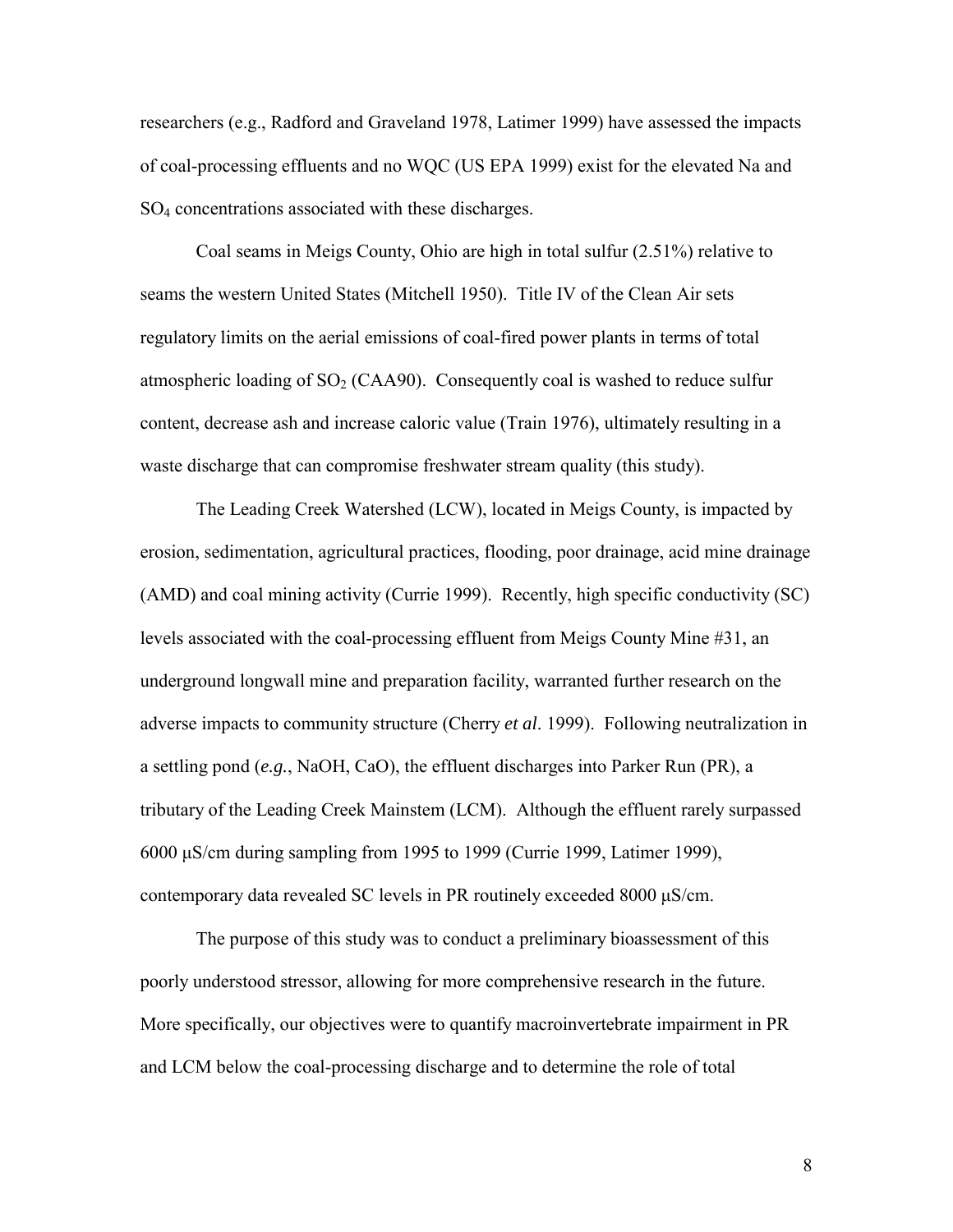researchers (e.g., Radford and Graveland 1978, Latimer 1999) have assessed the impacts of coal-processing effluents and no WQC (US EPA 1999) exist for the elevated Na and SO4 concentrations associated with these discharges.

Coal seams in Meigs County, Ohio are high in total sulfur (2.51%) relative to seams the western United States (Mitchell 1950). Title IV of the Clean Air sets regulatory limits on the aerial emissions of coal-fired power plants in terms of total atmospheric loading of  $SO<sub>2</sub>$  (CAA90). Consequently coal is washed to reduce sulfur content, decrease ash and increase caloric value (Train 1976), ultimately resulting in a waste discharge that can compromise freshwater stream quality (this study).

The Leading Creek Watershed (LCW), located in Meigs County, is impacted by erosion, sedimentation, agricultural practices, flooding, poor drainage, acid mine drainage (AMD) and coal mining activity (Currie 1999). Recently, high specific conductivity (SC) levels associated with the coal-processing effluent from Meigs County Mine #31, an underground longwall mine and preparation facility, warranted further research on the adverse impacts to community structure (Cherry *et al*. 1999). Following neutralization in a settling pond (*e.g.*, NaOH, CaO), the effluent discharges into Parker Run (PR), a tributary of the Leading Creek Mainstem (LCM). Although the effluent rarely surpassed 6000 μS/cm during sampling from 1995 to 1999 (Currie 1999, Latimer 1999), contemporary data revealed SC levels in PR routinely exceeded 8000 μS/cm.

 The purpose of this study was to conduct a preliminary bioassessment of this poorly understood stressor, allowing for more comprehensive research in the future. More specifically, our objectives were to quantify macroinvertebrate impairment in PR and LCM below the coal-processing discharge and to determine the role of total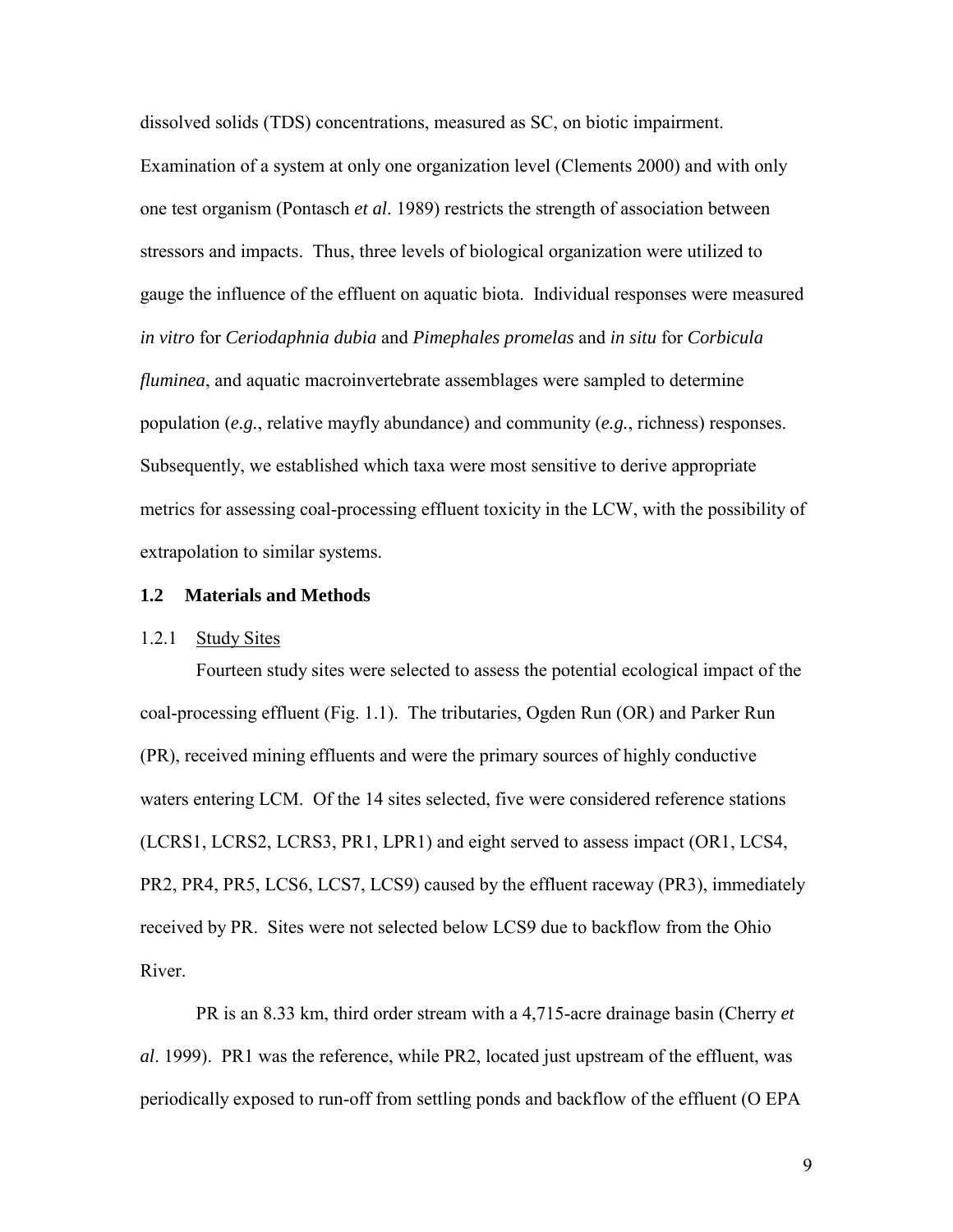<span id="page-16-0"></span>dissolved solids (TDS) concentrations, measured as SC, on biotic impairment. Examination of a system at only one organization level (Clements 2000) and with only one test organism (Pontasch *et al*. 1989) restricts the strength of association between stressors and impacts. Thus, three levels of biological organization were utilized to gauge the influence of the effluent on aquatic biota. Individual responses were measured *in vitro* for *Ceriodaphnia dubia* and *Pimephales promelas* and *in situ* for *Corbicula fluminea*, and aquatic macroinvertebrate assemblages were sampled to determine population (*e.g.*, relative mayfly abundance) and community (*e.g.*, richness) responses. Subsequently, we established which taxa were most sensitive to derive appropriate metrics for assessing coal-processing effluent toxicity in the LCW, with the possibility of extrapolation to similar systems.

#### **1.2 Materials and Methods**

#### 1.2.1 Study Sites

 Fourteen study sites were selected to assess the potential ecological impact of the coal-processing effluent (Fig. 1.1). The tributaries, Ogden Run (OR) and Parker Run (PR), received mining effluents and were the primary sources of highly conductive waters entering LCM. Of the 14 sites selected, five were considered reference stations (LCRS1, LCRS2, LCRS3, PR1, LPR1) and eight served to assess impact (OR1, LCS4, PR2, PR4, PR5, LCS6, LCS7, LCS9) caused by the effluent raceway (PR3), immediately received by PR. Sites were not selected below LCS9 due to backflow from the Ohio River.

PR is an 8.33 km, third order stream with a 4,715-acre drainage basin (Cherry *et al*. 1999). PR1 was the reference, while PR2, located just upstream of the effluent, was periodically exposed to run-off from settling ponds and backflow of the effluent (O EPA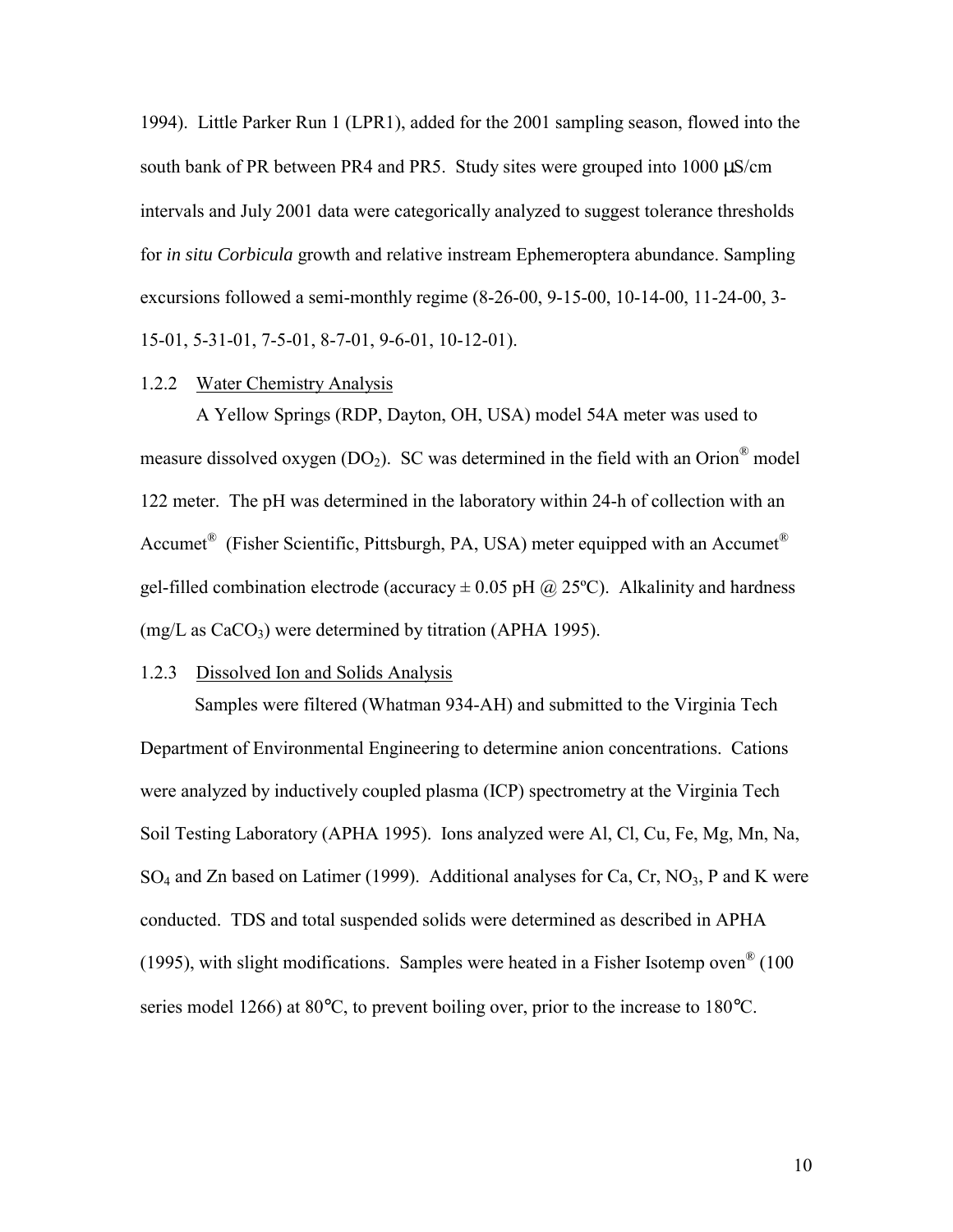<span id="page-17-0"></span>1994). Little Parker Run 1 (LPR1), added for the 2001 sampling season, flowed into the south bank of PR between PR4 and PR5. Study sites were grouped into 1000  $\mu$ S/cm intervals and July 2001 data were categorically analyzed to suggest tolerance thresholds for *in situ Corbicula* growth and relative instream Ephemeroptera abundance. Sampling excursions followed a semi-monthly regime (8-26-00, 9-15-00, 10-14-00, 11-24-00, 3- 15-01, 5-31-01, 7-5-01, 8-7-01, 9-6-01, 10-12-01).

#### 1.2.2 Water Chemistry Analysis

 A Yellow Springs (RDP, Dayton, OH, USA) model 54A meter was used to measure dissolved oxygen ( $DO<sub>2</sub>$ ). SC was determined in the field with an Orion<sup>®</sup> model 122 meter. The pH was determined in the laboratory within 24-h of collection with an Accumet<sup>®</sup> (Fisher Scientific, Pittsburgh, PA, USA) meter equipped with an Accumet<sup>®</sup> gel-filled combination electrode (accuracy  $\pm$  0.05 pH  $\omega$  25°C). Alkalinity and hardness  $(mg/L as CaCO<sub>3</sub>)$  were determined by titration (APHA 1995).

### 1.2.3 Dissolved Ion and Solids Analysis

Samples were filtered (Whatman 934-AH) and submitted to the Virginia Tech Department of Environmental Engineering to determine anion concentrations. Cations were analyzed by inductively coupled plasma (ICP) spectrometry at the Virginia Tech Soil Testing Laboratory (APHA 1995). Ions analyzed were Al, Cl, Cu, Fe, Mg, Mn, Na,  $SO_4$  and Zn based on Latimer (1999). Additional analyses for Ca, Cr, NO<sub>3</sub>, P and K were conducted. TDS and total suspended solids were determined as described in APHA (1995), with slight modifications. Samples were heated in a Fisher Isotemp oven® (100 series model 1266) at 80 $^{\circ}$ C, to prevent boiling over, prior to the increase to 180 $^{\circ}$ C.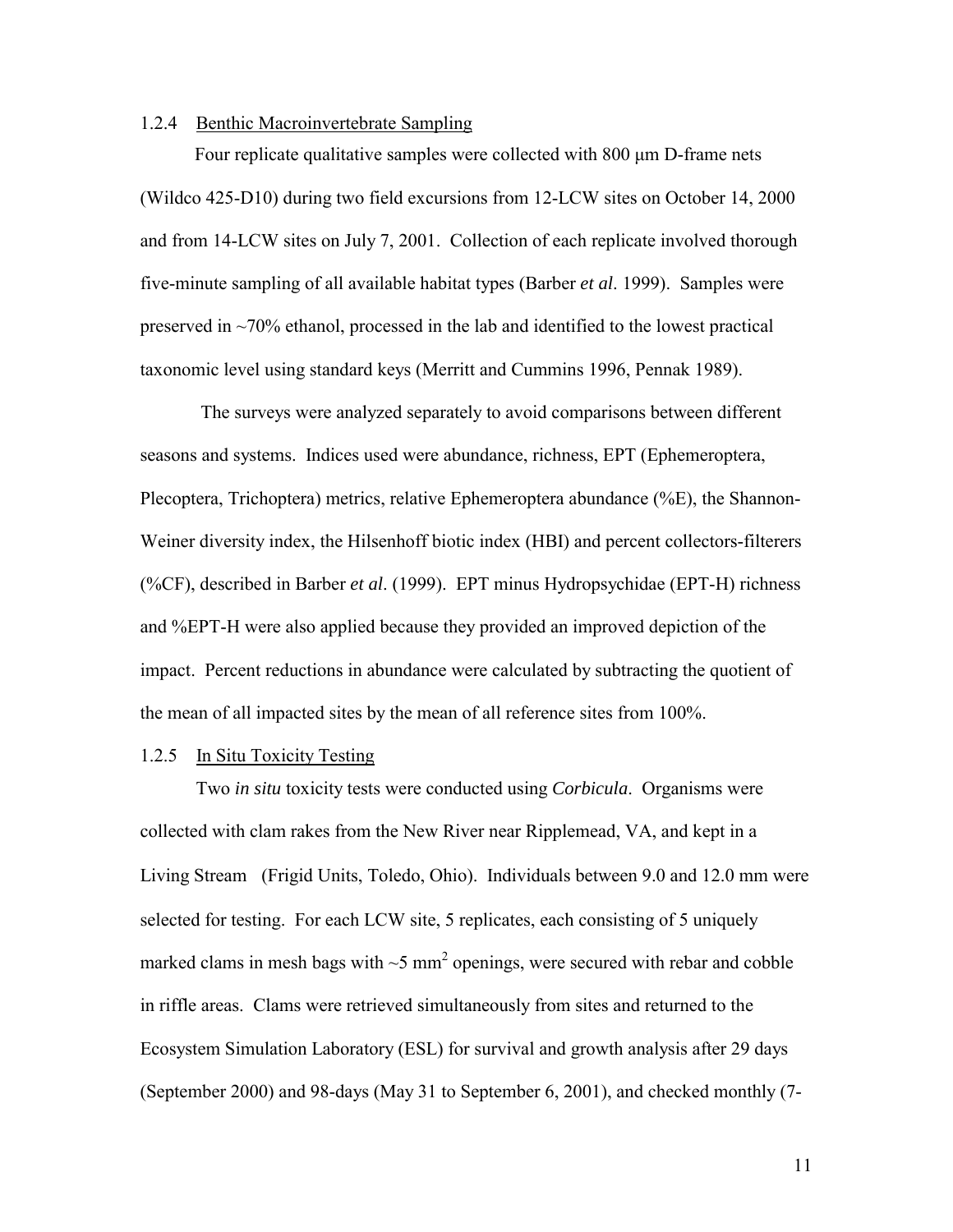#### <span id="page-18-0"></span>1.2.4 Benthic Macroinvertebrate Sampling

Four replicate qualitative samples were collected with 800 μm D-frame nets (Wildco 425-D10) during two field excursions from 12-LCW sites on October 14, 2000 and from 14-LCW sites on July 7, 2001. Collection of each replicate involved thorough five-minute sampling of all available habitat types (Barber *et al*. 1999). Samples were preserved in  $\sim$ 70% ethanol, processed in the lab and identified to the lowest practical taxonomic level using standard keys (Merritt and Cummins 1996, Pennak 1989).

 The surveys were analyzed separately to avoid comparisons between different seasons and systems. Indices used were abundance, richness, EPT (Ephemeroptera, Plecoptera, Trichoptera) metrics, relative Ephemeroptera abundance (%E), the Shannon-Weiner diversity index, the Hilsenhoff biotic index (HBI) and percent collectors-filterers (%CF), described in Barber *et al*. (1999). EPT minus Hydropsychidae (EPT-H) richness and %EPT-H were also applied because they provided an improved depiction of the impact. Percent reductions in abundance were calculated by subtracting the quotient of the mean of all impacted sites by the mean of all reference sites from 100%.

#### 1.2.5 In Situ Toxicity Testing

 Two *in situ* toxicity tests were conducted using *Corbicula*. Organisms were collected with clam rakes from the New River near Ripplemead, VA, and kept in a Living Stream<sup>®</sup> (Frigid Units, Toledo, Ohio). Individuals between 9.0 and 12.0 mm were selected for testing. For each LCW site, 5 replicates, each consisting of 5 uniquely marked clams in mesh bags with  $\sim$ 5 mm<sup>2</sup> openings, were secured with rebar and cobble in riffle areas. Clams were retrieved simultaneously from sites and returned to the Ecosystem Simulation Laboratory (ESL) for survival and growth analysis after 29 days (September 2000) and 98-days (May 31 to September 6, 2001), and checked monthly (7-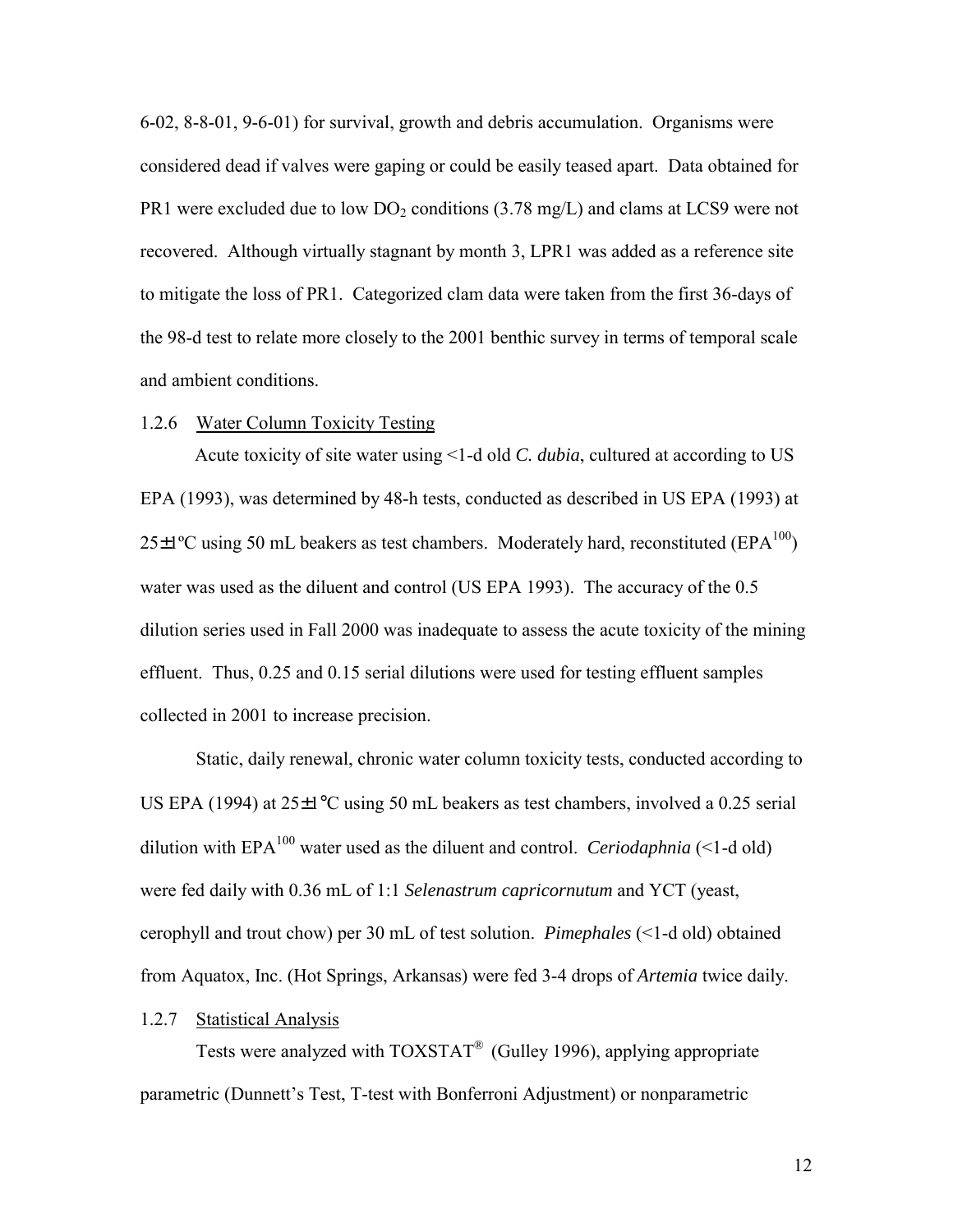<span id="page-19-0"></span>6-02, 8-8-01, 9-6-01) for survival, growth and debris accumulation. Organisms were considered dead if valves were gaping or could be easily teased apart. Data obtained for PR1 were excluded due to low  $DO<sub>2</sub>$  conditions (3.78 mg/L) and clams at LCS9 were not recovered. Although virtually stagnant by month 3, LPR1 was added as a reference site to mitigate the loss of PR1. Categorized clam data were taken from the first 36-days of the 98-d test to relate more closely to the 2001 benthic survey in terms of temporal scale and ambient conditions.

#### 1.2.6 Water Column Toxicity Testing

Acute toxicity of site water using <1-d old *C. dubia*, cultured at according to US EPA (1993), was determined by 48-h tests, conducted as described in US EPA (1993) at  $25\pm1\text{°C}$  using 50 mL beakers as test chambers. Moderately hard, reconstituted (EPA<sup>100</sup>) water was used as the diluent and control (US EPA 1993). The accuracy of the 0.5 dilution series used in Fall 2000 was inadequate to assess the acute toxicity of the mining effluent. Thus, 0.25 and 0.15 serial dilutions were used for testing effluent samples collected in 2001 to increase precision.

 Static, daily renewal, chronic water column toxicity tests, conducted according to US EPA (1994) at  $25\pm1^{\circ}$ C using 50 mL beakers as test chambers, involved a 0.25 serial dilution with  $EPA^{100}$  water used as the diluent and control. *Ceriodaphnia*  $\leq 1$ -d old) were fed daily with 0.36 mL of 1:1 *Selenastrum capricornutum* and YCT (yeast, cerophyll and trout chow) per 30 mL of test solution. *Pimephales* (<1-d old) obtained from Aquatox, Inc. (Hot Springs, Arkansas) were fed 3-4 drops of *Artemia* twice daily.

#### 1.2.7 Statistical Analysis

 Tests were analyzed with TOXSTAT® (Gulley 1996), applying appropriate parametric (Dunnett's Test, T-test with Bonferroni Adjustment) or nonparametric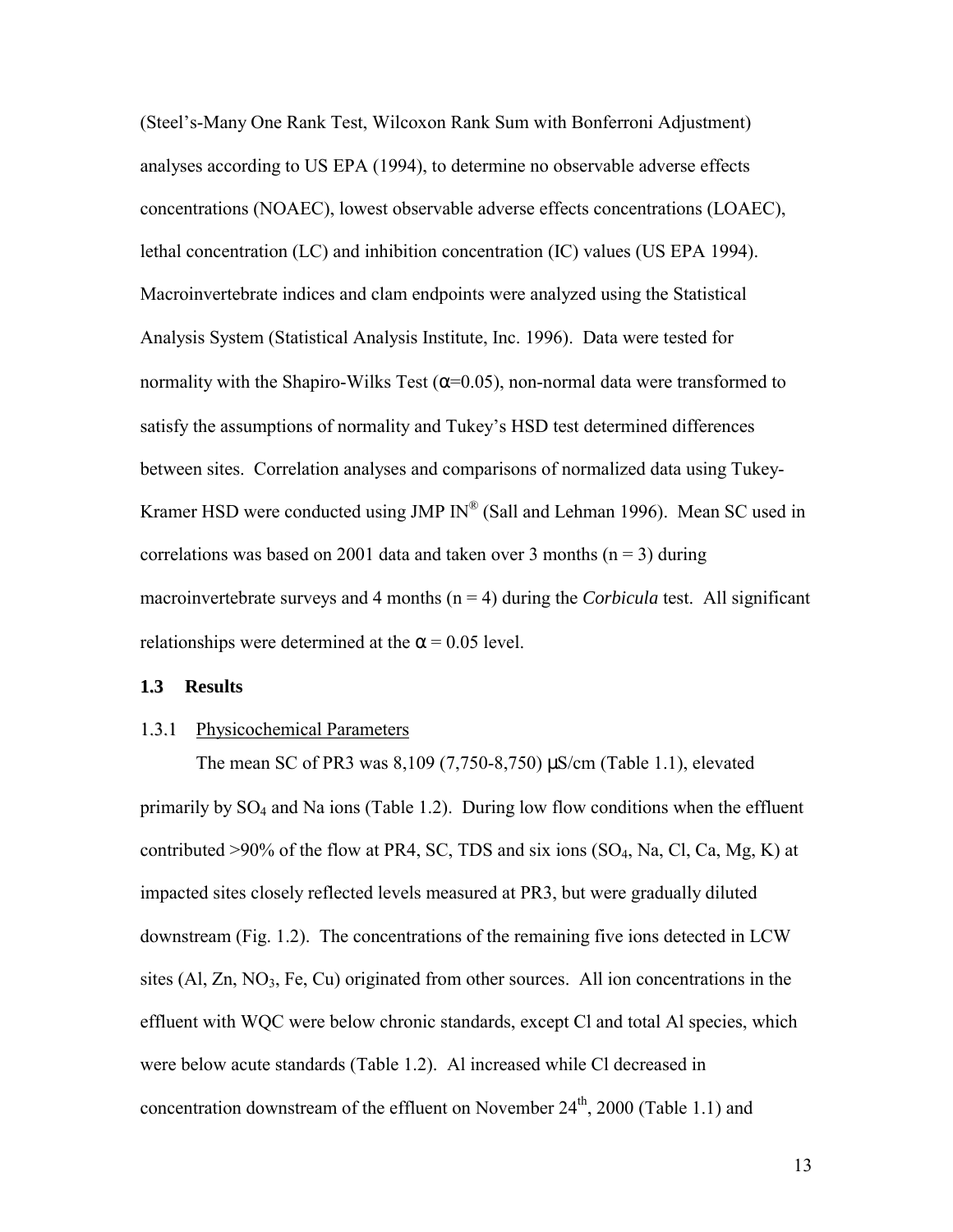<span id="page-20-0"></span>(Steel's-Many One Rank Test, Wilcoxon Rank Sum with Bonferroni Adjustment) analyses according to US EPA (1994), to determine no observable adverse effects concentrations (NOAEC), lowest observable adverse effects concentrations (LOAEC), lethal concentration (LC) and inhibition concentration (IC) values (US EPA 1994). Macroinvertebrate indices and clam endpoints were analyzed using the Statistical Analysis System (Statistical Analysis Institute, Inc. 1996). Data were tested for normality with the Shapiro-Wilks Test ( $\alpha$ =0.05), non-normal data were transformed to satisfy the assumptions of normality and Tukey's HSD test determined differences between sites. Correlation analyses and comparisons of normalized data using Tukey-Kramer HSD were conducted using JMP  $IN^{\circledR}$  (Sall and Lehman 1996). Mean SC used in correlations was based on 2001 data and taken over 3 months ( $n = 3$ ) during macroinvertebrate surveys and 4 months  $(n = 4)$  during the *Corbicula* test. All significant relationships were determined at the  $\alpha$  = 0.05 level.

#### **1.3 Results**

#### 1.3.1 Physicochemical Parameters

 The mean SC of PR3 was 8,109 (7,750-8,750) µS/cm (Table 1.1), elevated primarily by  $SO_4$  and Na ions (Table 1.2). During low flow conditions when the effluent contributed >90% of the flow at PR4, SC, TDS and six ions (SO4, Na, Cl, Ca, Mg, K) at impacted sites closely reflected levels measured at PR3, but were gradually diluted downstream (Fig. 1.2). The concentrations of the remaining five ions detected in LCW sites  $(A<sub>1</sub>, Z<sub>n</sub>, NO<sub>3</sub>, Fe, Cu)$  originated from other sources. All ion concentrations in the effluent with WQC were below chronic standards, except Cl and total Al species, which were below acute standards (Table 1.2). Al increased while Cl decreased in concentration downstream of the effluent on November  $24<sup>th</sup>$ , 2000 (Table 1.1) and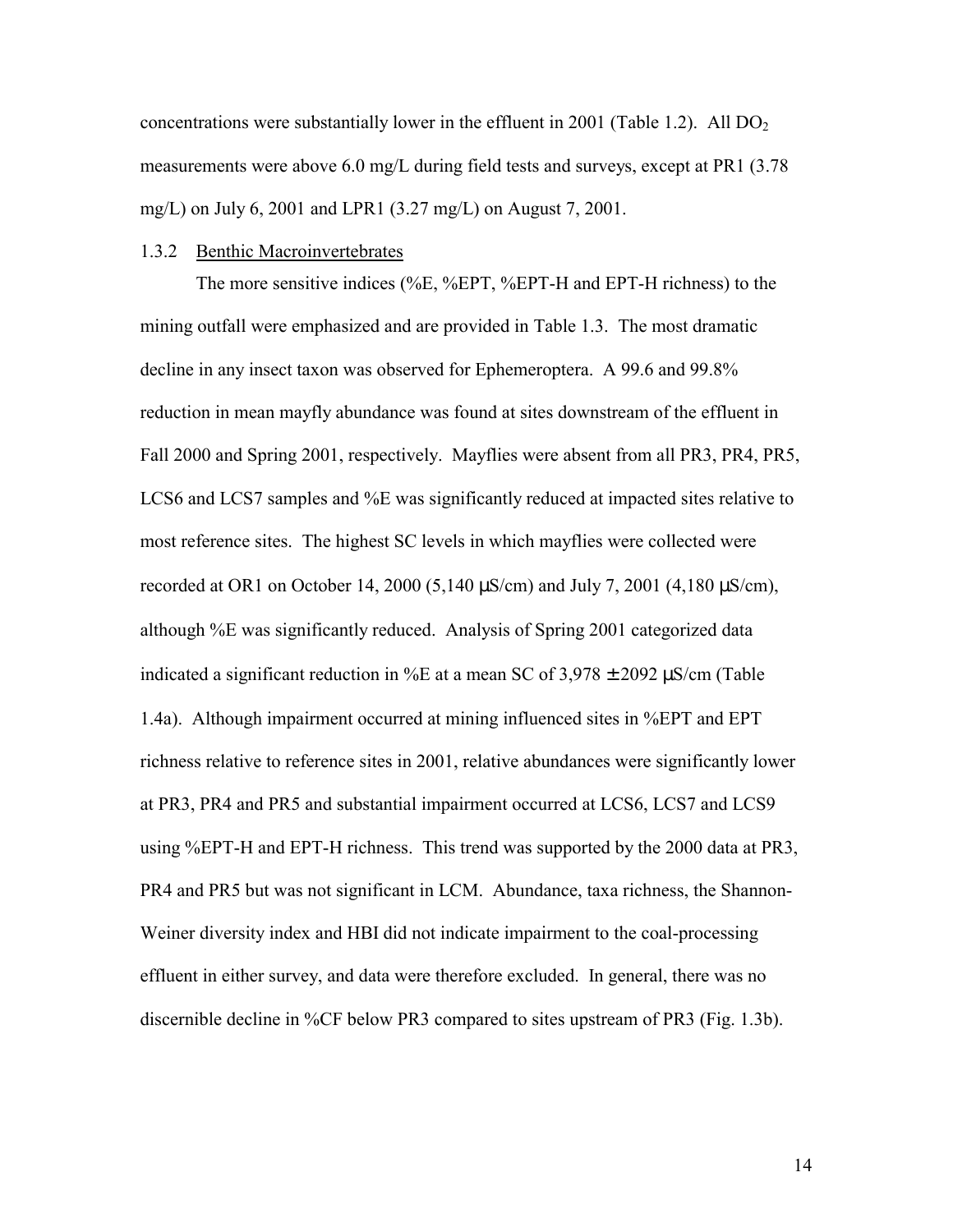<span id="page-21-0"></span>concentrations were substantially lower in the effluent in 2001 (Table 1.2). All  $DO<sub>2</sub>$ measurements were above 6.0 mg/L during field tests and surveys, except at PR1 (3.78 mg/L) on July 6, 2001 and LPR1 (3.27 mg/L) on August 7, 2001.

#### 1.3.2 Benthic Macroinvertebrates

 The more sensitive indices (%E, %EPT, %EPT-H and EPT-H richness) to the mining outfall were emphasized and are provided in Table 1.3. The most dramatic decline in any insect taxon was observed for Ephemeroptera. A 99.6 and 99.8% reduction in mean mayfly abundance was found at sites downstream of the effluent in Fall 2000 and Spring 2001, respectively. Mayflies were absent from all PR3, PR4, PR5, LCS6 and LCS7 samples and %E was significantly reduced at impacted sites relative to most reference sites. The highest SC levels in which mayflies were collected were recorded at OR1 on October 14, 2000 (5,140  $\mu$ S/cm) and July 7, 2001 (4,180  $\mu$ S/cm), although %E was significantly reduced. Analysis of Spring 2001 categorized data indicated a significant reduction in %E at a mean SC of  $3,978 \pm 2092$   $\mu$ S/cm (Table 1.4a). Although impairment occurred at mining influenced sites in %EPT and EPT richness relative to reference sites in 2001, relative abundances were significantly lower at PR3, PR4 and PR5 and substantial impairment occurred at LCS6, LCS7 and LCS9 using %EPT-H and EPT-H richness. This trend was supported by the 2000 data at PR3, PR4 and PR5 but was not significant in LCM. Abundance, taxa richness, the Shannon-Weiner diversity index and HBI did not indicate impairment to the coal-processing effluent in either survey, and data were therefore excluded. In general, there was no discernible decline in %CF below PR3 compared to sites upstream of PR3 (Fig. 1.3b).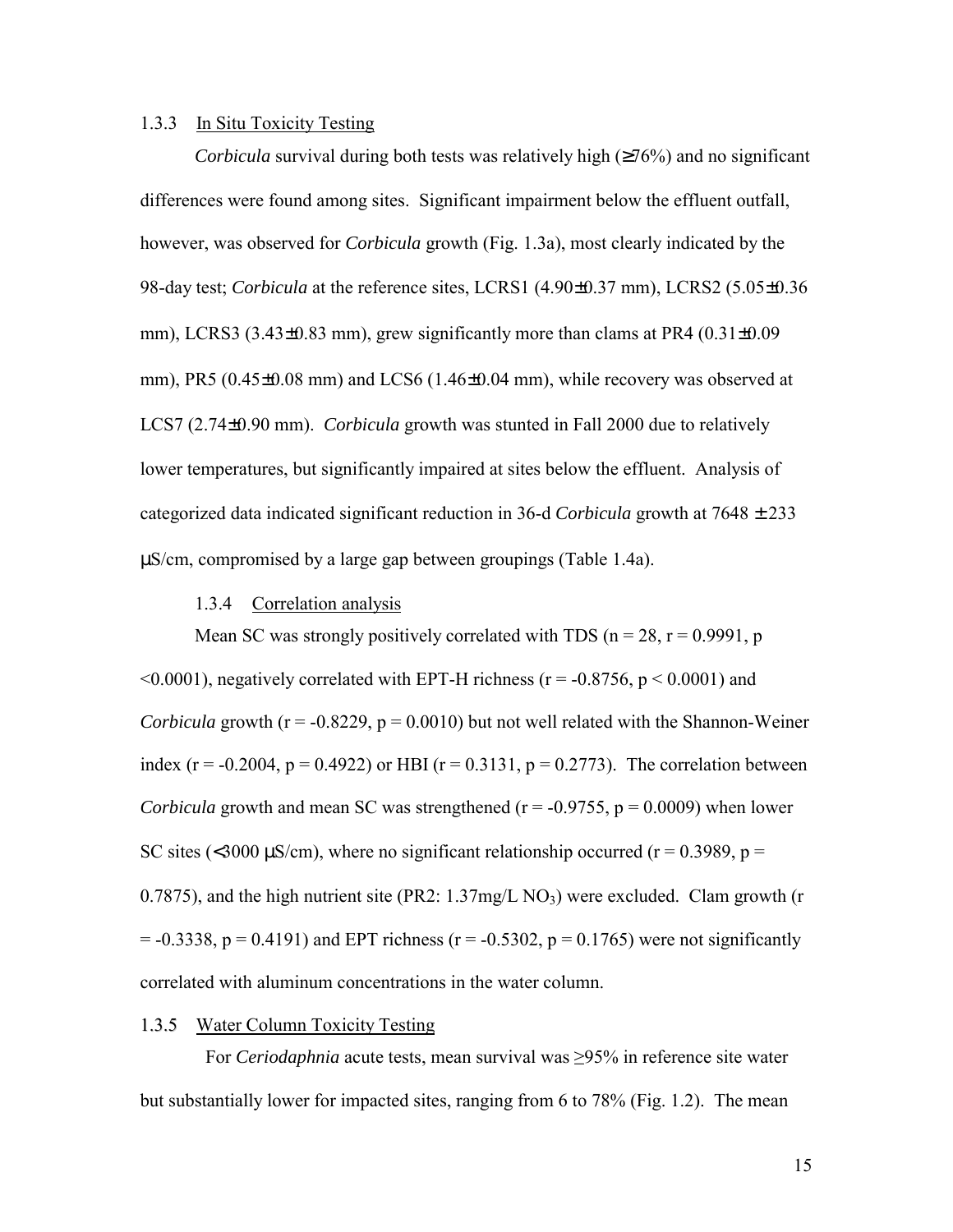#### <span id="page-22-0"></span>1.3.3 In Situ Toxicity Testing

*Corbicula* survival during both tests was relatively high (≥76%) and no significant differences were found among sites. Significant impairment below the effluent outfall, however, was observed for *Corbicula* growth (Fig. 1.3a), most clearly indicated by the 98-day test; *Corbicula* at the reference sites, LCRS1 (4.90±0.37 mm), LCRS2 (5.05±0.36 mm), LCRS3 (3.43±0.83 mm), grew significantly more than clams at PR4 (0.31±0.09 mm), PR5  $(0.45\pm0.08$  mm) and LCS6  $(1.46\pm0.04$  mm), while recovery was observed at LCS7 (2.74±0.90 mm). *Corbicula* growth was stunted in Fall 2000 due to relatively lower temperatures, but significantly impaired at sites below the effluent. Analysis of categorized data indicated significant reduction in 36-d *Corbicula* growth at 7648 ± 233 µS/cm, compromised by a large gap between groupings (Table 1.4a).

#### 1.3.4 Correlation analysis

Mean SC was strongly positively correlated with TDS ( $n = 28$ ,  $r = 0.9991$ , p  $\leq 0.0001$ ), negatively correlated with EPT-H richness ( $r = -0.8756$ ,  $p \leq 0.0001$ ) and *Corbicula* growth ( $r = -0.8229$ ,  $p = 0.0010$ ) but not well related with the Shannon-Weiner index (r = -0.2004, p = 0.4922) or HBI (r = 0.3131, p = 0.2773). The correlation between *Corbicula* growth and mean SC was strengthened ( $r = -0.9755$ ,  $p = 0.0009$ ) when lower SC sites (<3000  $\mu$ S/cm), where no significant relationship occurred (r = 0.3989, p = 0.7875), and the high nutrient site (PR2:  $1.37mg/L NO<sub>3</sub>$ ) were excluded. Clam growth (r  $= -0.3338$ ,  $p = 0.4191$ ) and EPT richness ( $r = -0.5302$ ,  $p = 0.1765$ ) were not significantly correlated with aluminum concentrations in the water column.

#### 1.3.5 Water Column Toxicity Testing

 For *Ceriodaphnia* acute tests, mean survival was ≥95% in reference site water but substantially lower for impacted sites, ranging from 6 to 78% (Fig. 1.2). The mean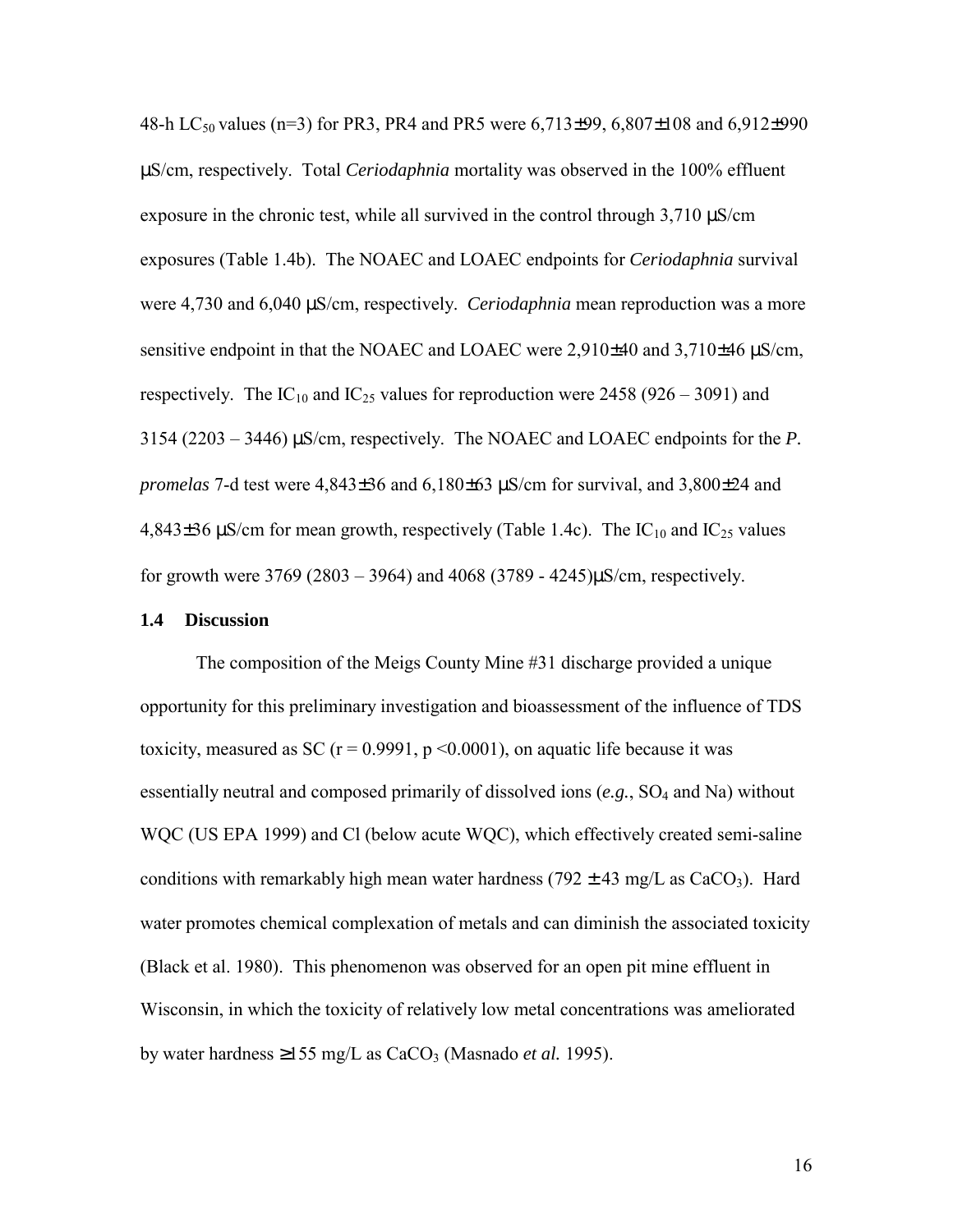<span id="page-23-0"></span>48-h LC<sub>50</sub> values (n=3) for PR3, PR4 and PR5 were  $6,713\pm99, 6,807\pm108$  and  $6,912\pm990$ µS/cm, respectively. Total *Ceriodaphnia* mortality was observed in the 100% effluent exposure in the chronic test, while all survived in the control through 3,710  $\mu$ S/cm exposures (Table 1.4b). The NOAEC and LOAEC endpoints for *Ceriodaphnia* survival were 4,730 and 6,040 µS/cm, respectively. *Ceriodaphnia* mean reproduction was a more sensitive endpoint in that the NOAEC and LOAEC were 2,910±40 and 3,710±46  $\mu$ S/cm, respectively. The IC<sub>10</sub> and IC<sub>25</sub> values for reproduction were 2458 (926 – 3091) and 3154 (2203 – 3446) µS/cm, respectively. The NOAEC and LOAEC endpoints for the *P. promelas* 7-d test were 4,843±36 and 6,180±63 µS/cm for survival, and 3,800±24 and 4,843 $\pm$ 36 µS/cm for mean growth, respectively (Table 1.4c). The IC<sub>10</sub> and IC<sub>25</sub> values for growth were  $3769 (2803 - 3964)$  and  $4068 (3789 - 4245) \mu$ S/cm, respectively.

#### **1.4 Discussion**

 The composition of the Meigs County Mine #31 discharge provided a unique opportunity for this preliminary investigation and bioassessment of the influence of TDS toxicity, measured as SC ( $r = 0.9991$ ,  $p \le 0.0001$ ), on aquatic life because it was essentially neutral and composed primarily of dissolved ions (*e.g.*, SO4 and Na) without WQC (US EPA 1999) and Cl (below acute WQC), which effectively created semi-saline conditions with remarkably high mean water hardness (792  $\pm$  43 mg/L as CaCO<sub>3</sub>). Hard water promotes chemical complexation of metals and can diminish the associated toxicity (Black et al. 1980). This phenomenon was observed for an open pit mine effluent in Wisconsin, in which the toxicity of relatively low metal concentrations was ameliorated by water hardness  $\geq 155$  mg/L as CaCO<sub>3</sub> (Masnado *et al.* 1995).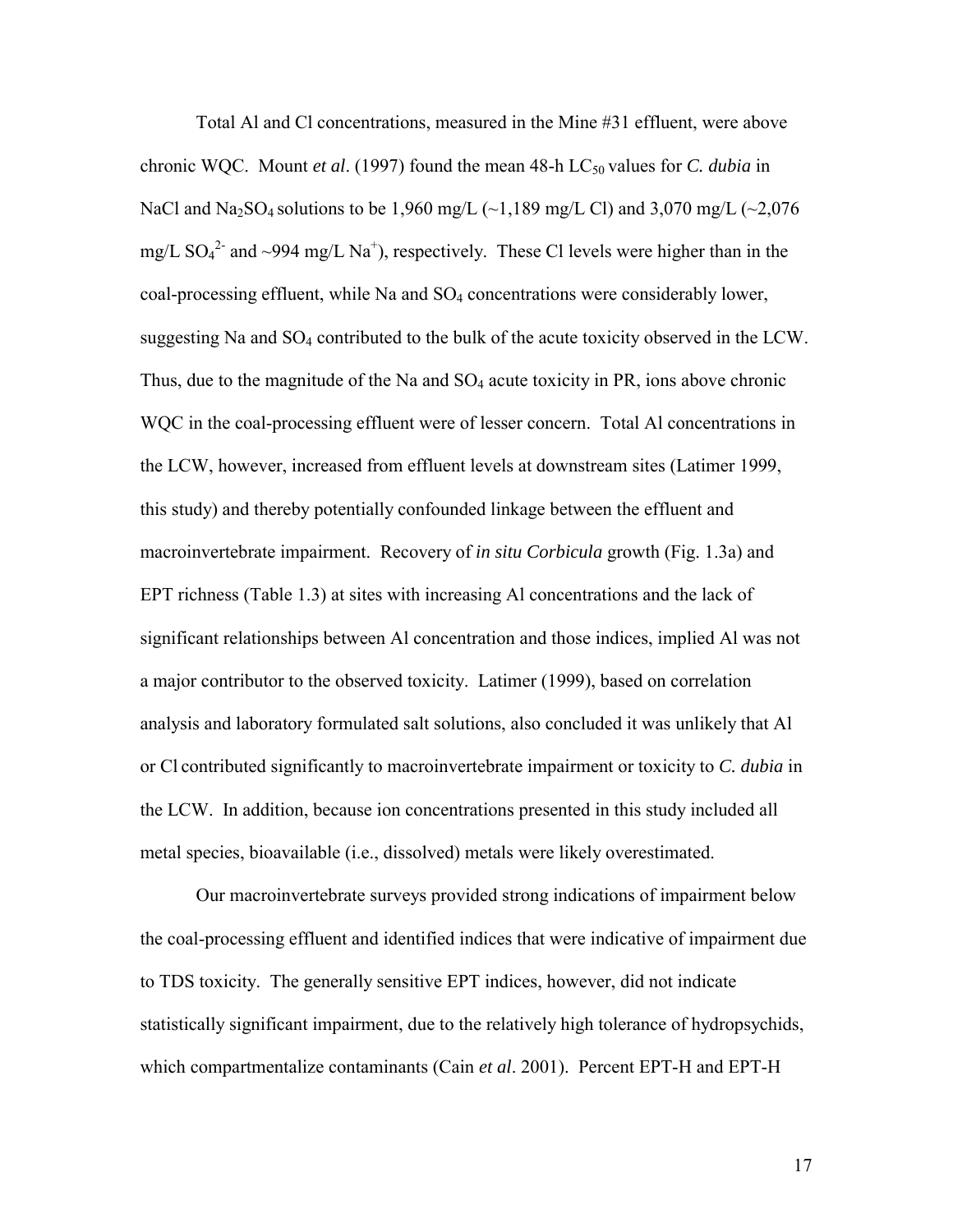Total Al and Cl concentrations, measured in the Mine #31 effluent, were above chronic WQC. Mount *et al.* (1997) found the mean 48-h LC<sub>50</sub> values for *C. dubia* in NaCl and Na<sub>2</sub>SO<sub>4</sub> solutions to be 1,960 mg/L ( $\sim$ 1,189 mg/L Cl) and 3,070 mg/L ( $\sim$ 2,076 mg/L  $SO_4^2$  and ~994 mg/L Na<sup>+</sup>), respectively. These Cl levels were higher than in the coal-processing effluent, while Na and SO4 concentrations were considerably lower, suggesting Na and SO<sub>4</sub> contributed to the bulk of the acute toxicity observed in the LCW. Thus, due to the magnitude of the Na and  $SO_4$  acute toxicity in PR, ions above chronic WQC in the coal-processing effluent were of lesser concern. Total Al concentrations in the LCW, however, increased from effluent levels at downstream sites (Latimer 1999, this study) and thereby potentially confounded linkage between the effluent and macroinvertebrate impairment. Recovery of *in situ Corbicula* growth (Fig. 1.3a) and EPT richness (Table 1.3) at sites with increasing Al concentrations and the lack of significant relationships between Al concentration and those indices, implied Al was not a major contributor to the observed toxicity. Latimer (1999), based on correlation analysis and laboratory formulated salt solutions, also concluded it was unlikely that Al or Cl contributed significantly to macroinvertebrate impairment or toxicity to *C. dubia* in the LCW. In addition, because ion concentrations presented in this study included all metal species, bioavailable (i.e., dissolved) metals were likely overestimated.

 Our macroinvertebrate surveys provided strong indications of impairment below the coal-processing effluent and identified indices that were indicative of impairment due to TDS toxicity. The generally sensitive EPT indices, however, did not indicate statistically significant impairment, due to the relatively high tolerance of hydropsychids, which compartmentalize contaminants (Cain *et al*. 2001). Percent EPT-H and EPT-H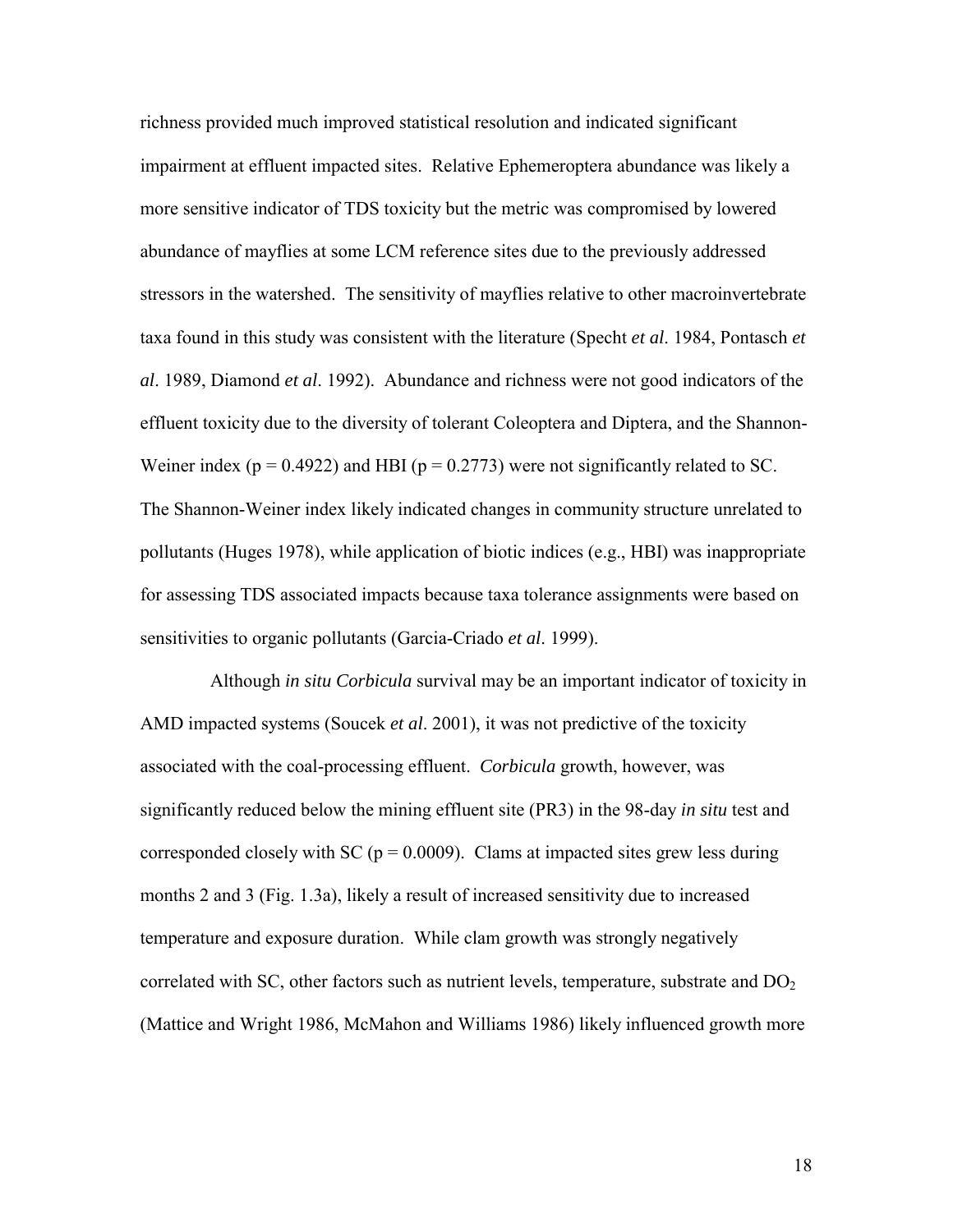richness provided much improved statistical resolution and indicated significant impairment at effluent impacted sites. Relative Ephemeroptera abundance was likely a more sensitive indicator of TDS toxicity but the metric was compromised by lowered abundance of mayflies at some LCM reference sites due to the previously addressed stressors in the watershed. The sensitivity of mayflies relative to other macroinvertebrate taxa found in this study was consistent with the literature (Specht *et al*. 1984, Pontasch *et al*. 1989, Diamond *et al*. 1992). Abundance and richness were not good indicators of the effluent toxicity due to the diversity of tolerant Coleoptera and Diptera, and the Shannon-Weiner index ( $p = 0.4922$ ) and HBI ( $p = 0.2773$ ) were not significantly related to SC. The Shannon-Weiner index likely indicated changes in community structure unrelated to pollutants (Huges 1978), while application of biotic indices (e.g., HBI) was inappropriate for assessing TDS associated impacts because taxa tolerance assignments were based on sensitivities to organic pollutants (Garcia-Criado *et al*. 1999).

 Although *in situ Corbicula* survival may be an important indicator of toxicity in AMD impacted systems (Soucek *et al*. 2001), it was not predictive of the toxicity associated with the coal-processing effluent. *Corbicula* growth, however, was significantly reduced below the mining effluent site (PR3) in the 98-day *in situ* test and corresponded closely with SC ( $p = 0.0009$ ). Clams at impacted sites grew less during months 2 and 3 (Fig. 1.3a), likely a result of increased sensitivity due to increased temperature and exposure duration. While clam growth was strongly negatively correlated with SC, other factors such as nutrient levels, temperature, substrate and  $DO<sub>2</sub>$ (Mattice and Wright 1986, McMahon and Williams 1986) likely influenced growth more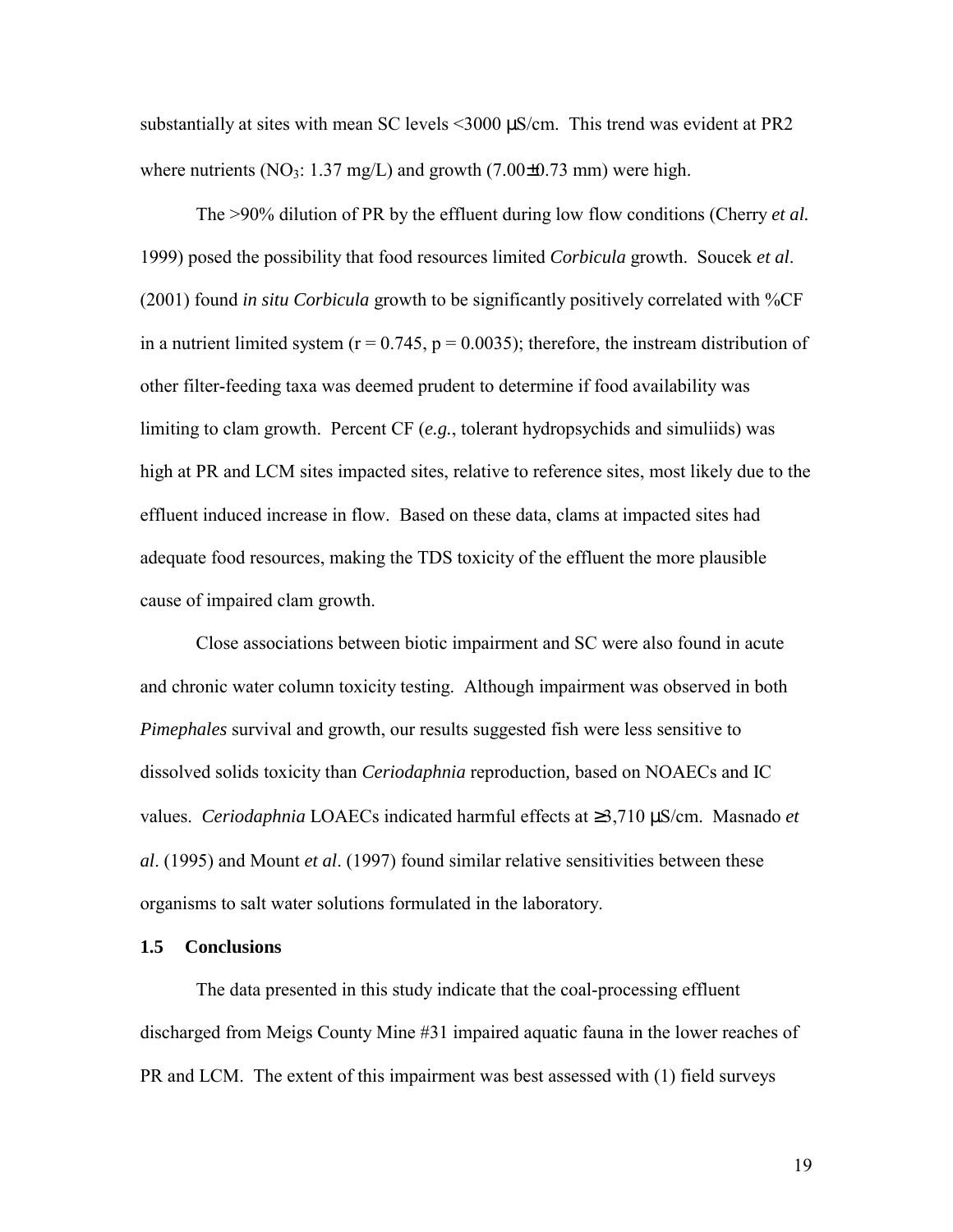<span id="page-26-0"></span>substantially at sites with mean SC levels <3000 µS/cm. This trend was evident at PR2 where nutrients (NO<sub>3</sub>: 1.37 mg/L) and growth (7.00 $\pm$ 0.73 mm) were high.

The >90% dilution of PR by the effluent during low flow conditions (Cherry *et al.* 1999) posed the possibility that food resources limited *Corbicula* growth. Soucek *et al*. (2001) found *in situ Corbicula* growth to be significantly positively correlated with %CF in a nutrient limited system  $(r = 0.745, p = 0.0035)$ ; therefore, the instream distribution of other filter-feeding taxa was deemed prudent to determine if food availability was limiting to clam growth. Percent CF (*e.g.*, tolerant hydropsychids and simuliids) was high at PR and LCM sites impacted sites, relative to reference sites, most likely due to the effluent induced increase in flow. Based on these data, clams at impacted sites had adequate food resources, making the TDS toxicity of the effluent the more plausible cause of impaired clam growth.

 Close associations between biotic impairment and SC were also found in acute and chronic water column toxicity testing. Although impairment was observed in both *Pimephales* survival and growth, our results suggested fish were less sensitive to dissolved solids toxicity than *Ceriodaphnia* reproduction*,* based on NOAECs and IC values. *Ceriodaphnia* LOAECs indicated harmful effects at ≥3,710 µS/cm. Masnado *et al*. (1995) and Mount *et al*. (1997) found similar relative sensitivities between these organisms to salt water solutions formulated in the laboratory.

#### **1.5 Conclusions**

 The data presented in this study indicate that the coal-processing effluent discharged from Meigs County Mine #31 impaired aquatic fauna in the lower reaches of PR and LCM. The extent of this impairment was best assessed with (1) field surveys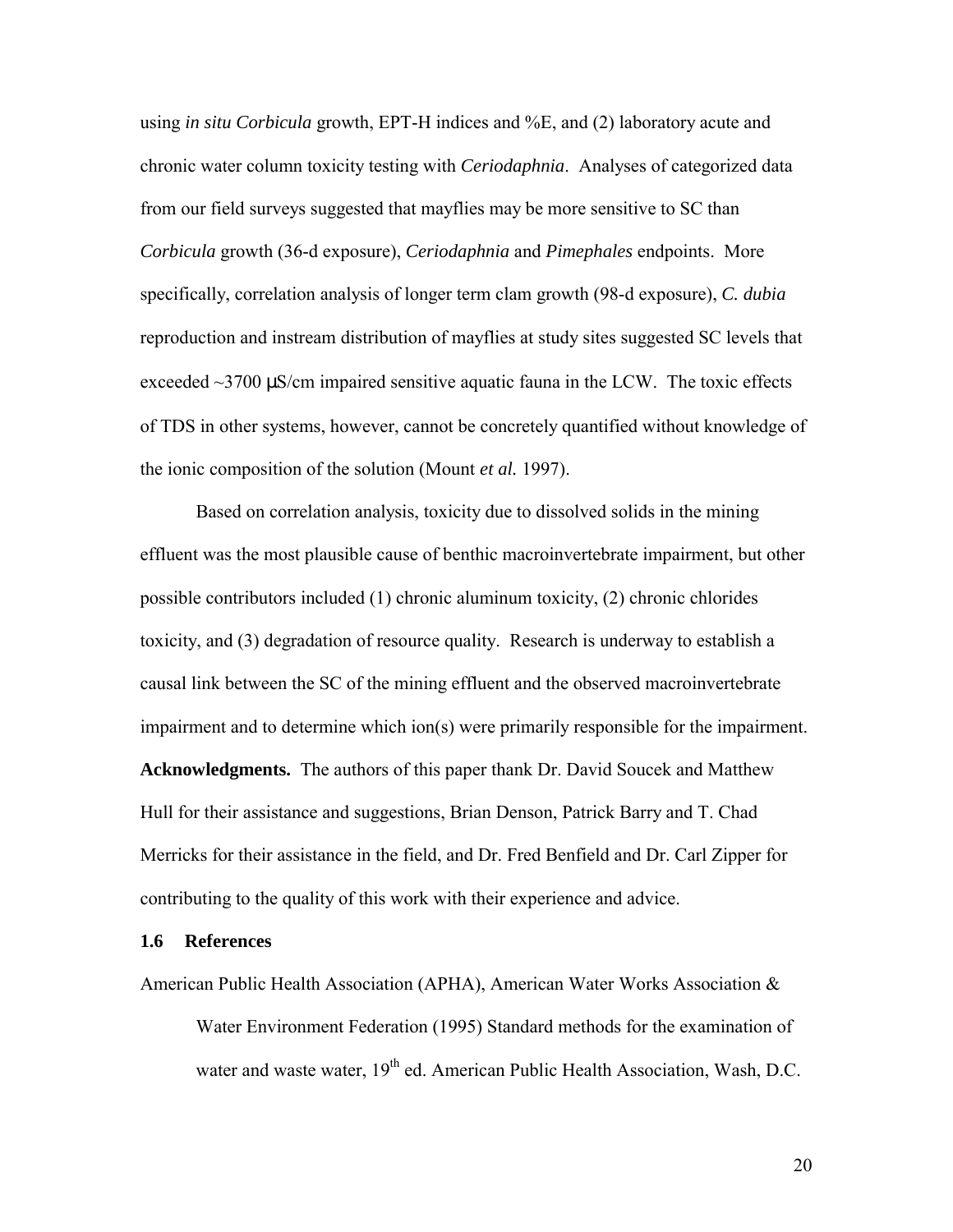<span id="page-27-0"></span>using *in situ Corbicula* growth, EPT-H indices and %E, and (2) laboratory acute and chronic water column toxicity testing with *Ceriodaphnia*. Analyses of categorized data from our field surveys suggested that mayflies may be more sensitive to SC than *Corbicula* growth (36-d exposure), *Ceriodaphnia* and *Pimephales* endpoints. More specifically, correlation analysis of longer term clam growth (98-d exposure), *C. dubia* reproduction and instream distribution of mayflies at study sites suggested SC levels that exceeded  $\sim$ 3700  $\mu$ S/cm impaired sensitive aquatic fauna in the LCW. The toxic effects of TDS in other systems, however, cannot be concretely quantified without knowledge of the ionic composition of the solution (Mount *et al.* 1997).

 Based on correlation analysis, toxicity due to dissolved solids in the mining effluent was the most plausible cause of benthic macroinvertebrate impairment, but other possible contributors included (1) chronic aluminum toxicity, (2) chronic chlorides toxicity, and (3) degradation of resource quality. Research is underway to establish a causal link between the SC of the mining effluent and the observed macroinvertebrate impairment and to determine which ion(s) were primarily responsible for the impairment. **Acknowledgments.** The authors of this paper thank Dr. David Soucek and Matthew Hull for their assistance and suggestions, Brian Denson, Patrick Barry and T. Chad Merricks for their assistance in the field, and Dr. Fred Benfield and Dr. Carl Zipper for contributing to the quality of this work with their experience and advice.

#### **1.6 References**

American Public Health Association (APHA), American Water Works Association &

Water Environment Federation (1995) Standard methods for the examination of water and waste water, 19<sup>th</sup> ed. American Public Health Association, Wash, D.C.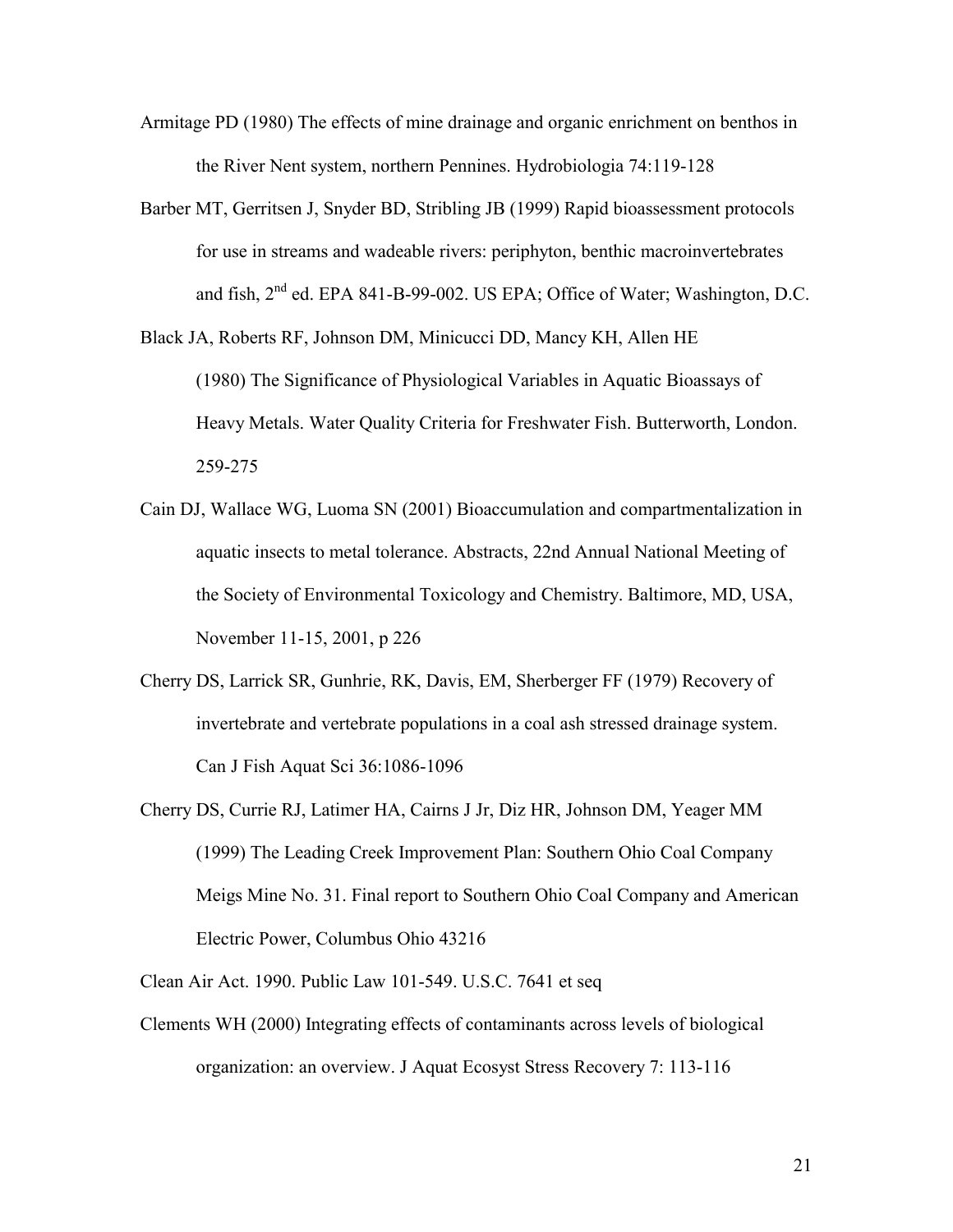- Armitage PD (1980) The effects of mine drainage and organic enrichment on benthos in the River Nent system, northern Pennines. Hydrobiologia 74:119-128
- Barber MT, Gerritsen J, Snyder BD, Stribling JB (1999) Rapid bioassessment protocols for use in streams and wadeable rivers: periphyton, benthic macroinvertebrates and fish,  $2<sup>nd</sup>$  ed. EPA 841-B-99-002. US EPA; Office of Water; Washington, D.C.
- Black JA, Roberts RF, Johnson DM, Minicucci DD, Mancy KH, Allen HE (1980) The Significance of Physiological Variables in Aquatic Bioassays of Heavy Metals. Water Quality Criteria for Freshwater Fish. Butterworth, London. 259-275
- Cain DJ, Wallace WG, Luoma SN (2001) Bioaccumulation and compartmentalization in aquatic insects to metal tolerance. Abstracts, 22nd Annual National Meeting of the Society of Environmental Toxicology and Chemistry. Baltimore, MD, USA, November 11-15, 2001, p 226
- Cherry DS, Larrick SR, Gunhrie, RK, Davis, EM, Sherberger FF (1979) Recovery of invertebrate and vertebrate populations in a coal ash stressed drainage system. Can J Fish Aquat Sci 36:1086-1096
- Cherry DS, Currie RJ, Latimer HA, Cairns J Jr, Diz HR, Johnson DM, Yeager MM (1999) The Leading Creek Improvement Plan: Southern Ohio Coal Company Meigs Mine No. 31. Final report to Southern Ohio Coal Company and American Electric Power, Columbus Ohio 43216
- Clean Air Act. 1990. Public Law 101-549. U.S.C. 7641 et seq
- Clements WH (2000) Integrating effects of contaminants across levels of biological organization: an overview. J Aquat Ecosyst Stress Recovery 7: 113-116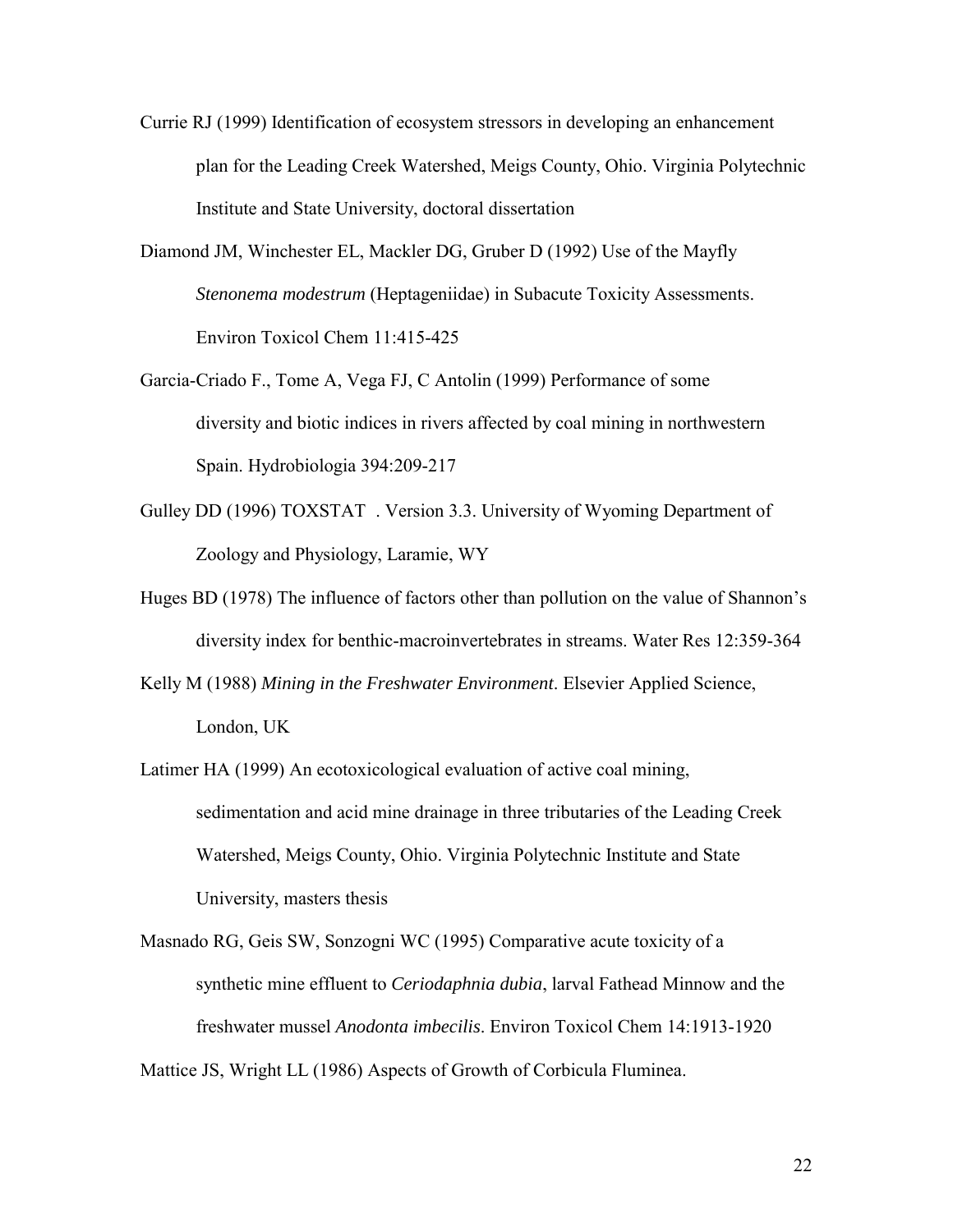- Currie RJ (1999) Identification of ecosystem stressors in developing an enhancement plan for the Leading Creek Watershed, Meigs County, Ohio. Virginia Polytechnic Institute and State University, doctoral dissertation
- Diamond JM, Winchester EL, Mackler DG, Gruber D (1992) Use of the Mayfly  *Stenonema modestrum* (Heptageniidae) in Subacute Toxicity Assessments. Environ Toxicol Chem 11:415-425
- Garcia-Criado F., Tome A, Vega FJ, C Antolin (1999) Performance of some diversity and biotic indices in rivers affected by coal mining in northwestern Spain. Hydrobiologia 394:209-217
- Gulley DD (1996)  $TOXSTAT^{\circledcirc}$ . Version 3.3. University of Wyoming Department of Zoology and Physiology, Laramie, WY
- Huges BD (1978) The influence of factors other than pollution on the value of Shannon's diversity index for benthic-macroinvertebrates in streams. Water Res 12:359-364
- Kelly M (1988) *Mining in the Freshwater Environment*. Elsevier Applied Science, London, UK
- Latimer HA (1999) An ecotoxicological evaluation of active coal mining, sedimentation and acid mine drainage in three tributaries of the Leading Creek Watershed, Meigs County, Ohio. Virginia Polytechnic Institute and State University, masters thesis
- Masnado RG, Geis SW, Sonzogni WC (1995) Comparative acute toxicity of a synthetic mine effluent to *Ceriodaphnia dubia*, larval Fathead Minnow and the freshwater mussel *Anodonta imbecilis*. Environ Toxicol Chem 14:1913-1920

Mattice JS, Wright LL (1986) Aspects of Growth of Corbicula Fluminea.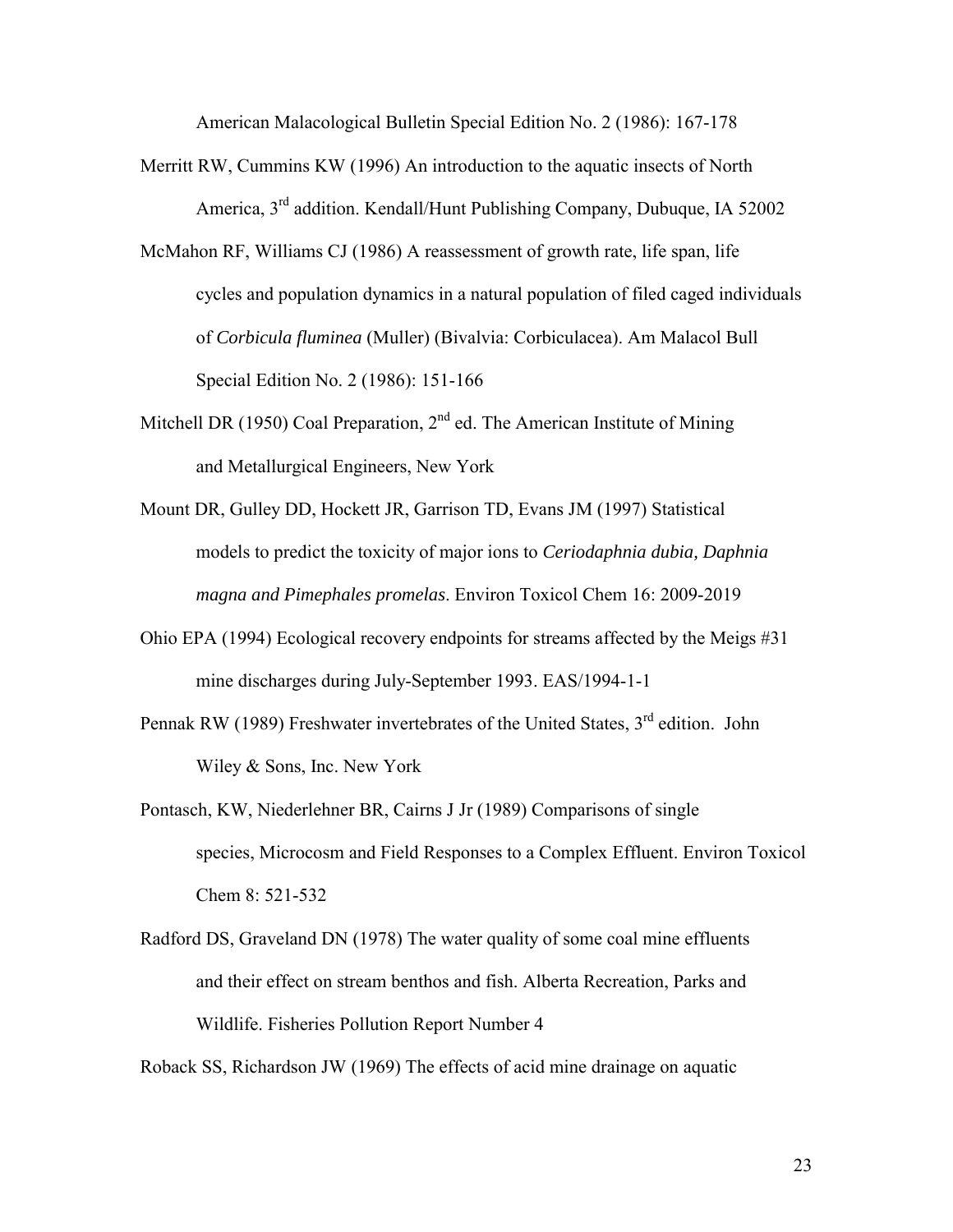American Malacological Bulletin Special Edition No. 2 (1986): 167-178

- Merritt RW, Cummins KW (1996) An introduction to the aquatic insects of North America, 3rd addition. Kendall/Hunt Publishing Company, Dubuque, IA 52002
- McMahon RF, Williams CJ (1986) A reassessment of growth rate, life span, life cycles and population dynamics in a natural population of filed caged individuals of *Corbicula fluminea* (Muller) (Bivalvia: Corbiculacea). Am Malacol Bull Special Edition No. 2 (1986): 151-166
- Mitchell DR (1950) Coal Preparation,  $2<sup>nd</sup>$  ed. The American Institute of Mining and Metallurgical Engineers, New York
- Mount DR, Gulley DD, Hockett JR, Garrison TD, Evans JM (1997) Statistical models to predict the toxicity of major ions to *Ceriodaphnia dubia, Daphnia magna and Pimephales promelas*. Environ Toxicol Chem 16: 2009-2019
- Ohio EPA (1994) Ecological recovery endpoints for streams affected by the Meigs #31 mine discharges during July-September 1993. EAS/1994-1-1
- Pennak RW (1989) Freshwater invertebrates of the United States,  $3<sup>rd</sup>$  edition. John Wiley & Sons, Inc. New York
- Pontasch, KW, Niederlehner BR, Cairns J Jr (1989) Comparisons of single species, Microcosm and Field Responses to a Complex Effluent. Environ Toxicol Chem 8: 521-532
- Radford DS, Graveland DN (1978) The water quality of some coal mine effluents and their effect on stream benthos and fish. Alberta Recreation, Parks and Wildlife. Fisheries Pollution Report Number 4

Roback SS, Richardson JW (1969) The effects of acid mine drainage on aquatic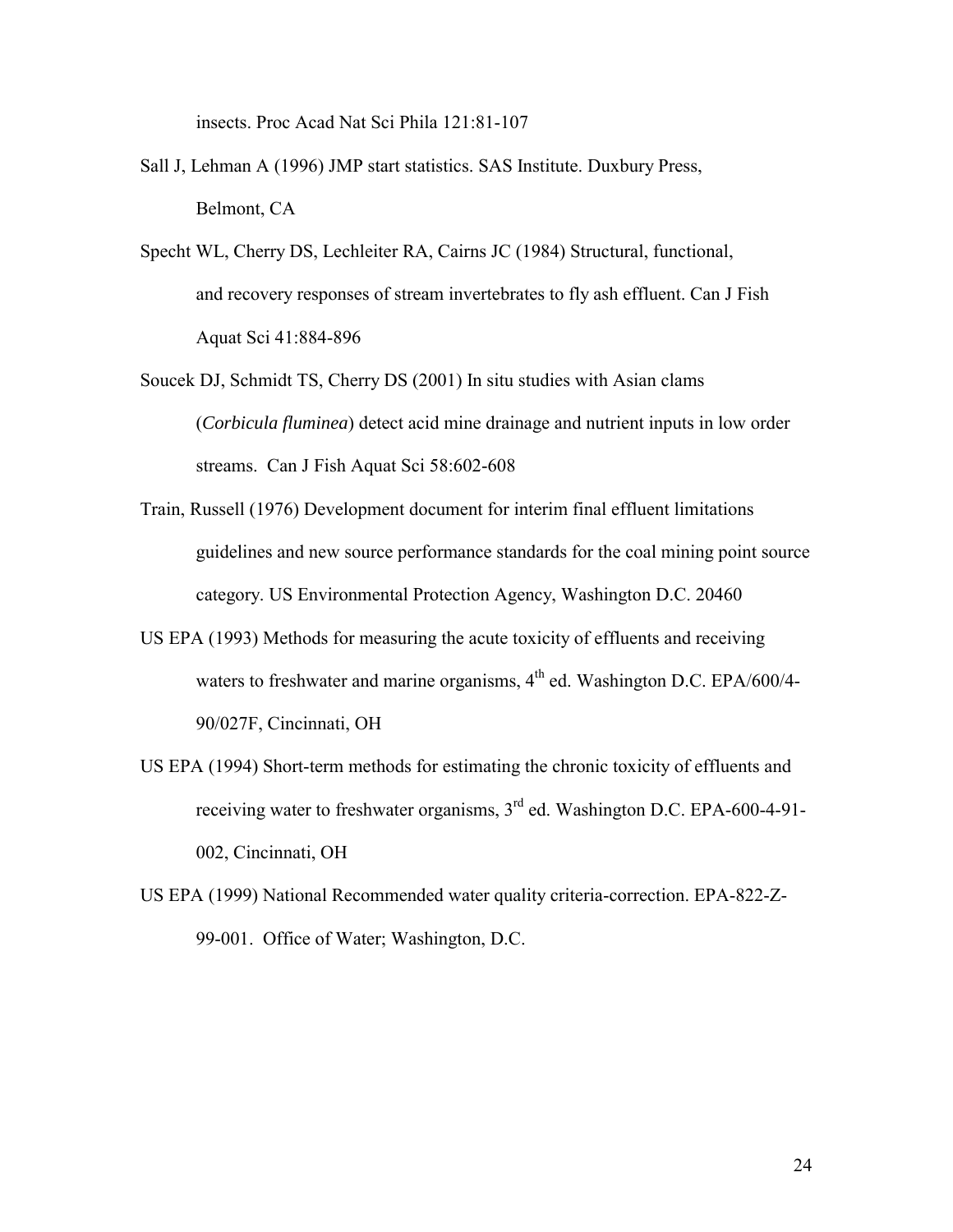insects. Proc Acad Nat Sci Phila 121:81-107

- Sall J, Lehman A (1996) JMP start statistics. SAS Institute. Duxbury Press, Belmont, CA
- Specht WL, Cherry DS, Lechleiter RA, Cairns JC (1984) Structural, functional, and recovery responses of stream invertebrates to fly ash effluent. Can J Fish Aquat Sci 41:884-896
- Soucek DJ, Schmidt TS, Cherry DS (2001) In situ studies with Asian clams (*Corbicula fluminea*) detect acid mine drainage and nutrient inputs in low order streams. Can J Fish Aquat Sci 58:602-608
- Train, Russell (1976) Development document for interim final effluent limitations guidelines and new source performance standards for the coal mining point source category. US Environmental Protection Agency, Washington D.C. 20460
- US EPA (1993) Methods for measuring the acute toxicity of effluents and receiving waters to freshwater and marine organisms,  $4<sup>th</sup>$  ed. Washington D.C. EPA/600/4-90/027F, Cincinnati, OH
- US EPA (1994) Short-term methods for estimating the chronic toxicity of effluents and receiving water to freshwater organisms, 3rd ed. Washington D.C. EPA-600-4-91- 002, Cincinnati, OH
- US EPA (1999) National Recommended water quality criteria-correction. EPA-822-Z-99-001. Office of Water; Washington, D.C.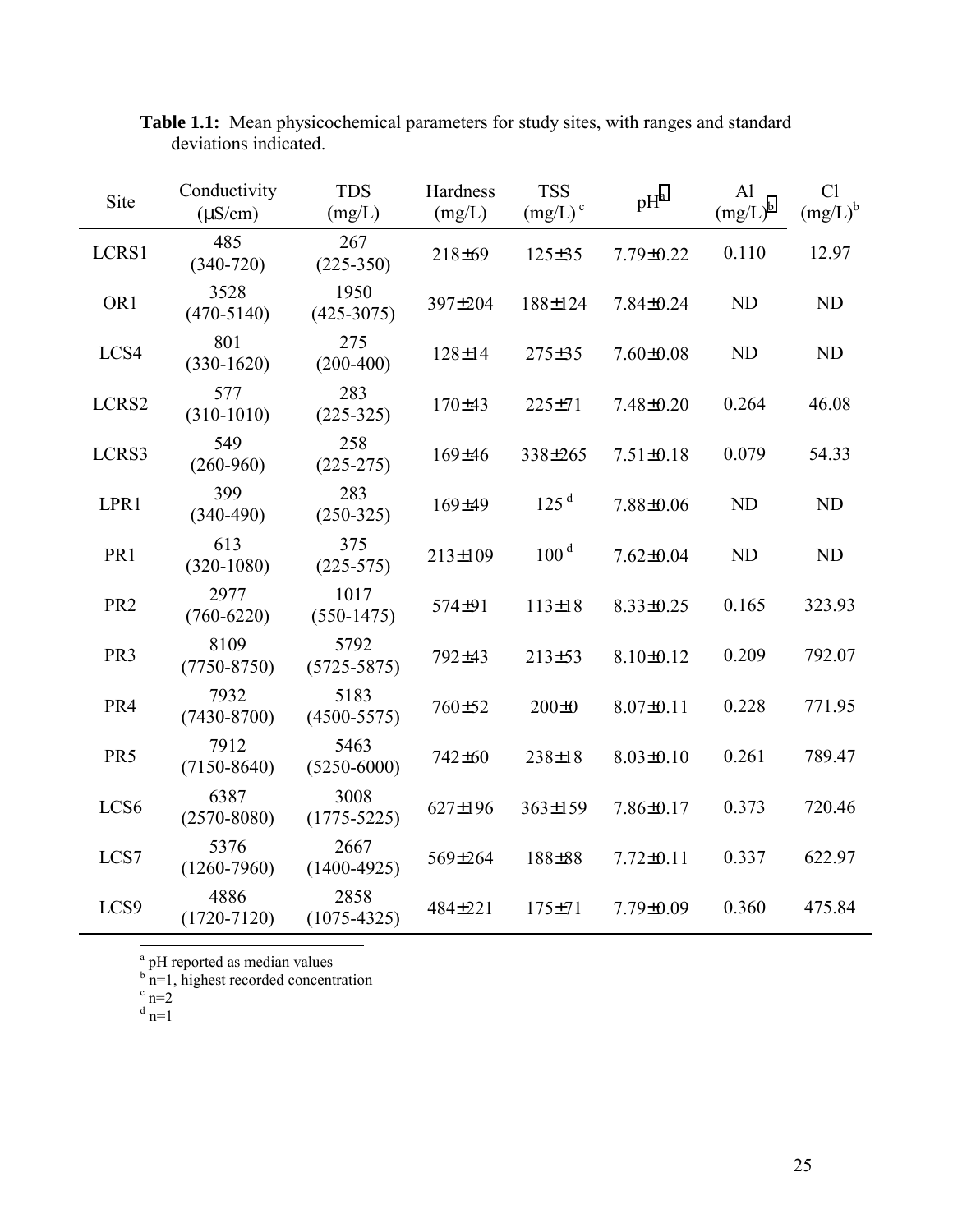| Site             | Conductivity<br>$(\mu S/cm)$ | <b>TDS</b><br>(mg/L)    | Hardness<br>(mg/L) | <b>TSS</b><br>$(mg/L)$ <sup>c</sup> | $pH^a$          | AI<br>$(mg/L)^b$ | Cl<br>$(mg/L)^b$ |
|------------------|------------------------------|-------------------------|--------------------|-------------------------------------|-----------------|------------------|------------------|
| LCRS1            | 485<br>$(340 - 720)$         | 267<br>$(225-350)$      | 218±69             | $125 \pm 35$                        | 7.79±0.22       | 0.110            | 12.97            |
| OR <sub>1</sub>  | 3528<br>$(470 - 5140)$       | 1950<br>$(425 - 3075)$  | 397±204            | 188±124                             | $7.84 \pm 0.24$ | <b>ND</b>        | ND               |
| LCS4             | 801<br>$(330-1620)$          | 275<br>$(200-400)$      | $128 \pm 14$       | $275 \pm 35$                        | $7.60 \pm 0.08$ | <b>ND</b>        | ND               |
| LCRS2            | 577<br>$(310-1010)$          | 283<br>$(225-325)$      | 170±43             | $225 \pm 71$                        | $7.48 \pm 0.20$ | 0.264            | 46.08            |
| LCRS3            | 549<br>$(260 - 960)$         | 258<br>$(225-275)$      | 169±46             | 338±265                             | $7.51 \pm 0.18$ | 0.079            | 54.33            |
| LPR1             | 399<br>$(340-490)$           | 283<br>$(250-325)$      | 169±49             | 125 <sup>d</sup>                    | 7.88±0.06       | <b>ND</b>        | ND               |
| PR1              | 613<br>$(320-1080)$          | 375<br>$(225 - 575)$    | 213±109            | 100 <sup>d</sup>                    | $7.62 \pm 0.04$ | <b>ND</b>        | ND               |
| PR <sub>2</sub>  | 2977<br>$(760 - 6220)$       | 1017<br>$(550-1475)$    | 574±91             | $113 \pm 18$                        | $8.33 \pm 0.25$ | 0.165            | 323.93           |
| PR <sub>3</sub>  | 8109<br>$(7750 - 8750)$      | 5792<br>$(5725 - 5875)$ | 792±43             | 213±53                              | $8.10 \pm 0.12$ | 0.209            | 792.07           |
| PR4              | 7932<br>$(7430 - 8700)$      | 5183<br>$(4500 - 5575)$ | 760±52             | $200 \pm 0$                         | $8.07 \pm 0.11$ | 0.228            | 771.95           |
| PR5              | 7912<br>$(7150 - 8640)$      | 5463<br>$(5250 - 6000)$ | 742±60             | $238 \pm 18$                        | $8.03 \pm 0.10$ | 0.261            | 789.47           |
| LCS <sub>6</sub> | 6387<br>$(2570 - 8080)$      | 3008<br>$(1775 - 5225)$ | 627±196            | $363 \pm 159$                       | $7.86 \pm 0.17$ | 0.373            | 720.46           |
| LCS7             | 5376<br>$(1260 - 7960)$      | 2667<br>$(1400 - 4925)$ | 569±264            | 188±88                              | $7.72 \pm 0.11$ | 0.337            | 622.97           |
| LCS9             | 4886<br>$(1720 - 7120)$      | 2858<br>$(1075 - 4325)$ | 484±221            | $175 \pm 71$                        | 7.79±0.09       | 0.360            | 475.84           |

<span id="page-32-0"></span>**Table 1.1:** Mean physicochemical parameters for study sites, with ranges and standard deviations indicated.

<sup>a</sup> pH reported as median values<br>
<sup>b</sup> n=1, highest recorded concentration<br>
c n=2

 $\overline{\phantom{a}}$ 

$$
\int_{d}^{t} \mathbf{n} = 2
$$

 $d$ <sub>n=1</sub>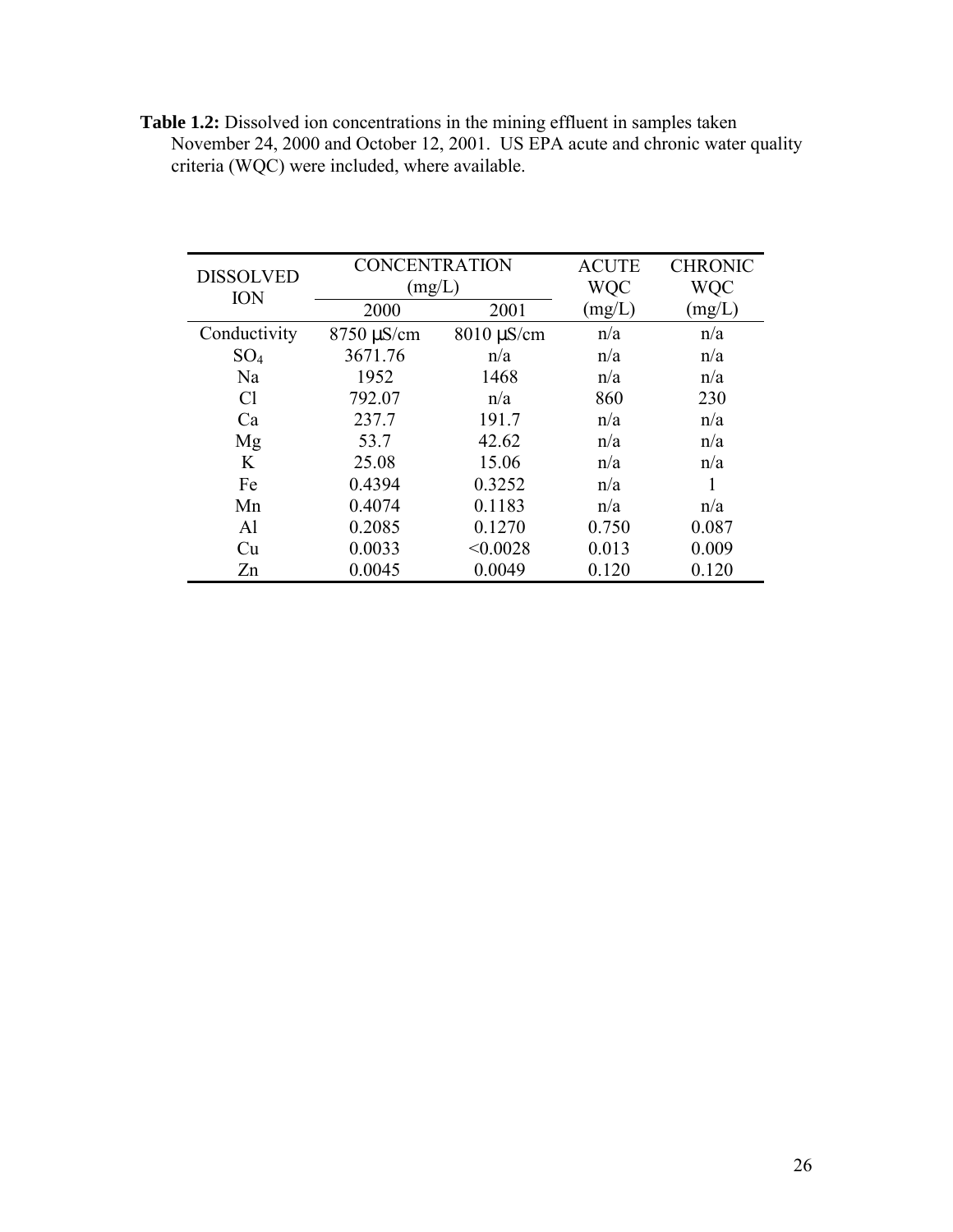| <b>DISSOLVED</b> | <b>CONCENTRATION</b>         |                 | <b>ACUTE</b> | <b>CHRONIC</b> |
|------------------|------------------------------|-----------------|--------------|----------------|
| <b>ION</b>       | (mg/L)                       |                 | WQC          | <b>WQC</b>     |
|                  | 2000                         | 2001            | (mg/L)       | (mg/L)         |
| Conductivity     | $8750 \,\mathrm{\upmu S/cm}$ | $8010 \mu S/cm$ | n/a          | n/a            |
| SO <sub>4</sub>  | 3671.76                      | n/a             | n/a          | n/a            |
| Na               | 1952                         | 1468            | n/a          | n/a            |
| Cl               | 792.07                       | n/a             | 860          | 230            |
| Ca               | 237.7                        | 191.7           | n/a          | n/a            |
| Mg               | 53.7                         | 42.62           | n/a          | n/a            |
| K                | 25.08                        | 15.06           | n/a          | n/a            |
| Fe               | 0.4394                       | 0.3252          | n/a          |                |
| Mn               | 0.4074                       | 0.1183          | n/a          | n/a            |
| Al               | 0.2085                       | 0.1270          | 0.750        | 0.087          |
| Cu               | 0.0033                       | < 0.0028        | 0.013        | 0.009          |
| Zn               | 0.0045                       | 0.0049          | 0.120        | 0.120          |

<span id="page-33-0"></span>**Table 1.2:** Dissolved ion concentrations in the mining effluent in samples taken November 24, 2000 and October 12, 2001. US EPA acute and chronic water quality criteria (WQC) were included, where available.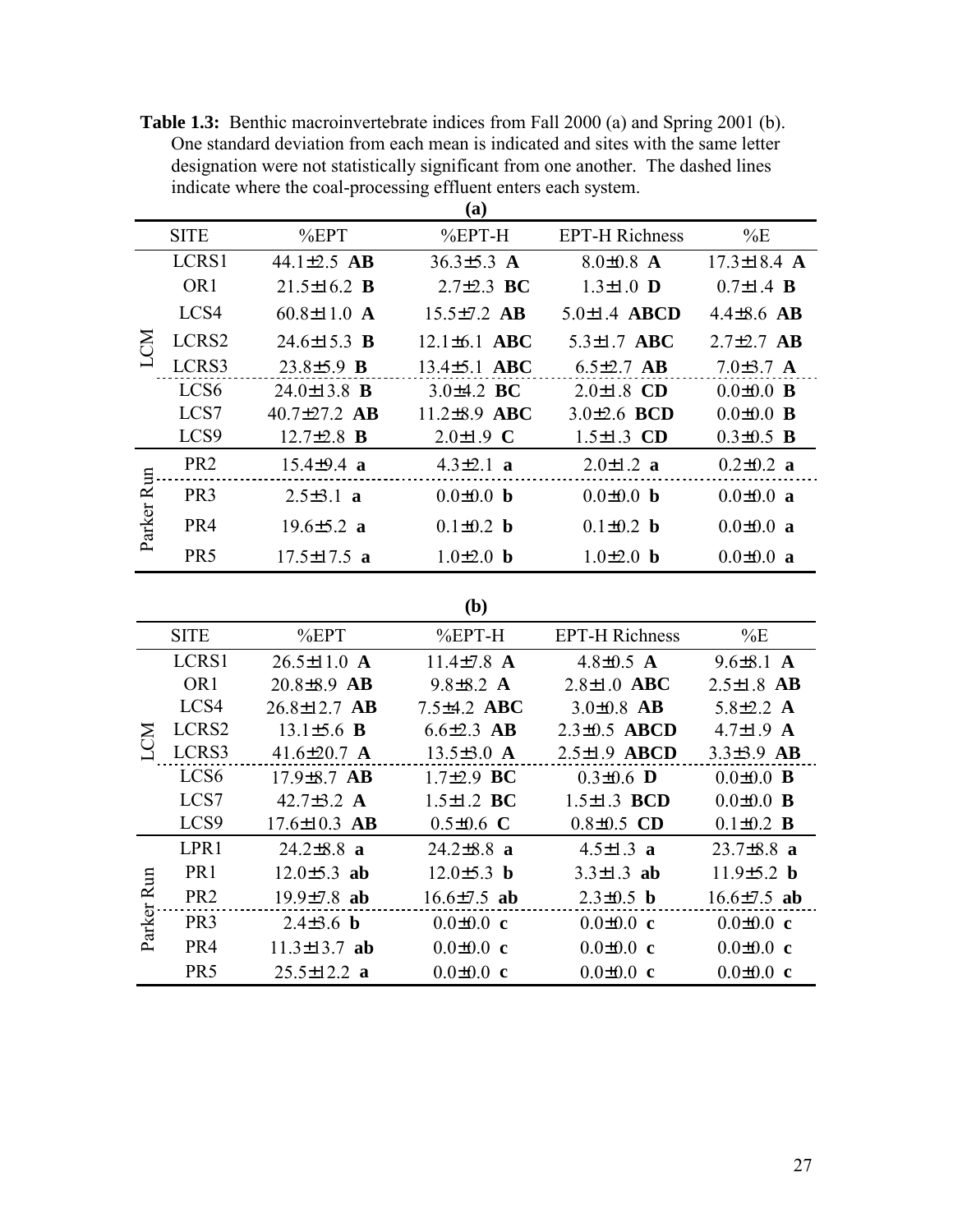<span id="page-34-0"></span>**Table 1.3:** Benthic macroinvertebrate indices from Fall 2000 (a) and Spring 2001 (b). One standard deviation from each mean is indicated and sites with the same letter designation were not statistically significant from one another. The dashed lines indicate where the coal-processing effluent enters each system.

|                      |                  |                          | (a)                |                        |                        |
|----------------------|------------------|--------------------------|--------------------|------------------------|------------------------|
|                      | <b>SITE</b>      | %EPT                     | $%EPT-H$           | <b>EPT-H Richness</b>  | %E                     |
|                      | LCRS1            | 44.1 $\pm 2.5$ AB        | 36.3 $\pm$ 5.3 A   | $8.0 \pm 0.8$ A        | $17.3 \pm 18.4$ A      |
|                      | OR <sub>1</sub>  | 21.5+16.2 <b>B</b>       | $2.7\pm2.3$ BC     | $1.3 \pm 1.0$ <b>D</b> | $0.7 \pm 1.4$ <b>B</b> |
|                      | LCS4             | 60.8 $\pm$ 11.0 A        | $15.5 \pm 7.2$ AB  | $5.0 \pm 1.4$ ABCD     | $4.4\pm8.6$ AB         |
|                      | LCRS2            | $24.6 \pm 15.3$ B        | $12.1 \pm 6.1$ ABC | $5.3 \pm 1.7$ ABC      | $2.7 \pm 2.7$ AB       |
|                      | LCRS3            | $23.8 \pm 5.9$ <b>B</b>  | $13.4 \pm 5.1$ ABC | $6.5\pm2.7$ AB         | $7.0\pm3.7$ A          |
|                      | LCS <sub>6</sub> | $24.0 \pm 13.8$ <b>B</b> | $3.0\pm4.2$ BC     | $2.0 \pm 1.8$ CD       | $0.0 \pm 0.0$ <b>B</b> |
|                      | LCS7             | 40.7 $\pm$ 27.2 AB       | $11.2 \pm 8.9$ ABC | 3.0 $\pm$ 2.6 BCD      | $0.0 \pm 0.0$ <b>B</b> |
|                      | LCS <sub>9</sub> | $12.7 \pm 2.8$ <b>B</b>  | $2.0 \pm 1.9$ C    | 1.5 $\pm$ 1.3 CD       | $0.3 \pm 0.5$ <b>B</b> |
|                      | PR <sub>2</sub>  | $15.4 \pm 9.4$ a         | $4.3 \pm 2.1$ a    | $2.0 \pm 1.2$ a        | $0.2 \pm 0.2$ a        |
| <b>Run</b><br>Parker | PR <sub>3</sub>  | $2.5 \pm 3.1$ a          | $0.0 \pm 0.0$ b    | $0.0 \pm 0.0$ b        | $0.0 \pm 0.0$ a        |
|                      | PR4              | $19.6 \pm 5.2$ a         | $0.1 \pm 0.2$ b    | $0.1 \pm 0.2$ b        | $0.0 \pm 0.0$ a        |
|                      | PR <sub>5</sub>  | $17.5 + 17.5$ a          | $10+20 h$          | $10+20 h$              | $0.0 \pm 0.0$ a        |

### **(b)**

|        | <b>SITE</b>      | %EPT                    | $%EPT-H$                | <b>EPT-H Richness</b>  | $\%E$                  |
|--------|------------------|-------------------------|-------------------------|------------------------|------------------------|
|        | LCRS1            | $26.5 \pm 11.0$ A       | $11.4\pm 7.8$ A         | 4.8 $\pm$ 0.5 A        | $9.6 \pm 8.1$ A        |
|        | OR <sub>1</sub>  | $20.8 \pm 8.9$ AB       | $9.8\pm8.2$ A           | $2.8 \pm 1.0$ ABC      | $2.5 \pm 1.8$ AB       |
|        | LCS4             | $26.8 \pm 12.7$ AB      | $7.5\pm4.2$ ABC         | $3.0 \pm 0.8$ AB       | 5.8 $\pm 2.2$ A        |
| Ķ      | LCRS2            | $13.1 \pm 5.6$ <b>B</b> | $6.6{\pm}2.3$ AB        | $2.3\pm0.5$ ABCD       | 4.7 $\pm$ 1.9 A        |
|        | LCRS3            | 41.6 $\pm$ 20.7 A       | $13.5 \pm 3.0$ A        | $2.5 \pm 1.9$ ABCD     | $3.3\pm3.9$ AB         |
|        | LCS <sub>6</sub> | $17.9 \pm 8.7$ AB       | $1.7\pm2.9$ BC          | $0.3 \pm 0.6$ <b>D</b> | $0.0 \pm 0.0$ <b>B</b> |
|        | LCS7             | 42.7 $\pm$ 3.2 A        | $1.5 \pm 1.2$ BC        | $1.5 \pm 1.3$ BCD      | $0.0 \pm 0.0$ <b>B</b> |
|        | LCS <sub>9</sub> | $17.6 \pm 10.3$ AB      | $0.5 \pm 0.6$ C         | $0.8 \pm 0.5$ CD       | $0.1 \pm 0.2$ <b>B</b> |
|        | LPR1             | $24.2 \pm 8.8$ a        | $24.2 \pm 8.8$ a        | 4.5 $\pm$ 1.3 a        | $23.7\pm8.8$ a         |
| Run    | PR <sub>1</sub>  | $12.0 \pm 5.3$ ab       | $12.0 \pm 5.3$ <b>b</b> | $3.3 \pm 1.3$ ab       | $11.9 \pm 5.2$ b       |
|        | PR <sub>2</sub>  | $19.9 \pm 7.8$ ab       | $16.6{\pm}7.5$ ab       | $2.3 \pm 0.5$ <b>b</b> | $16.6{\pm}7.5$ ab      |
| Parker | PR <sub>3</sub>  | 2.4 $\pm$ 3.6 <b>b</b>  | $0.0 \pm 0.0$ c         | $0.0 \pm 0.0$ c        | $0.0 \pm 0.0$ c        |
|        | PR4              | $11.3 \pm 13.7$ ab      | $0.0 \pm 0.0$ c         | $0.0 \pm 0.0$ c        | $0.0 \pm 0.0$ c        |
|        | PR <sub>5</sub>  | $25.5 \pm 12.2$ a       | $0.0 \pm 0.0$ c         | $0.0 \pm 0.0$ c        | $0.0 \pm 0.0$ c        |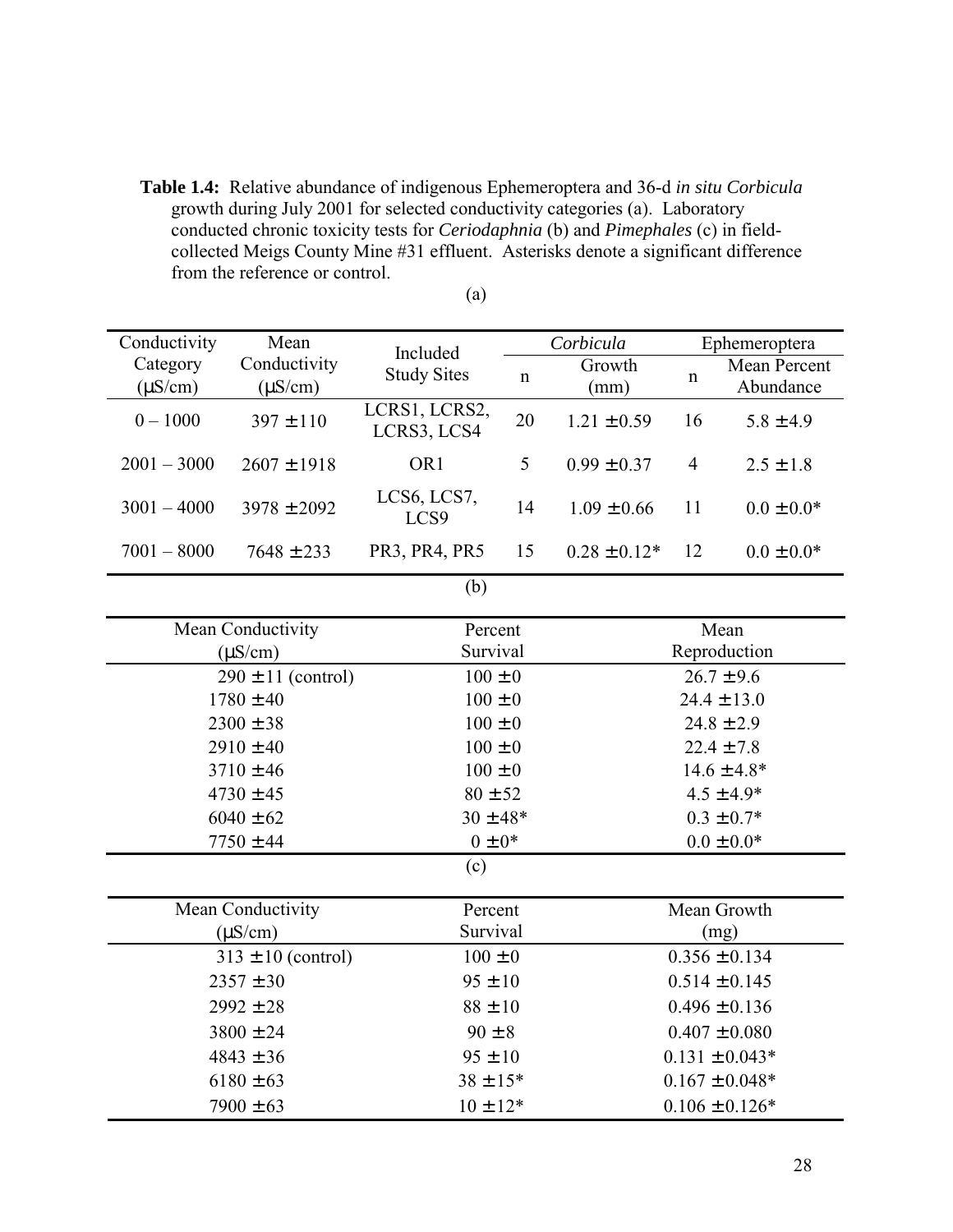<span id="page-35-0"></span>**Table 1.4:** Relative abundance of indigenous Ephemeroptera and 36-d *in situ Corbicula* growth during July 2001 for selected conductivity categories (a). Laboratory conducted chronic toxicity tests for *Ceriodaphnia* (b) and *Pimephales* (c) in fieldcollected Meigs County Mine #31 effluent. Asterisks denote a significant difference from the reference or control.

| Conductivity             | Mean                         | Included                        |             | Corbicula        |                | Ephemeroptera             |
|--------------------------|------------------------------|---------------------------------|-------------|------------------|----------------|---------------------------|
| Category<br>$(\mu S/cm)$ | Conductivity<br>$(\mu S/cm)$ | <b>Study Sites</b>              | $\mathbf n$ | Growth<br>(mm)   | n              | Mean Percent<br>Abundance |
| $0 - 1000$               | $397 \pm 110$                | LCRS1, LCRS2,<br>LCRS3, LCS4    | 20          | $1.21 \pm 0.59$  | 16             | $5.8 \pm 4.9$             |
| $2001 - 3000$            | $2607 \pm 1918$              | OR <sub>1</sub>                 | 5           | $0.99 \pm 0.37$  | $\overline{4}$ | $2.5 \pm 1.8$             |
| $3001 - 4000$            | $3978 \pm 2092$              | LCS6, LCS7,<br>LCS <sub>9</sub> | 14          | $1.09 \pm 0.66$  | 11             | $0.0 \pm 0.0*$            |
| $7001 - 8000$            | $7648 \pm 233$               | PR3, PR4, PR5                   | 15          | $0.28 \pm 0.12*$ | 12             | $0.0 \pm 0.0*$            |
|                          |                              | (1)                             |             |                  |                |                           |

(a)

| I<br>M.<br>۰, |
|---------------|
|               |

| Mean Conductivity      | Percent      | Mean               |
|------------------------|--------------|--------------------|
| $(\mu S/cm)$           | Survival     | Reproduction       |
| $290 \pm 11$ (control) | $100 \pm 0$  | $26.7 \pm 9.6$     |
| $1780 \pm 40$          | $100 \pm 0$  | $24.4 \pm 13.0$    |
| $2300 \pm 38$          | $100 \pm 0$  | $24.8 \pm 2.9$     |
| $2910 \pm 40$          | $100 \pm 0$  | $22.4 \pm 7.8$     |
| $3710 \pm 46$          | $100 \pm 0$  | $14.6 \pm 4.8*$    |
| $4730 \pm 45$          | $80 \pm 52$  | $4.5 \pm 4.9*$     |
| $6040 \pm 62$          | $30 \pm 48*$ | $0.3 \pm 0.7*$     |
| $7750 \pm 44$          | $0 \pm 0^*$  | $0.0 \pm 0.0*$     |
|                        | (c)          |                    |
|                        |              |                    |
| Mean Conductivity      | Percent      | Mean Growth        |
| $(\mu S/cm)$           | Survival     | (mg)               |
| $313 \pm 10$ (control) | $100 \pm 0$  | $0.356 \pm 0.134$  |
| $2357 \pm 30$          | $95 \pm 10$  | $0.514 \pm 0.145$  |
| $2992 \pm 28$          | $88 \pm 10$  | $0.496 \pm 0.136$  |
| $3800 \pm 24$          | $90 \pm 8$   | $0.407 \pm 0.080$  |
| $4843 \pm 36$          | $95 \pm 10$  | $0.131 \pm 0.043*$ |
| $6180 \pm 63$          | $38 \pm 15*$ | $0.167 \pm 0.048*$ |
| $7900 \pm 63$          | $10 \pm 12*$ | $0.106 \pm 0.126*$ |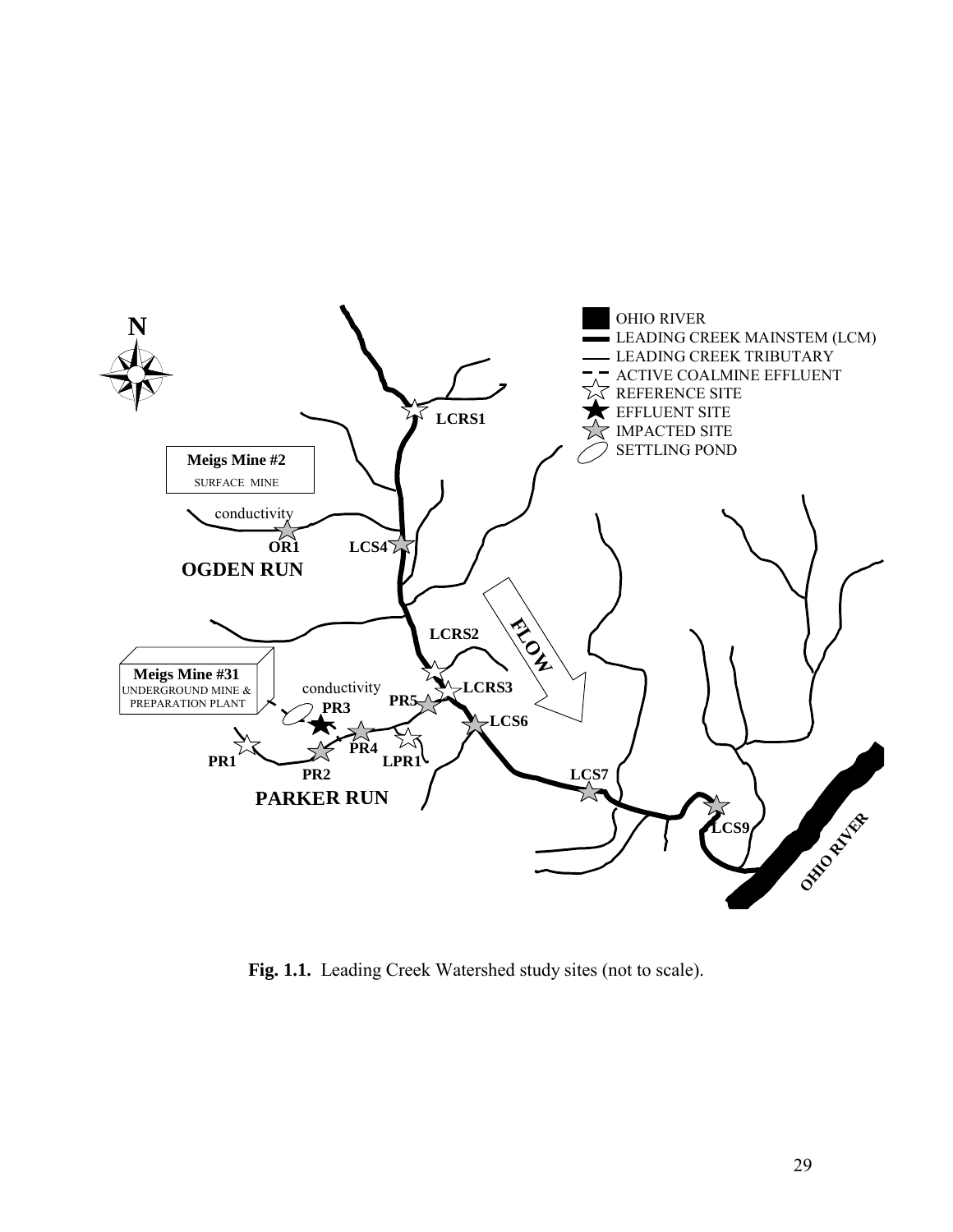

**Fig. 1.1.** Leading Creek Watershed study sites (not to scale).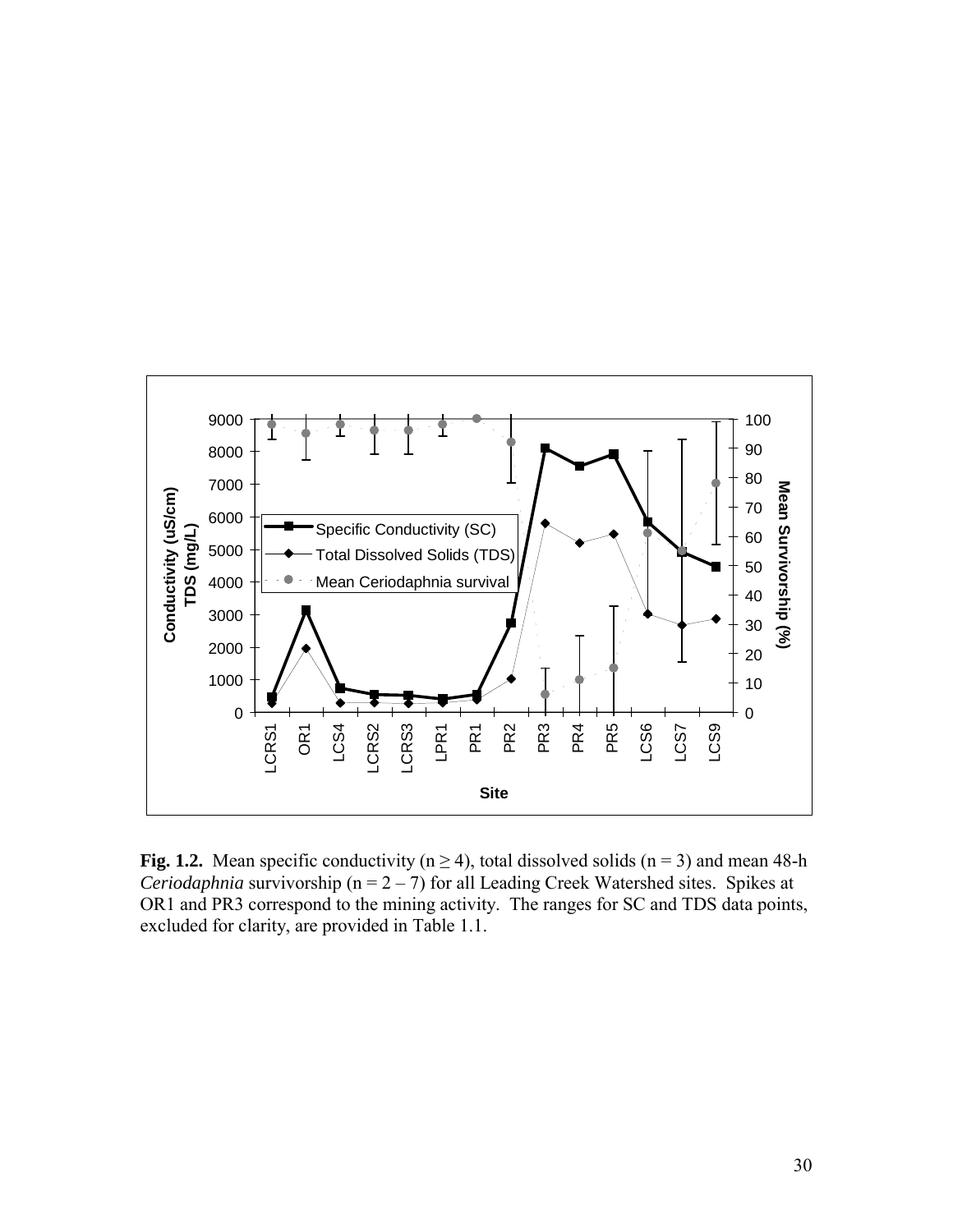

**Fig. 1.2.** Mean specific conductivity ( $n \ge 4$ ), total dissolved solids ( $n = 3$ ) and mean 48-h *Ceriodaphnia* survivorship ( $n = 2 - 7$ ) for all Leading Creek Watershed sites. Spikes at OR1 and PR3 correspond to the mining activity. The ranges for SC and TDS data points, excluded for clarity, are provided in Table 1.1.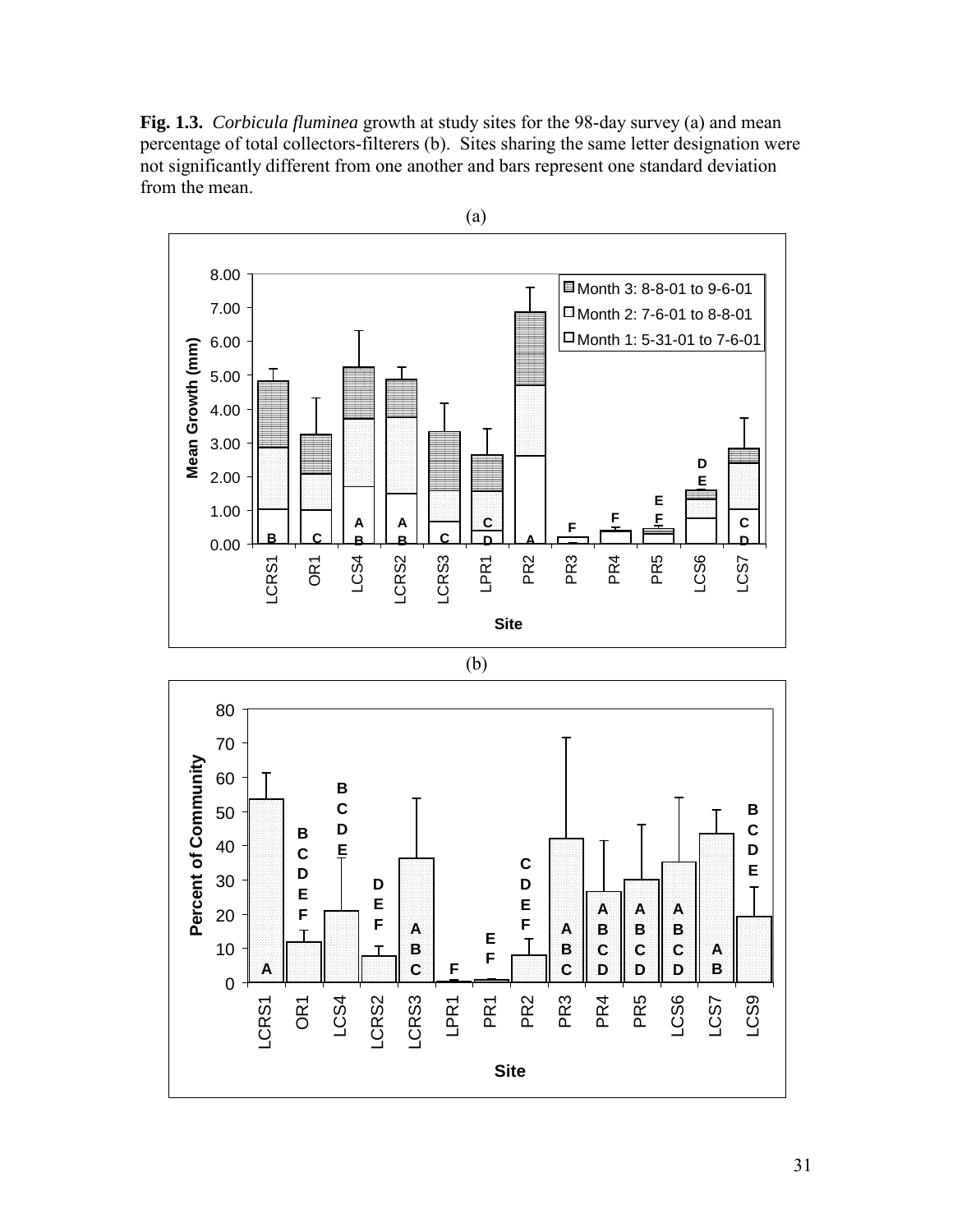**Fig. 1.3.** *Corbicula fluminea* growth at study sites for the 98-day survey (a) and mean percentage of total collectors-filterers (b). Sites sharing the same letter designation were not significantly different from one another and bars represent one standard deviation from the mean.



**Site**

31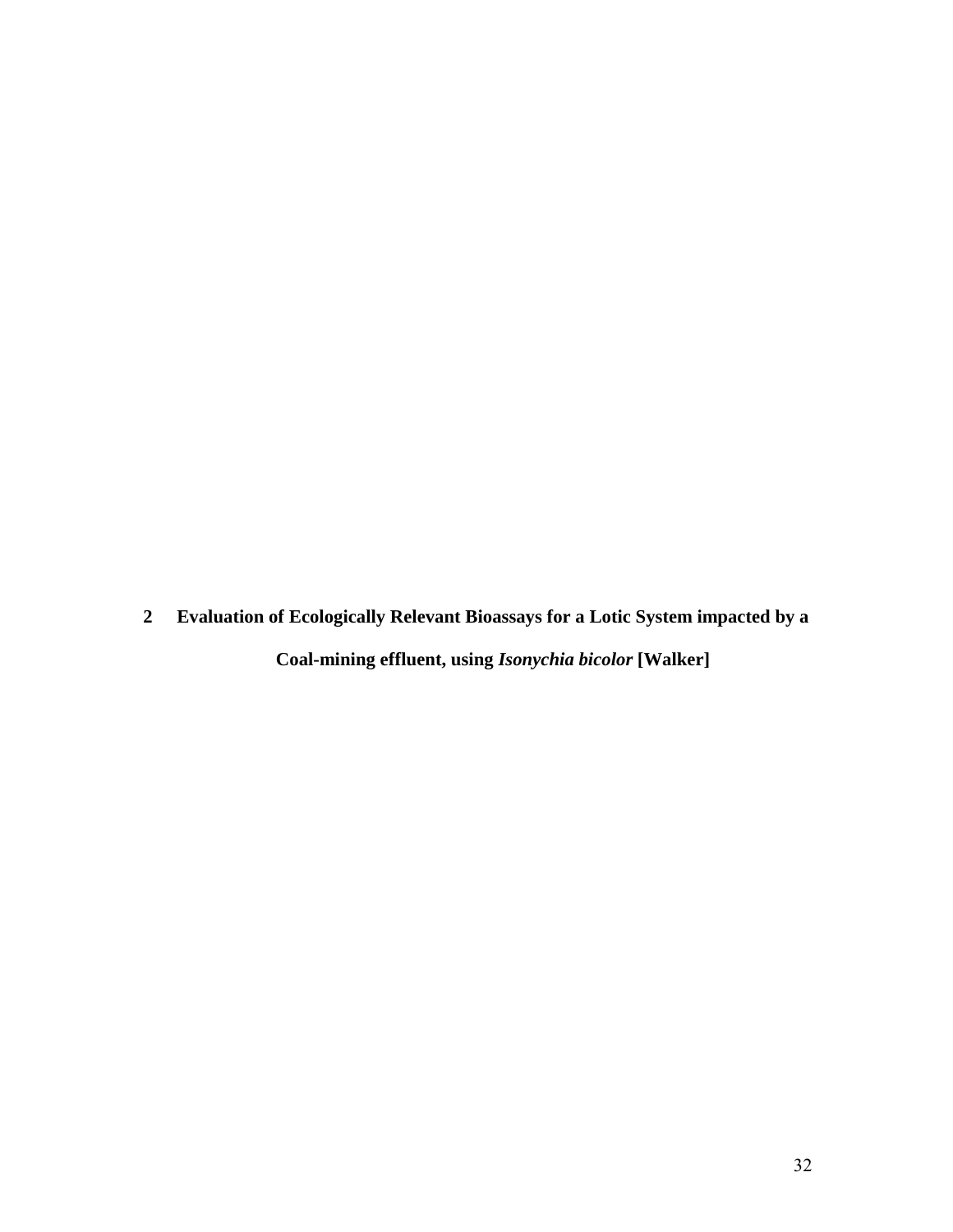**2 Evaluation of Ecologically Relevant Bioassays for a Lotic System impacted by a** 

**Coal-mining effluent, using** *Isonychia bicolor* **[Walker]**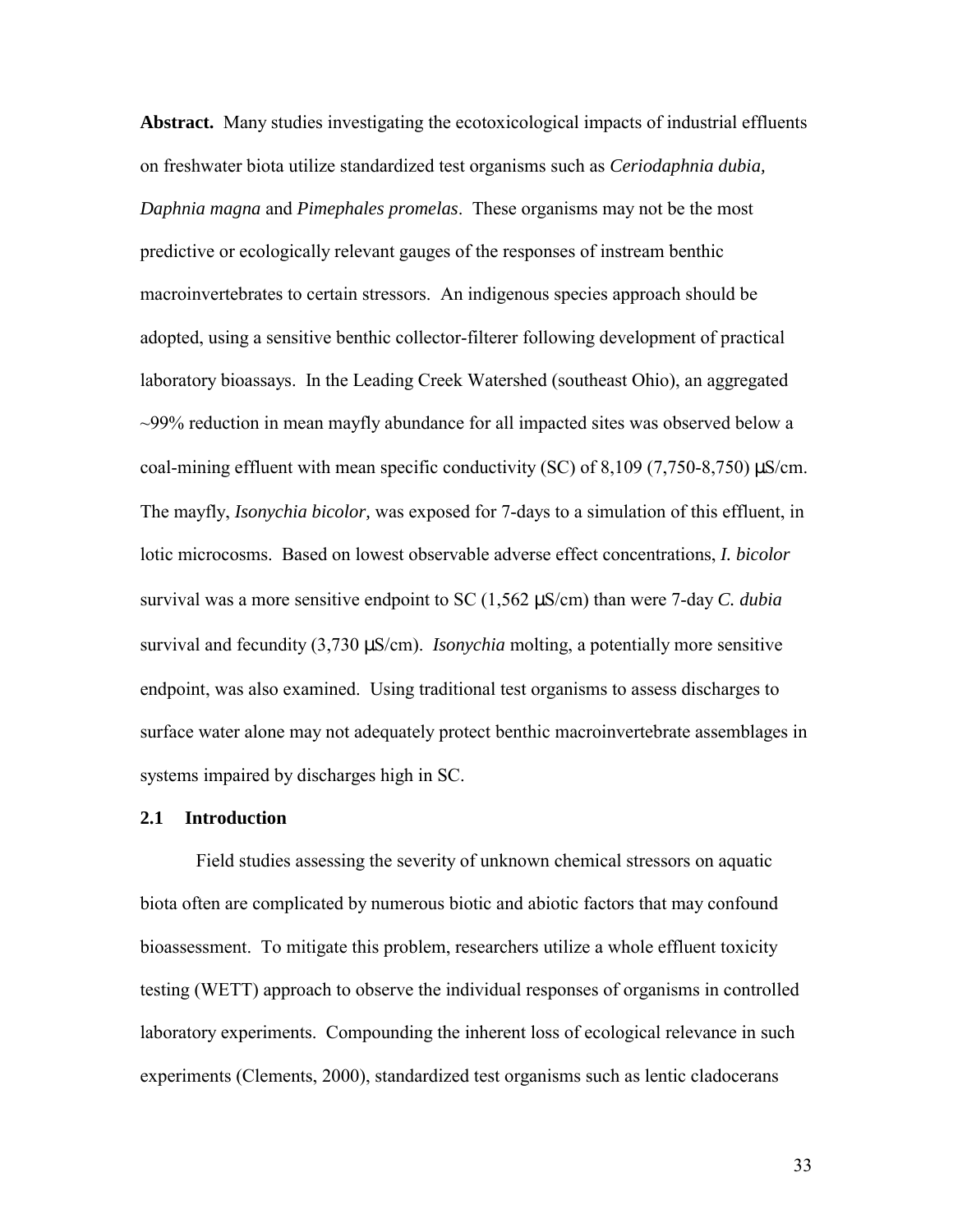**Abstract.** Many studies investigating the ecotoxicological impacts of industrial effluents on freshwater biota utilize standardized test organisms such as *Ceriodaphnia dubia, Daphnia magna* and *Pimephales promelas*. These organisms may not be the most predictive or ecologically relevant gauges of the responses of instream benthic macroinvertebrates to certain stressors. An indigenous species approach should be adopted, using a sensitive benthic collector-filterer following development of practical laboratory bioassays. In the Leading Creek Watershed (southeast Ohio), an aggregated ~99% reduction in mean mayfly abundance for all impacted sites was observed below a coal-mining effluent with mean specific conductivity (SC) of  $8,109$  (7,750-8,750)  $\mu$ S/cm. The mayfly, *Isonychia bicolor,* was exposed for 7-days to a simulation of this effluent, in lotic microcosms. Based on lowest observable adverse effect concentrations, *I. bicolor* survival was a more sensitive endpoint to SC (1,562 µS/cm) than were 7-day *C. dubia*  survival and fecundity (3,730 µS/cm). *Isonychia* molting, a potentially more sensitive endpoint, was also examined. Using traditional test organisms to assess discharges to surface water alone may not adequately protect benthic macroinvertebrate assemblages in systems impaired by discharges high in SC.

### **2.1 Introduction**

Field studies assessing the severity of unknown chemical stressors on aquatic biota often are complicated by numerous biotic and abiotic factors that may confound bioassessment. To mitigate this problem, researchers utilize a whole effluent toxicity testing (WETT) approach to observe the individual responses of organisms in controlled laboratory experiments. Compounding the inherent loss of ecological relevance in such experiments (Clements, 2000), standardized test organisms such as lentic cladocerans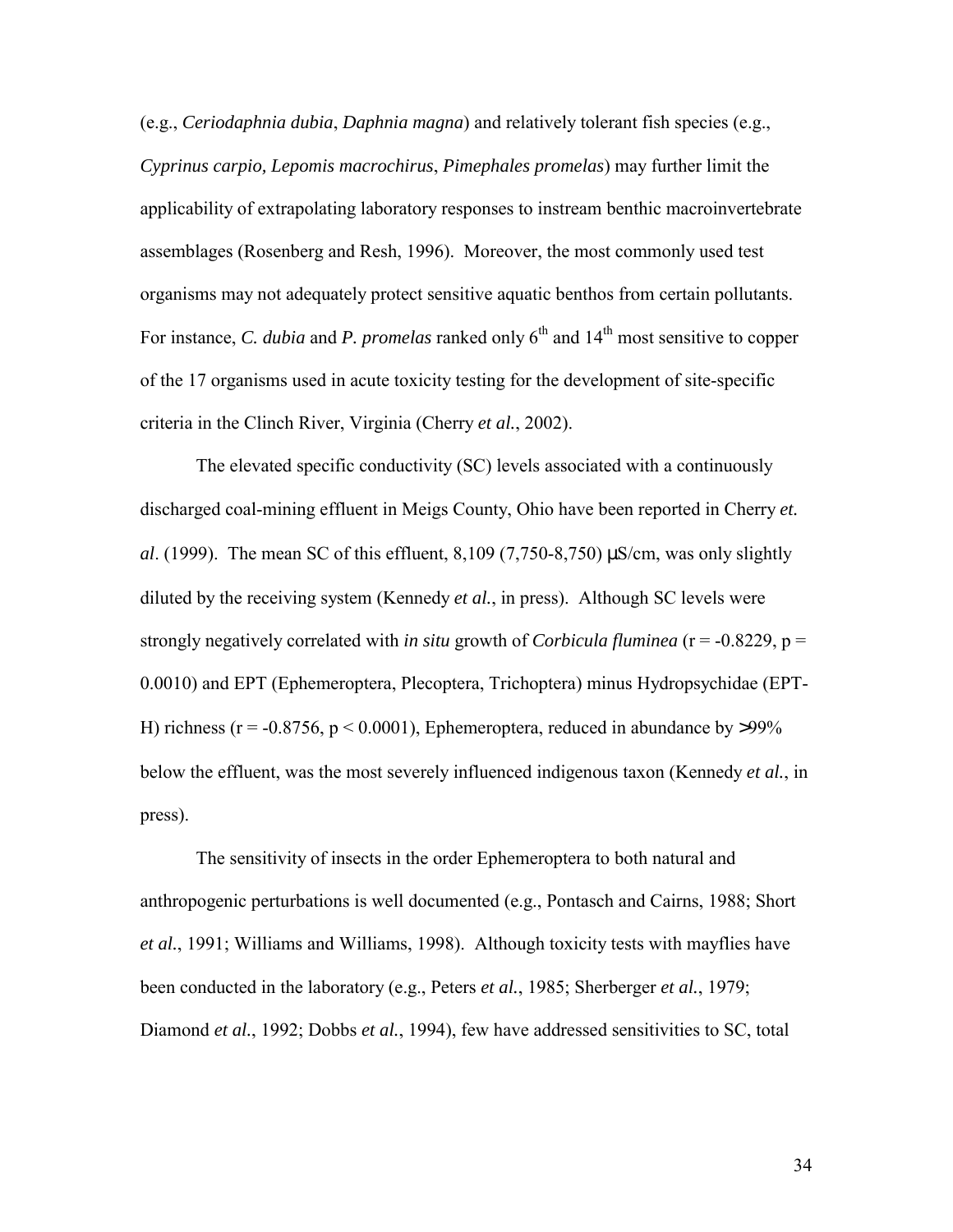(e.g., *Ceriodaphnia dubia*, *Daphnia magna*) and relatively tolerant fish species (e.g., *Cyprinus carpio, Lepomis macrochirus*, *Pimephales promelas*) may further limit the applicability of extrapolating laboratory responses to instream benthic macroinvertebrate assemblages (Rosenberg and Resh, 1996). Moreover, the most commonly used test organisms may not adequately protect sensitive aquatic benthos from certain pollutants. For instance, *C. dubia* and *P. promelas* ranked only 6<sup>th</sup> and 14<sup>th</sup> most sensitive to copper of the 17 organisms used in acute toxicity testing for the development of site-specific criteria in the Clinch River, Virginia (Cherry *et al.*, 2002).

 The elevated specific conductivity (SC) levels associated with a continuously discharged coal-mining effluent in Meigs County, Ohio have been reported in Cherry *et. al.* (1999). The mean SC of this effluent,  $8,109$  (7,750-8,750)  $\mu$ S/cm, was only slightly diluted by the receiving system (Kennedy *et al.*, in press). Although SC levels were strongly negatively correlated with *in situ* growth of *Corbicula fluminea* (r = -0.8229, p = 0.0010) and EPT (Ephemeroptera, Plecoptera, Trichoptera) minus Hydropsychidae (EPT-H) richness ( $r = -0.8756$ ,  $p \le 0.0001$ ), Ephemeroptera, reduced in abundance by >99% below the effluent, was the most severely influenced indigenous taxon (Kennedy *et al.*, in press).

 The sensitivity of insects in the order Ephemeroptera to both natural and anthropogenic perturbations is well documented (e.g., Pontasch and Cairns, 1988; Short *et al.*, 1991; Williams and Williams, 1998). Although toxicity tests with mayflies have been conducted in the laboratory (e.g., Peters *et al.*, 1985; Sherberger *et al.*, 1979; Diamond *et al.*, 1992; Dobbs *et al.*, 1994), few have addressed sensitivities to SC, total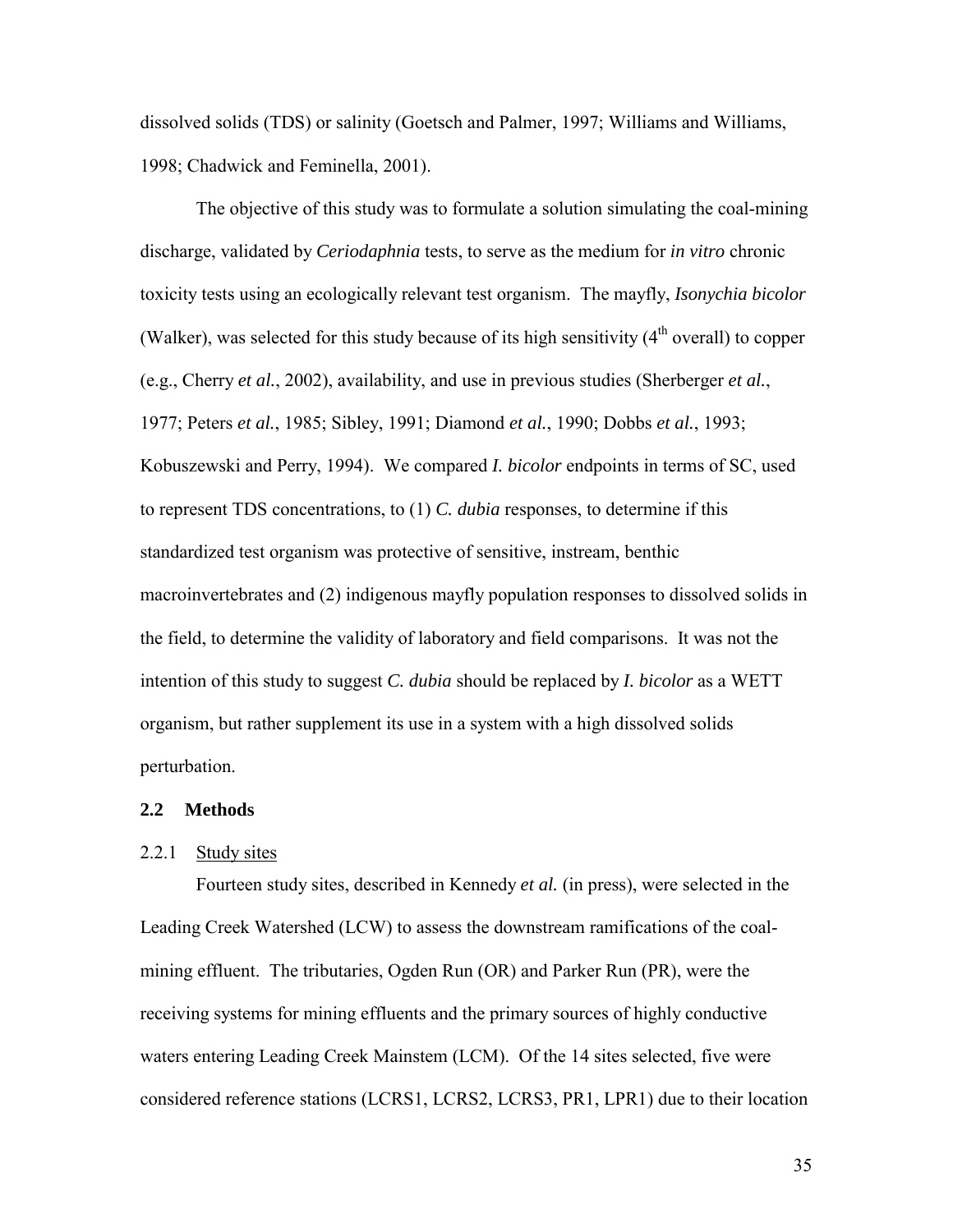dissolved solids (TDS) or salinity (Goetsch and Palmer, 1997; Williams and Williams, 1998; Chadwick and Feminella, 2001).

 The objective of this study was to formulate a solution simulating the coal-mining discharge, validated by *Ceriodaphnia* tests, to serve as the medium for *in vitro* chronic toxicity tests using an ecologically relevant test organism. The mayfly, *Isonychia bicolor* (Walker), was selected for this study because of its high sensitivity  $(4<sup>th</sup>$  overall) to copper (e.g., Cherry *et al.*, 2002), availability, and use in previous studies (Sherberger *et al.*, 1977; Peters *et al.*, 1985; Sibley, 1991; Diamond *et al.*, 1990; Dobbs *et al.*, 1993; Kobuszewski and Perry, 1994). We compared *I. bicolor* endpoints in terms of SC, used to represent TDS concentrations, to (1) *C. dubia* responses, to determine if this standardized test organism was protective of sensitive, instream, benthic macroinvertebrates and (2) indigenous mayfly population responses to dissolved solids in the field, to determine the validity of laboratory and field comparisons. It was not the intention of this study to suggest *C. dubia* should be replaced by *I. bicolor* as a WETT organism, but rather supplement its use in a system with a high dissolved solids perturbation.

#### **2.2 Methods**

### 2.2.1 Study sites

Fourteen study sites, described in Kennedy *et al.* (in press), were selected in the Leading Creek Watershed (LCW) to assess the downstream ramifications of the coalmining effluent. The tributaries, Ogden Run (OR) and Parker Run (PR), were the receiving systems for mining effluents and the primary sources of highly conductive waters entering Leading Creek Mainstem (LCM). Of the 14 sites selected, five were considered reference stations (LCRS1, LCRS2, LCRS3, PR1, LPR1) due to their location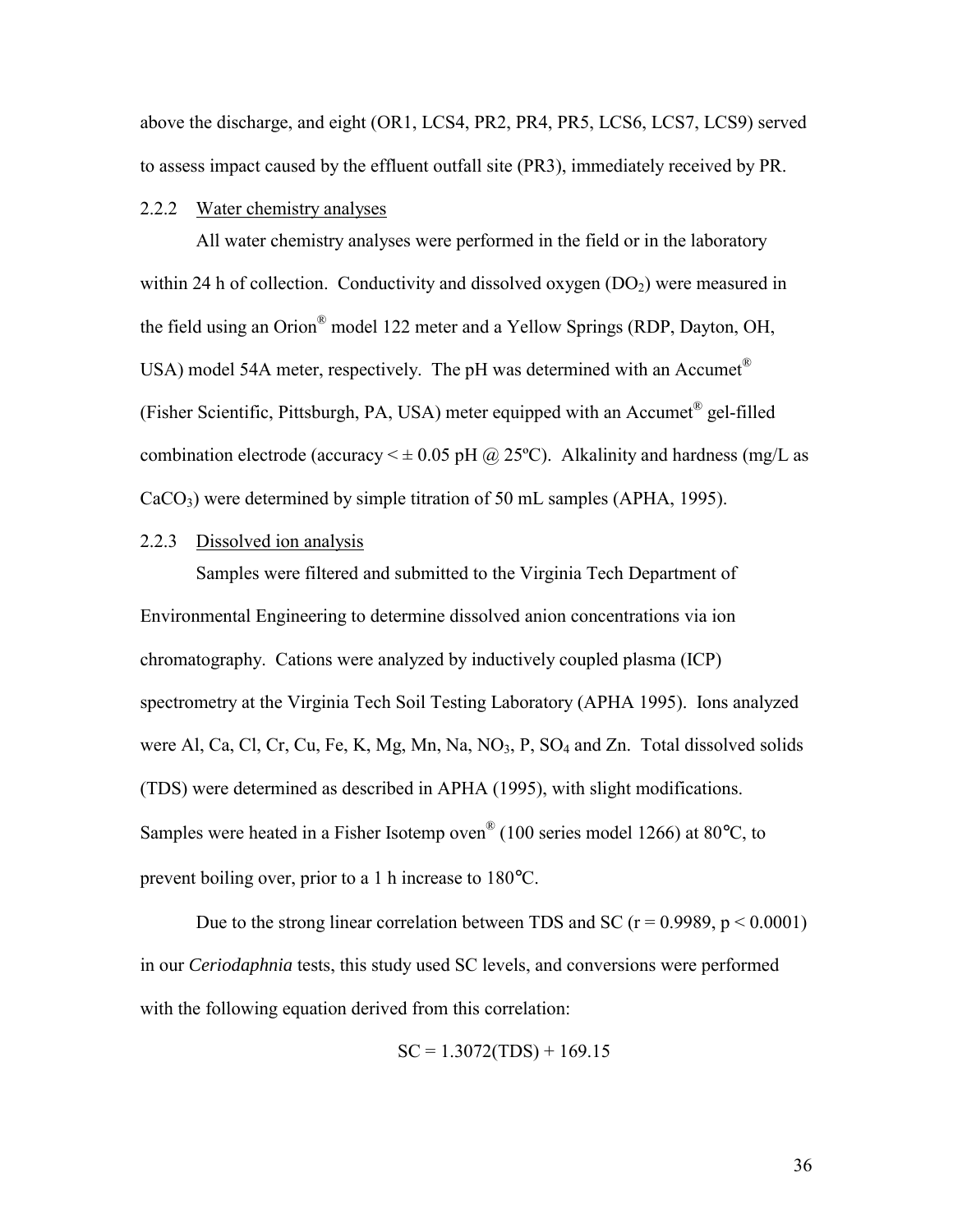above the discharge, and eight (OR1, LCS4, PR2, PR4, PR5, LCS6, LCS7, LCS9) served to assess impact caused by the effluent outfall site (PR3), immediately received by PR.

# 2.2.2 Water chemistry analyses

 All water chemistry analyses were performed in the field or in the laboratory within 24 h of collection. Conductivity and dissolved oxygen  $(DO<sub>2</sub>)$  were measured in the field using an Orion® model 122 meter and a Yellow Springs (RDP, Dayton, OH, USA) model 54A meter, respectively. The pH was determined with an Accumet<sup>®</sup> (Fisher Scientific, Pittsburgh, PA, USA) meter equipped with an Accumet® gel-filled combination electrode (accuracy  $\leq \pm 0.05$  pH @ 25°C). Alkalinity and hardness (mg/L as  $CaCO<sub>3</sub>$ ) were determined by simple titration of 50 mL samples (APHA, 1995).

# 2.2.3 Dissolved ion analysis

 Samples were filtered and submitted to the Virginia Tech Department of Environmental Engineering to determine dissolved anion concentrations via ion chromatography. Cations were analyzed by inductively coupled plasma (ICP) spectrometry at the Virginia Tech Soil Testing Laboratory (APHA 1995). Ions analyzed were Al, Ca, Cl, Cr, Cu, Fe, K, Mg, Mn, Na, NO<sub>3</sub>, P, SO<sub>4</sub> and Zn. Total dissolved solids (TDS) were determined as described in APHA (1995), with slight modifications. Samples were heated in a Fisher Isotemp oven® (100 series model 1266) at 80°C, to prevent boiling over, prior to a 1 h increase to 180°C.

Due to the strong linear correlation between TDS and SC ( $r = 0.9989$ ,  $p < 0.0001$ ) in our *Ceriodaphnia* tests, this study used SC levels, and conversions were performed with the following equation derived from this correlation:

$$
SC = 1.3072(TDS) + 169.15
$$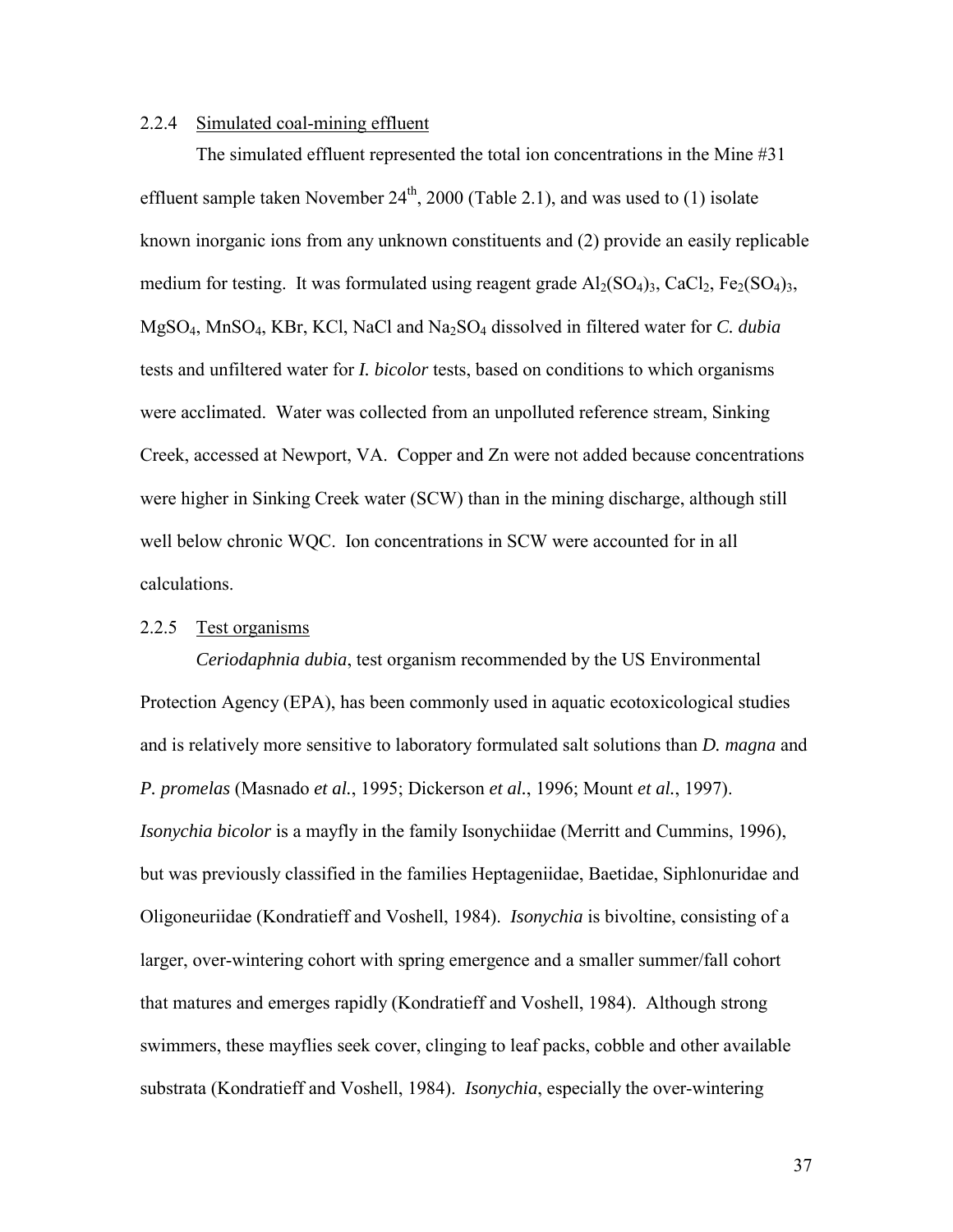# 2.2.4 Simulated coal-mining effluent

 The simulated effluent represented the total ion concentrations in the Mine #31 effluent sample taken November  $24<sup>th</sup>$ , 2000 (Table 2.1), and was used to (1) isolate known inorganic ions from any unknown constituents and (2) provide an easily replicable medium for testing. It was formulated using reagent grade  $Al_2(SO_4)_3$ , CaCl<sub>2</sub>, Fe<sub>2</sub>(SO<sub>4</sub>)<sub>3</sub>, MgSO4, MnSO4, KBr, KCl, NaCl and Na2SO4 dissolved in filtered water for *C. dubia* tests and unfiltered water for *I. bicolor* tests, based on conditions to which organisms were acclimated. Water was collected from an unpolluted reference stream, Sinking Creek, accessed at Newport, VA. Copper and Zn were not added because concentrations were higher in Sinking Creek water (SCW) than in the mining discharge, although still well below chronic WQC. Ion concentrations in SCW were accounted for in all calculations.

### 2.2.5 Test organisms

*Ceriodaphnia dubia*, test organism recommended by the US Environmental Protection Agency (EPA), has been commonly used in aquatic ecotoxicological studies and is relatively more sensitive to laboratory formulated salt solutions than *D. magna* and *P. promelas* (Masnado *et al.*, 1995; Dickerson *et al.*, 1996; Mount *et al.*, 1997). *Isonychia bicolor* is a mayfly in the family Isonychiidae (Merritt and Cummins, 1996), but was previously classified in the families Heptageniidae, Baetidae, Siphlonuridae and Oligoneuriidae (Kondratieff and Voshell, 1984). *Isonychia* is bivoltine, consisting of a larger, over-wintering cohort with spring emergence and a smaller summer/fall cohort that matures and emerges rapidly (Kondratieff and Voshell, 1984). Although strong swimmers, these mayflies seek cover, clinging to leaf packs, cobble and other available substrata (Kondratieff and Voshell, 1984). *Isonychia*, especially the over-wintering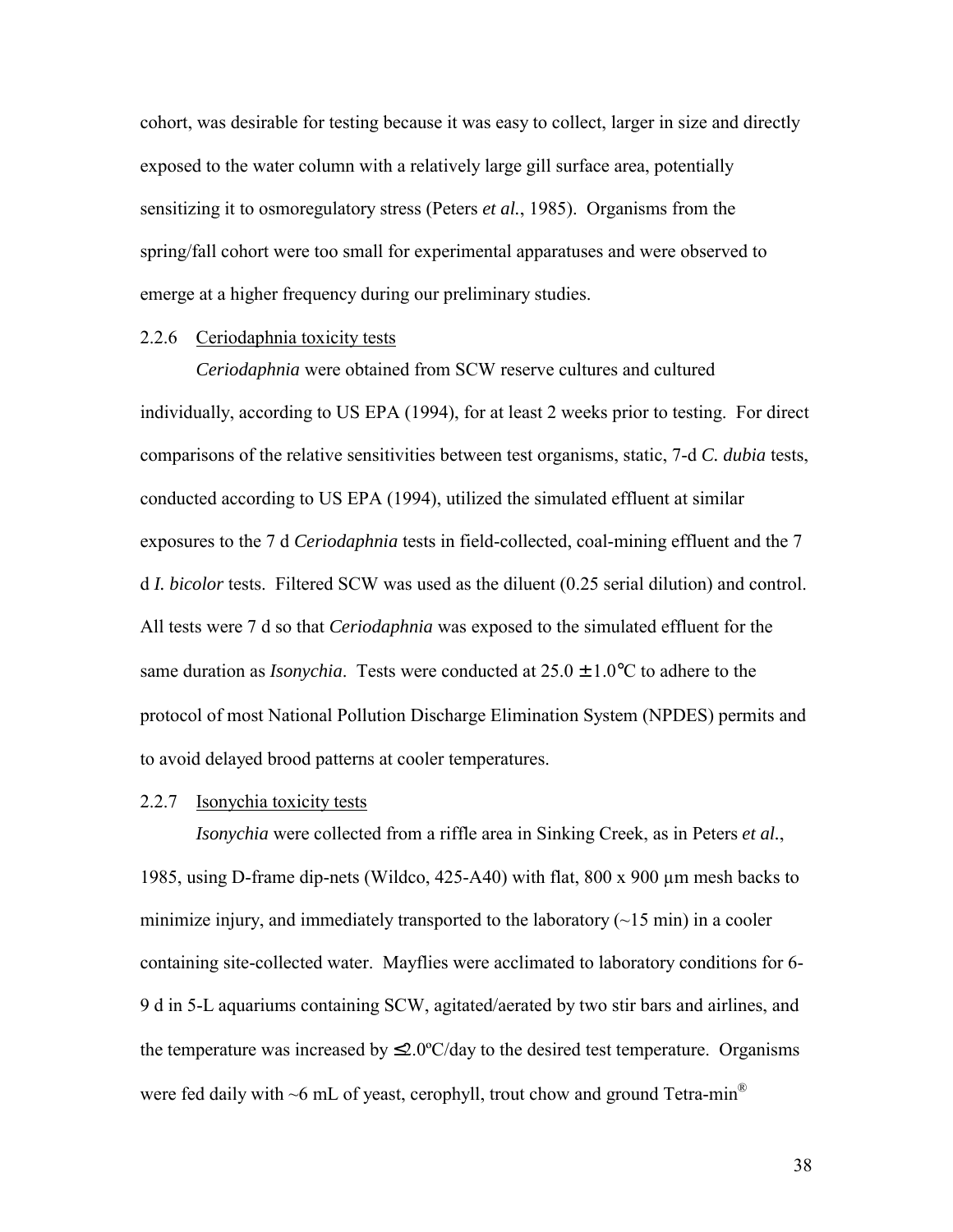cohort, was desirable for testing because it was easy to collect, larger in size and directly exposed to the water column with a relatively large gill surface area, potentially sensitizing it to osmoregulatory stress (Peters *et al.*, 1985). Organisms from the spring/fall cohort were too small for experimental apparatuses and were observed to emerge at a higher frequency during our preliminary studies.

### 2.2.6 Ceriodaphnia toxicity tests

*Ceriodaphnia* were obtained from SCW reserve cultures and cultured individually, according to US EPA (1994), for at least 2 weeks prior to testing. For direct comparisons of the relative sensitivities between test organisms, static, 7-d *C. dubia* tests, conducted according to US EPA (1994), utilized the simulated effluent at similar exposures to the 7 d *Ceriodaphnia* tests in field-collected, coal-mining effluent and the 7 d *I. bicolor* tests. Filtered SCW was used as the diluent (0.25 serial dilution) and control. All tests were 7 d so that *Ceriodaphnia* was exposed to the simulated effluent for the same duration as *Isonychia*. Tests were conducted at 25.0 ± 1.0°C to adhere to the protocol of most National Pollution Discharge Elimination System (NPDES) permits and to avoid delayed brood patterns at cooler temperatures.

### 2.2.7 Isonychia toxicity tests

*Isonychia* were collected from a riffle area in Sinking Creek, as in Peters *et al.*, 1985, using D-frame dip-nets (Wildco, 425-A40) with flat, 800 x 900 µm mesh backs to minimize injury, and immediately transported to the laboratory  $(\sim 15 \text{ min})$  in a cooler containing site-collected water. Mayflies were acclimated to laboratory conditions for 6- 9 d in 5-L aquariums containing SCW, agitated/aerated by two stir bars and airlines, and the temperature was increased by  $\leq 2.0^{\circ}$ C/day to the desired test temperature. Organisms were fed daily with ~6 mL of yeast, cerophyll, trout chow and ground Tetra-min<sup>®</sup>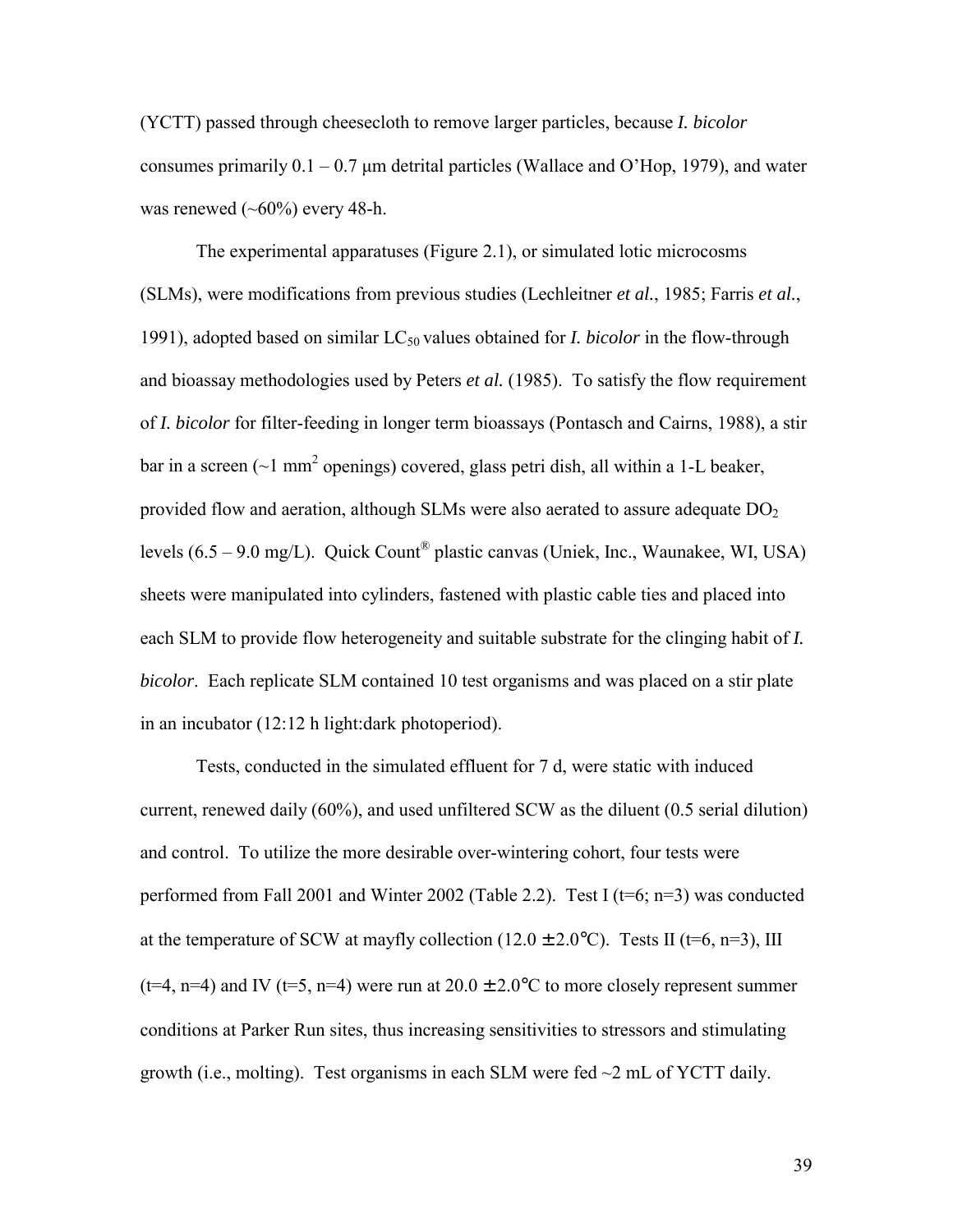(YCTT) passed through cheesecloth to remove larger particles, because *I. bicolor*  consumes primarily  $0.1 - 0.7$  µm detrital particles (Wallace and O'Hop, 1979), and water was renewed  $(\sim 60\%)$  every 48-h.

 The experimental apparatuses (Figure 2.1), or simulated lotic microcosms (SLMs), were modifications from previous studies (Lechleitner *et al.*, 1985; Farris *et al.*, 1991), adopted based on similar LC<sub>50</sub> values obtained for *I. bicolor* in the flow-through and bioassay methodologies used by Peters *et al.* (1985). To satisfy the flow requirement of *I. bicolor* for filter-feeding in longer term bioassays (Pontasch and Cairns, 1988), a stir bar in a screen ( $\sim$ 1 mm<sup>2</sup> openings) covered, glass petri dish, all within a 1-L beaker, provided flow and aeration, although SLMs were also aerated to assure adequate  $DO<sub>2</sub>$ levels  $(6.5 - 9.0 \text{ mg/L})$ . Quick Count<sup>®</sup> plastic canvas (Uniek, Inc., Waunakee, WI, USA) sheets were manipulated into cylinders, fastened with plastic cable ties and placed into each SLM to provide flow heterogeneity and suitable substrate for the clinging habit of *I. bicolor*. Each replicate SLM contained 10 test organisms and was placed on a stir plate in an incubator (12:12 h light:dark photoperiod).

 Tests, conducted in the simulated effluent for 7 d, were static with induced current, renewed daily (60%), and used unfiltered SCW as the diluent (0.5 serial dilution) and control. To utilize the more desirable over-wintering cohort, four tests were performed from Fall 2001 and Winter 2002 (Table 2.2). Test I (t=6; n=3) was conducted at the temperature of SCW at mayfly collection (12.0  $\pm$  2.0°C). Tests II (t=6, n=3), III (t=4, n=4) and IV (t=5, n=4) were run at  $20.0 \pm 2.0$ °C to more closely represent summer conditions at Parker Run sites, thus increasing sensitivities to stressors and stimulating growth (i.e., molting). Test organisms in each SLM were fed  $\sim$ 2 mL of YCTT daily.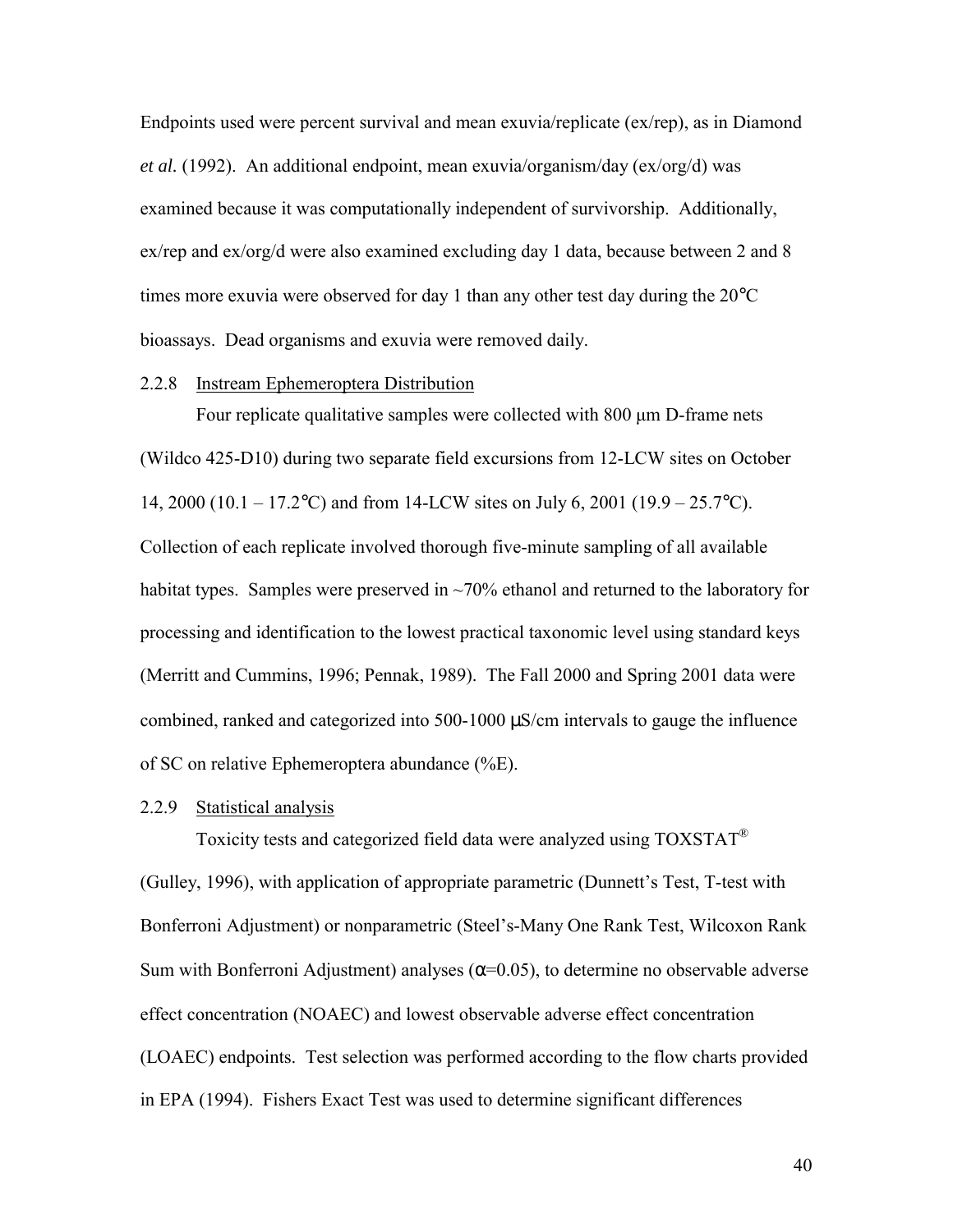Endpoints used were percent survival and mean exuvia/replicate (ex/rep), as in Diamond *et al.* (1992). An additional endpoint, mean exuvia/organism/day (ex/org/d) was examined because it was computationally independent of survivorship. Additionally, ex/rep and ex/org/d were also examined excluding day 1 data, because between 2 and 8 times more exuvia were observed for day 1 than any other test day during the 20°C bioassays. Dead organisms and exuvia were removed daily.

### 2.2.8 Instream Ephemeroptera Distribution

 Four replicate qualitative samples were collected with 800 μm D-frame nets (Wildco 425-D10) during two separate field excursions from 12-LCW sites on October 14, 2000 (10.1 – 17.2°C) and from 14-LCW sites on July 6, 2001 (19.9 – 25.7°C). Collection of each replicate involved thorough five-minute sampling of all available habitat types. Samples were preserved in  $\sim$ 70% ethanol and returned to the laboratory for processing and identification to the lowest practical taxonomic level using standard keys (Merritt and Cummins, 1996; Pennak, 1989). The Fall 2000 and Spring 2001 data were combined, ranked and categorized into 500-1000 µS/cm intervals to gauge the influence of SC on relative Ephemeroptera abundance (%E).

### 2.2.9 Statistical analysis

 Toxicity tests and categorized field data were analyzed using TOXSTAT® (Gulley, 1996), with application of appropriate parametric (Dunnett's Test, T-test with Bonferroni Adjustment) or nonparametric (Steel's-Many One Rank Test, Wilcoxon Rank Sum with Bonferroni Adjustment) analyses  $(\alpha=0.05)$ , to determine no observable adverse effect concentration (NOAEC) and lowest observable adverse effect concentration (LOAEC) endpoints. Test selection was performed according to the flow charts provided in EPA (1994). Fishers Exact Test was used to determine significant differences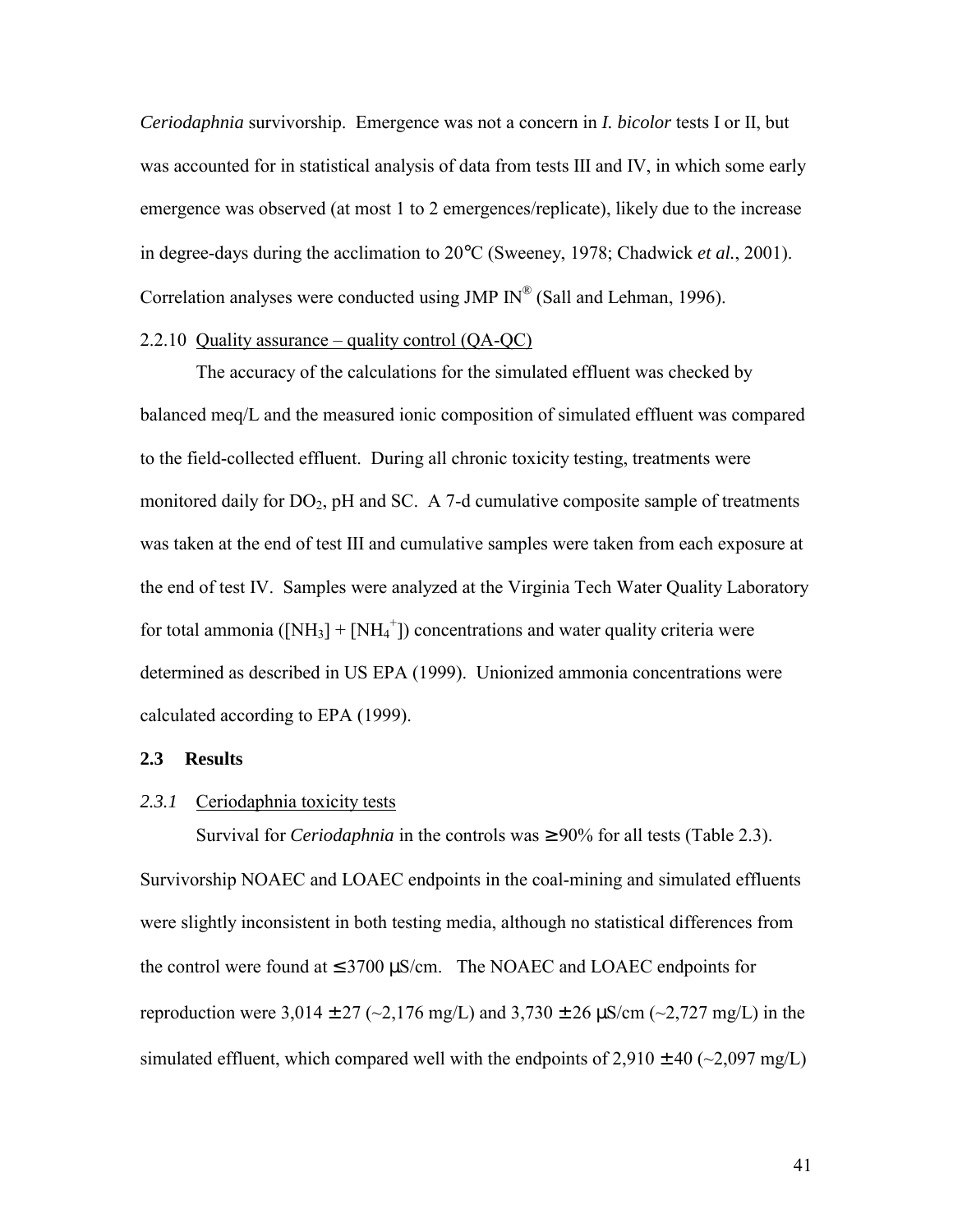*Ceriodaphnia* survivorship. Emergence was not a concern in *I. bicolor* tests I or II, but was accounted for in statistical analysis of data from tests III and IV, in which some early emergence was observed (at most 1 to 2 emergences/replicate), likely due to the increase in degree-days during the acclimation to 20°C (Sweeney, 1978; Chadwick *et al.*, 2001). Correlation analyses were conducted using JMP IN® (Sall and Lehman, 1996).

### 2.2.10 Quality assurance – quality control  $(QA-QC)$

 The accuracy of the calculations for the simulated effluent was checked by balanced meq/L and the measured ionic composition of simulated effluent was compared to the field-collected effluent. During all chronic toxicity testing, treatments were monitored daily for  $DO<sub>2</sub>$ , pH and SC. A 7-d cumulative composite sample of treatments was taken at the end of test III and cumulative samples were taken from each exposure at the end of test IV. Samples were analyzed at the Virginia Tech Water Quality Laboratory for total ammonia  $([NH_3] + [NH_4^+])$  concentrations and water quality criteria were determined as described in US EPA (1999). Unionized ammonia concentrations were calculated according to EPA (1999).

#### **2.3 Results**

## 2.3.1 Ceriodaphnia toxicity tests

Survival for *Ceriodaphnia* in the controls was  $\geq 90\%$  for all tests (Table 2.3). Survivorship NOAEC and LOAEC endpoints in the coal-mining and simulated effluents were slightly inconsistent in both testing media, although no statistical differences from the control were found at  $\leq$  3700  $\mu$ S/cm. The NOAEC and LOAEC endpoints for reproduction were 3,014  $\pm$  27 (~2,176 mg/L) and 3,730  $\pm$  26  $\mu$ S/cm (~2,727 mg/L) in the simulated effluent, which compared well with the endpoints of  $2,910 \pm 40$  ( $\sim$ 2,097 mg/L)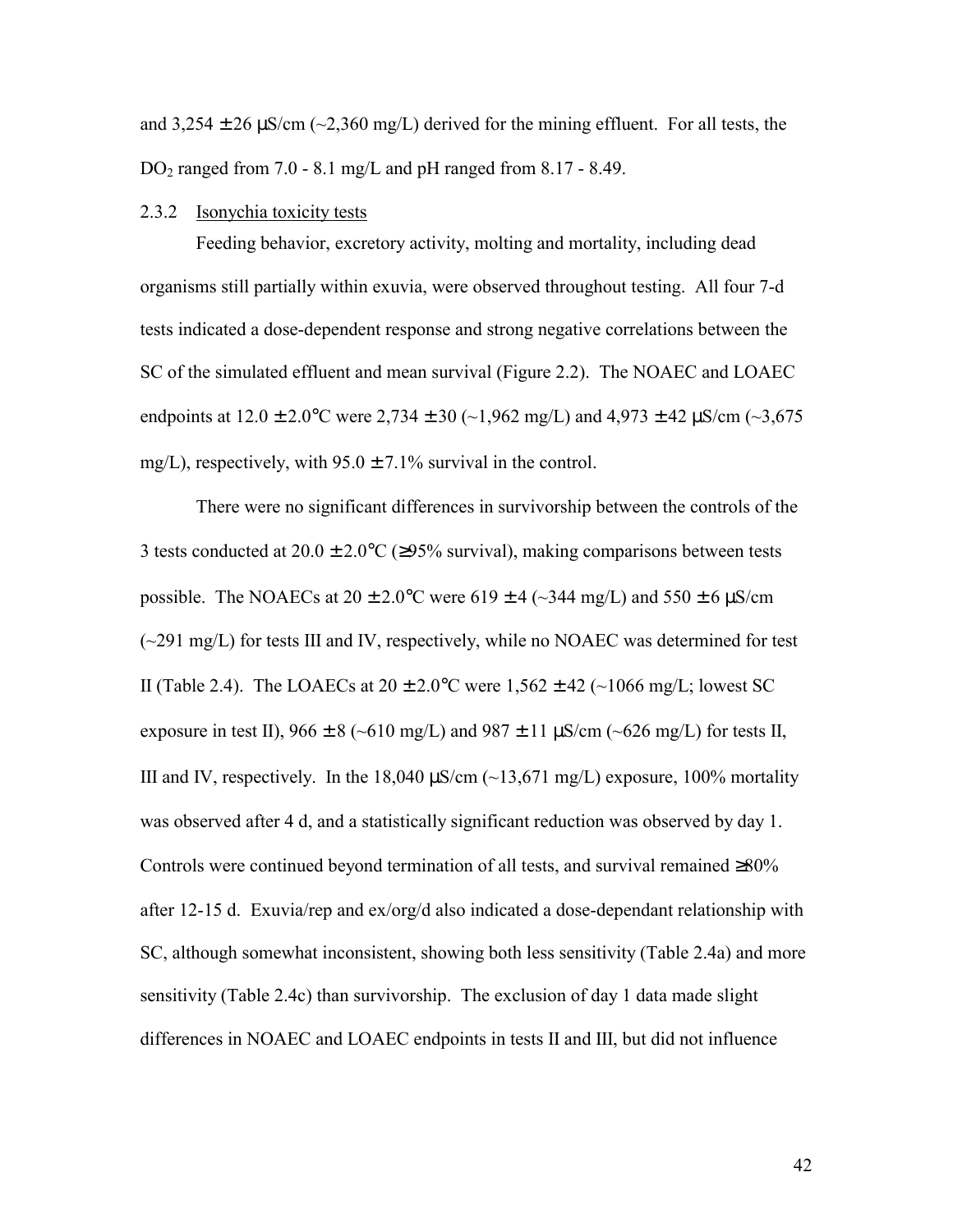and  $3,254 \pm 26 \,\mu\text{S/cm}$  ( $\sim$ 2,360 mg/L) derived for the mining effluent. For all tests, the  $DO<sub>2</sub>$  ranged from 7.0 - 8.1 mg/L and pH ranged from 8.17 - 8.49.

### 2.3.2 Isonychia toxicity tests

 Feeding behavior, excretory activity, molting and mortality, including dead organisms still partially within exuvia, were observed throughout testing. All four 7-d tests indicated a dose-dependent response and strong negative correlations between the SC of the simulated effluent and mean survival (Figure 2.2). The NOAEC and LOAEC endpoints at  $12.0 \pm 2.0$ °C were  $2,734 \pm 30$  (~1,962 mg/L) and  $4,973 \pm 42$   $\mu$ S/cm (~3,675 mg/L), respectively, with  $95.0 \pm 7.1\%$  survival in the control.

There were no significant differences in survivorship between the controls of the 3 tests conducted at  $20.0 \pm 2.0$ °C (≥95% survival), making comparisons between tests possible. The NOAECs at  $20 \pm 2.0$ °C were  $619 \pm 4$  (~344 mg/L) and  $550 \pm 6$   $\mu$ S/cm (~291 mg/L) for tests III and IV, respectively, while no NOAEC was determined for test II (Table 2.4). The LOAECs at  $20 \pm 2.0$ °C were  $1,562 \pm 42$  (~1066 mg/L; lowest SC exposure in test II),  $966 \pm 8$  (~610 mg/L) and  $987 \pm 11$   $\mu$ S/cm (~626 mg/L) for tests II, III and IV, respectively. In the 18,040  $\mu$ S/cm (~13,671 mg/L) exposure, 100% mortality was observed after 4 d, and a statistically significant reduction was observed by day 1. Controls were continued beyond termination of all tests, and survival remained ≥80% after 12-15 d. Exuvia/rep and ex/org/d also indicated a dose-dependant relationship with SC, although somewhat inconsistent, showing both less sensitivity (Table 2.4a) and more sensitivity (Table 2.4c) than survivorship. The exclusion of day 1 data made slight differences in NOAEC and LOAEC endpoints in tests II and III, but did not influence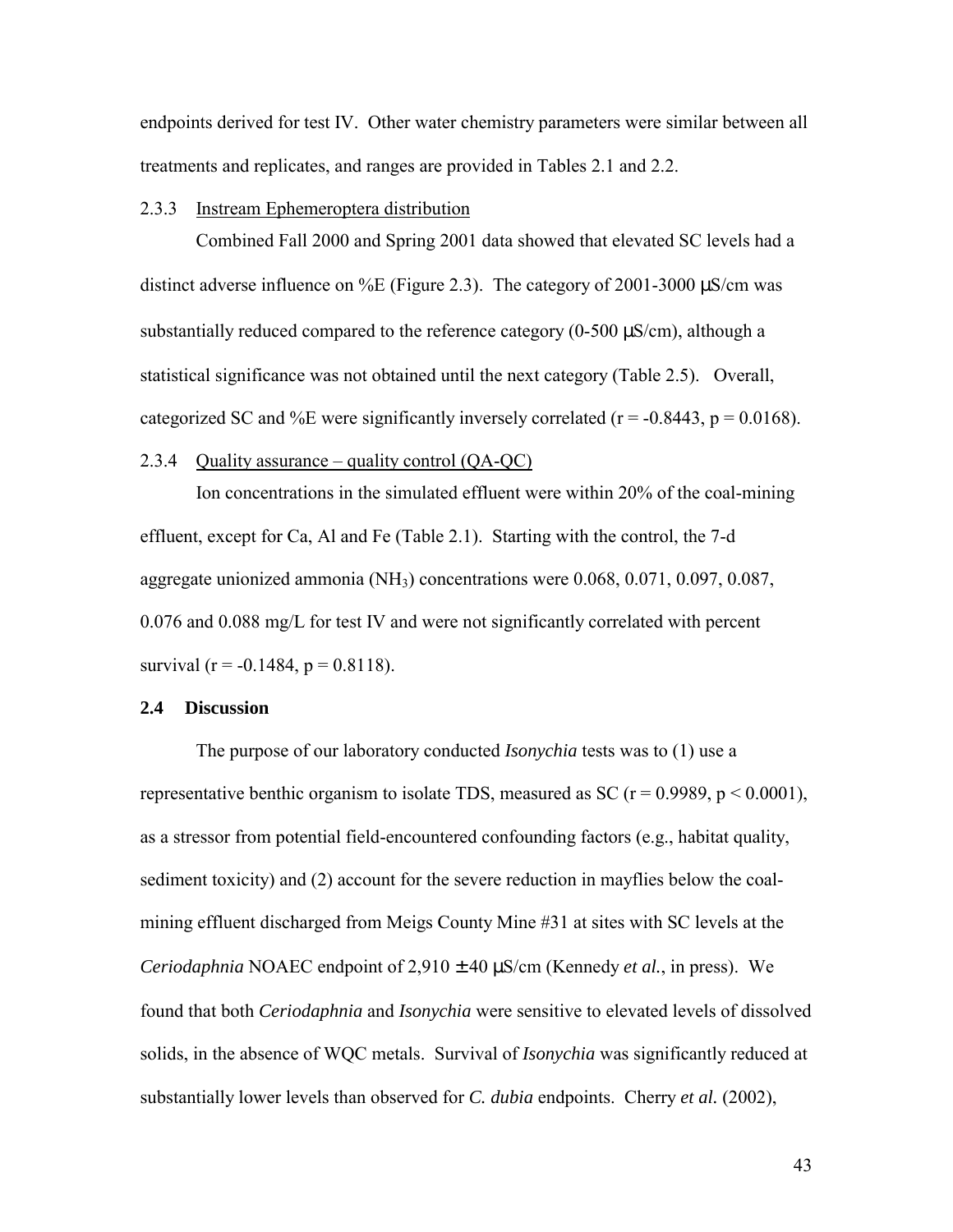endpoints derived for test IV. Other water chemistry parameters were similar between all treatments and replicates, and ranges are provided in Tables 2.1 and 2.2.

### 2.3.3 Instream Ephemeroptera distribution

 Combined Fall 2000 and Spring 2001 data showed that elevated SC levels had a distinct adverse influence on %E (Figure 2.3). The category of 2001-3000  $\mu$ S/cm was substantially reduced compared to the reference category (0-500  $\mu$ S/cm), although a statistical significance was not obtained until the next category (Table 2.5). Overall, categorized SC and %E were significantly inversely correlated ( $r = -0.8443$ ,  $p = 0.0168$ ).

### 2.3.4 Quality assurance – quality control (QA-QC)

 Ion concentrations in the simulated effluent were within 20% of the coal-mining effluent, except for Ca, Al and Fe (Table 2.1). Starting with the control, the 7-d aggregate unionized ammonia (NH3) concentrations were 0.068, 0.071, 0.097, 0.087, 0.076 and 0.088 mg/L for test IV and were not significantly correlated with percent survival ( $r = -0.1484$ ,  $p = 0.8118$ ).

### **2.4 Discussion**

 The purpose of our laboratory conducted *Isonychia* tests was to (1) use a representative benthic organism to isolate TDS, measured as SC ( $r = 0.9989$ ,  $p \le 0.0001$ ), as a stressor from potential field-encountered confounding factors (e.g., habitat quality, sediment toxicity) and (2) account for the severe reduction in mayflies below the coalmining effluent discharged from Meigs County Mine #31 at sites with SC levels at the *Ceriodaphnia* NOAEC endpoint of 2,910 ± 40 µS/cm (Kennedy *et al.*, in press). We found that both *Ceriodaphnia* and *Isonychia* were sensitive to elevated levels of dissolved solids, in the absence of WQC metals. Survival of *Isonychia* was significantly reduced at substantially lower levels than observed for *C. dubia* endpoints. Cherry *et al.* (2002),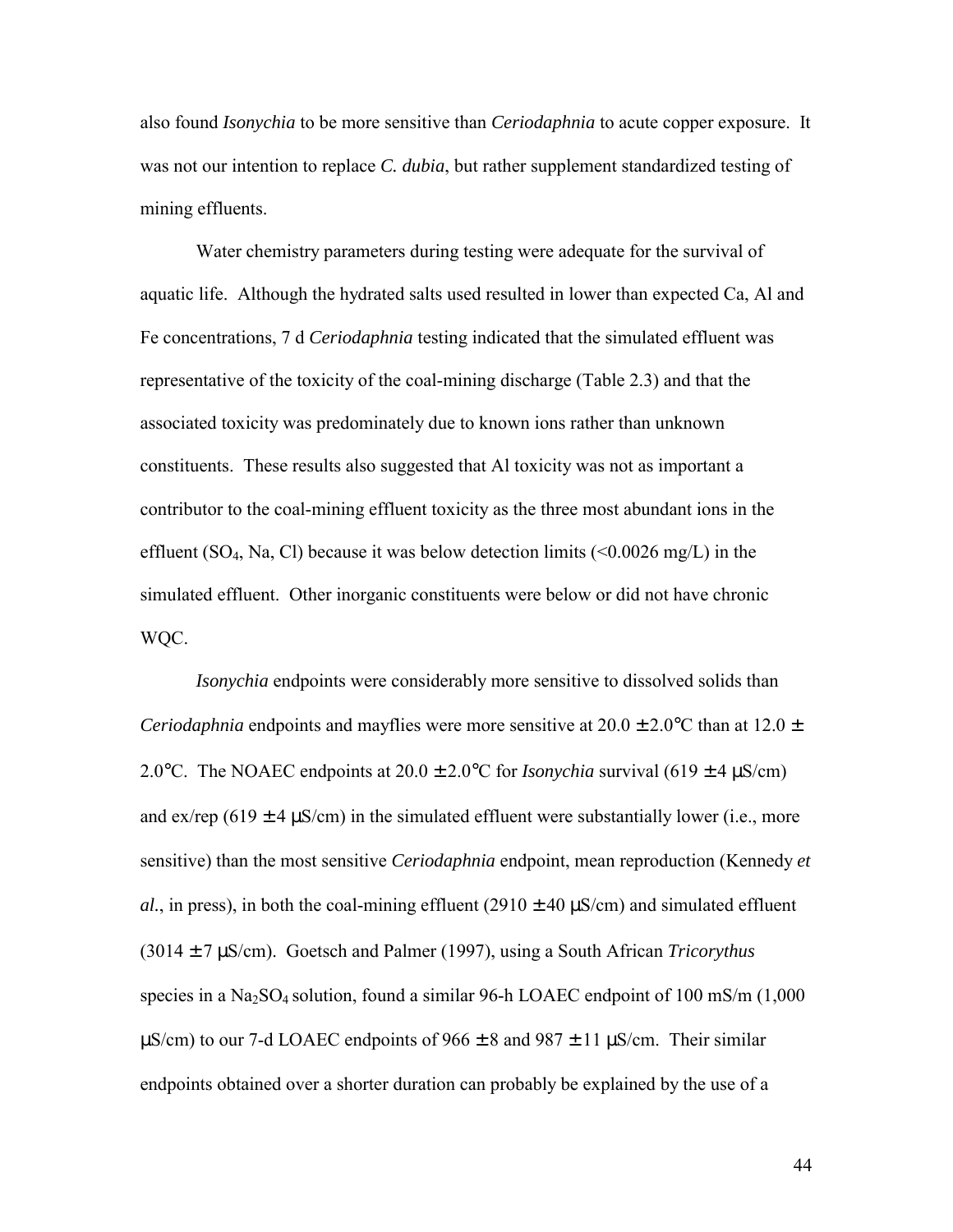also found *Isonychia* to be more sensitive than *Ceriodaphnia* to acute copper exposure. It was not our intention to replace *C. dubia*, but rather supplement standardized testing of mining effluents.

Water chemistry parameters during testing were adequate for the survival of aquatic life. Although the hydrated salts used resulted in lower than expected Ca, Al and Fe concentrations, 7 d *Ceriodaphnia* testing indicated that the simulated effluent was representative of the toxicity of the coal-mining discharge (Table 2.3) and that the associated toxicity was predominately due to known ions rather than unknown constituents. These results also suggested that Al toxicity was not as important a contributor to the coal-mining effluent toxicity as the three most abundant ions in the effluent (SO<sub>4</sub>, Na, Cl) because it was below detection limits  $\left($  < 0.0026 mg/L) in the simulated effluent. Other inorganic constituents were below or did not have chronic WQC.

 *Isonychia* endpoints were considerably more sensitive to dissolved solids than *Ceriodaphnia* endpoints and mayflies were more sensitive at  $20.0 \pm 2.0$ °C than at  $12.0 \pm 1.0$ 2.0°C. The NOAEC endpoints at  $20.0 \pm 2.0$ °C for *Isonychia* survival (619 ± 4  $\mu$ S/cm) and ex/rep (619  $\pm$  4  $\mu$ S/cm) in the simulated effluent were substantially lower (i.e., more sensitive) than the most sensitive *Ceriodaphnia* endpoint, mean reproduction (Kennedy *et al.*, in press), in both the coal-mining effluent (2910  $\pm$  40  $\mu$ S/cm) and simulated effluent (3014 ± 7 µS/cm). Goetsch and Palmer (1997), using a South African *Tricorythus*  species in a  $Na<sub>2</sub>SO<sub>4</sub>$  solution, found a similar 96-h LOAEC endpoint of 100 mS/m (1,000)  $\mu$ S/cm) to our 7-d LOAEC endpoints of 966  $\pm$  8 and 987  $\pm$  11  $\mu$ S/cm. Their similar endpoints obtained over a shorter duration can probably be explained by the use of a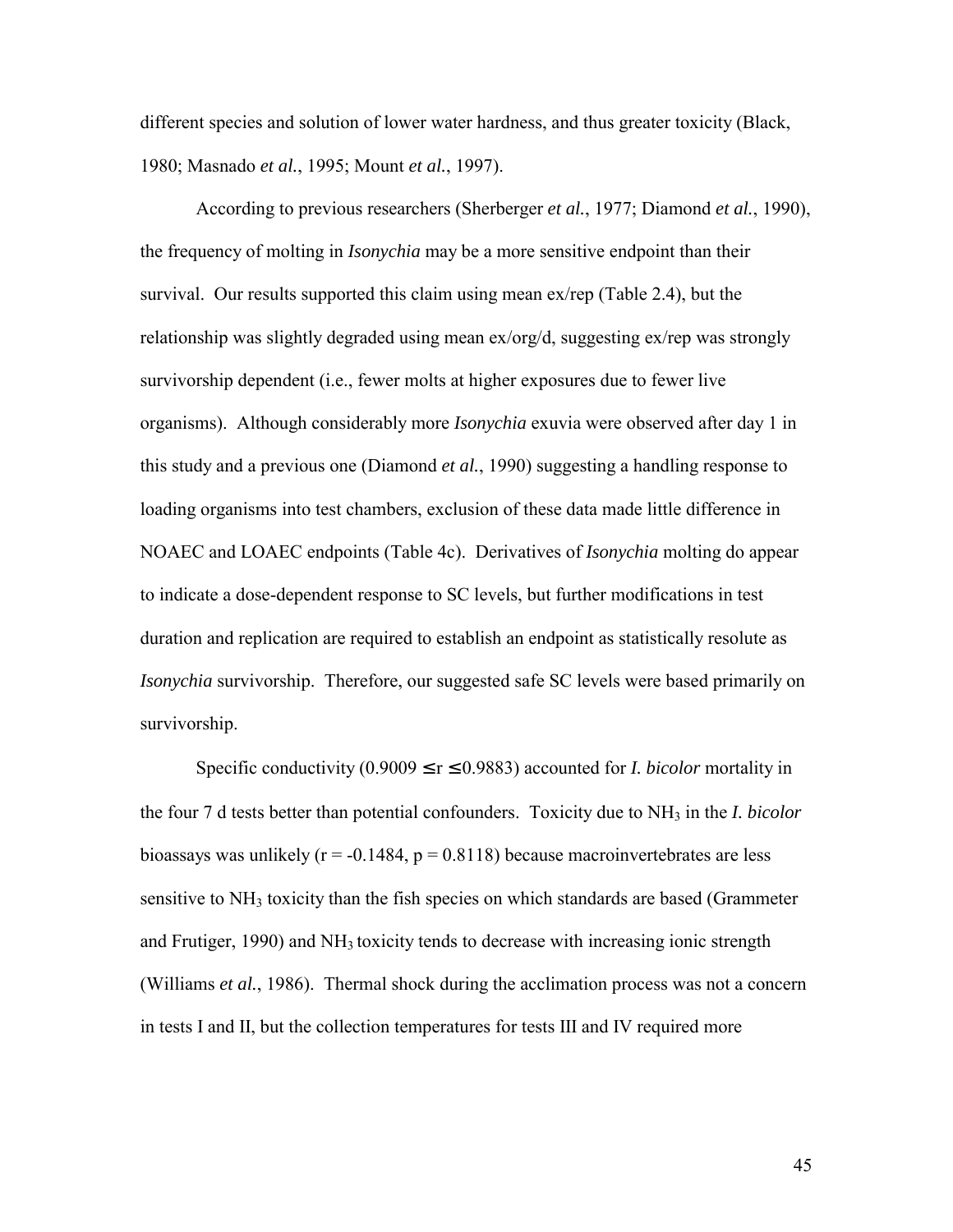different species and solution of lower water hardness, and thus greater toxicity (Black, 1980; Masnado *et al.*, 1995; Mount *et al.*, 1997).

 According to previous researchers (Sherberger *et al.*, 1977; Diamond *et al.*, 1990), the frequency of molting in *Isonychia* may be a more sensitive endpoint than their survival. Our results supported this claim using mean ex/rep (Table 2.4), but the relationship was slightly degraded using mean ex/org/d, suggesting ex/rep was strongly survivorship dependent (i.e., fewer molts at higher exposures due to fewer live organisms). Although considerably more *Isonychia* exuvia were observed after day 1 in this study and a previous one (Diamond *et al.*, 1990) suggesting a handling response to loading organisms into test chambers, exclusion of these data made little difference in NOAEC and LOAEC endpoints (Table 4c). Derivatives of *Isonychia* molting do appear to indicate a dose-dependent response to SC levels, but further modifications in test duration and replication are required to establish an endpoint as statistically resolute as *Isonychia* survivorship. Therefore, our suggested safe SC levels were based primarily on survivorship.

Specific conductivity  $(0.9009 \le r \le 0.9883)$  accounted for *I. bicolor* mortality in the four 7 d tests better than potential confounders. Toxicity due to NH3 in the *I. bicolor* bioassays was unlikely ( $r = -0.1484$ ,  $p = 0.8118$ ) because macroinvertebrates are less sensitive to NH<sub>3</sub> toxicity than the fish species on which standards are based (Grammeter and Frutiger,  $1990$ ) and  $NH<sub>3</sub>$  toxicity tends to decrease with increasing ionic strength (Williams *et al.*, 1986). Thermal shock during the acclimation process was not a concern in tests I and II, but the collection temperatures for tests III and IV required more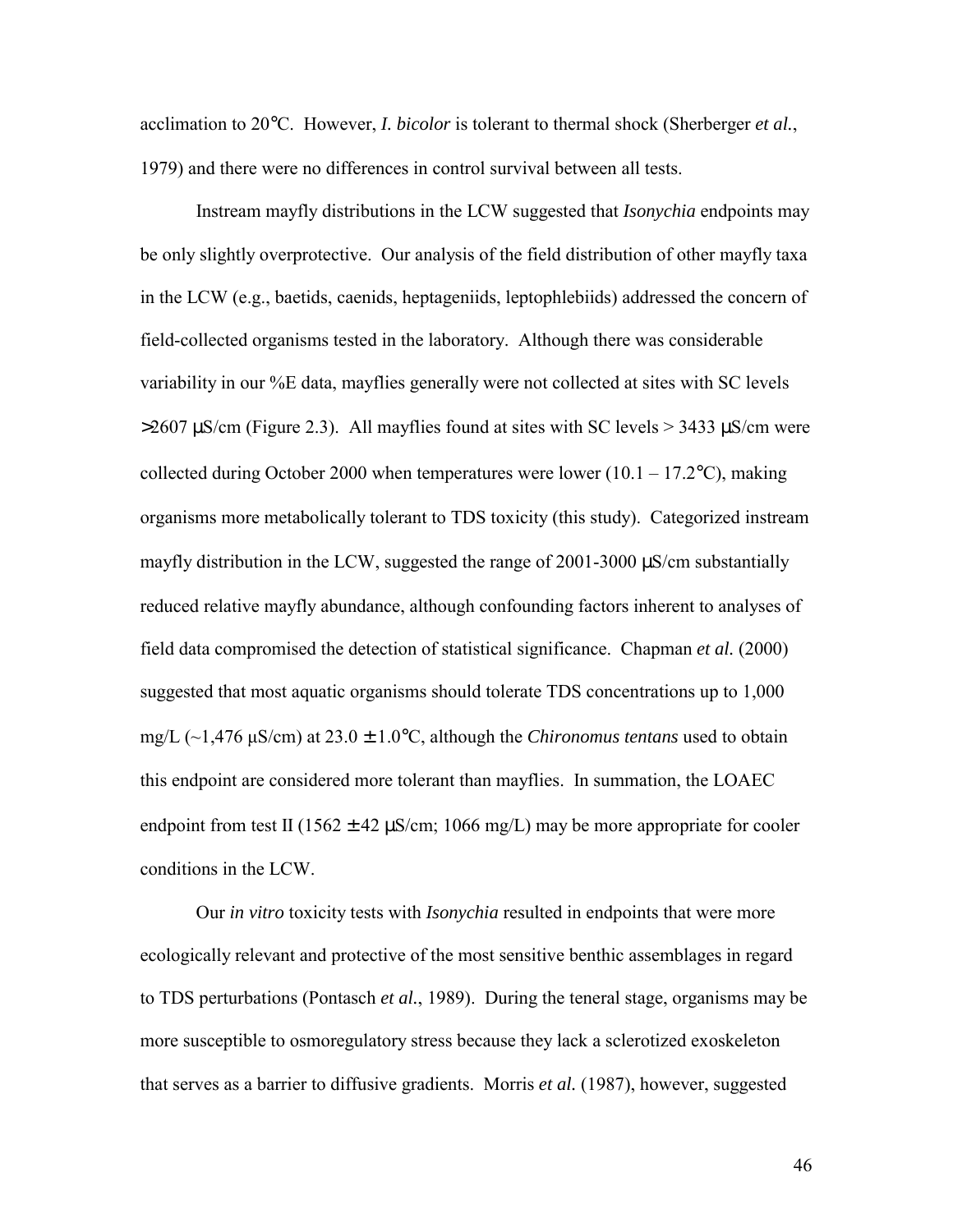acclimation to 20°C. However, *I. bicolor* is tolerant to thermal shock (Sherberger *et al.*, 1979) and there were no differences in control survival between all tests.

 Instream mayfly distributions in the LCW suggested that *Isonychia* endpoints may be only slightly overprotective. Our analysis of the field distribution of other mayfly taxa in the LCW (e.g., baetids, caenids, heptageniids, leptophlebiids) addressed the concern of field-collected organisms tested in the laboratory. Although there was considerable variability in our %E data, mayflies generally were not collected at sites with SC levels  $>$ 2607 µS/cm (Figure 2.3). All mayflies found at sites with SC levels  $>$  3433 µS/cm were collected during October 2000 when temperatures were lower  $(10.1 - 17.2^{\circ}C)$ , making organisms more metabolically tolerant to TDS toxicity (this study). Categorized instream mayfly distribution in the LCW, suggested the range of 2001-3000 µS/cm substantially reduced relative mayfly abundance, although confounding factors inherent to analyses of field data compromised the detection of statistical significance. Chapman *et al.* (2000) suggested that most aquatic organisms should tolerate TDS concentrations up to 1,000 mg/L (~1,476 μS/cm) at 23.0 ± 1.0°C, although the *Chironomus tentans* used to obtain this endpoint are considered more tolerant than mayflies. In summation, the LOAEC endpoint from test II (1562  $\pm$  42  $\mu$ S/cm; 1066 mg/L) may be more appropriate for cooler conditions in the LCW.

 Our *in vitro* toxicity tests with *Isonychia* resulted in endpoints that were more ecologically relevant and protective of the most sensitive benthic assemblages in regard to TDS perturbations (Pontasch *et al.*, 1989). During the teneral stage, organisms may be more susceptible to osmoregulatory stress because they lack a sclerotized exoskeleton that serves as a barrier to diffusive gradients. Morris *et al.* (1987), however, suggested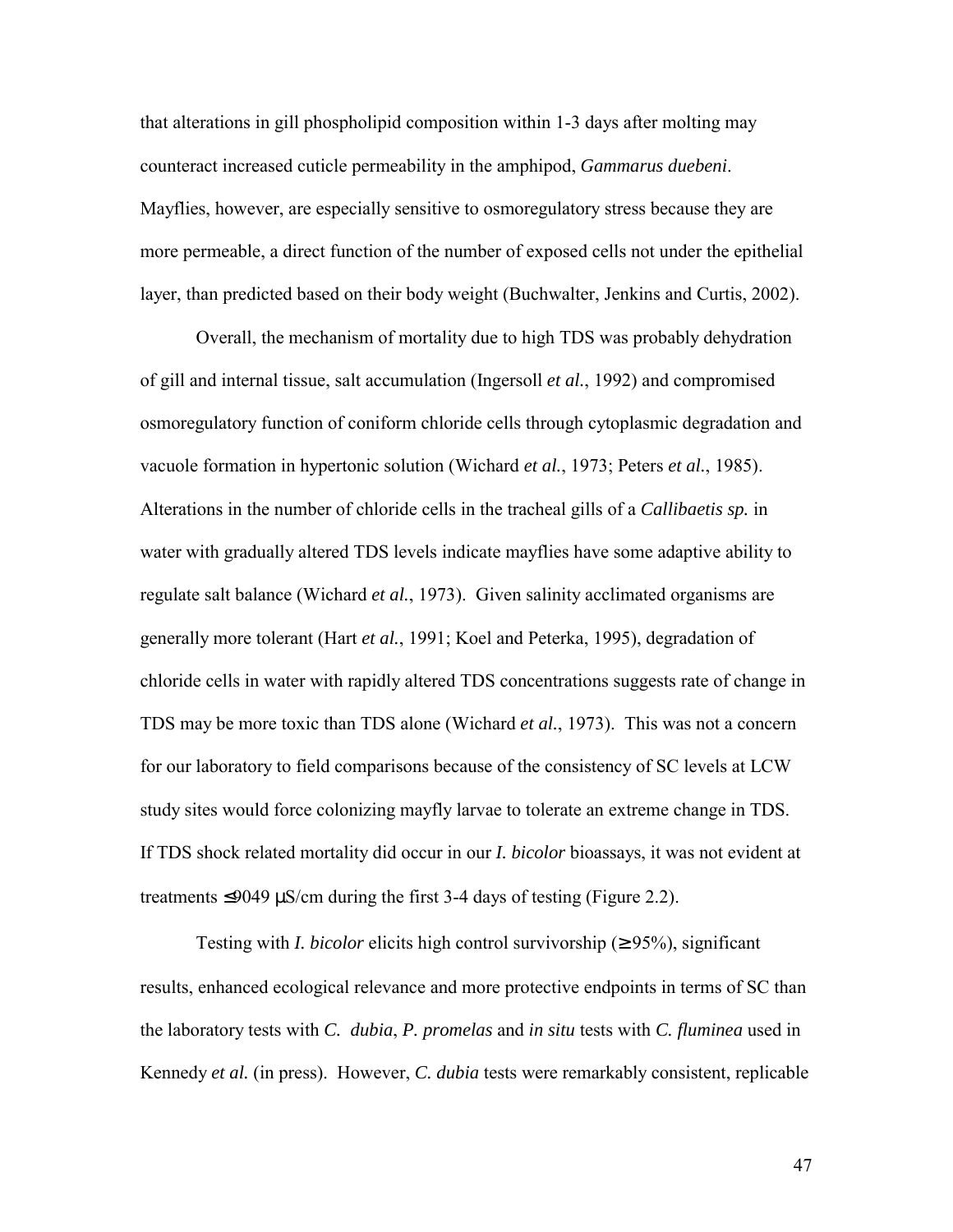that alterations in gill phospholipid composition within 1-3 days after molting may counteract increased cuticle permeability in the amphipod, *Gammarus duebeni*. Mayflies, however, are especially sensitive to osmoregulatory stress because they are more permeable, a direct function of the number of exposed cells not under the epithelial layer, than predicted based on their body weight (Buchwalter, Jenkins and Curtis, 2002).

 Overall, the mechanism of mortality due to high TDS was probably dehydration of gill and internal tissue, salt accumulation (Ingersoll *et al.*, 1992) and compromised osmoregulatory function of coniform chloride cells through cytoplasmic degradation and vacuole formation in hypertonic solution (Wichard *et al.*, 1973; Peters *et al.*, 1985). Alterations in the number of chloride cells in the tracheal gills of a *Callibaetis sp.* in water with gradually altered TDS levels indicate mayflies have some adaptive ability to regulate salt balance (Wichard *et al.*, 1973). Given salinity acclimated organisms are generally more tolerant (Hart *et al.*, 1991; Koel and Peterka, 1995), degradation of chloride cells in water with rapidly altered TDS concentrations suggests rate of change in TDS may be more toxic than TDS alone (Wichard *et al.*, 1973). This was not a concern for our laboratory to field comparisons because of the consistency of SC levels at LCW study sites would force colonizing mayfly larvae to tolerate an extreme change in TDS. If TDS shock related mortality did occur in our *I. bicolor* bioassays, it was not evident at treatments  $\leq$ 9049 µS/cm during the first 3-4 days of testing (Figure 2.2).

Testing with *I. bicolor* elicits high control survivorship ( $\geq$  95%), significant results, enhanced ecological relevance and more protective endpoints in terms of SC than the laboratory tests with *C. dubia*, *P. promelas* and *in situ* tests with *C. fluminea* used in Kennedy *et al.* (in press). However, *C. dubia* tests were remarkably consistent, replicable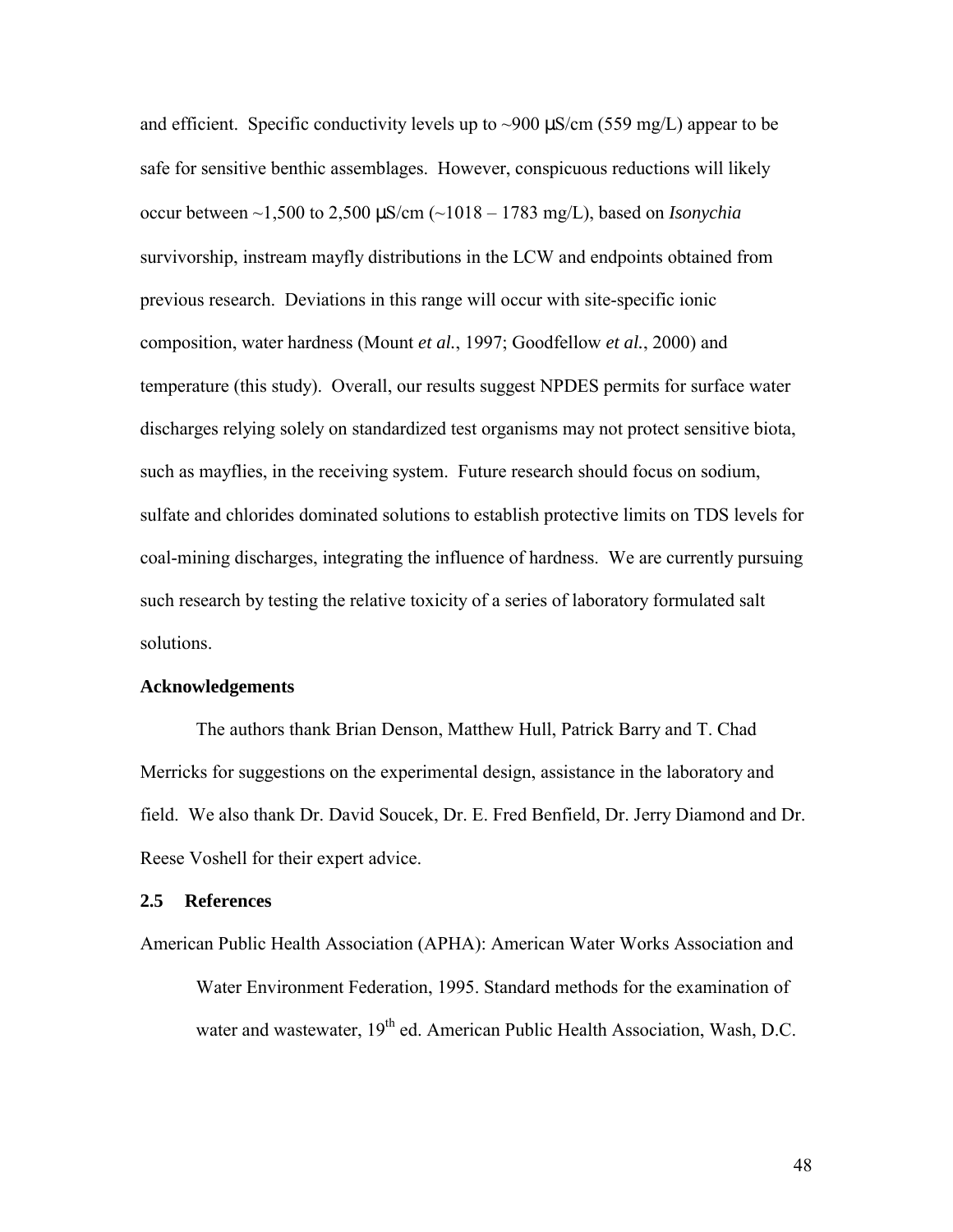and efficient. Specific conductivity levels up to  $\sim$ 900  $\mu$ S/cm (559 mg/L) appear to be safe for sensitive benthic assemblages. However, conspicuous reductions will likely occur between ~1,500 to 2,500 µS/cm (~1018 – 1783 mg/L), based on *Isonychia*  survivorship, instream mayfly distributions in the LCW and endpoints obtained from previous research. Deviations in this range will occur with site-specific ionic composition, water hardness (Mount *et al.*, 1997; Goodfellow *et al.*, 2000) and temperature (this study). Overall, our results suggest NPDES permits for surface water discharges relying solely on standardized test organisms may not protect sensitive biota, such as mayflies, in the receiving system. Future research should focus on sodium, sulfate and chlorides dominated solutions to establish protective limits on TDS levels for coal-mining discharges, integrating the influence of hardness. We are currently pursuing such research by testing the relative toxicity of a series of laboratory formulated salt solutions.

### **Acknowledgements**

 The authors thank Brian Denson, Matthew Hull, Patrick Barry and T. Chad Merricks for suggestions on the experimental design, assistance in the laboratory and field. We also thank Dr. David Soucek, Dr. E. Fred Benfield, Dr. Jerry Diamond and Dr. Reese Voshell for their expert advice.

# **2.5 References**

American Public Health Association (APHA): American Water Works Association and Water Environment Federation, 1995. Standard methods for the examination of water and wastewater, 19<sup>th</sup> ed. American Public Health Association, Wash, D.C.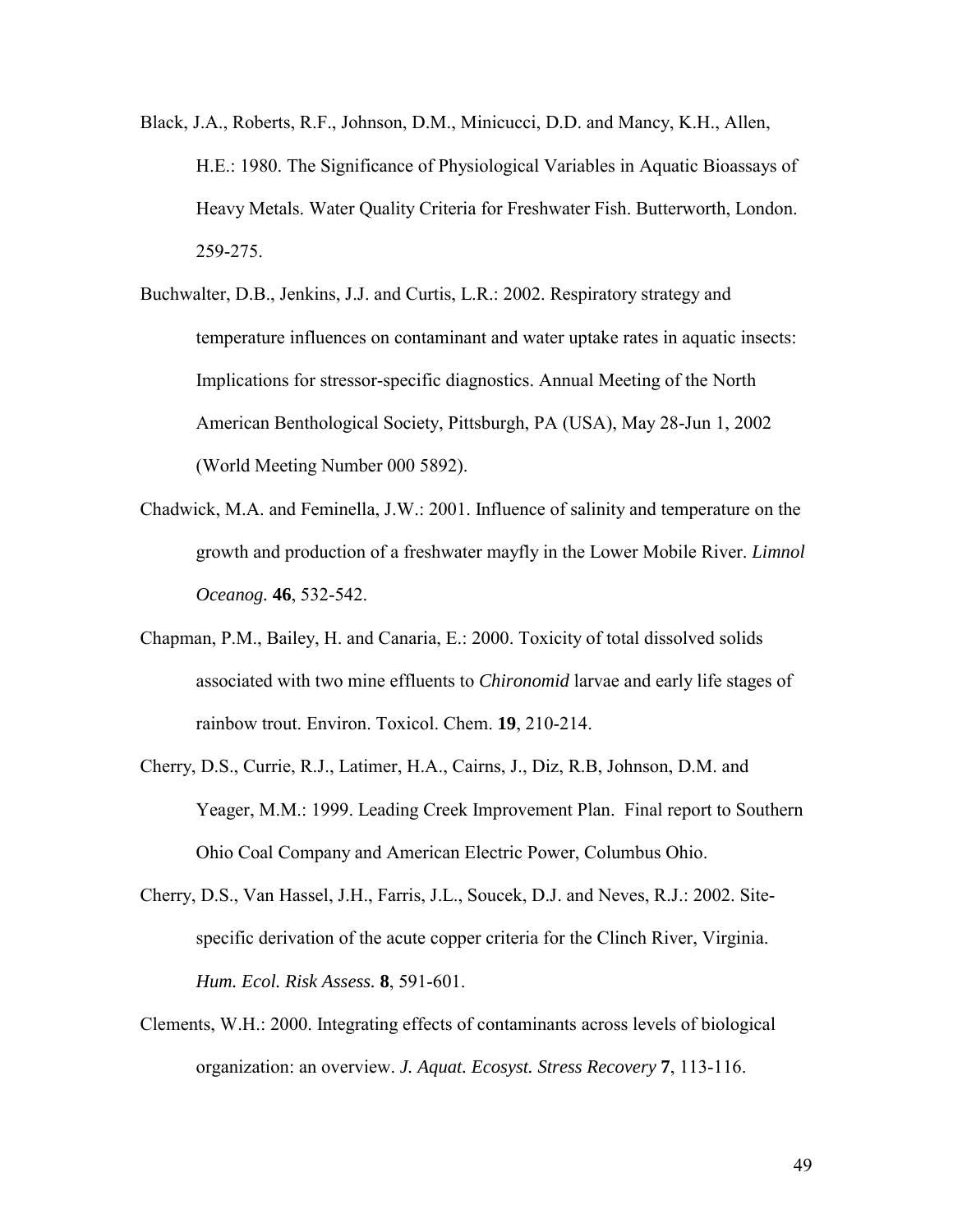- Black, J.A., Roberts, R.F., Johnson, D.M., Minicucci, D.D. and Mancy, K.H., Allen, H.E.: 1980. The Significance of Physiological Variables in Aquatic Bioassays of Heavy Metals. Water Quality Criteria for Freshwater Fish. Butterworth, London. 259-275.
- Buchwalter, D.B., Jenkins, J.J. and Curtis, L.R.: 2002. Respiratory strategy and temperature influences on contaminant and water uptake rates in aquatic insects: Implications for stressor-specific diagnostics. Annual Meeting of the North American Benthological Society, Pittsburgh, PA (USA), May 28-Jun 1, 2002 (World Meeting Number 000 5892).
- Chadwick, M.A. and Feminella, J.W.: 2001. Influence of salinity and temperature on the growth and production of a freshwater mayfly in the Lower Mobile River. *Limnol Oceanog.* **46**, 532-542.
- Chapman, P.M., Bailey, H. and Canaria, E.: 2000. Toxicity of total dissolved solids associated with two mine effluents to *Chironomid* larvae and early life stages of rainbow trout. Environ. Toxicol. Chem. **19**, 210-214.
- Cherry, D.S., Currie, R.J., Latimer, H.A., Cairns, J., Diz, R.B, Johnson, D.M. and Yeager, M.M.: 1999. Leading Creek Improvement Plan. Final report to Southern Ohio Coal Company and American Electric Power, Columbus Ohio.
- Cherry, D.S., Van Hassel, J.H., Farris, J.L., Soucek, D.J. and Neves, R.J.: 2002. Site specific derivation of the acute copper criteria for the Clinch River, Virginia.  *Hum. Ecol. Risk Assess.* **8**, 591-601.
- Clements, W.H.: 2000. Integrating effects of contaminants across levels of biological organization: an overview. *J. Aquat. Ecosyst. Stress Recovery* **7**, 113-116.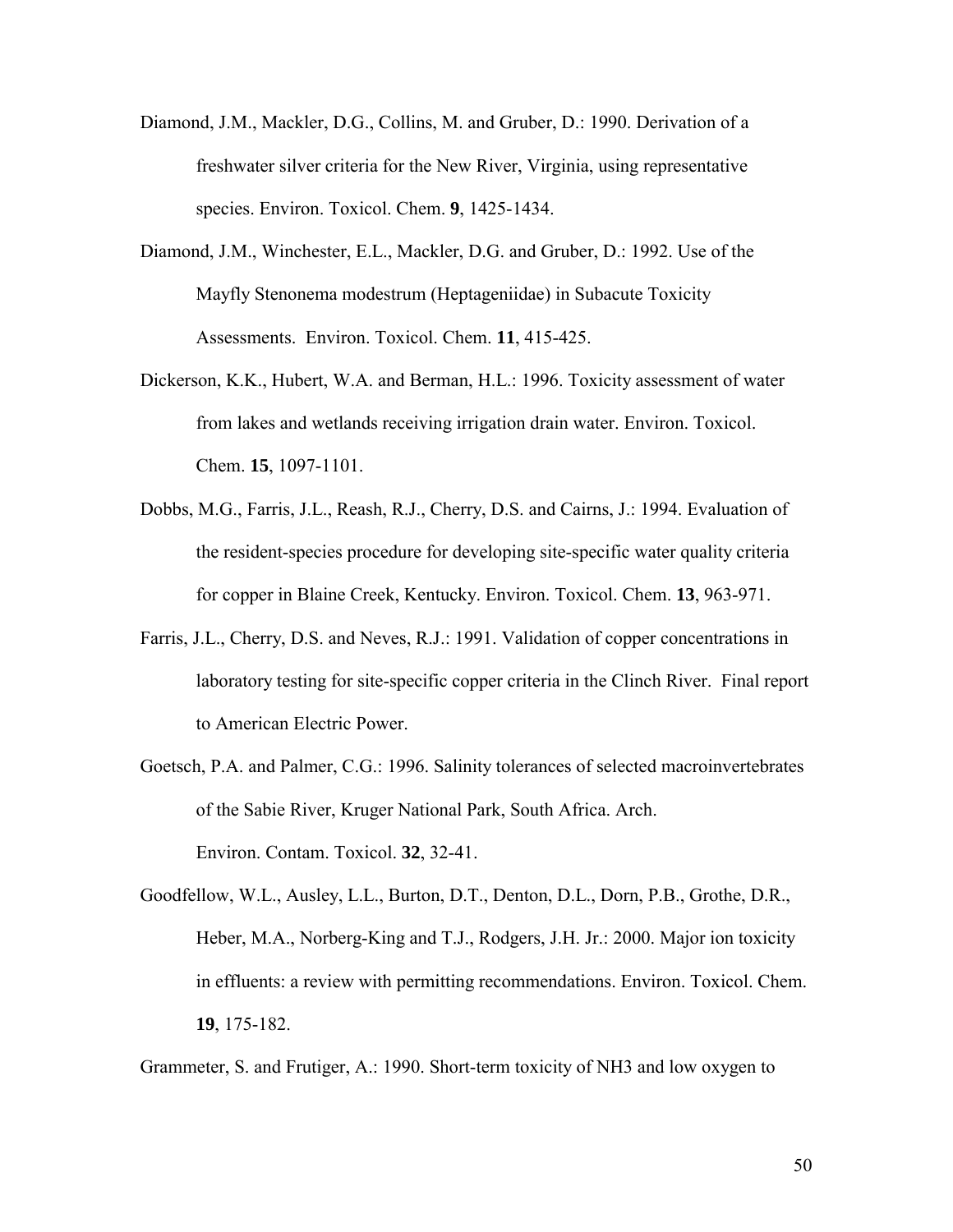- Diamond, J.M., Mackler, D.G., Collins, M. and Gruber, D.: 1990. Derivation of a freshwater silver criteria for the New River, Virginia, using representative species. Environ. Toxicol. Chem. **9**, 1425-1434.
- Diamond, J.M., Winchester, E.L., Mackler, D.G. and Gruber, D.: 1992. Use of the Mayfly Stenonema modestrum (Heptageniidae) in Subacute Toxicity Assessments. Environ. Toxicol. Chem. **11**, 415-425.
- Dickerson, K.K., Hubert, W.A. and Berman, H.L.: 1996. Toxicity assessment of water from lakes and wetlands receiving irrigation drain water. Environ. Toxicol. Chem. **15**, 1097-1101.
- Dobbs, M.G., Farris, J.L., Reash, R.J., Cherry, D.S. and Cairns, J.: 1994. Evaluation of the resident-species procedure for developing site-specific water quality criteria for copper in Blaine Creek, Kentucky. Environ. Toxicol. Chem. **13**, 963-971.
- Farris, J.L., Cherry, D.S. and Neves, R.J.: 1991. Validation of copper concentrations in laboratory testing for site-specific copper criteria in the Clinch River. Final report to American Electric Power.
- Goetsch, P.A. and Palmer, C.G.: 1996. Salinity tolerances of selected macroinvertebrates of the Sabie River, Kruger National Park, South Africa. Arch. Environ. Contam. Toxicol. **32**, 32-41.
- Goodfellow, W.L., Ausley, L.L., Burton, D.T., Denton, D.L., Dorn, P.B., Grothe, D.R., Heber, M.A., Norberg-King and T.J., Rodgers, J.H. Jr.: 2000. Major ion toxicity in effluents: a review with permitting recommendations. Environ. Toxicol. Chem. **19**, 175-182.

Grammeter, S. and Frutiger, A.: 1990. Short-term toxicity of NH3 and low oxygen to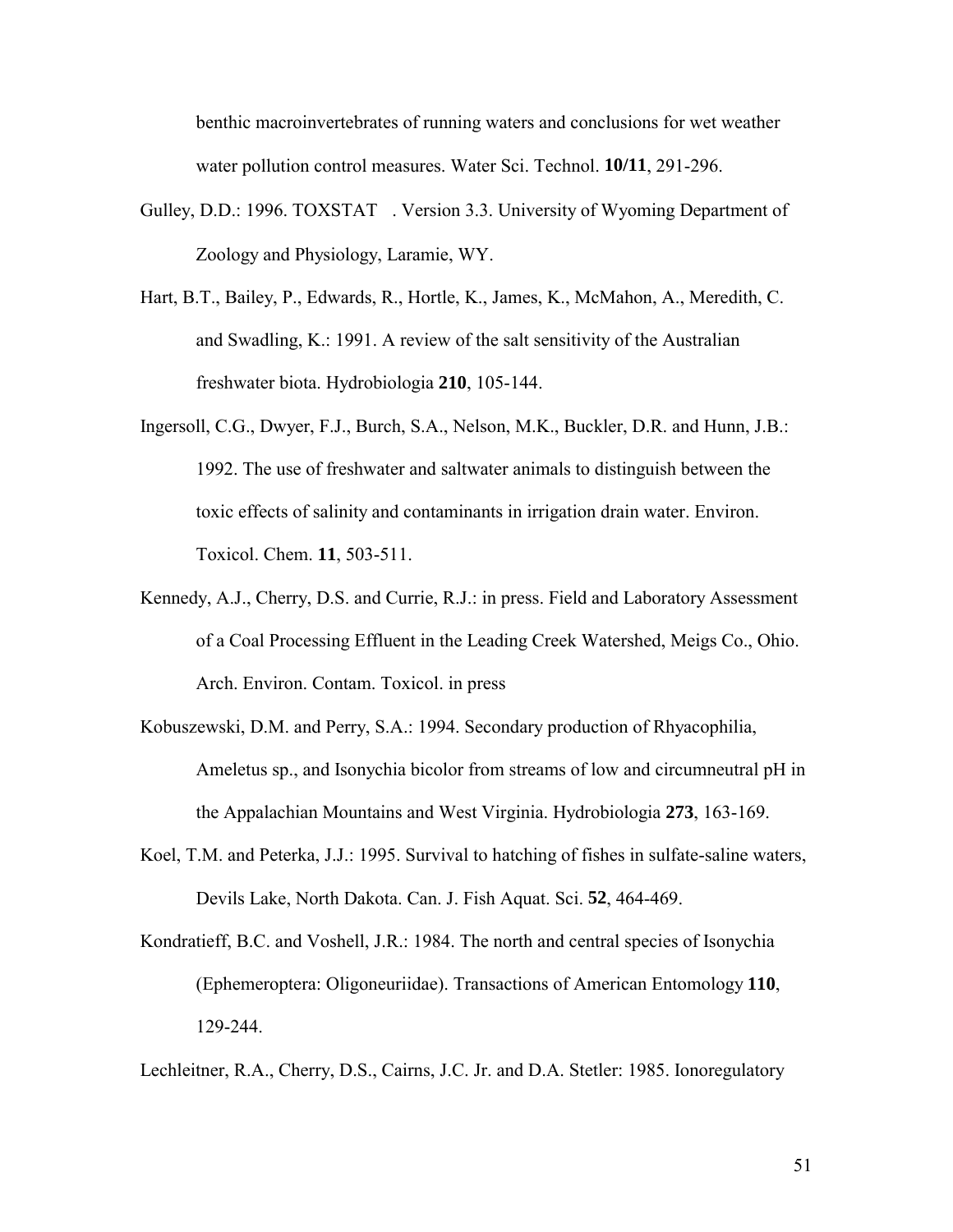benthic macroinvertebrates of running waters and conclusions for wet weather water pollution control measures. Water Sci. Technol. **10/11**, 291-296.

- Gulley, D.D.: 1996. TOXSTAT®. Version 3.3. University of Wyoming Department of Zoology and Physiology, Laramie, WY.
- Hart, B.T., Bailey, P., Edwards, R., Hortle, K., James, K., McMahon, A., Meredith, C. and Swadling, K.: 1991. A review of the salt sensitivity of the Australian freshwater biota. Hydrobiologia **210**, 105-144.
- Ingersoll, C.G., Dwyer, F.J., Burch, S.A., Nelson, M.K., Buckler, D.R. and Hunn, J.B.: 1992. The use of freshwater and saltwater animals to distinguish between the toxic effects of salinity and contaminants in irrigation drain water. Environ. Toxicol. Chem. **11**, 503-511.
- Kennedy, A.J., Cherry, D.S. and Currie, R.J.: in press. Field and Laboratory Assessment of a Coal Processing Effluent in the Leading Creek Watershed, Meigs Co., Ohio. Arch. Environ. Contam. Toxicol. in press
- Kobuszewski, D.M. and Perry, S.A.: 1994. Secondary production of Rhyacophilia, Ameletus sp., and Isonychia bicolor from streams of low and circumneutral pH in the Appalachian Mountains and West Virginia. Hydrobiologia **273**, 163-169.
- Koel, T.M. and Peterka, J.J.: 1995. Survival to hatching of fishes in sulfate-saline waters, Devils Lake, North Dakota. Can. J. Fish Aquat. Sci. **52**, 464-469.
- Kondratieff, B.C. and Voshell, J.R.: 1984. The north and central species of Isonychia (Ephemeroptera: Oligoneuriidae). Transactions of American Entomology **110**, 129-244.

Lechleitner, R.A., Cherry, D.S., Cairns, J.C. Jr. and D.A. Stetler: 1985. Ionoregulatory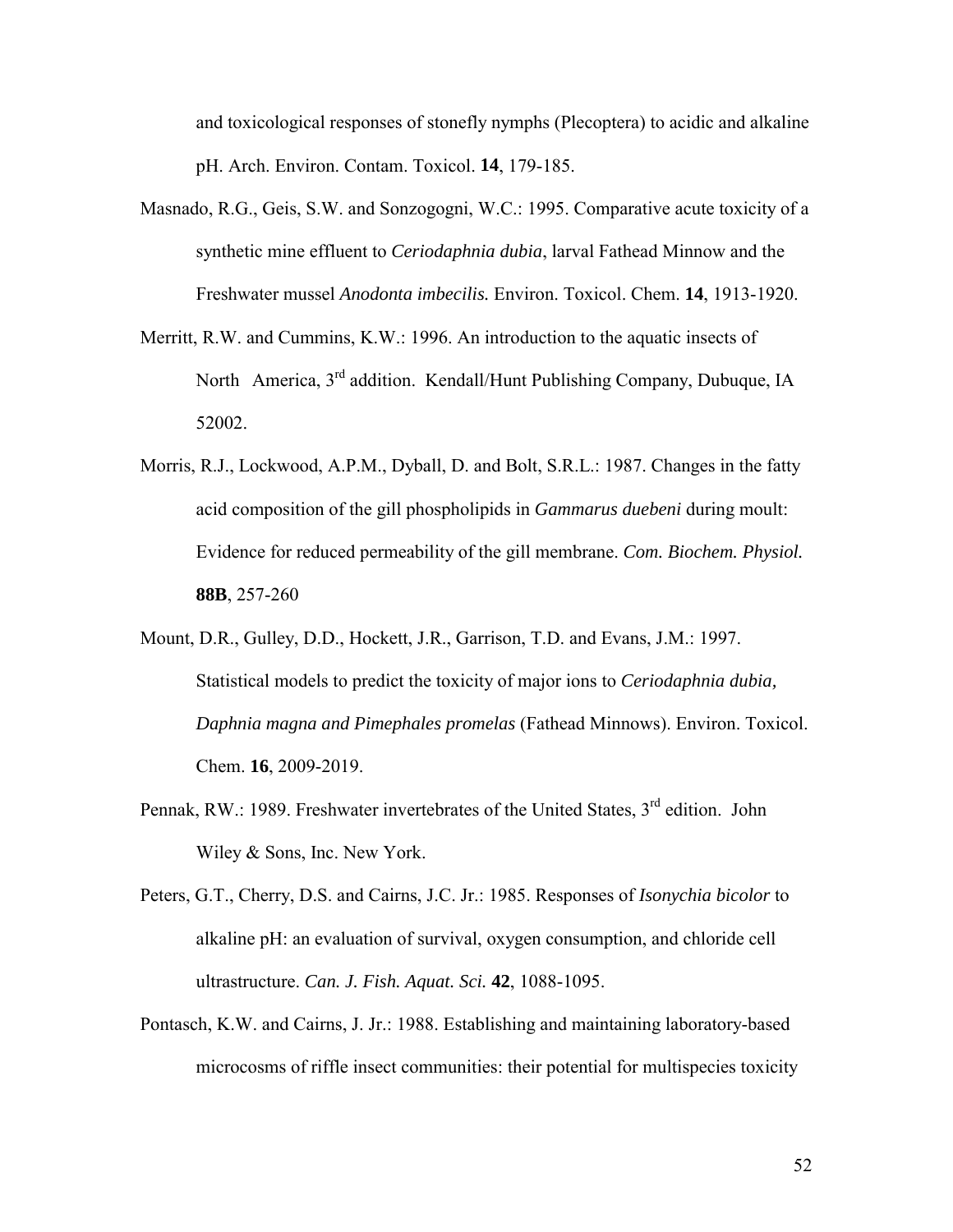and toxicological responses of stonefly nymphs (Plecoptera) to acidic and alkaline pH. Arch. Environ. Contam. Toxicol. **14**, 179-185.

- Masnado, R.G., Geis, S.W. and Sonzogogni, W.C.: 1995. Comparative acute toxicity of a synthetic mine effluent to *Ceriodaphnia dubia*, larval Fathead Minnow and the Freshwater mussel *Anodonta imbecilis.* Environ. Toxicol. Chem. **14**, 1913-1920.
- Merritt, R.W. and Cummins, K.W.: 1996. An introduction to the aquatic insects of North America, 3rd addition. Kendall/Hunt Publishing Company, Dubuque, IA 52002.
- Morris, R.J., Lockwood, A.P.M., Dyball, D. and Bolt, S.R.L.: 1987. Changes in the fatty acid composition of the gill phospholipids in *Gammarus duebeni* during moult: Evidence for reduced permeability of the gill membrane. *Com. Biochem. Physiol.* **88B**, 257-260
- Mount, D.R., Gulley, D.D., Hockett, J.R., Garrison, T.D. and Evans, J.M.: 1997. Statistical models to predict the toxicity of major ions to *Ceriodaphnia dubia, Daphnia magna and Pimephales promelas* (Fathead Minnows). Environ. Toxicol. Chem. **16**, 2009-2019.
- Pennak, RW.: 1989. Freshwater invertebrates of the United States, 3<sup>rd</sup> edition. John Wiley & Sons, Inc. New York.
- Peters, G.T., Cherry, D.S. and Cairns, J.C. Jr.: 1985. Responses of *Isonychia bicolor* to alkaline pH: an evaluation of survival, oxygen consumption, and chloride cell ultrastructure. *Can. J. Fish. Aquat. Sci.* **42**, 1088-1095.
- Pontasch, K.W. and Cairns, J. Jr.: 1988. Establishing and maintaining laboratory-based microcosms of riffle insect communities: their potential for multispecies toxicity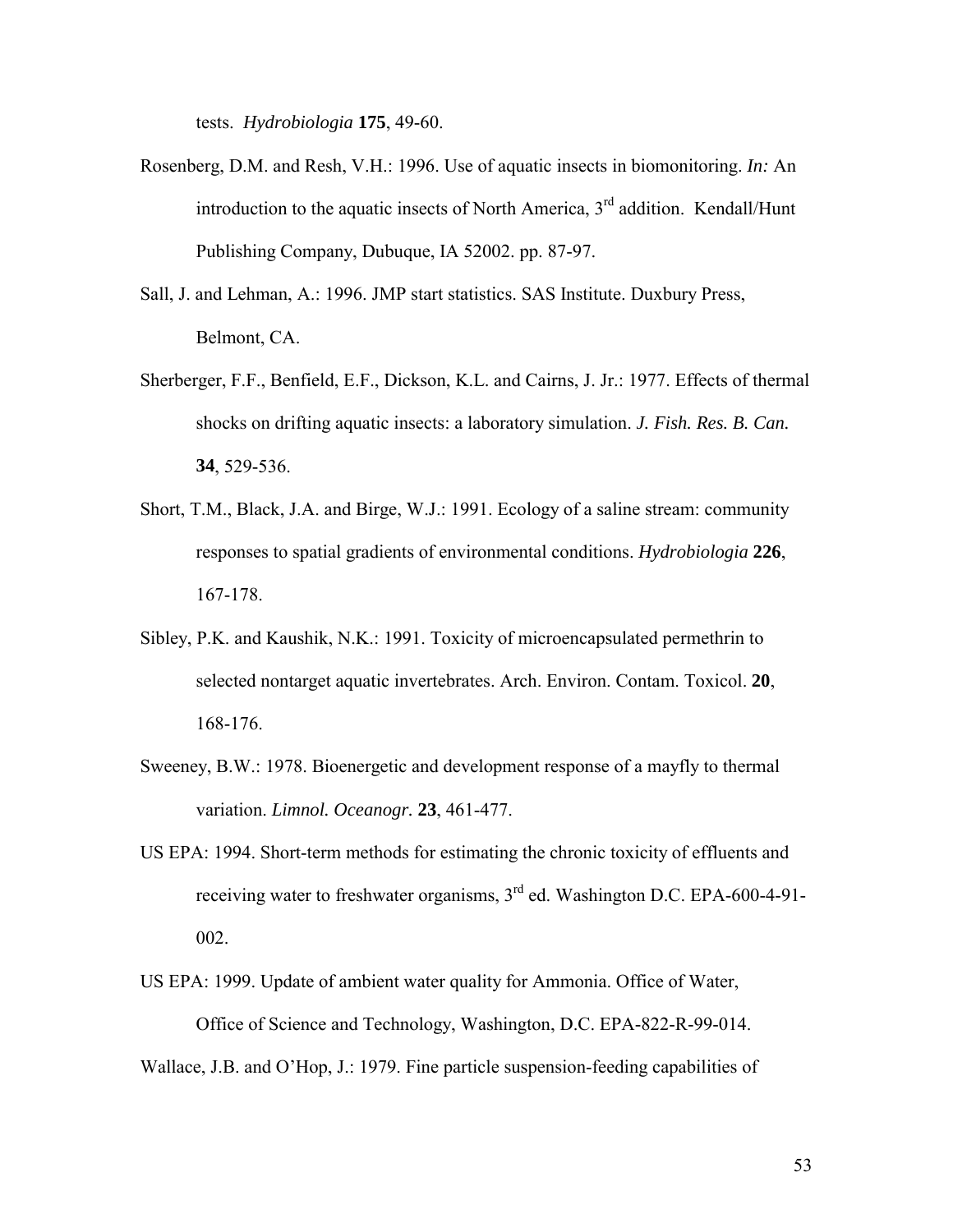tests. *Hydrobiologia* **175**, 49-60.

- Rosenberg, D.M. and Resh, V.H.: 1996. Use of aquatic insects in biomonitoring. *In:* An introduction to the aquatic insects of North America,  $3<sup>rd</sup>$  addition. Kendall/Hunt Publishing Company, Dubuque, IA 52002. pp. 87-97.
- Sall, J. and Lehman, A.: 1996. JMP start statistics. SAS Institute. Duxbury Press, Belmont, CA.
- Sherberger, F.F., Benfield, E.F., Dickson, K.L. and Cairns, J. Jr.: 1977. Effects of thermal shocks on drifting aquatic insects: a laboratory simulation. *J. Fish. Res. B. Can.* **34**, 529-536.
- Short, T.M., Black, J.A. and Birge, W.J.: 1991. Ecology of a saline stream: community responses to spatial gradients of environmental conditions. *Hydrobiologia* **226**, 167-178.
- Sibley, P.K. and Kaushik, N.K.: 1991. Toxicity of microencapsulated permethrin to selected nontarget aquatic invertebrates. Arch. Environ. Contam. Toxicol. **20**, 168-176.
- Sweeney, B.W.: 1978. Bioenergetic and development response of a mayfly to thermal variation. *Limnol. Oceanogr.* **23**, 461-477.
- US EPA: 1994. Short-term methods for estimating the chronic toxicity of effluents and receiving water to freshwater organisms,  $3<sup>rd</sup>$  ed. Washington D.C. EPA-600-4-91-002.
- US EPA: 1999. Update of ambient water quality for Ammonia. Office of Water, Office of Science and Technology, Washington, D.C. EPA-822-R-99-014.
- Wallace, J.B. and O'Hop, J.: 1979. Fine particle suspension-feeding capabilities of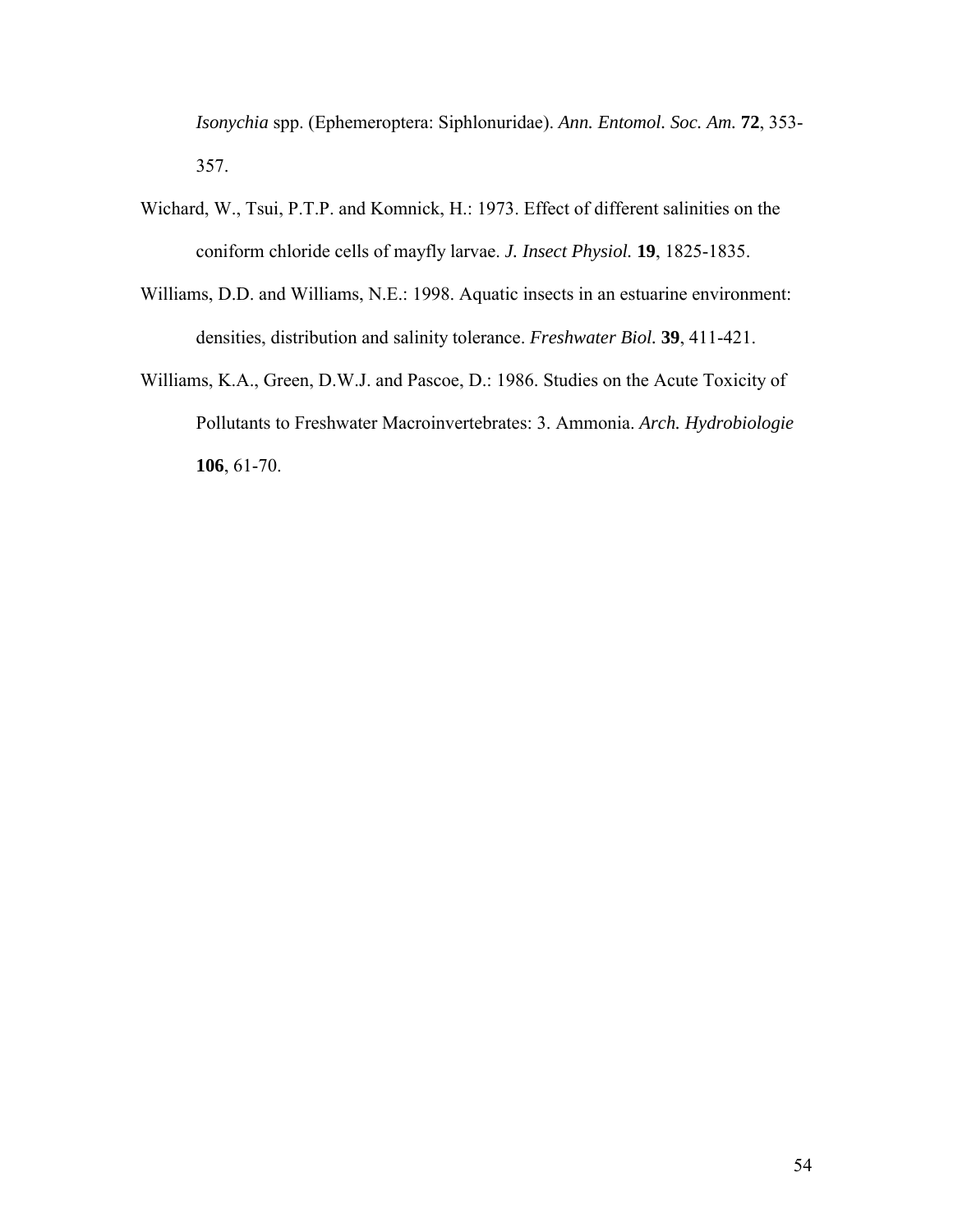*Isonychia* spp. (Ephemeroptera: Siphlonuridae). *Ann. Entomol. Soc. Am.* **72**, 353- 357.

- Wichard, W., Tsui, P.T.P. and Komnick, H.: 1973. Effect of different salinities on the coniform chloride cells of mayfly larvae. *J. Insect Physiol.* **19**, 1825-1835.
- Williams, D.D. and Williams, N.E.: 1998. Aquatic insects in an estuarine environment: densities, distribution and salinity tolerance. *Freshwater Biol.* **39**, 411-421.
- Williams, K.A., Green, D.W.J. and Pascoe, D.: 1986. Studies on the Acute Toxicity of Pollutants to Freshwater Macroinvertebrates: 3. Ammonia. *Arch. Hydrobiologie* **106**, 61-70.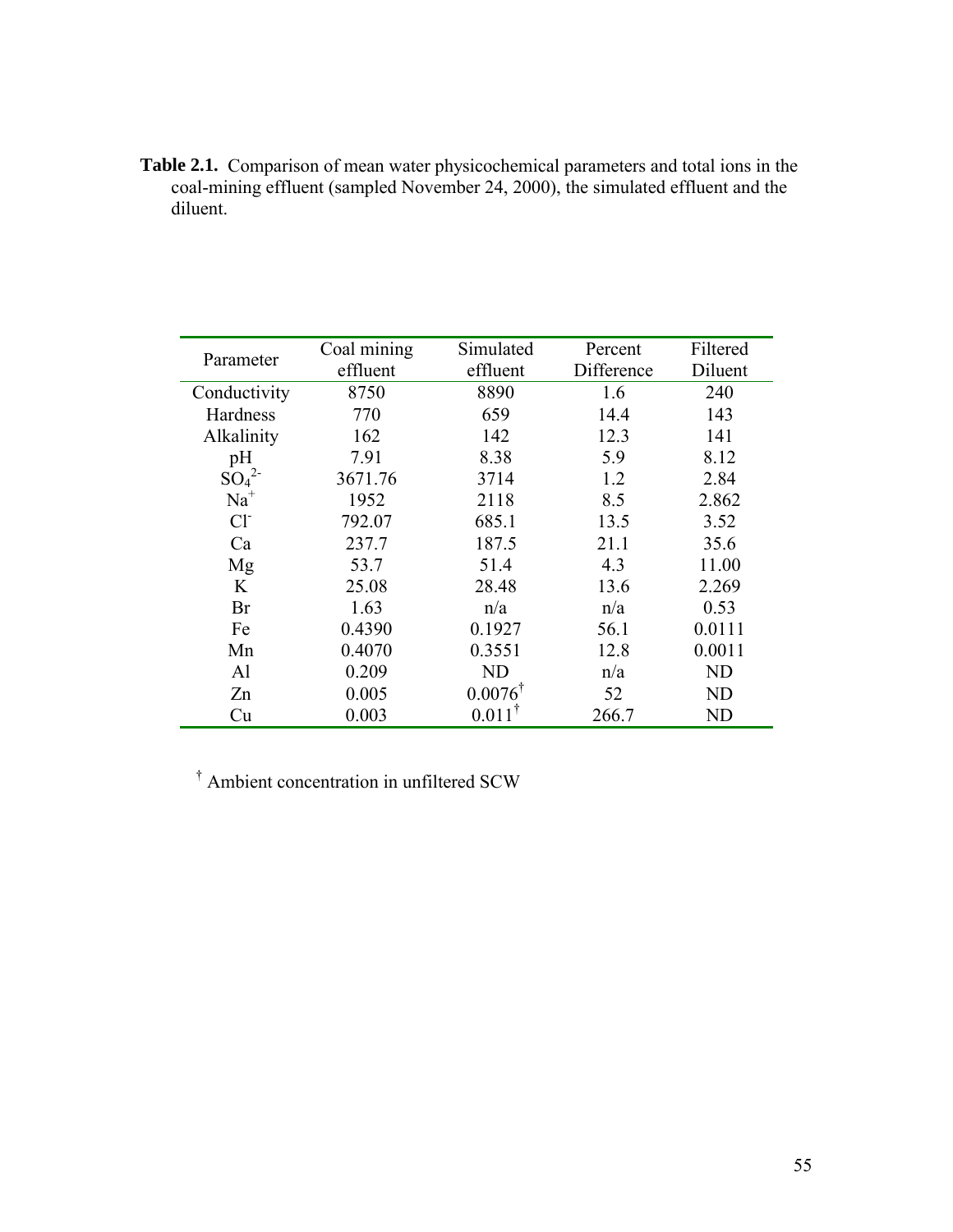**Table 2.1.** Comparison of mean water physicochemical parameters and total ions in the coal-mining effluent (sampled November 24, 2000), the simulated effluent and the diluent.

| Parameter    | Coal mining | Simulated          | Percent    | Filtered       |
|--------------|-------------|--------------------|------------|----------------|
|              | effluent    | effluent           | Difference | Diluent        |
| Conductivity | 8750        | 8890               | 1.6        | 240            |
| Hardness     | 770         | 659                | 14.4       | 143            |
| Alkalinity   | 162         | 142                | 12.3       | 141            |
| pH           | 7.91        | 8.38               | 5.9        | 8.12           |
| $SO_4^2$     | 3671.76     | 3714               | 1.2        | 2.84           |
| $Na+$        | 1952        | 2118               | 8.5        | 2.862          |
| $Cl-$        | 792.07      | 685.1              | 13.5       | 3.52           |
| Ca           | 237.7       | 187.5              | 21.1       | 35.6           |
| Mg           | 53.7        | 51.4               | 4.3        | 11.00          |
| K            | 25.08       | 28.48              | 13.6       | 2.269          |
| Br           | 1.63        | n/a                | n/a        | 0.53           |
| Fe           | 0.4390      | 0.1927             | 56.1       | 0.0111         |
| Mn           | 0.4070      | 0.3551             | 12.8       | 0.0011         |
| Al           | 0.209       | ND                 | n/a        | N <sub>D</sub> |
| Zn           | 0.005       | $0.0076^{\dagger}$ | 52         | <b>ND</b>      |
| Cu           | 0.003       | $0.011^{\dagger}$  | 266.7      | ND             |

† Ambient concentration in unfiltered SCW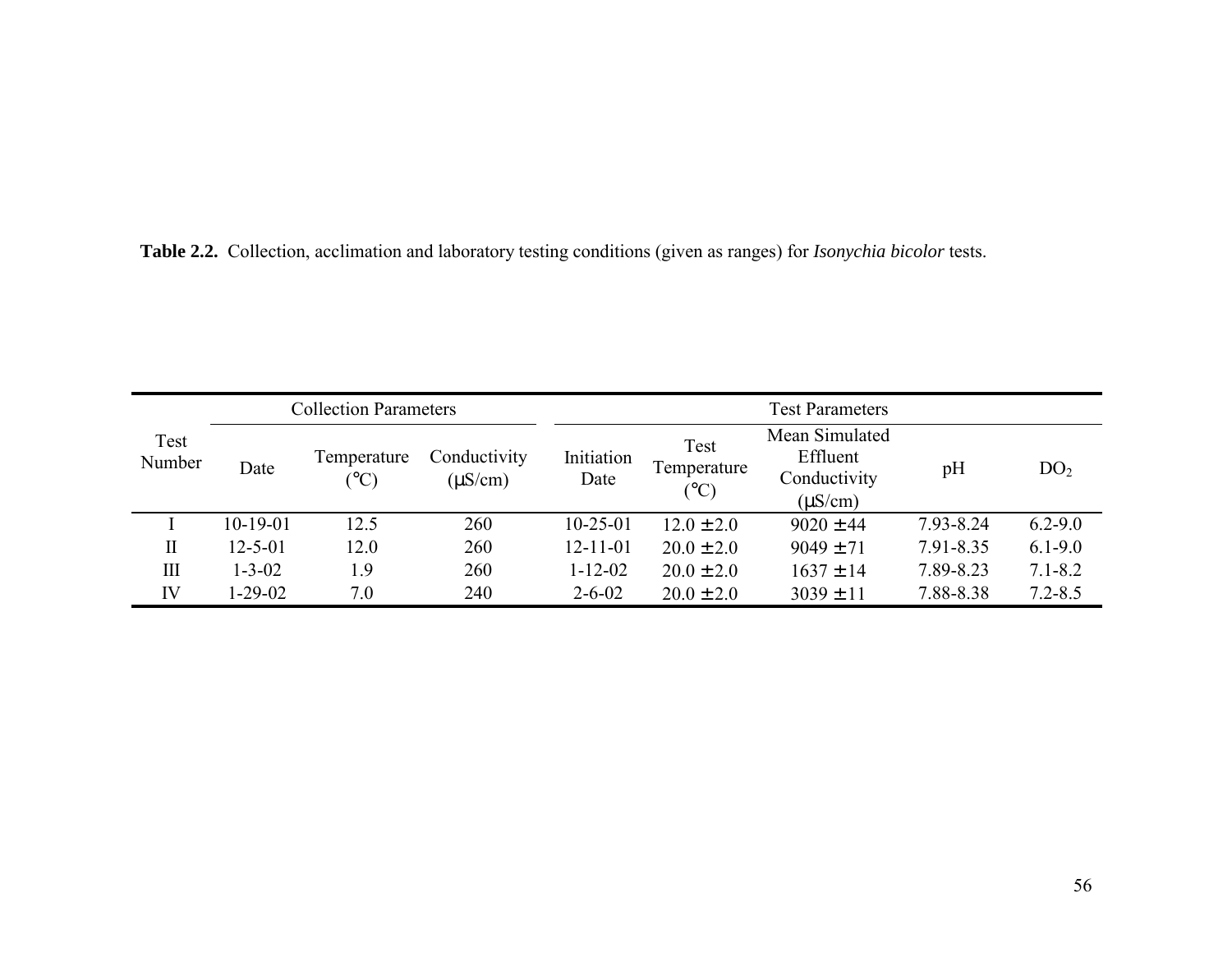**Table 2.2.** Collection, acclimation and laboratory testing conditions (given as ranges) for *Isonychia bicolor* tests.

| <b>Collection Parameters</b> |               |                                 |                              | <b>Test Parameters</b> |                             |                                                            |           |                 |  |
|------------------------------|---------------|---------------------------------|------------------------------|------------------------|-----------------------------|------------------------------------------------------------|-----------|-----------------|--|
| Test<br>Number               | Date          | Temperature<br>$\rm ^{\circ}C)$ | Conductivity<br>$(\mu S/cm)$ | Initiation<br>Date     | Test<br>Temperature<br>(°C) | Mean Simulated<br>Effluent<br>Conductivity<br>$(\mu S/cm)$ | pH        | DO <sub>2</sub> |  |
|                              | $10-19-01$    | 12.5                            | 260                          | $10 - 25 - 01$         | $12.0 \pm 2.0$              | $9020 \pm 44$                                              | 7.93-8.24 | $6.2 - 9.0$     |  |
| $\mathbf{I}$                 | $12 - 5 - 01$ | 12.0                            | 260                          | $12 - 11 - 01$         | $20.0 \pm 2.0$              | $9049 \pm 71$                                              | 7.91-8.35 | $6.1 - 9.0$     |  |
| Ш                            | $1 - 3 - 02$  | 1.9                             | 260                          | $1 - 12 - 02$          | $20.0 \pm 2.0$              | $1637 \pm 14$                                              | 7.89-8.23 | $7.1 - 8.2$     |  |
| IV                           | 1-29-02       | 7.0                             | 240                          | $2 - 6 - 02$           | $20.0 \pm 2.0$              | $3039 \pm 11$                                              | 7.88-8.38 | $7.2 - 8.5$     |  |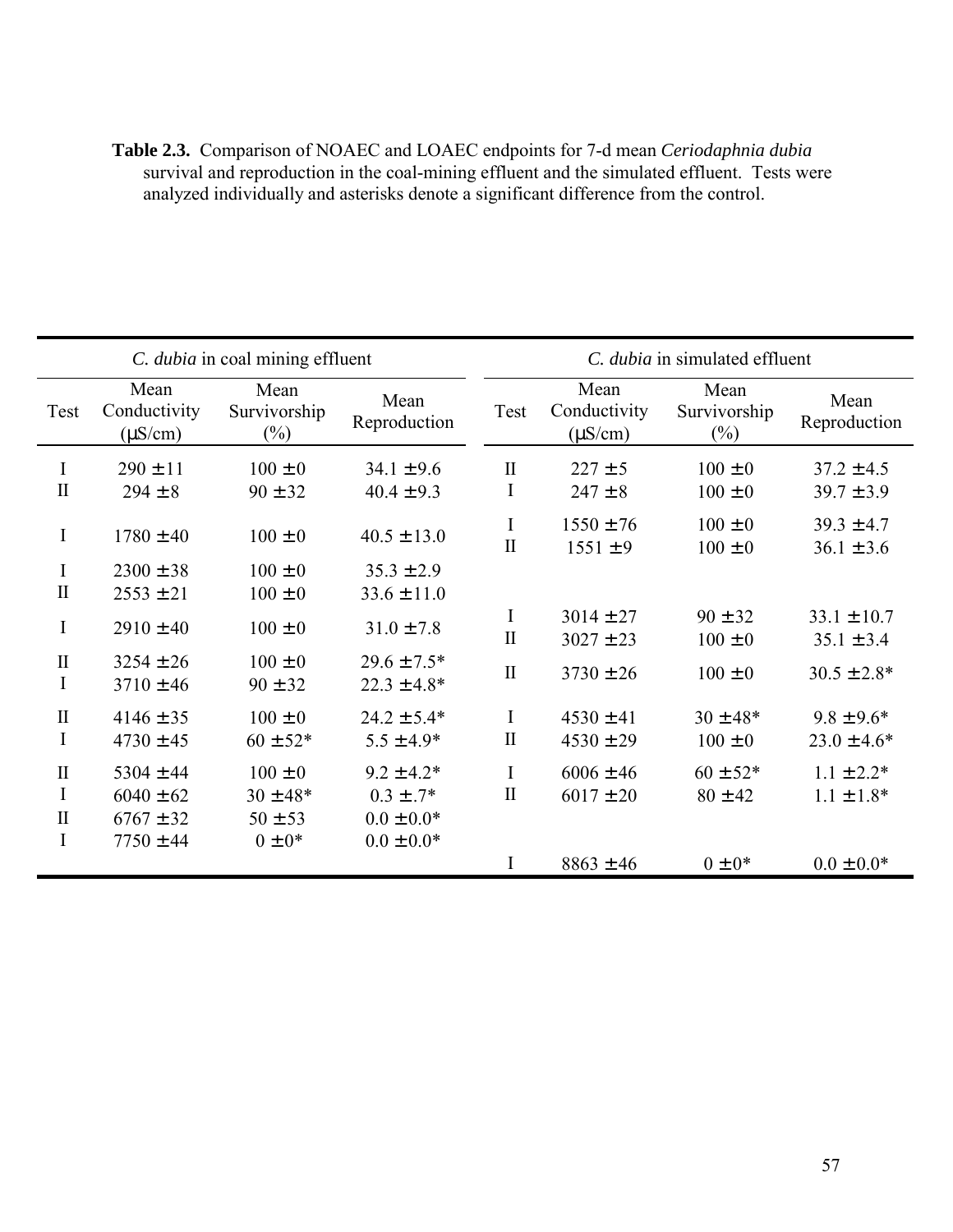| <b>Table 2.3.</b> Comparison of NOAEC and LOAEC endpoints for 7-d mean <i>Ceriodaphnia dubia</i> |  |
|--------------------------------------------------------------------------------------------------|--|
| survival and reproduction in the coal-mining effluent and the simulated effluent. Tests were     |  |
| analyzed individually and asterisks denote a significant difference from the control.            |  |

| C. dubia in coal mining effluent             |                                                                  |                                                           | C. dubia in simulated effluent                                     |                   |                                      |                                |                                   |
|----------------------------------------------|------------------------------------------------------------------|-----------------------------------------------------------|--------------------------------------------------------------------|-------------------|--------------------------------------|--------------------------------|-----------------------------------|
| Test                                         | Mean<br>Conductivity<br>$(\mu S/cm)$                             | Mean<br>Survivorship<br>$(\%)$                            | Mean<br>Reproduction                                               | Test              | Mean<br>Conductivity<br>$(\mu S/cm)$ | Mean<br>Survivorship<br>$(\%)$ | Mean<br>Reproduction              |
| I<br>$\mathbf{I}$                            | $290 \pm 11$<br>$294 \pm 8$                                      | $100 \pm 0$<br>$90 \pm 32$                                | $34.1 \pm 9.6$<br>$40.4 \pm 9.3$                                   | $\mathbf{I}$<br>I | $227 \pm 5$<br>$247 \pm 8$           | $100 \pm 0$<br>$100 \pm 0$     | $37.2 \pm 4.5$<br>$39.7 \pm 3.9$  |
| I                                            | $1780 \pm 40$                                                    | $100 \pm 0$                                               | $40.5 \pm 13.0$                                                    | I<br>$\mathbf{I}$ | $1550 \pm 76$<br>$1551 \pm 9$        | $100 \pm 0$<br>$100 \pm 0$     | $39.3 \pm 4.7$<br>$36.1 \pm 3.6$  |
| I<br>$\mathbf{I}$                            | $2300 \pm 38$<br>$2553 \pm 21$                                   | $100 \pm 0$<br>$100 \pm 0$                                | $35.3 \pm 2.9$<br>$33.6 \pm 11.0$                                  |                   |                                      |                                |                                   |
| $\bf{I}$                                     | $2910 \pm 40$                                                    | $100 \pm 0$                                               | $31.0 \pm 7.8$                                                     | I<br>$\mathbf{I}$ | $3014 \pm 27$<br>$3027 \pm 23$       | $90 \pm 32$<br>$100 \pm 0$     | $33.1 \pm 10.7$<br>$35.1 \pm 3.4$ |
| $\mathbf{I}$<br>I                            | $3254 \pm 26$<br>$3710 \pm 46$                                   | $100 \pm 0$<br>$90 \pm 32$                                | $29.6 \pm 7.5*$<br>$22.3 \pm 4.8*$                                 | $\mathbf I$       | $3730 \pm 26$                        | $100 \pm 0$                    | $30.5 \pm 2.8*$                   |
| $\rm II$<br>$\rm I$                          | $4146 \pm 35$<br>$4730 \pm 45$                                   | $100 \pm 0$<br>$60 \pm 52*$                               | $24.2 \pm 5.4*$<br>$5.5 \pm 4.9*$                                  | I<br>$\mathbf I$  | $4530 \pm 41$<br>$4530 \pm 29$       | $30 \pm 48*$<br>$100 \pm 0$    | $9.8 \pm 9.6*$<br>$23.0 \pm 4.6*$ |
| $\mathbf{I}$<br>I<br>$\mathbf{I}$<br>$\rm I$ | $5304 \pm 44$<br>$6040 \pm 62$<br>$6767 \pm 32$<br>$7750 \pm 44$ | $100 \pm 0$<br>$30 \pm 48*$<br>$50 \pm 53$<br>$0 \pm 0^*$ | $9.2 \pm 4.2*$<br>$0.3 \pm .7*$<br>$0.0 \pm 0.0*$<br>$0.0\pm0.0^*$ | I<br>$\mathbf I$  | $6006 \pm 46$<br>$6017 \pm 20$       | $60 \pm 52*$<br>$80 \pm 42$    | $1.1 \pm 2.2*$<br>$1.1 \pm 1.8*$  |
|                                              |                                                                  |                                                           |                                                                    | I                 | $8863 \pm 46$                        | $0 \pm 0^*$                    | $0.0 \pm 0.0*$                    |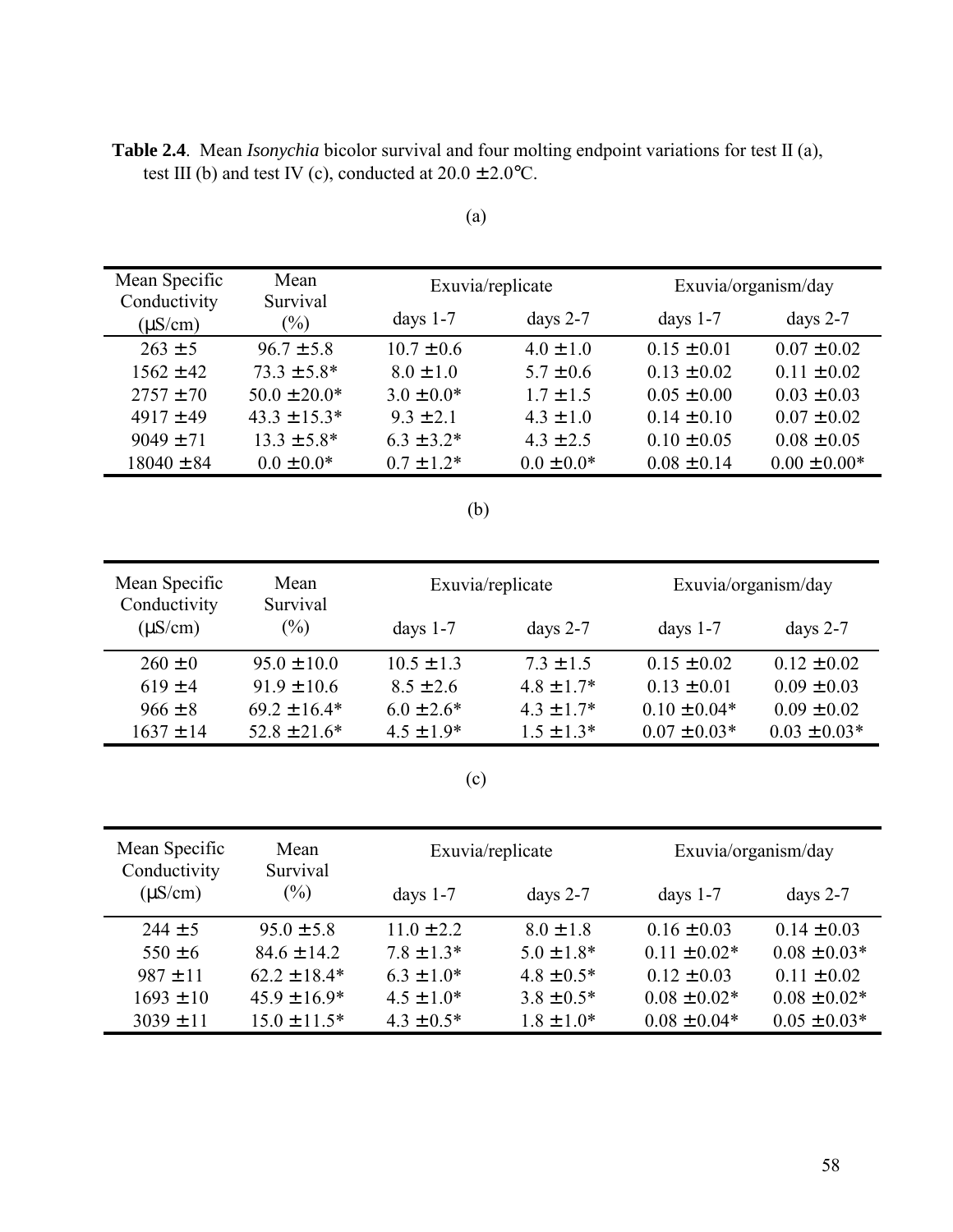**Table 2.4**. Mean *Isonychia* bicolor survival and four molting endpoint variations for test II (a), test III (b) and test IV (c), conducted at  $20.0 \pm 2.0$ °C.

| Mean Specific                | Mean<br>Survival  |                 | Exuvia/replicate | Exuvia/organism/day |                  |
|------------------------------|-------------------|-----------------|------------------|---------------------|------------------|
| Conductivity<br>$(\mu S/cm)$ | $(\%)$            | days $1-7$      | days $2-7$       | days $1-7$          | days $2-7$       |
| $263 \pm 5$                  | $96.7 \pm 5.8$    | $10.7 \pm 0.6$  | $4.0 \pm 1.0$    | $0.15 \pm 0.01$     | $0.07 \pm 0.02$  |
| $1562 \pm 42$                | $73.3 \pm 5.8^*$  | $8.0 \pm 1.0$   | $5.7 \pm 0.6$    | $0.13 \pm 0.02$     | $0.11 \pm 0.02$  |
| $2757 \pm 70$                | $50.0 \pm 20.0*$  | $3.0 \pm 0.0^*$ | $1.7 \pm 1.5$    | $0.05 \pm 0.00$     | $0.03 \pm 0.03$  |
| $4917 \pm 49$                | $43.3 \pm 15.3^*$ | $9.3 \pm 2.1$   | $4.3 \pm 1.0$    | $0.14 \pm 0.10$     | $0.07 \pm 0.02$  |
| $9049 \pm 71$                | $13.3 \pm 5.8^*$  | $6.3 \pm 3.2^*$ | $4.3 \pm 2.5$    | $0.10 \pm 0.05$     | $0.08 \pm 0.05$  |
| $18040 \pm 84$               | $0.0 \pm 0.0*$    | $0.7 \pm 1.2^*$ | $0.0 \pm 0.0*$   | $0.08 \pm 0.14$     | $0.00 \pm 0.00*$ |

(b)

| Mean Specific<br>Conductivity | Mean<br>Survival |                 | Exuvia/replicate | Exuvia/organism/day |                  |  |
|-------------------------------|------------------|-----------------|------------------|---------------------|------------------|--|
| $(\mu S/cm)$                  | $(\%)$           | days $1-7$      | days $2-7$       | days $1-7$          | days $2-7$       |  |
| $260 \pm 0$                   | $95.0 \pm 10.0$  | $10.5 \pm 1.3$  | $7.3 \pm 1.5$    | $0.15 \pm 0.02$     | $0.12 \pm 0.02$  |  |
| $619 \pm 4$                   | $91.9 \pm 10.6$  | $8.5 \pm 2.6$   | $4.8 \pm 1.7*$   | $0.13 \pm 0.01$     | $0.09 \pm 0.03$  |  |
| $966 \pm 8$                   | $69.2 \pm 16.4*$ | $6.0 \pm 2.6^*$ | $4.3 \pm 1.7*$   | $0.10 \pm 0.04*$    | $0.09 \pm 0.02$  |  |
| $1637 \pm 14$                 | $52.8 \pm 21.6*$ | $4.5 \pm 1.9*$  | $1.5 \pm 1.3*$   | $0.07 \pm 0.03*$    | $0.03 \pm 0.03*$ |  |

(c)

| Mean Specific<br>Conductivity | Mean<br>Survival | Exuvia/replicate |                | Exuvia/organism/day |                  |
|-------------------------------|------------------|------------------|----------------|---------------------|------------------|
| $(\mu S/cm)$                  | $(\%)$           | days $1-7$       | days $2-7$     | days $1-7$          | days $2-7$       |
| $244 \pm 5$                   | $95.0 \pm 5.8$   | $11.0 \pm 2.2$   | $8.0 \pm 1.8$  | $0.16 \pm 0.03$     | $0.14 \pm 0.03$  |
| $550 \pm 6$                   | $84.6 \pm 14.2$  | $7.8 \pm 1.3*$   | $5.0 \pm 1.8*$ | $0.11 \pm 0.02*$    | $0.08 \pm 0.03*$ |
| $987 \pm 11$                  | $62.2 \pm 18.4*$ | $6.3 \pm 1.0^*$  | $4.8 \pm 0.5*$ | $0.12 \pm 0.03$     | $0.11 \pm 0.02$  |
| $1693 \pm 10$                 | $45.9 \pm 16.9*$ | $4.5 \pm 1.0^*$  | $3.8 \pm 0.5*$ | $0.08 \pm 0.02*$    | $0.08 \pm 0.02*$ |
| $3039 \pm 11$                 | $15.0 \pm 11.5*$ | $4.3 \pm 0.5^*$  | $1.8 \pm 1.0*$ | $0.08 \pm 0.04*$    | $0.05 \pm 0.03*$ |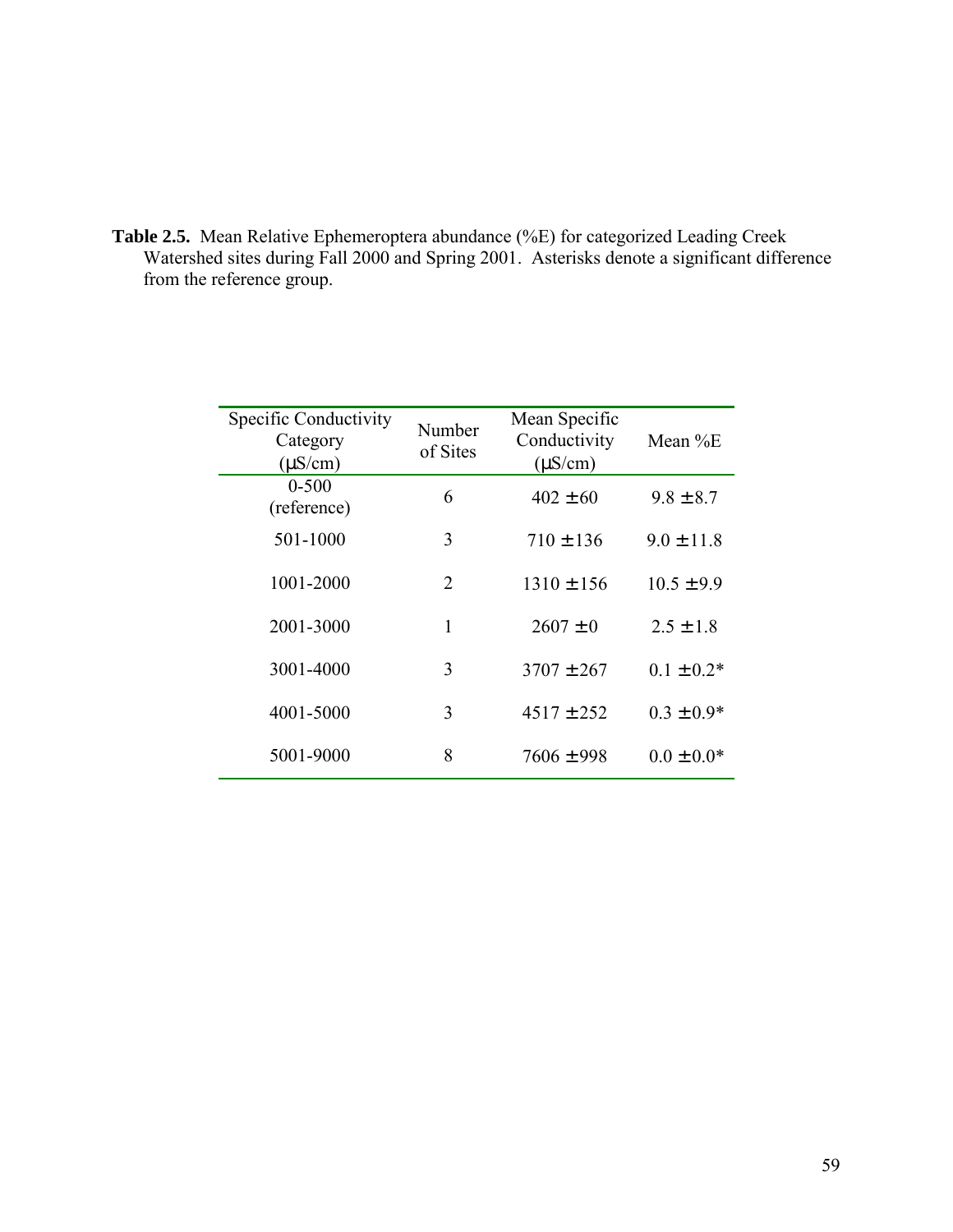**Table 2.5.** Mean Relative Ephemeroptera abundance (%E) for categorized Leading Creek Watershed sites during Fall 2000 and Spring 2001. Asterisks denote a significant difference from the reference group.

| Specific Conductivity<br>Category<br>$(\mu S/cm)$ | Number<br>of Sites | Mean Specific<br>Conductivity<br>$(\mu S/cm)$ | Mean $%E$      |
|---------------------------------------------------|--------------------|-----------------------------------------------|----------------|
| $0 - 500$<br>(reference)                          | 6                  | $402 \pm 60$                                  | $9.8 \pm 8.7$  |
| 501-1000                                          | 3                  | $710 \pm 136$                                 | $9.0 \pm 11.8$ |
| 1001-2000                                         | $\overline{2}$     | $1310 \pm 156$                                | $10.5 \pm 9.9$ |
| 2001-3000                                         | 1                  | $2607 \pm 0$                                  | $2.5 \pm 1.8$  |
| 3001-4000                                         | 3                  | $3707 \pm 267$                                | $0.1 \pm 0.2*$ |
| 4001-5000                                         | 3                  | $4517 \pm 252$                                | $0.3 \pm 0.9*$ |
| 5001-9000                                         | 8                  | $7606 \pm 998$                                | $0.0 \pm 0.0*$ |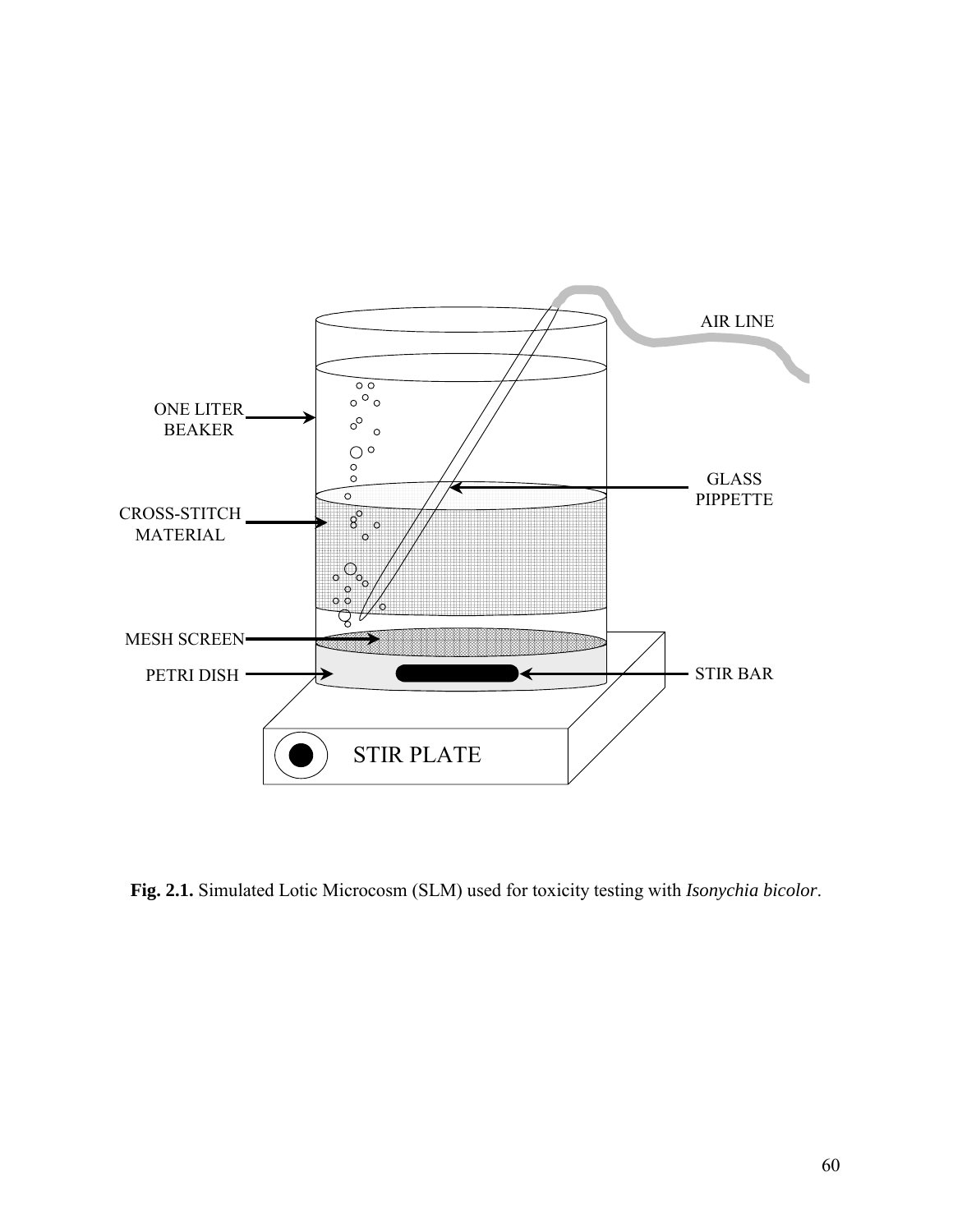

**Fig. 2.1.** Simulated Lotic Microcosm (SLM) used for toxicity testing with *Isonychia bicolor*.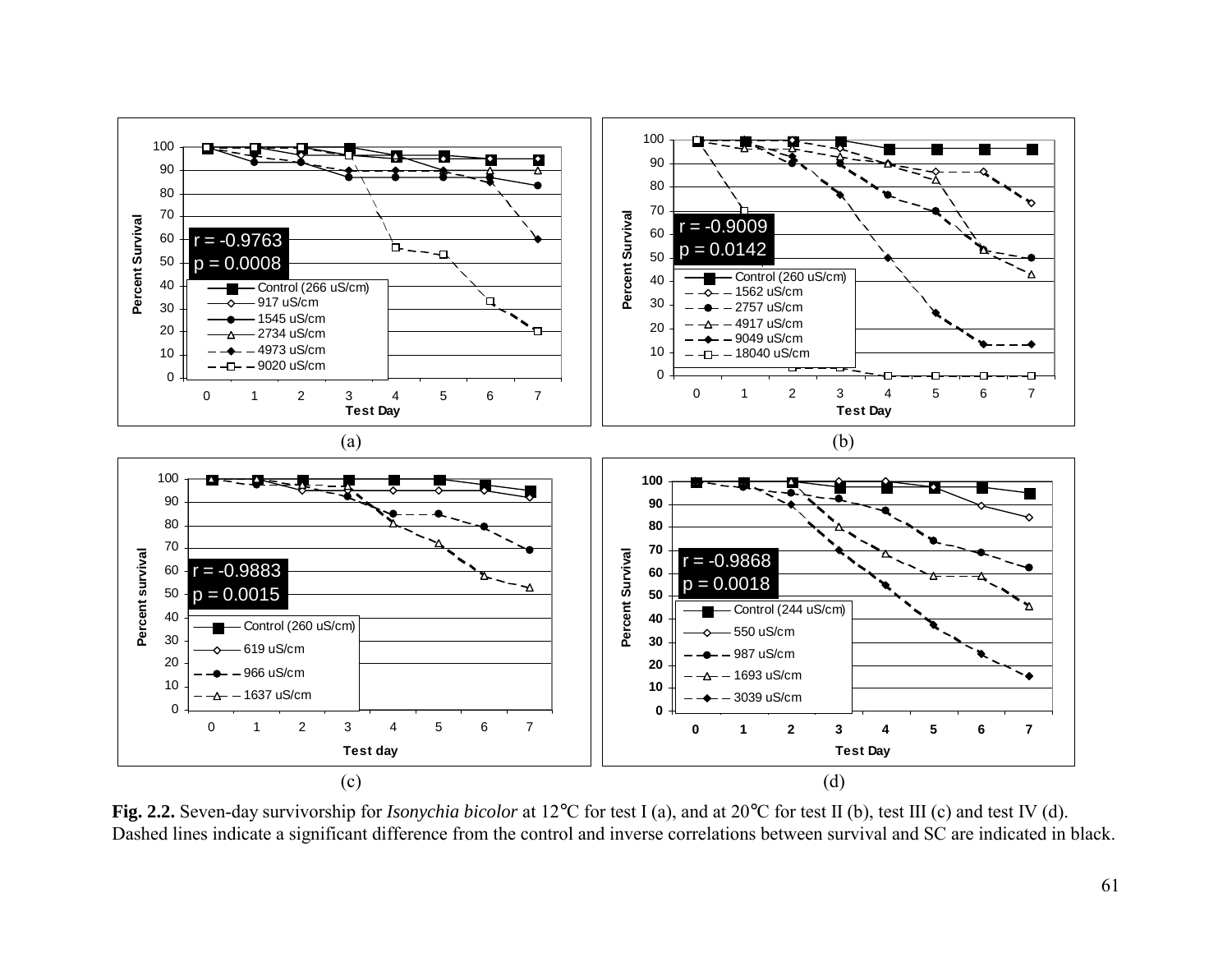

**Fig. 2.2.** Seven-day survivorship for *Isonychia bicolor* at 12°C for test I (a), and at 20°C for test II (b), test III (c) and test IV (d). Dashed lines indicate a significant difference from the control and inverse correlations between survival and SC are indicated in black.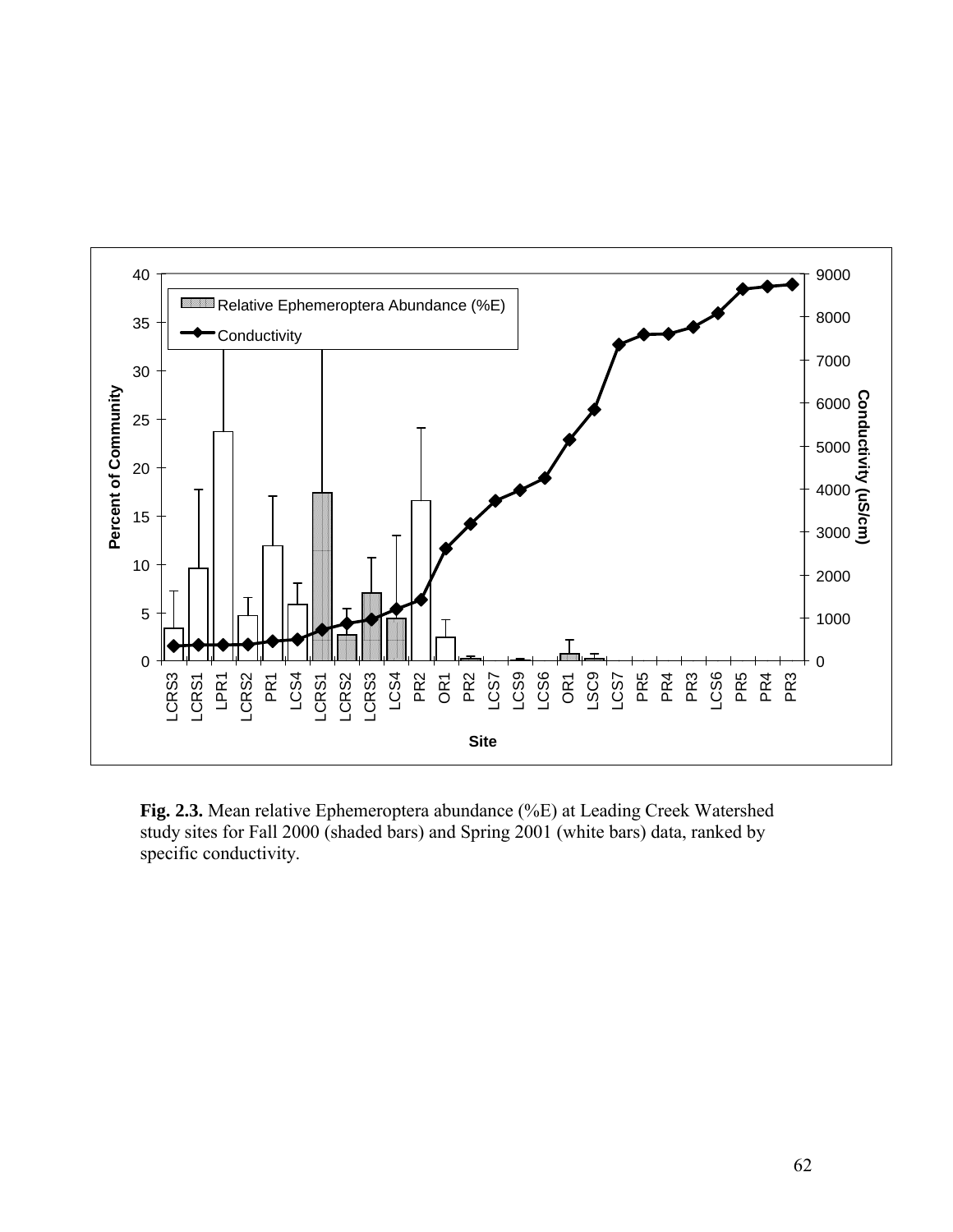

**Fig. 2.3.** Mean relative Ephemeroptera abundance (%E) at Leading Creek Watershed study sites for Fall 2000 (shaded bars) and Spring 2001 (white bars) data, ranked by specific conductivity.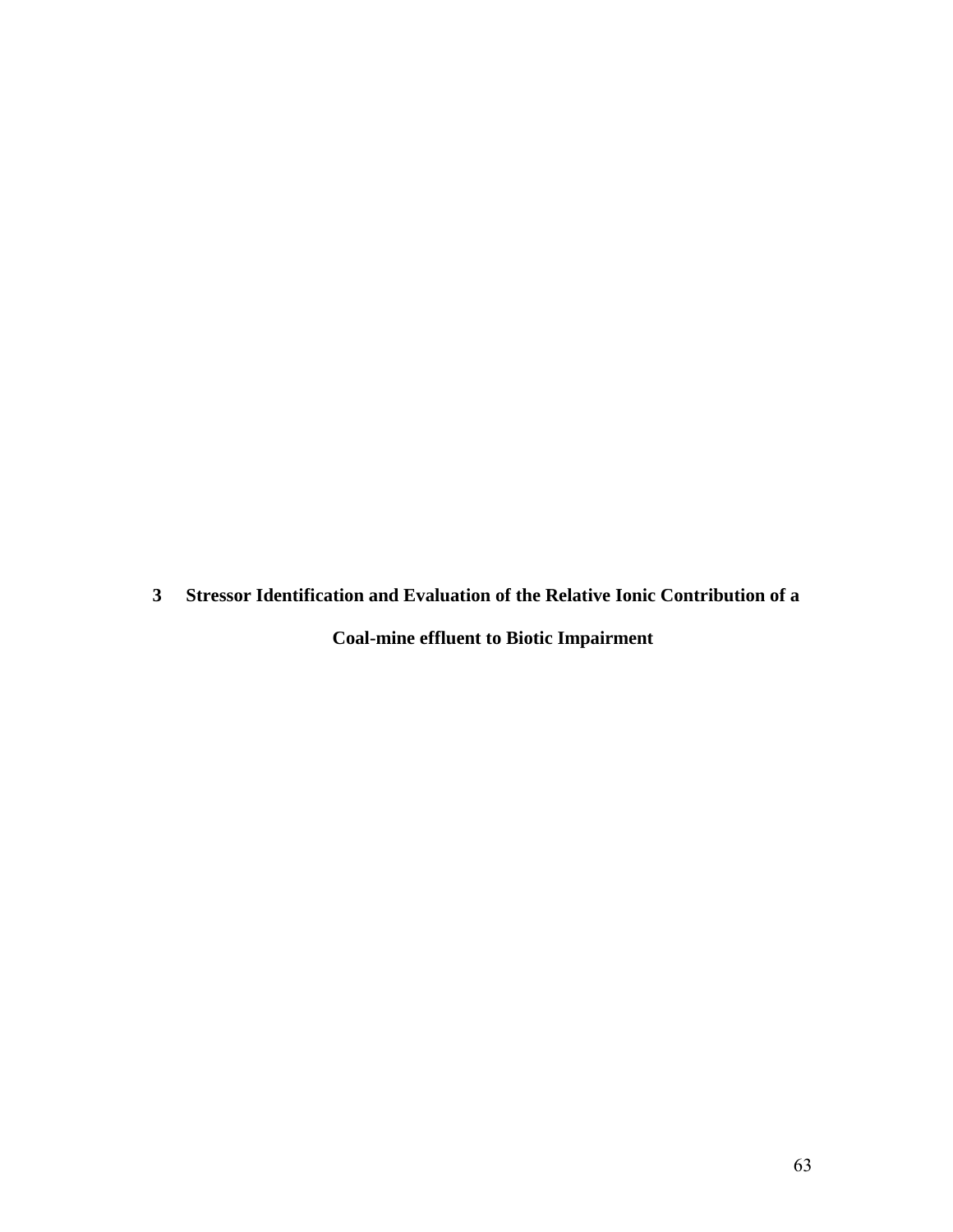**3 Stressor Identification and Evaluation of the Relative Ionic Contribution of a Coal-mine effluent to Biotic Impairment**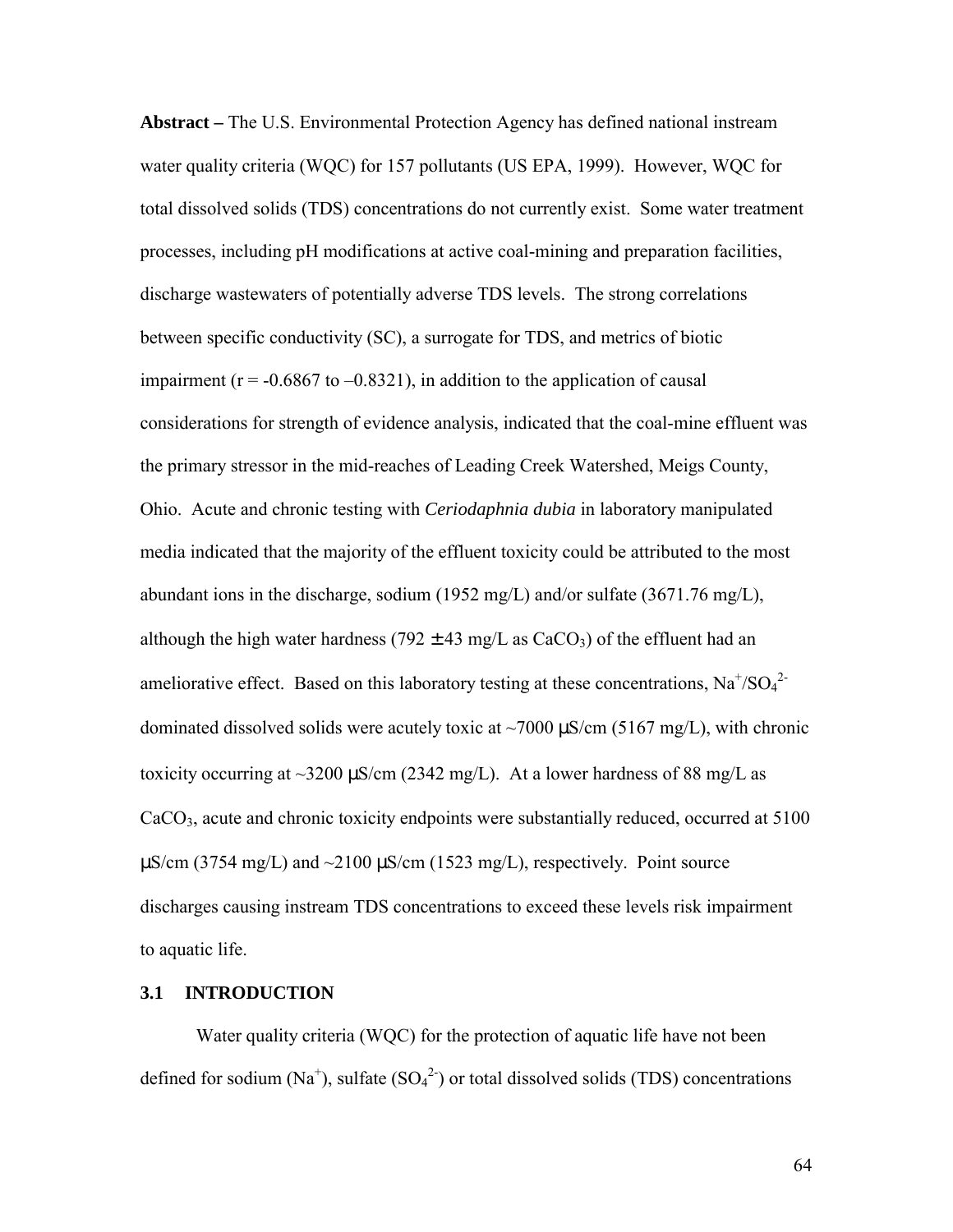**Abstract –** The U.S. Environmental Protection Agency has defined national instream water quality criteria (WQC) for 157 pollutants (US EPA, 1999). However, WQC for total dissolved solids (TDS) concentrations do not currently exist. Some water treatment processes, including pH modifications at active coal-mining and preparation facilities, discharge wastewaters of potentially adverse TDS levels. The strong correlations between specific conductivity (SC), a surrogate for TDS, and metrics of biotic impairment ( $r = -0.6867$  to  $-0.8321$ ), in addition to the application of causal considerations for strength of evidence analysis, indicated that the coal-mine effluent was the primary stressor in the mid-reaches of Leading Creek Watershed, Meigs County, Ohio. Acute and chronic testing with *Ceriodaphnia dubia* in laboratory manipulated media indicated that the majority of the effluent toxicity could be attributed to the most abundant ions in the discharge, sodium (1952 mg/L) and/or sulfate (3671.76 mg/L), although the high water hardness (792  $\pm$  43 mg/L as CaCO<sub>3</sub>) of the effluent had an ameliorative effect. Based on this laboratory testing at these concentrations,  $Na^{+}/SO_4^{2-}$ dominated dissolved solids were acutely toxic at  $\sim$ 7000  $\mu$ S/cm (5167 mg/L), with chronic toxicity occurring at  $\sim$ 3200  $\mu$ S/cm (2342 mg/L). At a lower hardness of 88 mg/L as CaCO<sub>3</sub>, acute and chronic toxicity endpoints were substantially reduced, occurred at 5100  $\mu$ S/cm (3754 mg/L) and  $\sim$ 2100  $\mu$ S/cm (1523 mg/L), respectively. Point source discharges causing instream TDS concentrations to exceed these levels risk impairment to aquatic life.

# **3.1 INTRODUCTION**

Water quality criteria (WQC) for the protection of aquatic life have not been defined for sodium (Na<sup>+</sup>), sulfate  $(SO<sub>4</sub><sup>2</sup>)$  or total dissolved solids (TDS) concentrations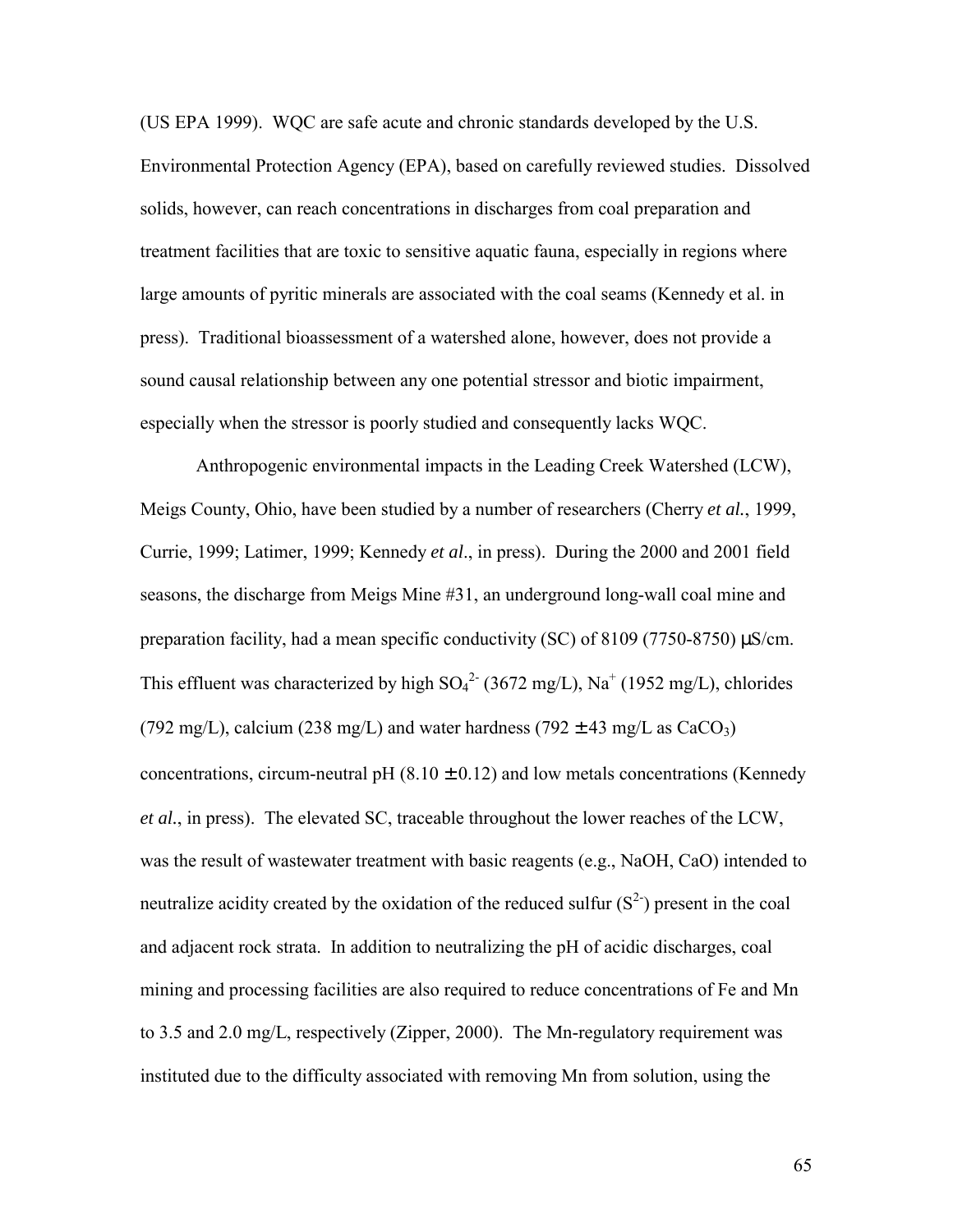(US EPA 1999). WQC are safe acute and chronic standards developed by the U.S. Environmental Protection Agency (EPA), based on carefully reviewed studies. Dissolved solids, however, can reach concentrations in discharges from coal preparation and treatment facilities that are toxic to sensitive aquatic fauna, especially in regions where large amounts of pyritic minerals are associated with the coal seams (Kennedy et al. in press). Traditional bioassessment of a watershed alone, however, does not provide a sound causal relationship between any one potential stressor and biotic impairment, especially when the stressor is poorly studied and consequently lacks WQC.

Anthropogenic environmental impacts in the Leading Creek Watershed (LCW), Meigs County, Ohio, have been studied by a number of researchers (Cherry *et al.*, 1999, Currie, 1999; Latimer, 1999; Kennedy *et al*., in press). During the 2000 and 2001 field seasons, the discharge from Meigs Mine #31, an underground long-wall coal mine and preparation facility, had a mean specific conductivity (SC) of 8109 (7750-8750) µS/cm. This effluent was characterized by high  $SO_4^2$ <sup>-</sup> (3672 mg/L), Na<sup>+</sup> (1952 mg/L), chlorides (792 mg/L), calcium (238 mg/L) and water hardness (792  $\pm$  43 mg/L as CaCO<sub>3</sub>) concentrations, circum-neutral pH  $(8.10 \pm 0.12)$  and low metals concentrations (Kennedy *et al.*, in press). The elevated SC, traceable throughout the lower reaches of the LCW, was the result of wastewater treatment with basic reagents (e.g., NaOH, CaO) intended to neutralize acidity created by the oxidation of the reduced sulfur  $(S^2)$  present in the coal and adjacent rock strata. In addition to neutralizing the pH of acidic discharges, coal mining and processing facilities are also required to reduce concentrations of Fe and Mn to 3.5 and 2.0 mg/L, respectively (Zipper, 2000). The Mn-regulatory requirement was instituted due to the difficulty associated with removing Mn from solution, using the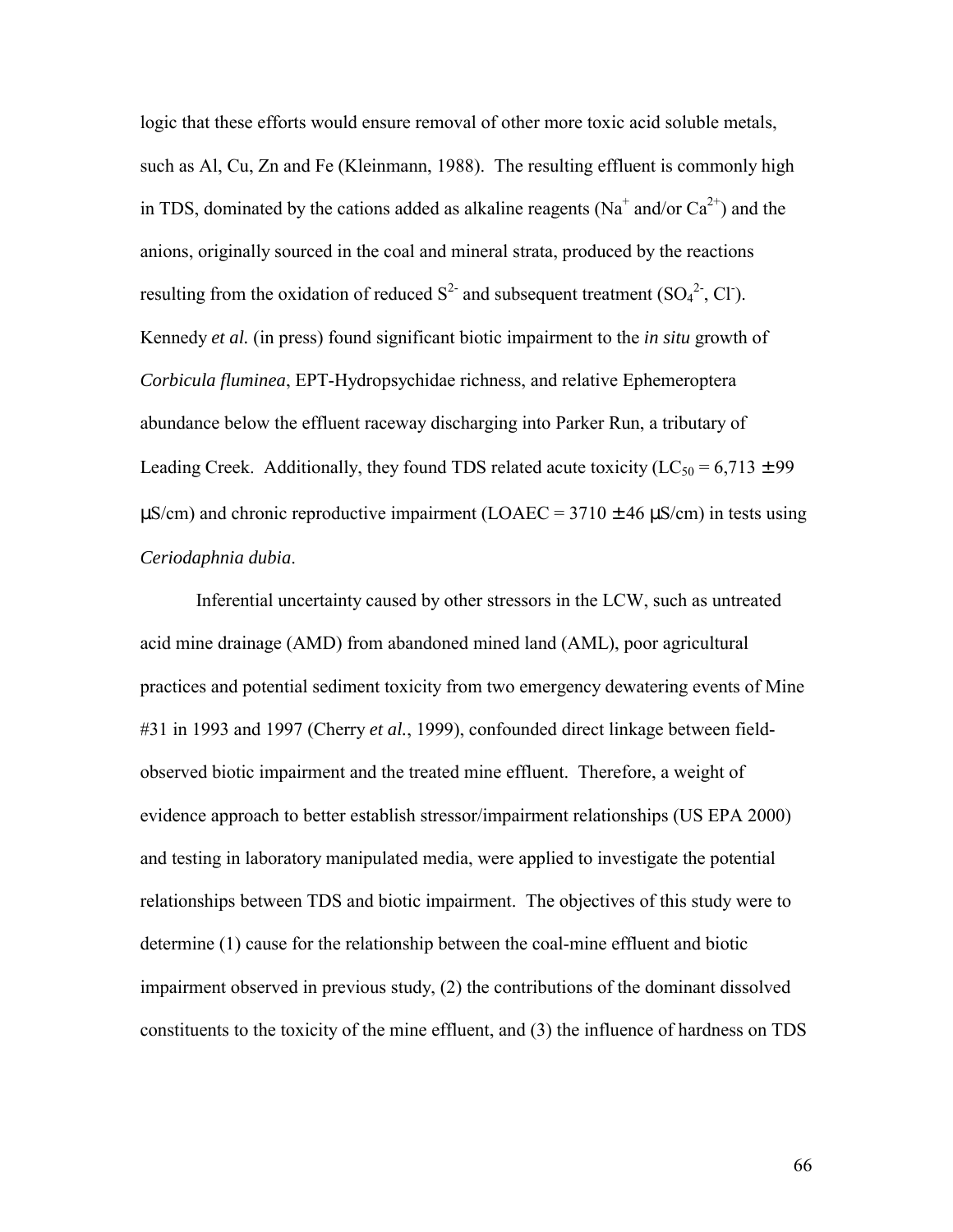logic that these efforts would ensure removal of other more toxic acid soluble metals, such as Al, Cu, Zn and Fe (Kleinmann, 1988). The resulting effluent is commonly high in TDS, dominated by the cations added as alkaline reagents (Na<sup>+</sup> and/or  $Ca^{2+}$ ) and the anions, originally sourced in the coal and mineral strata, produced by the reactions resulting from the oxidation of reduced  $S^2$  and subsequent treatment (SO<sub>4</sub><sup>2</sup>, Cl<sup>-</sup>). Kennedy *et al.* (in press) found significant biotic impairment to the *in situ* growth of *Corbicula fluminea*, EPT-Hydropsychidae richness, and relative Ephemeroptera abundance below the effluent raceway discharging into Parker Run, a tributary of Leading Creek. Additionally, they found TDS related acute toxicity ( $LC_{50} = 6,713 \pm 99$ )  $\mu$ S/cm) and chronic reproductive impairment (LOAEC = 3710  $\pm$  46  $\mu$ S/cm) in tests using *Ceriodaphnia dubia*.

Inferential uncertainty caused by other stressors in the LCW, such as untreated acid mine drainage (AMD) from abandoned mined land (AML), poor agricultural practices and potential sediment toxicity from two emergency dewatering events of Mine #31 in 1993 and 1997 (Cherry *et al.*, 1999), confounded direct linkage between fieldobserved biotic impairment and the treated mine effluent. Therefore, a weight of evidence approach to better establish stressor/impairment relationships (US EPA 2000) and testing in laboratory manipulated media, were applied to investigate the potential relationships between TDS and biotic impairment. The objectives of this study were to determine (1) cause for the relationship between the coal-mine effluent and biotic impairment observed in previous study, (2) the contributions of the dominant dissolved constituents to the toxicity of the mine effluent, and (3) the influence of hardness on TDS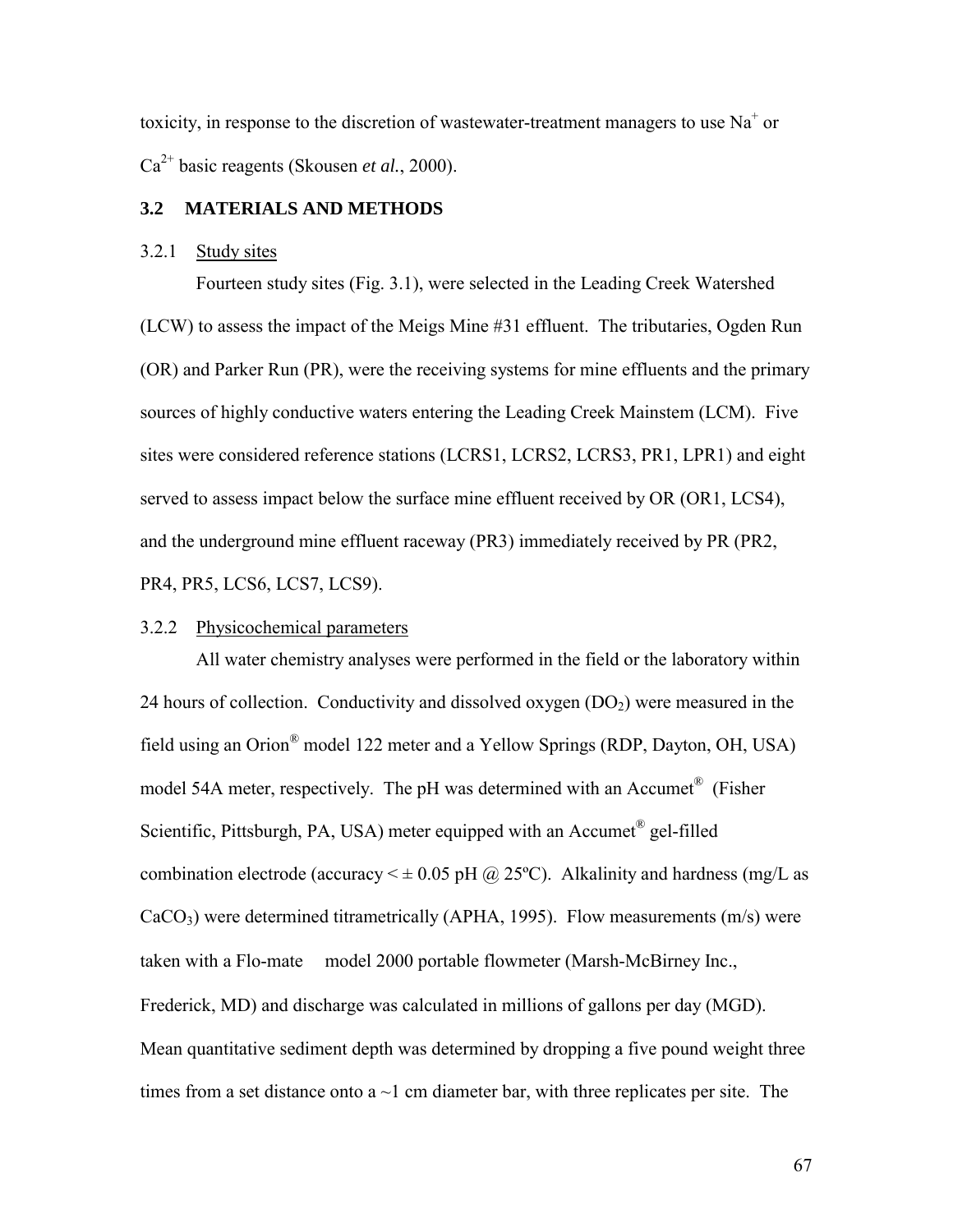toxicity, in response to the discretion of wastewater-treatment managers to use  $Na<sup>+</sup>$  or Ca2+ basic reagents (Skousen *et al.*, 2000).

## **3.2 MATERIALS AND METHODS**

## 3.2.1 Study sites

 Fourteen study sites (Fig. 3.1), were selected in the Leading Creek Watershed (LCW) to assess the impact of the Meigs Mine #31 effluent. The tributaries, Ogden Run (OR) and Parker Run (PR), were the receiving systems for mine effluents and the primary sources of highly conductive waters entering the Leading Creek Mainstem (LCM). Five sites were considered reference stations (LCRS1, LCRS2, LCRS3, PR1, LPR1) and eight served to assess impact below the surface mine effluent received by OR (OR1, LCS4), and the underground mine effluent raceway (PR3) immediately received by PR (PR2, PR4, PR5, LCS6, LCS7, LCS9).

## 3.2.2 Physicochemical parameters

 All water chemistry analyses were performed in the field or the laboratory within 24 hours of collection. Conductivity and dissolved oxygen  $(DO<sub>2</sub>)$  were measured in the field using an Orion® model 122 meter and a Yellow Springs (RDP, Dayton, OH, USA) model 54A meter, respectively. The pH was determined with an Accumet<sup>®</sup> (Fisher) Scientific, Pittsburgh, PA, USA) meter equipped with an Accumet<sup>®</sup> gel-filled combination electrode (accuracy  $\leq \pm 0.05$  pH @ 25°C). Alkalinity and hardness (mg/L as  $CaCO<sub>3</sub>$ ) were determined titrametrically (APHA, 1995). Flow measurements (m/s) were taken with a Flo-mate<sup> $TM$ </sup> model 2000 portable flowmeter (Marsh-McBirney Inc., Frederick, MD) and discharge was calculated in millions of gallons per day (MGD). Mean quantitative sediment depth was determined by dropping a five pound weight three times from a set distance onto a  $\sim$ 1 cm diameter bar, with three replicates per site. The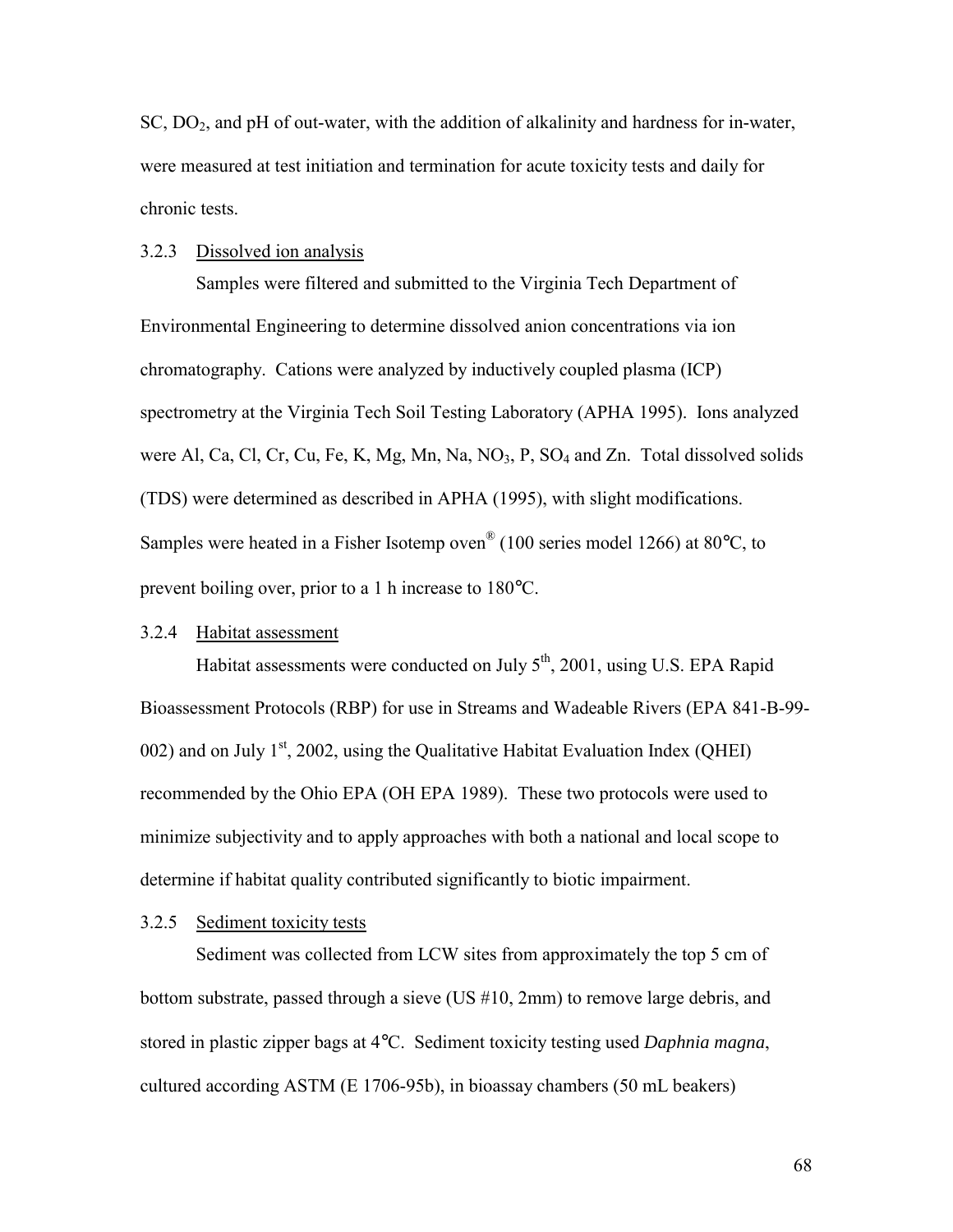$SC, DO<sub>2</sub>$ , and pH of out-water, with the addition of alkalinity and hardness for in-water, were measured at test initiation and termination for acute toxicity tests and daily for chronic tests.

#### 3.2.3 Dissolved ion analysis

 Samples were filtered and submitted to the Virginia Tech Department of Environmental Engineering to determine dissolved anion concentrations via ion chromatography. Cations were analyzed by inductively coupled plasma (ICP) spectrometry at the Virginia Tech Soil Testing Laboratory (APHA 1995). Ions analyzed were Al, Ca, Cl, Cr, Cu, Fe, K, Mg, Mn, Na, NO<sub>3</sub>, P, SO<sub>4</sub> and Zn. Total dissolved solids (TDS) were determined as described in APHA (1995), with slight modifications. Samples were heated in a Fisher Isotemp oven® (100 series model 1266) at 80°C, to prevent boiling over, prior to a 1 h increase to 180°C.

## 3.2.4 Habitat assessment

Habitat assessments were conducted on July  $5<sup>th</sup>$ , 2001, using U.S. EPA Rapid Bioassessment Protocols (RBP) for use in Streams and Wadeable Rivers (EPA 841-B-99- 002) and on July  $1<sup>st</sup>$ , 2002, using the Qualitative Habitat Evaluation Index (QHEI) recommended by the Ohio EPA (OH EPA 1989). These two protocols were used to minimize subjectivity and to apply approaches with both a national and local scope to determine if habitat quality contributed significantly to biotic impairment.

### 3.2.5 Sediment toxicity tests

 Sediment was collected from LCW sites from approximately the top 5 cm of bottom substrate, passed through a sieve (US #10, 2mm) to remove large debris, and stored in plastic zipper bags at 4°C. Sediment toxicity testing used *Daphnia magna*, cultured according ASTM (E 1706-95b), in bioassay chambers (50 mL beakers)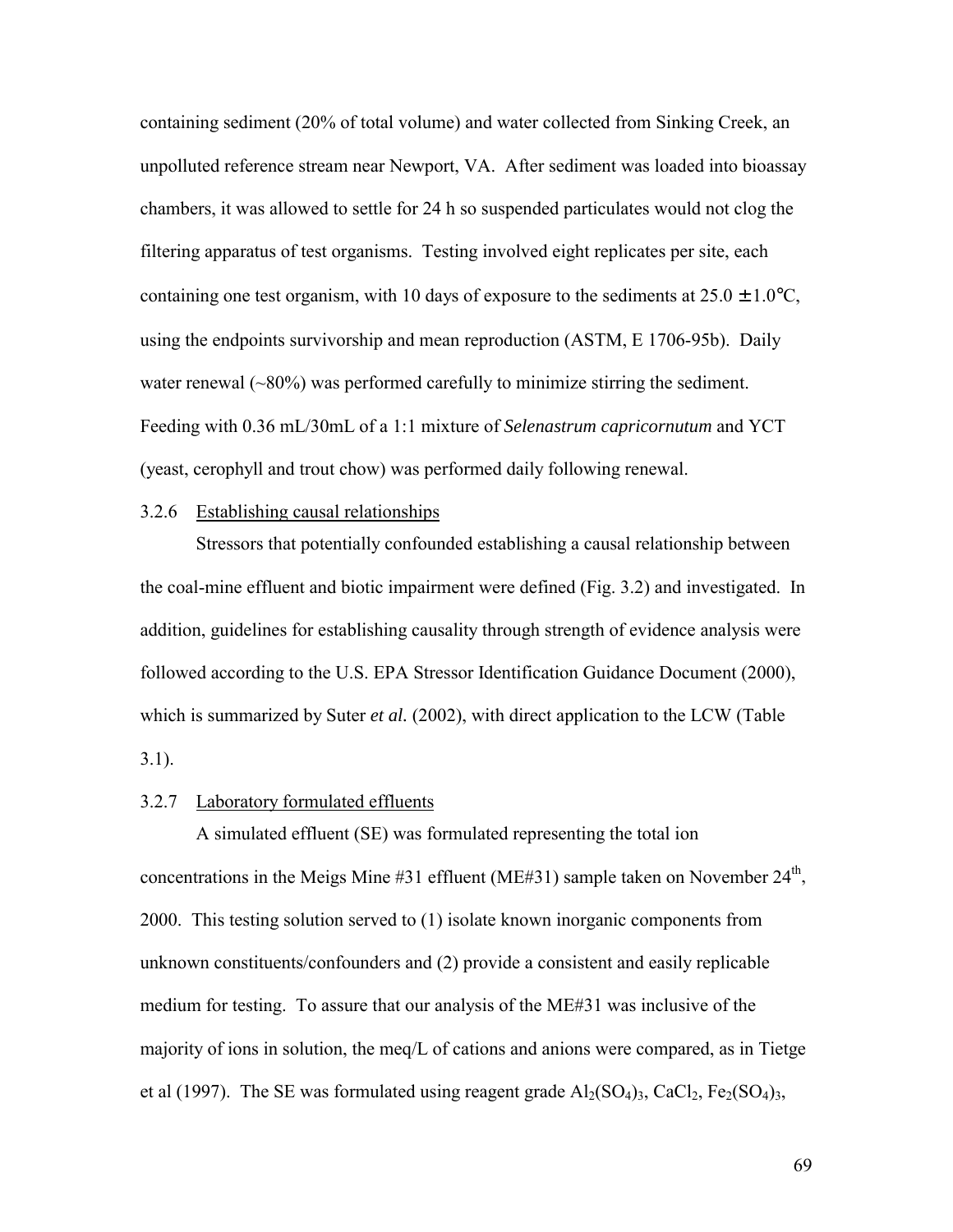containing sediment (20% of total volume) and water collected from Sinking Creek, an unpolluted reference stream near Newport, VA. After sediment was loaded into bioassay chambers, it was allowed to settle for 24 h so suspended particulates would not clog the filtering apparatus of test organisms. Testing involved eight replicates per site, each containing one test organism, with 10 days of exposure to the sediments at  $25.0 \pm 1.0^{\circ}$ C, using the endpoints survivorship and mean reproduction (ASTM, E 1706-95b). Daily water renewal  $(\sim 80\%)$  was performed carefully to minimize stirring the sediment. Feeding with 0.36 mL/30mL of a 1:1 mixture of *Selenastrum capricornutum* and YCT (yeast, cerophyll and trout chow) was performed daily following renewal.

### 3.2.6 Establishing causal relationships

 Stressors that potentially confounded establishing a causal relationship between the coal-mine effluent and biotic impairment were defined (Fig. 3.2) and investigated. In addition, guidelines for establishing causality through strength of evidence analysis were followed according to the U.S. EPA Stressor Identification Guidance Document (2000), which is summarized by Suter *et al.* (2002), with direct application to the LCW (Table 3.1).

### 3.2.7 Laboratory formulated effluents

 A simulated effluent (SE) was formulated representing the total ion concentrations in the Meigs Mine  $#31$  effluent (ME#31) sample taken on November  $24<sup>th</sup>$ , 2000. This testing solution served to (1) isolate known inorganic components from unknown constituents/confounders and (2) provide a consistent and easily replicable medium for testing. To assure that our analysis of the ME#31 was inclusive of the majority of ions in solution, the meq/L of cations and anions were compared, as in Tietge et al (1997). The SE was formulated using reagent grade  $Al_2(SO_4)_3$ , CaCl<sub>2</sub>, Fe<sub>2</sub>(SO<sub>4</sub>)<sub>3</sub>,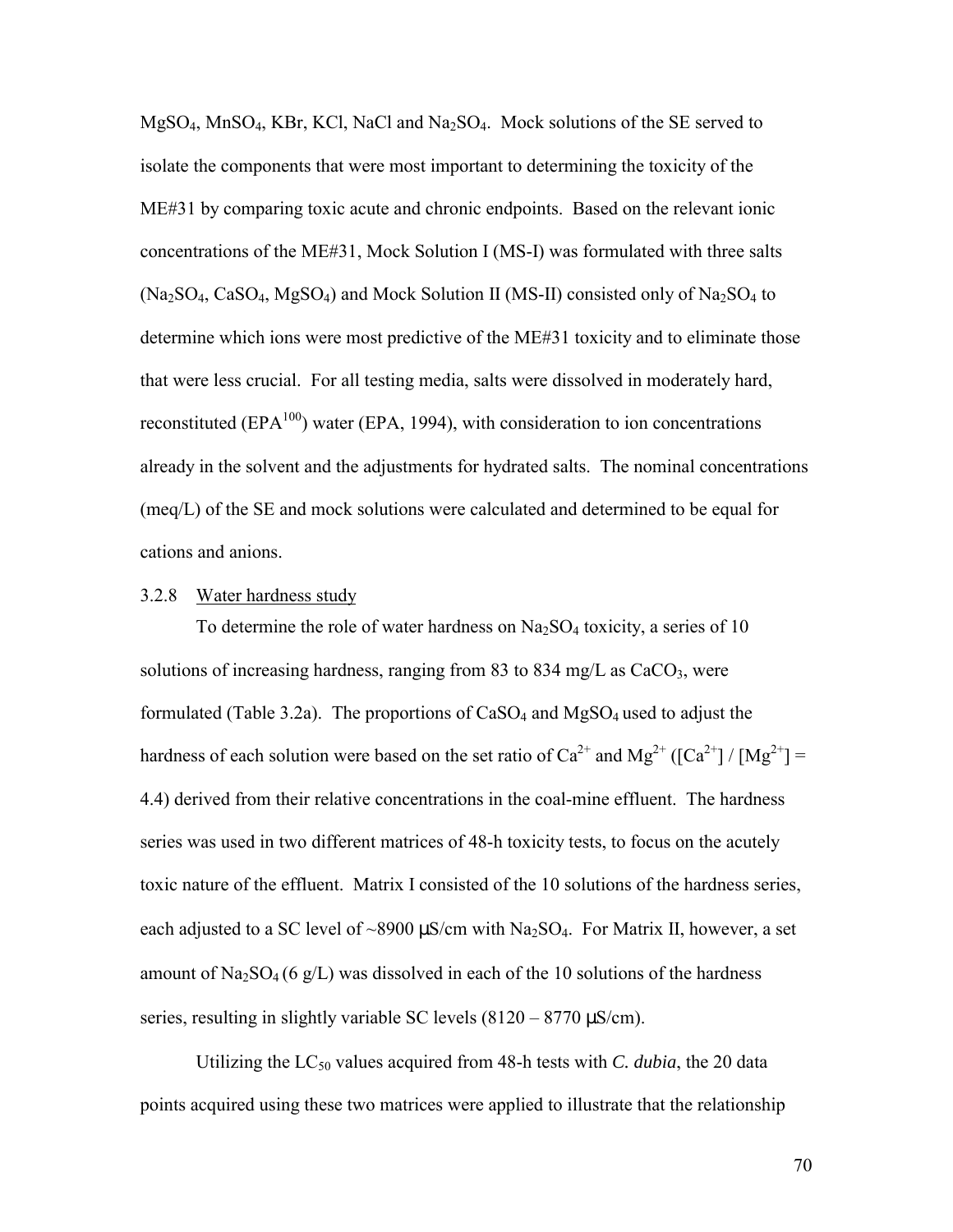$MgSO<sub>4</sub>$ , MnSO<sub>4</sub>, KBr, KCl, NaCl and Na<sub>2</sub>SO<sub>4</sub>. Mock solutions of the SE served to isolate the components that were most important to determining the toxicity of the ME#31 by comparing toxic acute and chronic endpoints. Based on the relevant ionic concentrations of the ME#31, Mock Solution I (MS-I) was formulated with three salts  $(Na_2SO_4, CaSO_4, MgSO_4)$  and Mock Solution II (MS-II) consisted only of  $Na_2SO_4$  to determine which ions were most predictive of the ME#31 toxicity and to eliminate those that were less crucial. For all testing media, salts were dissolved in moderately hard, reconstituted ( $EPA<sup>100</sup>$ ) water ( $EPA$ , 1994), with consideration to ion concentrations already in the solvent and the adjustments for hydrated salts. The nominal concentrations (meq/L) of the SE and mock solutions were calculated and determined to be equal for cations and anions.

## 3.2.8 Water hardness study

To determine the role of water hardness on  $Na<sub>2</sub>SO<sub>4</sub>$  toxicity, a series of 10 solutions of increasing hardness, ranging from 83 to 834 mg/L as  $CaCO<sub>3</sub>$ , were formulated (Table 3.2a). The proportions of  $CaSO<sub>4</sub>$  and  $MgSO<sub>4</sub>$  used to adjust the hardness of each solution were based on the set ratio of  $Ca^{2+}$  and  $Mg^{2+}$  ( $[Ca^{2+}]/[Mg^{2+}] =$ 4.4) derived from their relative concentrations in the coal-mine effluent. The hardness series was used in two different matrices of 48-h toxicity tests, to focus on the acutely toxic nature of the effluent. Matrix I consisted of the 10 solutions of the hardness series, each adjusted to a SC level of ~8900  $\mu$ S/cm with Na<sub>2</sub>SO<sub>4</sub>. For Matrix II, however, a set amount of  $\text{Na}_2\text{SO}_4$  (6 g/L) was dissolved in each of the 10 solutions of the hardness series, resulting in slightly variable SC levels  $(8120 - 8770 \,\mu\text{S/cm})$ .

Utilizing the  $LC_{50}$  values acquired from 48-h tests with *C. dubia*, the 20 data points acquired using these two matrices were applied to illustrate that the relationship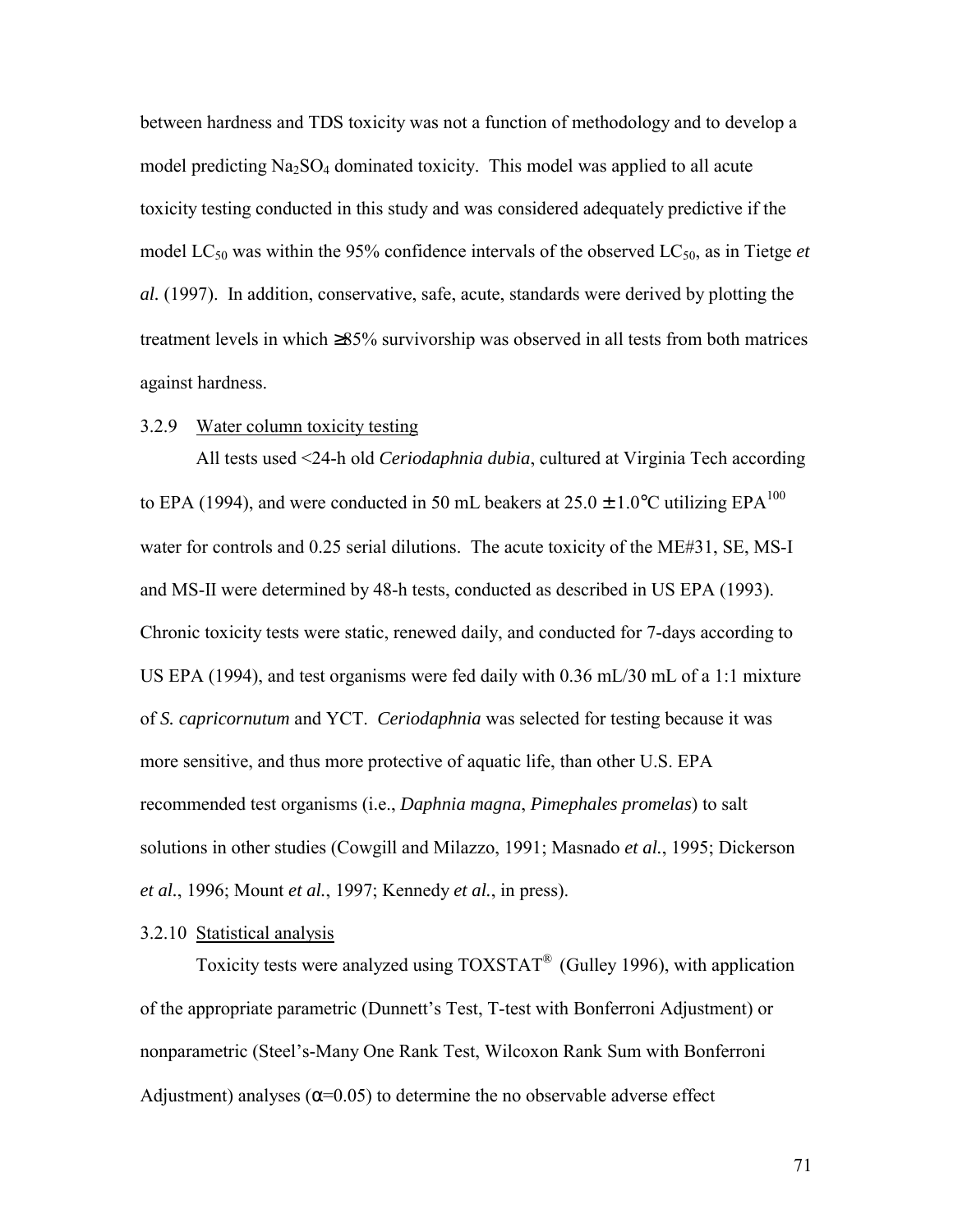between hardness and TDS toxicity was not a function of methodology and to develop a model predicting  $Na<sub>2</sub>SO<sub>4</sub>$  dominated toxicity. This model was applied to all acute toxicity testing conducted in this study and was considered adequately predictive if the model  $LC_{50}$  was within the 95% confidence intervals of the observed  $LC_{50}$ , as in Tietge *et al.* (1997). In addition, conservative, safe, acute, standards were derived by plotting the treatment levels in which ≥85% survivorship was observed in all tests from both matrices against hardness.

## 3.2.9 Water column toxicity testing

All tests used <24-h old *Ceriodaphnia dubia*, cultured at Virginia Tech according to EPA (1994), and were conducted in 50 mL beakers at  $25.0 \pm 1.0^{\circ}$ C utilizing EPA<sup>100</sup> water for controls and 0.25 serial dilutions. The acute toxicity of the ME#31, SE, MS-I and MS-II were determined by 48-h tests, conducted as described in US EPA (1993). Chronic toxicity tests were static, renewed daily, and conducted for 7-days according to US EPA (1994), and test organisms were fed daily with 0.36 mL/30 mL of a 1:1 mixture of *S. capricornutum* and YCT. *Ceriodaphnia* was selected for testing because it was more sensitive, and thus more protective of aquatic life, than other U.S. EPA recommended test organisms (i.e., *Daphnia magna*, *Pimephales promelas*) to salt solutions in other studies (Cowgill and Milazzo, 1991; Masnado *et al.*, 1995; Dickerson *et al.*, 1996; Mount *et al.*, 1997; Kennedy *et al.*, in press).

## 3.2.10 Statistical analysis

Toxicity tests were analyzed using  $TOXSTAT^{\circledast}$  (Gulley 1996), with application of the appropriate parametric (Dunnett's Test, T-test with Bonferroni Adjustment) or nonparametric (Steel's-Many One Rank Test, Wilcoxon Rank Sum with Bonferroni Adjustment) analyses ( $\alpha$ =0.05) to determine the no observable adverse effect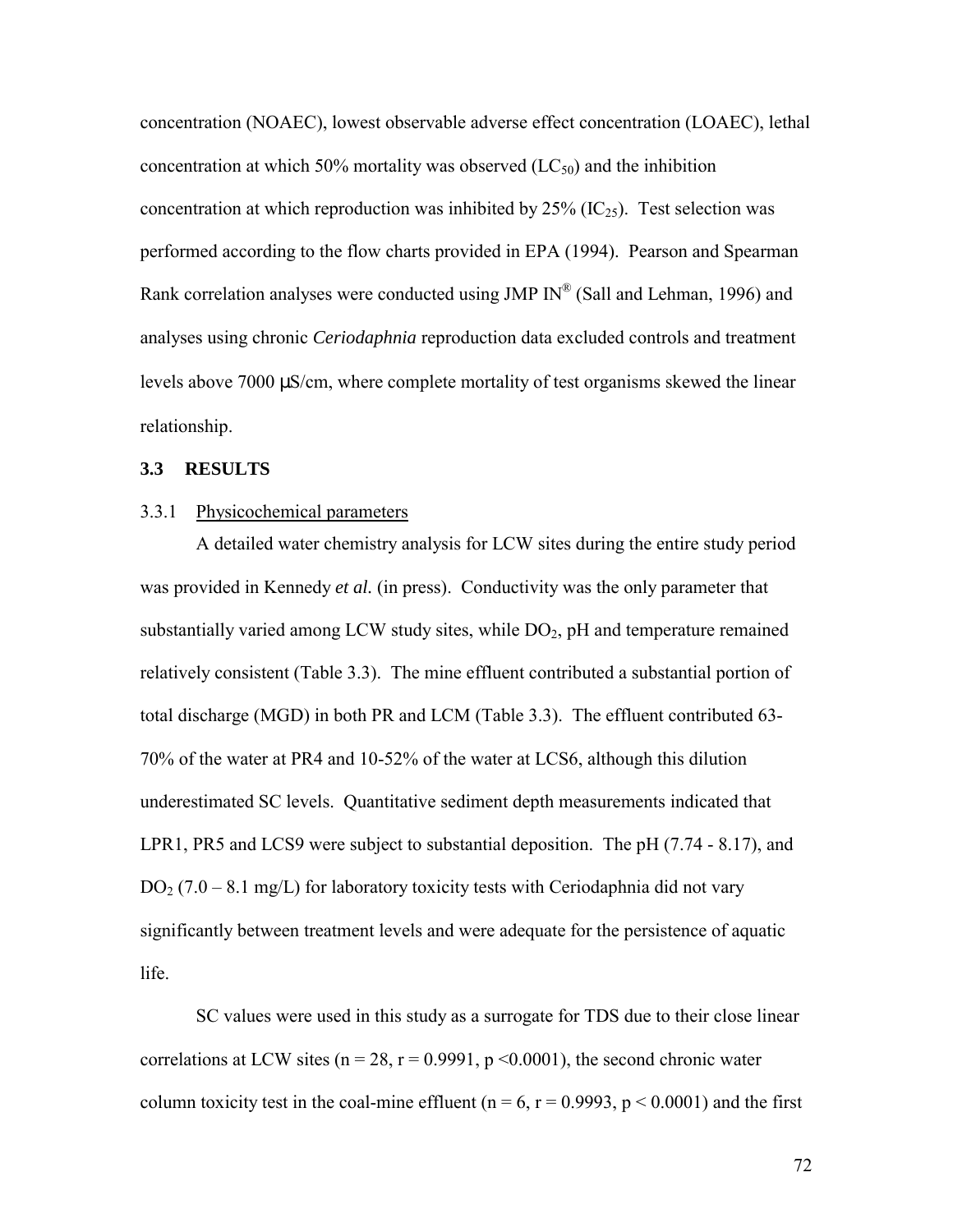concentration (NOAEC), lowest observable adverse effect concentration (LOAEC), lethal concentration at which 50% mortality was observed  $(LC_{50})$  and the inhibition concentration at which reproduction was inhibited by  $25\%$  (IC<sub>25</sub>). Test selection was performed according to the flow charts provided in EPA (1994). Pearson and Spearman Rank correlation analyses were conducted using JMP  $IN^{\mathcal{P}}$  (Sall and Lehman, 1996) and analyses using chronic *Ceriodaphnia* reproduction data excluded controls and treatment levels above 7000 µS/cm, where complete mortality of test organisms skewed the linear relationship.

## **3.3 RESULTS**

### 3.3.1 Physicochemical parameters

A detailed water chemistry analysis for LCW sites during the entire study period was provided in Kennedy *et al.* (in press). Conductivity was the only parameter that substantially varied among LCW study sites, while  $DO<sub>2</sub>$ , pH and temperature remained relatively consistent (Table 3.3). The mine effluent contributed a substantial portion of total discharge (MGD) in both PR and LCM (Table 3.3). The effluent contributed 63- 70% of the water at PR4 and 10-52% of the water at LCS6, although this dilution underestimated SC levels. Quantitative sediment depth measurements indicated that LPR1, PR5 and LCS9 were subject to substantial deposition. The pH (7.74 - 8.17), and  $DO<sub>2</sub> (7.0 - 8.1 mg/L)$  for laboratory toxicity tests with Ceriodaphnia did not vary significantly between treatment levels and were adequate for the persistence of aquatic life.

SC values were used in this study as a surrogate for TDS due to their close linear correlations at LCW sites ( $n = 28$ ,  $r = 0.9991$ ,  $p \le 0.0001$ ), the second chronic water column toxicity test in the coal-mine effluent ( $n = 6$ ,  $r = 0.9993$ ,  $p < 0.0001$ ) and the first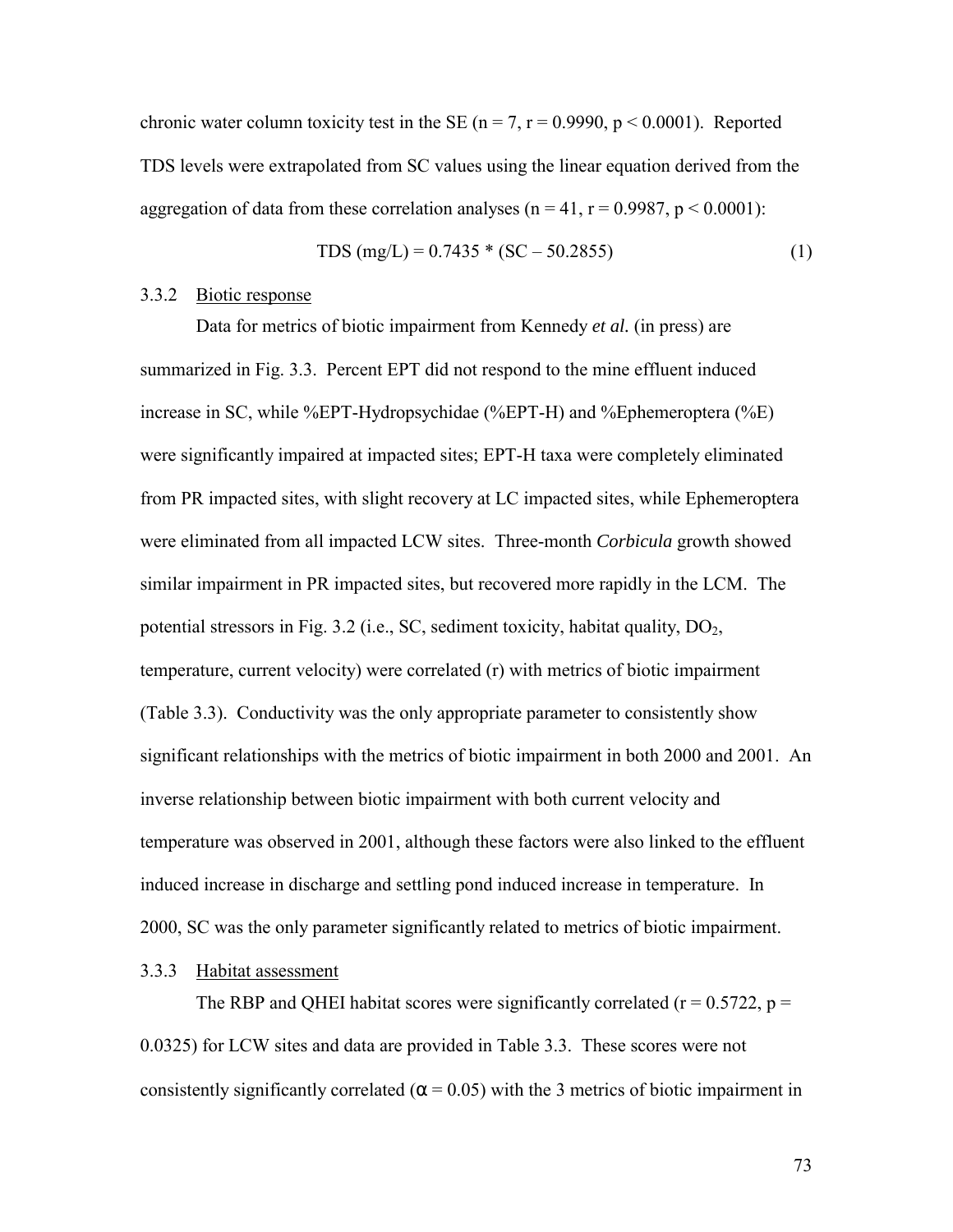chronic water column toxicity test in the SE ( $n = 7$ ,  $r = 0.9990$ ,  $p \le 0.0001$ ). Reported TDS levels were extrapolated from SC values using the linear equation derived from the aggregation of data from these correlation analyses ( $n = 41$ ,  $r = 0.9987$ ,  $p < 0.0001$ ):

$$
TDS (mg/L) = 0.7435 * (SC - 50.2855)
$$
 (1)

#### 3.3.2 Biotic response

Data for metrics of biotic impairment from Kennedy *et al.* (in press) are summarized in Fig. 3.3. Percent EPT did not respond to the mine effluent induced increase in SC, while %EPT-Hydropsychidae (%EPT-H) and %Ephemeroptera (%E) were significantly impaired at impacted sites; EPT-H taxa were completely eliminated from PR impacted sites, with slight recovery at LC impacted sites, while Ephemeroptera were eliminated from all impacted LCW sites. Three-month *Corbicula* growth showed similar impairment in PR impacted sites, but recovered more rapidly in the LCM. The potential stressors in Fig. 3.2 (i.e., SC, sediment toxicity, habitat quality,  $DO<sub>2</sub>$ , temperature, current velocity) were correlated (r) with metrics of biotic impairment (Table 3.3). Conductivity was the only appropriate parameter to consistently show significant relationships with the metrics of biotic impairment in both 2000 and 2001. An inverse relationship between biotic impairment with both current velocity and temperature was observed in 2001, although these factors were also linked to the effluent induced increase in discharge and settling pond induced increase in temperature. In 2000, SC was the only parameter significantly related to metrics of biotic impairment.

#### 3.3.3 Habitat assessment

The RBP and QHEI habitat scores were significantly correlated ( $r = 0.5722$ ,  $p =$ 0.0325) for LCW sites and data are provided in Table 3.3. These scores were not consistently significantly correlated ( $\alpha$  = 0.05) with the 3 metrics of biotic impairment in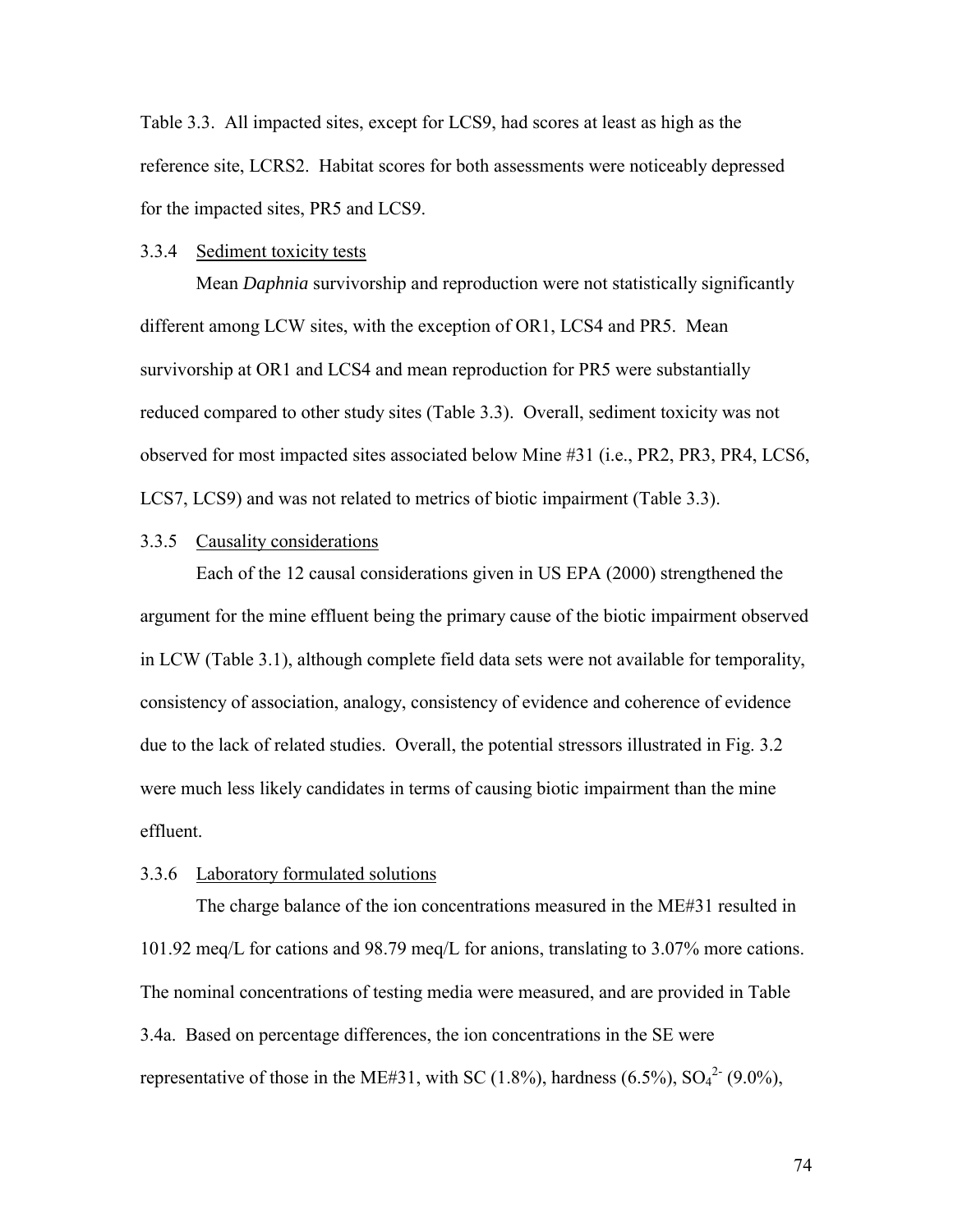Table 3.3. All impacted sites, except for LCS9, had scores at least as high as the reference site, LCRS2. Habitat scores for both assessments were noticeably depressed for the impacted sites, PR5 and LCS9.

#### 3.3.4 Sediment toxicity tests

Mean *Daphnia* survivorship and reproduction were not statistically significantly different among LCW sites, with the exception of OR1, LCS4 and PR5. Mean survivorship at OR1 and LCS4 and mean reproduction for PR5 were substantially reduced compared to other study sites (Table 3.3). Overall, sediment toxicity was not observed for most impacted sites associated below Mine #31 (i.e., PR2, PR3, PR4, LCS6, LCS7, LCS9) and was not related to metrics of biotic impairment (Table 3.3).

## 3.3.5 Causality considerations

 Each of the 12 causal considerations given in US EPA (2000) strengthened the argument for the mine effluent being the primary cause of the biotic impairment observed in LCW (Table 3.1), although complete field data sets were not available for temporality, consistency of association, analogy, consistency of evidence and coherence of evidence due to the lack of related studies. Overall, the potential stressors illustrated in Fig. 3.2 were much less likely candidates in terms of causing biotic impairment than the mine effluent.

#### 3.3.6 Laboratory formulated solutions

 The charge balance of the ion concentrations measured in the ME#31 resulted in 101.92 meq/L for cations and 98.79 meq/L for anions, translating to 3.07% more cations. The nominal concentrations of testing media were measured, and are provided in Table 3.4a. Based on percentage differences, the ion concentrations in the SE were representative of those in the ME#31, with SC (1.8%), hardness (6.5%),  $SO_4^2$ <sup>-</sup> (9.0%),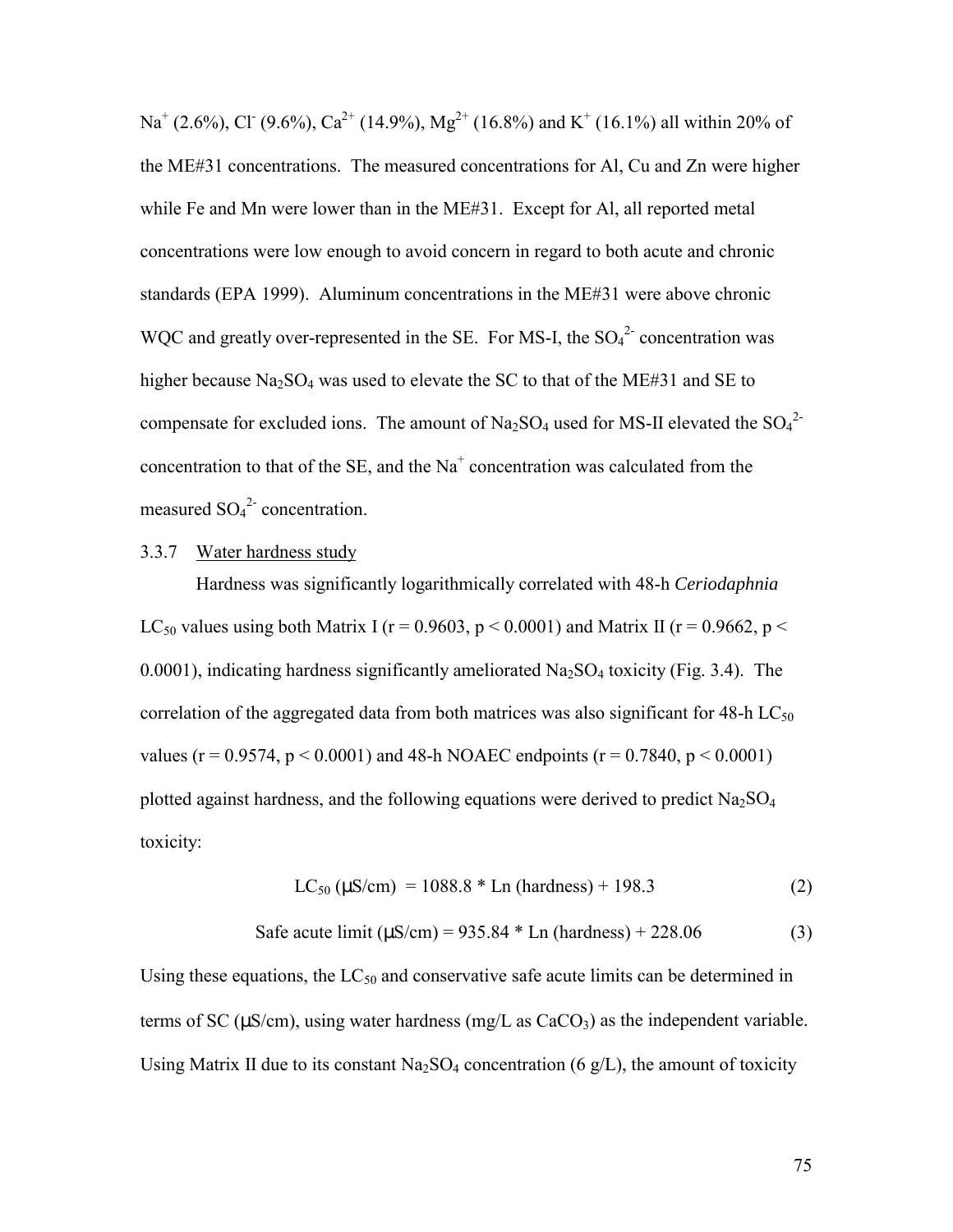Na<sup>+</sup> (2.6%), Cl<sup>-</sup> (9.6%), Ca<sup>2+</sup> (14.9%), Mg<sup>2+</sup> (16.8%) and K<sup>+</sup> (16.1%) all within 20% of the ME#31 concentrations. The measured concentrations for Al, Cu and Zn were higher while Fe and Mn were lower than in the ME#31. Except for Al, all reported metal concentrations were low enough to avoid concern in regard to both acute and chronic standards (EPA 1999). Aluminum concentrations in the ME#31 were above chronic WQC and greatly over-represented in the SE. For MS-I, the  $SO_4^2$  concentration was higher because  $Na<sub>2</sub>SO<sub>4</sub>$  was used to elevate the SC to that of the ME#31 and SE to compensate for excluded ions. The amount of  $Na_2SO_4$  used for MS-II elevated the  $SO_4^2$ concentration to that of the SE, and the  $Na<sup>+</sup>$  concentration was calculated from the measured  $SO_4^2$  concentration.

## 3.3.7 Water hardness study

 Hardness was significantly logarithmically correlated with 48-h *Ceriodaphnia*  LC<sub>50</sub> values using both Matrix I ( $r = 0.9603$ ,  $p < 0.0001$ ) and Matrix II ( $r = 0.9662$ ,  $p <$ 0.0001), indicating hardness significantly ameliorated  $\text{Na}_2\text{SO}_4$  toxicity (Fig. 3.4). The correlation of the aggregated data from both matrices was also significant for  $48-h LC_{50}$ values ( $r = 0.9574$ ,  $p < 0.0001$ ) and 48-h NOAEC endpoints ( $r = 0.7840$ ,  $p < 0.0001$ ) plotted against hardness, and the following equations were derived to predict  $Na<sub>2</sub>SO<sub>4</sub>$ toxicity:

$$
LC_{50} (\mu S/cm) = 1088.8 * Ln (hardness) + 198.3
$$
 (2)

Safe acute limit 
$$
(\mu S/cm) = 935.84 * Ln
$$
 (hardness) + 228.06 (3)

Using these equations, the  $LC_{50}$  and conservative safe acute limits can be determined in terms of SC ( $\mu$ S/cm), using water hardness (mg/L as CaCO<sub>3</sub>) as the independent variable. Using Matrix II due to its constant  $Na<sub>2</sub>SO<sub>4</sub>$  concentration (6 g/L), the amount of toxicity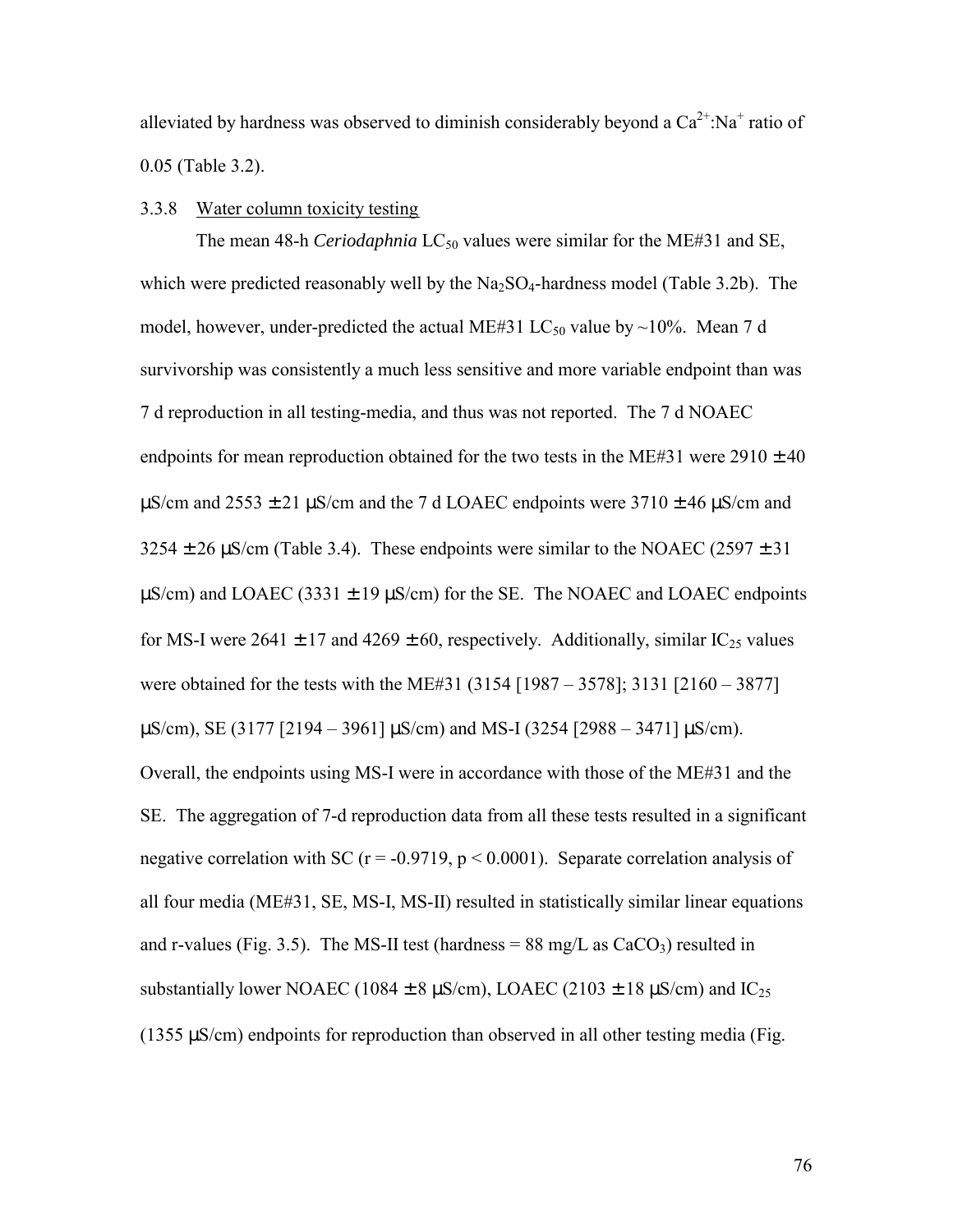alleviated by hardness was observed to diminish considerably beyond a  $Ca^{2+}$ :Na<sup>+</sup> ratio of 0.05 (Table 3.2).

### 3.3.8 Water column toxicity testing

The mean 48-h *Ceriodaphnia* LC<sub>50</sub> values were similar for the ME#31 and SE, which were predicted reasonably well by the  $Na_2SO_4$ -hardness model (Table 3.2b). The model, however, under-predicted the actual ME#31 LC<sub>50</sub> value by ~10%. Mean 7 d survivorship was consistently a much less sensitive and more variable endpoint than was 7 d reproduction in all testing-media, and thus was not reported. The 7 d NOAEC endpoints for mean reproduction obtained for the two tests in the ME#31 were  $2910 \pm 40$  $\mu$ S/cm and 2553  $\pm$  21  $\mu$ S/cm and the 7 d LOAEC endpoints were 3710  $\pm$  46  $\mu$ S/cm and  $3254 \pm 26$   $\mu$ S/cm (Table 3.4). These endpoints were similar to the NOAEC (2597  $\pm$  31)  $\mu$ S/cm) and LOAEC (3331  $\pm$  19  $\mu$ S/cm) for the SE. The NOAEC and LOAEC endpoints for MS-I were 2641  $\pm$  17 and 4269  $\pm$  60, respectively. Additionally, similar IC<sub>25</sub> values were obtained for the tests with the ME#31 (3154 [1987 – 3578]; 3131 [2160 – 3877]  $\mu$ S/cm), SE (3177 [2194 – 3961]  $\mu$ S/cm) and MS-I (3254 [2988 – 3471]  $\mu$ S/cm). Overall, the endpoints using MS-I were in accordance with those of the ME#31 and the SE. The aggregation of 7-d reproduction data from all these tests resulted in a significant negative correlation with SC ( $r = -0.9719$ ,  $p < 0.0001$ ). Separate correlation analysis of all four media (ME#31, SE, MS-I, MS-II) resulted in statistically similar linear equations and r-values (Fig. 3.5). The MS-II test (hardness =  $88 \text{ mg/L}$  as  $CaCO<sub>3</sub>$ ) resulted in substantially lower NOAEC (1084  $\pm$  8 µS/cm), LOAEC (2103  $\pm$  18 µS/cm) and IC<sub>25</sub>  $(1355 \,\mu\text{S/cm})$  endpoints for reproduction than observed in all other testing media (Fig.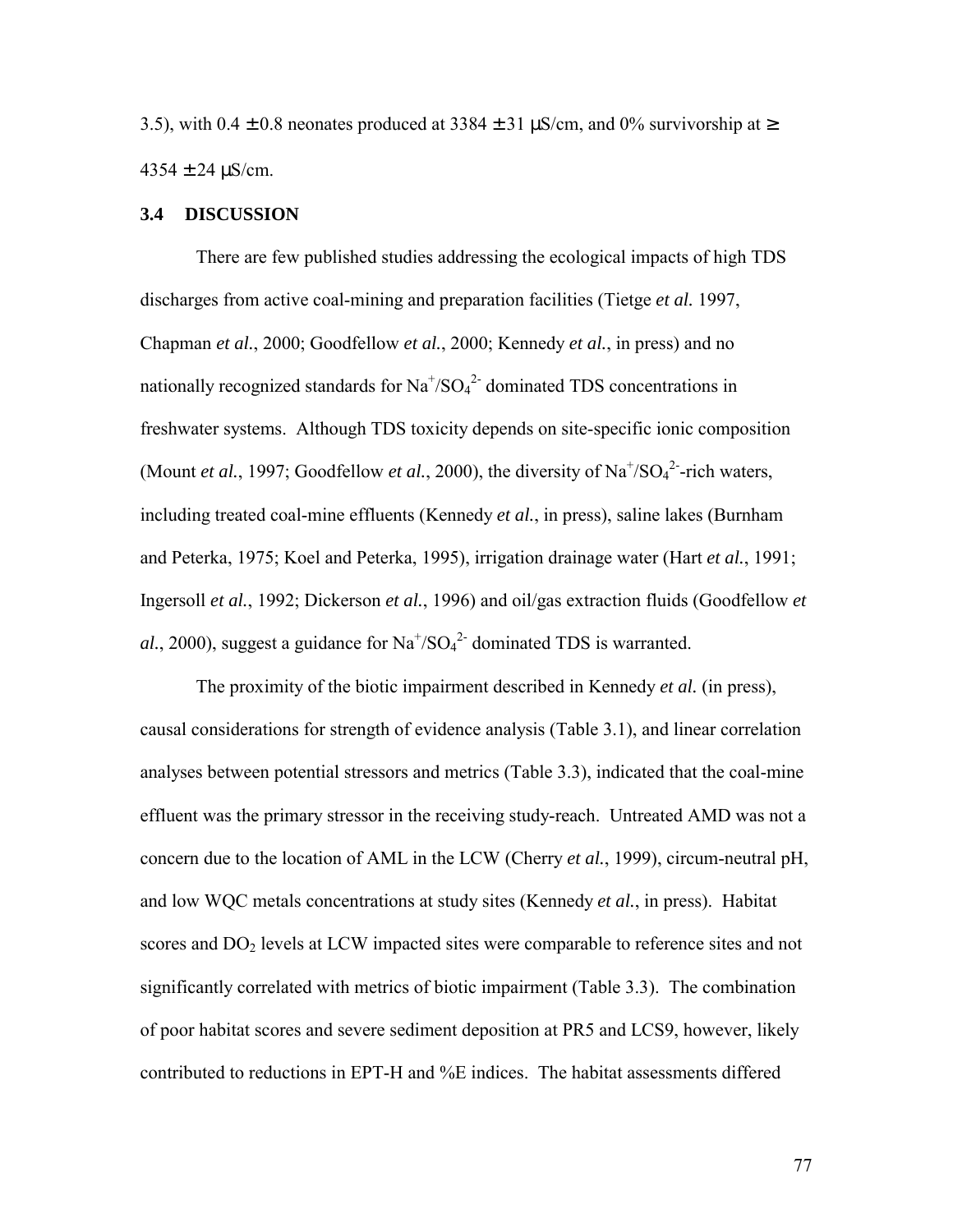3.5), with  $0.4 \pm 0.8$  neonates produced at 3384  $\pm$  31  $\mu$ S/cm, and 0% survivorship at  $\ge$  $4354 \pm 24 \,\mu$ S/cm.

## **3.4 DISCUSSION**

There are few published studies addressing the ecological impacts of high TDS discharges from active coal-mining and preparation facilities (Tietge *et al.* 1997, Chapman *et al.*, 2000; Goodfellow *et al.*, 2000; Kennedy *et al.*, in press) and no nationally recognized standards for  $\text{Na}^{\text{*}}/\text{SO}_4^{\text{2}}$  dominated TDS concentrations in freshwater systems. Although TDS toxicity depends on site-specific ionic composition (Mount *et al.*, 1997; Goodfellow *et al.*, 2000), the diversity of  $Na^{+}/SO<sub>4</sub><sup>2</sup>$ -rich waters, including treated coal-mine effluents (Kennedy *et al.*, in press), saline lakes (Burnham and Peterka, 1975; Koel and Peterka, 1995), irrigation drainage water (Hart *et al.*, 1991; Ingersoll *et al.*, 1992; Dickerson *et al.*, 1996) and oil/gas extraction fluids (Goodfellow *et*  al., 2000), suggest a guidance for  $Na<sup>+/</sup>SO<sub>4</sub><sup>2-</sup> dominated TDS$  is warranted.

 The proximity of the biotic impairment described in Kennedy *et al.* (in press), causal considerations for strength of evidence analysis (Table 3.1), and linear correlation analyses between potential stressors and metrics (Table 3.3), indicated that the coal-mine effluent was the primary stressor in the receiving study-reach. Untreated AMD was not a concern due to the location of AML in the LCW (Cherry *et al.*, 1999), circum-neutral pH, and low WQC metals concentrations at study sites (Kennedy *et al.*, in press). Habitat scores and DO<sub>2</sub> levels at LCW impacted sites were comparable to reference sites and not significantly correlated with metrics of biotic impairment (Table 3.3). The combination of poor habitat scores and severe sediment deposition at PR5 and LCS9, however, likely contributed to reductions in EPT-H and %E indices. The habitat assessments differed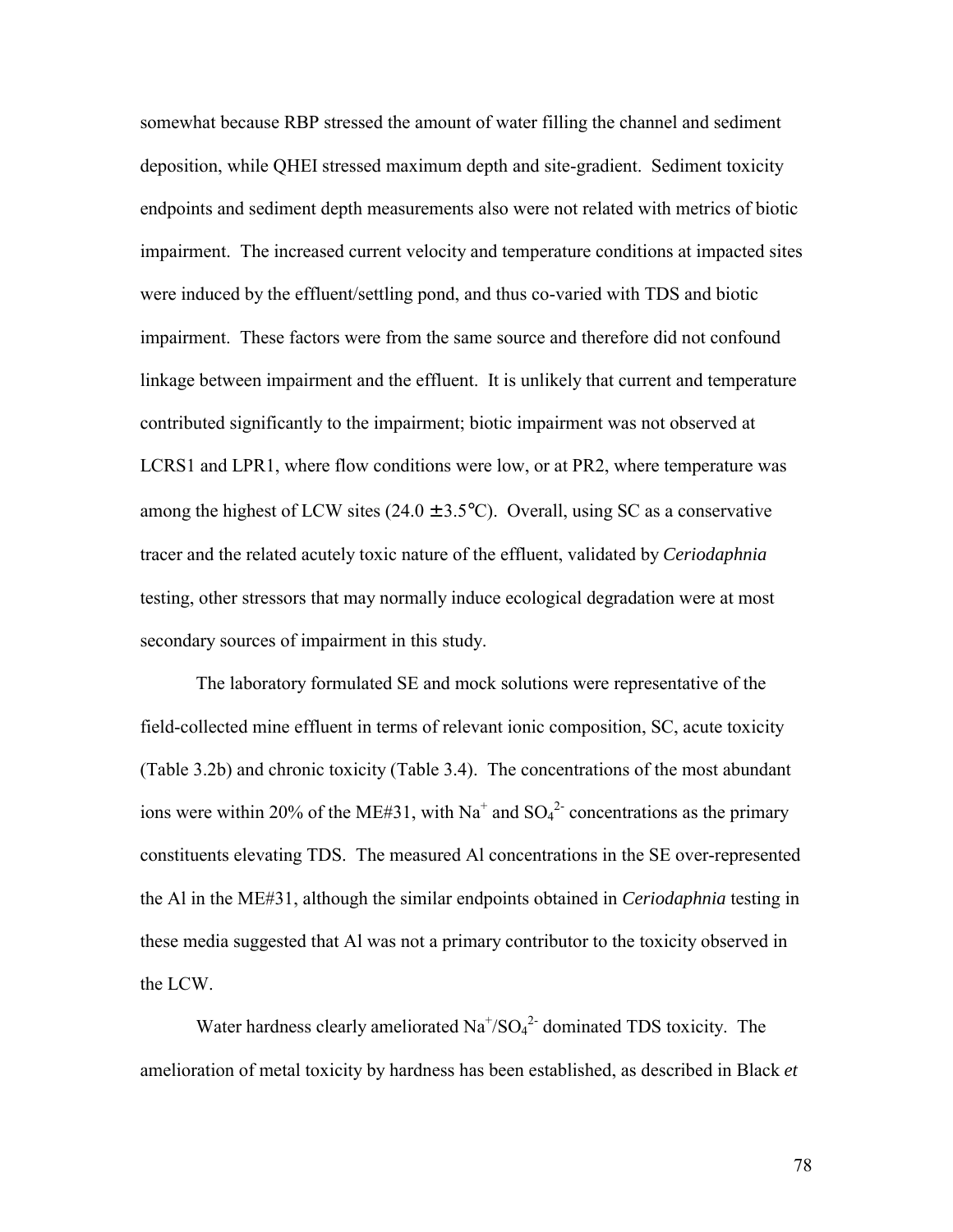somewhat because RBP stressed the amount of water filling the channel and sediment deposition, while QHEI stressed maximum depth and site-gradient. Sediment toxicity endpoints and sediment depth measurements also were not related with metrics of biotic impairment. The increased current velocity and temperature conditions at impacted sites were induced by the effluent/settling pond, and thus co-varied with TDS and biotic impairment. These factors were from the same source and therefore did not confound linkage between impairment and the effluent. It is unlikely that current and temperature contributed significantly to the impairment; biotic impairment was not observed at LCRS1 and LPR1, where flow conditions were low, or at PR2, where temperature was among the highest of LCW sites  $(24.0 \pm 3.5^{\circ}C)$ . Overall, using SC as a conservative tracer and the related acutely toxic nature of the effluent, validated by *Ceriodaphnia* testing, other stressors that may normally induce ecological degradation were at most secondary sources of impairment in this study.

 The laboratory formulated SE and mock solutions were representative of the field-collected mine effluent in terms of relevant ionic composition, SC, acute toxicity (Table 3.2b) and chronic toxicity (Table 3.4). The concentrations of the most abundant ions were within 20% of the ME#31, with Na<sup>+</sup> and  $SO_4^2$ - concentrations as the primary constituents elevating TDS. The measured Al concentrations in the SE over-represented the Al in the ME#31, although the similar endpoints obtained in *Ceriodaphnia* testing in these media suggested that Al was not a primary contributor to the toxicity observed in the LCW.

Water hardness clearly ameliorated  $Na^{+/SO_4^2}$  dominated TDS toxicity. The amelioration of metal toxicity by hardness has been established, as described in Black *et*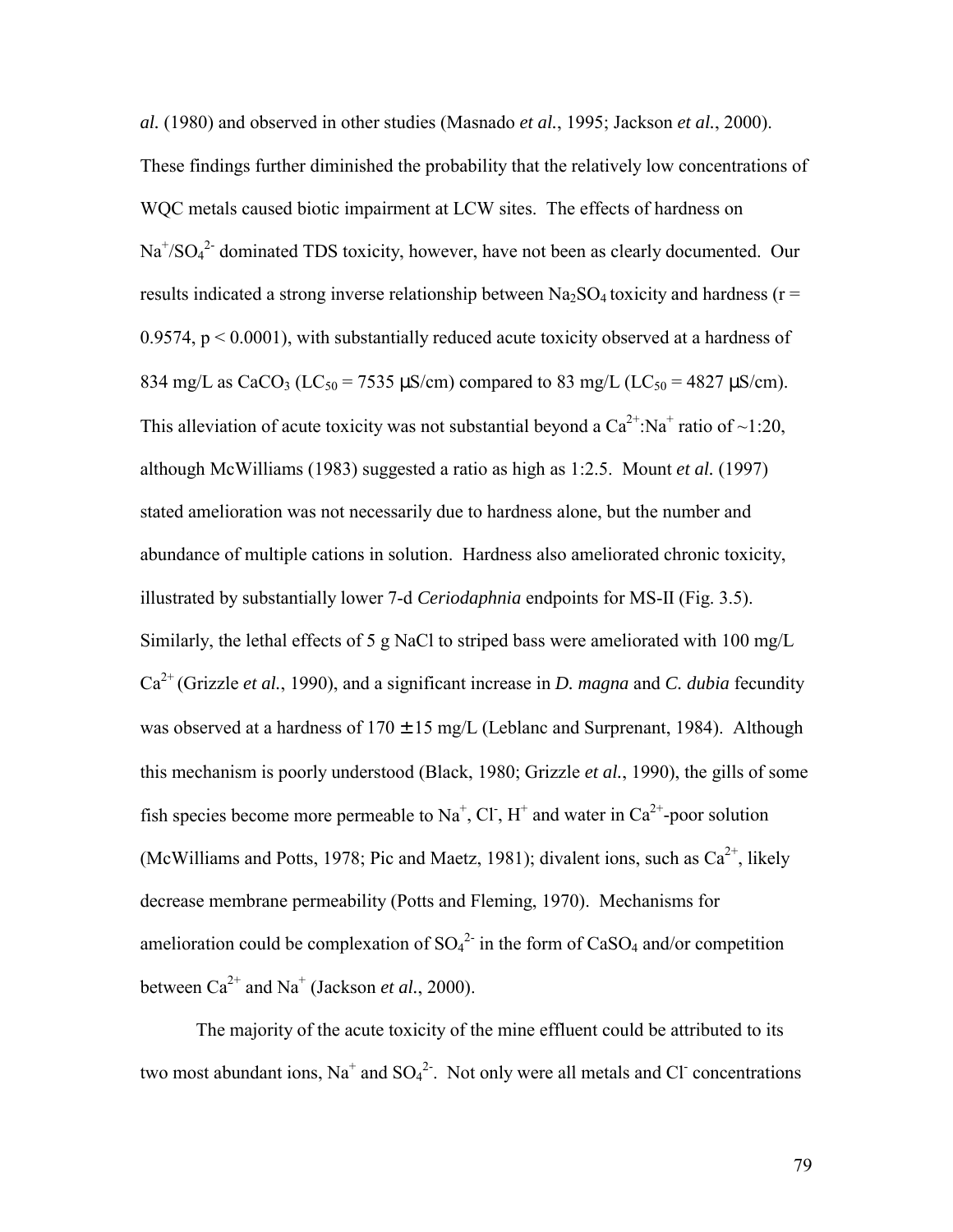*al.* (1980) and observed in other studies (Masnado *et al.*, 1995; Jackson *et al.*, 2000). These findings further diminished the probability that the relatively low concentrations of WQC metals caused biotic impairment at LCW sites. The effects of hardness on  $Na<sup>+/</sup>SO<sub>4</sub><sup>2-</sup> dominated TDS toxicity, however, have not been as clearly documented. Our$ results indicated a strong inverse relationship between  $Na<sub>2</sub>SO<sub>4</sub>$  toxicity and hardness (r = 0.9574,  $p < 0.0001$ ), with substantially reduced acute toxicity observed at a hardness of 834 mg/L as CaCO<sub>3</sub> (LC<sub>50</sub> = 7535  $\mu$ S/cm) compared to 83 mg/L (LC<sub>50</sub> = 4827  $\mu$ S/cm). This alleviation of acute toxicity was not substantial beyond a  $Ca^{2+}$ :Na<sup>+</sup> ratio of ~1:20, although McWilliams (1983) suggested a ratio as high as 1:2.5. Mount *et al.* (1997) stated amelioration was not necessarily due to hardness alone, but the number and abundance of multiple cations in solution. Hardness also ameliorated chronic toxicity, illustrated by substantially lower 7-d *Ceriodaphnia* endpoints for MS-II (Fig. 3.5). Similarly, the lethal effects of 5 g NaCl to striped bass were ameliorated with 100 mg/L Ca2+ (Grizzle *et al.*, 1990), and a significant increase in *D. magna* and *C. dubia* fecundity was observed at a hardness of  $170 \pm 15$  mg/L (Leblanc and Surprenant, 1984). Although this mechanism is poorly understood (Black, 1980; Grizzle *et al.*, 1990), the gills of some fish species become more permeable to Na<sup>+</sup>, Cl<sup>-</sup>, H<sup>+</sup> and water in Ca<sup>2+</sup>-poor solution (McWilliams and Potts, 1978; Pic and Maetz, 1981); divalent ions, such as  $Ca^{2+}$ , likely decrease membrane permeability (Potts and Fleming, 1970). Mechanisms for amelioration could be complexation of  $SO_4^2$  in the form of  $CaSO_4$  and/or competition between  $Ca^{2+}$  and  $Na^{+}$  (Jackson *et al.*, 2000).

The majority of the acute toxicity of the mine effluent could be attributed to its two most abundant ions,  $Na<sup>+</sup>$  and  $SO<sub>4</sub><sup>2</sup>$ . Not only were all metals and Cl concentrations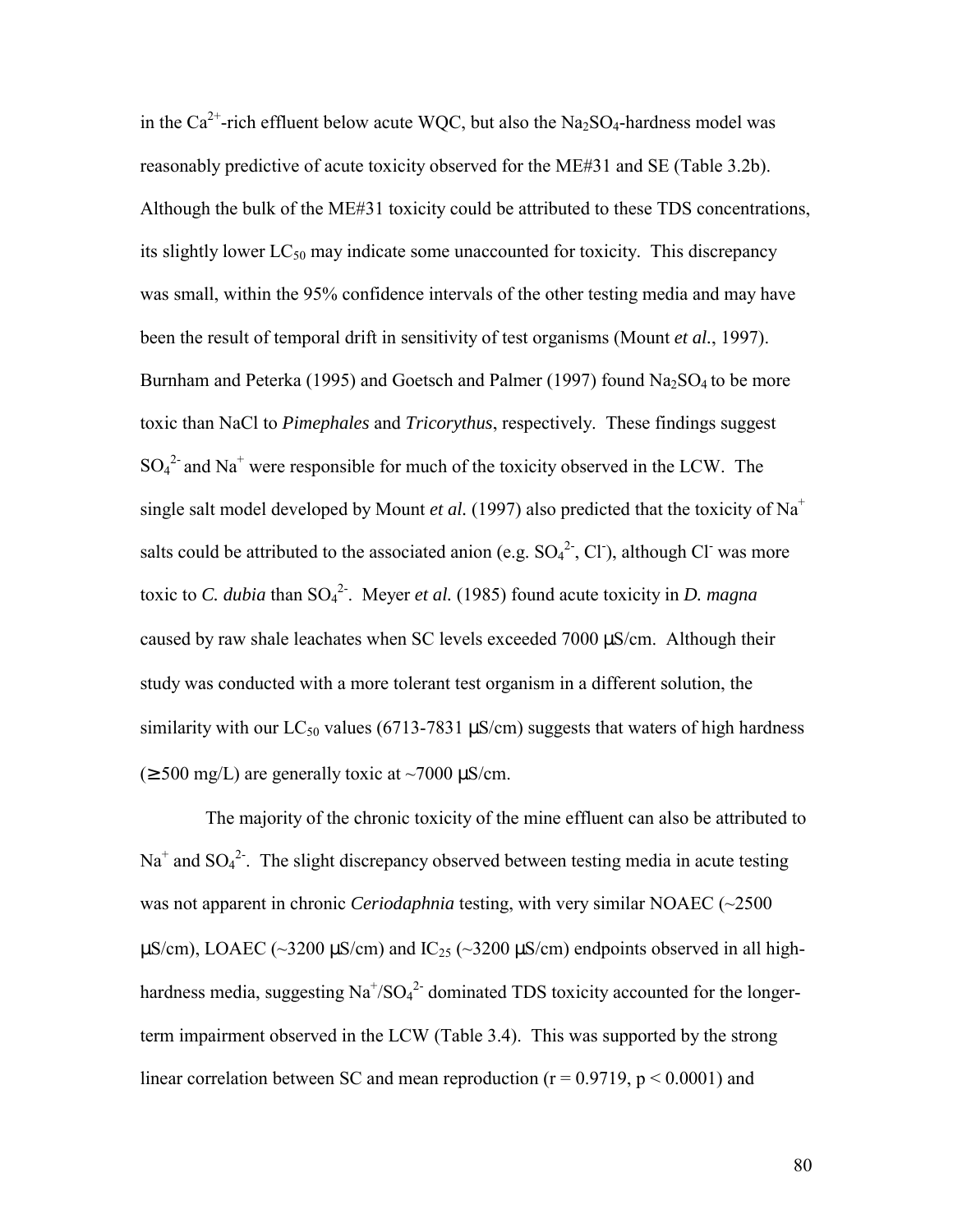in the  $Ca^{2+}$ -rich effluent below acute WOC, but also the Na<sub>2</sub>SO<sub>4</sub>-hardness model was reasonably predictive of acute toxicity observed for the ME#31 and SE (Table 3.2b). Although the bulk of the ME#31 toxicity could be attributed to these TDS concentrations, its slightly lower  $LC_{50}$  may indicate some unaccounted for toxicity. This discrepancy was small, within the 95% confidence intervals of the other testing media and may have been the result of temporal drift in sensitivity of test organisms (Mount *et al.*, 1997). Burnham and Peterka (1995) and Goetsch and Palmer (1997) found  $Na<sub>2</sub>SO<sub>4</sub>$  to be more toxic than NaCl to *Pimephales* and *Tricorythus*, respectively. These findings suggest  $SO_4^2$  and Na<sup>+</sup> were responsible for much of the toxicity observed in the LCW. The single salt model developed by Mount *et al.* (1997) also predicted that the toxicity of  $Na<sup>+</sup>$ salts could be attributed to the associated anion (e.g.  $SO_4^2$ , Cl), although Cl was more toxic to *C. dubia* than SO4 2-. Meyer *et al.* (1985) found acute toxicity in *D. magna* caused by raw shale leachates when SC levels exceeded 7000 µS/cm. Although their study was conducted with a more tolerant test organism in a different solution, the similarity with our LC<sub>50</sub> values (6713-7831  $\mu$ S/cm) suggests that waters of high hardness  $(\geq 500 \text{ mg/L})$  are generally toxic at ~7000  $\mu$ S/cm.

 The majority of the chronic toxicity of the mine effluent can also be attributed to  $Na<sup>+</sup>$  and  $SO<sub>4</sub><sup>2</sup>$ . The slight discrepancy observed between testing media in acute testing was not apparent in chronic *Ceriodaphnia* testing, with very similar NOAEC (~2500  $\mu$ S/cm), LOAEC (~3200  $\mu$ S/cm) and IC<sub>25</sub> (~3200  $\mu$ S/cm) endpoints observed in all highhardness media, suggesting  $\text{Na}^+\text{/SO}_4{}^2$  dominated TDS toxicity accounted for the longerterm impairment observed in the LCW (Table 3.4). This was supported by the strong linear correlation between SC and mean reproduction ( $r = 0.9719$ ,  $p \le 0.0001$ ) and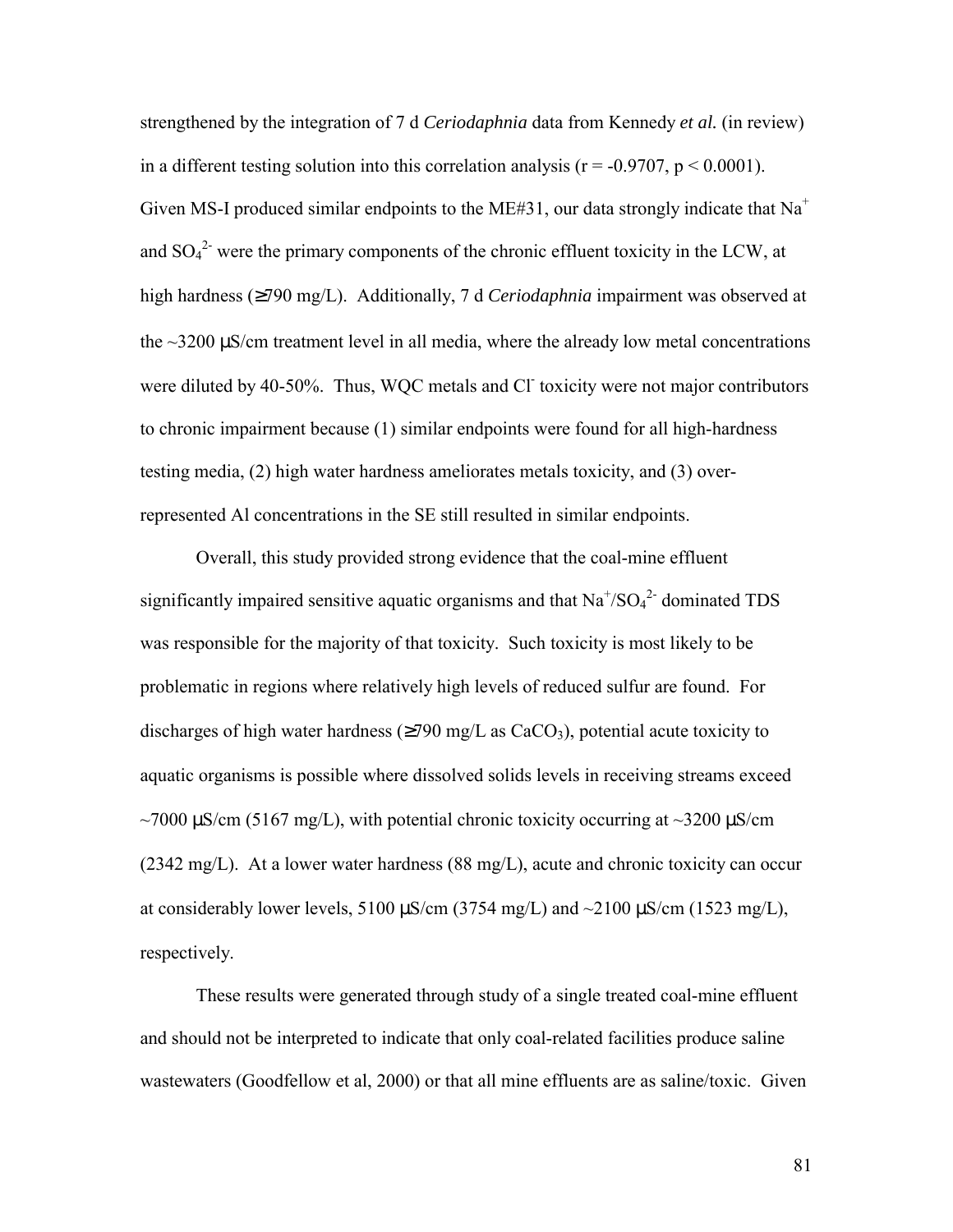strengthened by the integration of 7 d *Ceriodaphnia* data from Kennedy *et al.* (in review) in a different testing solution into this correlation analysis ( $r = -0.9707$ ,  $p \le 0.0001$ ). Given MS-I produced similar endpoints to the ME#31, our data strongly indicate that  $Na<sup>+</sup>$ and  $SO_4^2$  were the primary components of the chronic effluent toxicity in the LCW, at high hardness (≥790 mg/L). Additionally, 7 d *Ceriodaphnia* impairment was observed at the  $\sim$ 3200  $\mu$ S/cm treatment level in all media, where the already low metal concentrations were diluted by 40-50%. Thus, WQC metals and Cl toxicity were not major contributors to chronic impairment because (1) similar endpoints were found for all high-hardness testing media, (2) high water hardness ameliorates metals toxicity, and (3) overrepresented Al concentrations in the SE still resulted in similar endpoints.

Overall, this study provided strong evidence that the coal-mine effluent significantly impaired sensitive aquatic organisms and that  $Na^{\dagger}/SO_4^{\dagger}$  dominated TDS was responsible for the majority of that toxicity. Such toxicity is most likely to be problematic in regions where relatively high levels of reduced sulfur are found. For discharges of high water hardness ( $\geq$ 790 mg/L as CaCO<sub>3</sub>), potential acute toxicity to aquatic organisms is possible where dissolved solids levels in receiving streams exceed  $\sim$ 7000  $\mu$ S/cm (5167 mg/L), with potential chronic toxicity occurring at  $\sim$ 3200  $\mu$ S/cm (2342 mg/L). At a lower water hardness (88 mg/L), acute and chronic toxicity can occur at considerably lower levels, 5100  $\mu$ S/cm (3754 mg/L) and ~2100  $\mu$ S/cm (1523 mg/L), respectively.

These results were generated through study of a single treated coal-mine effluent and should not be interpreted to indicate that only coal-related facilities produce saline wastewaters (Goodfellow et al, 2000) or that all mine effluents are as saline/toxic. Given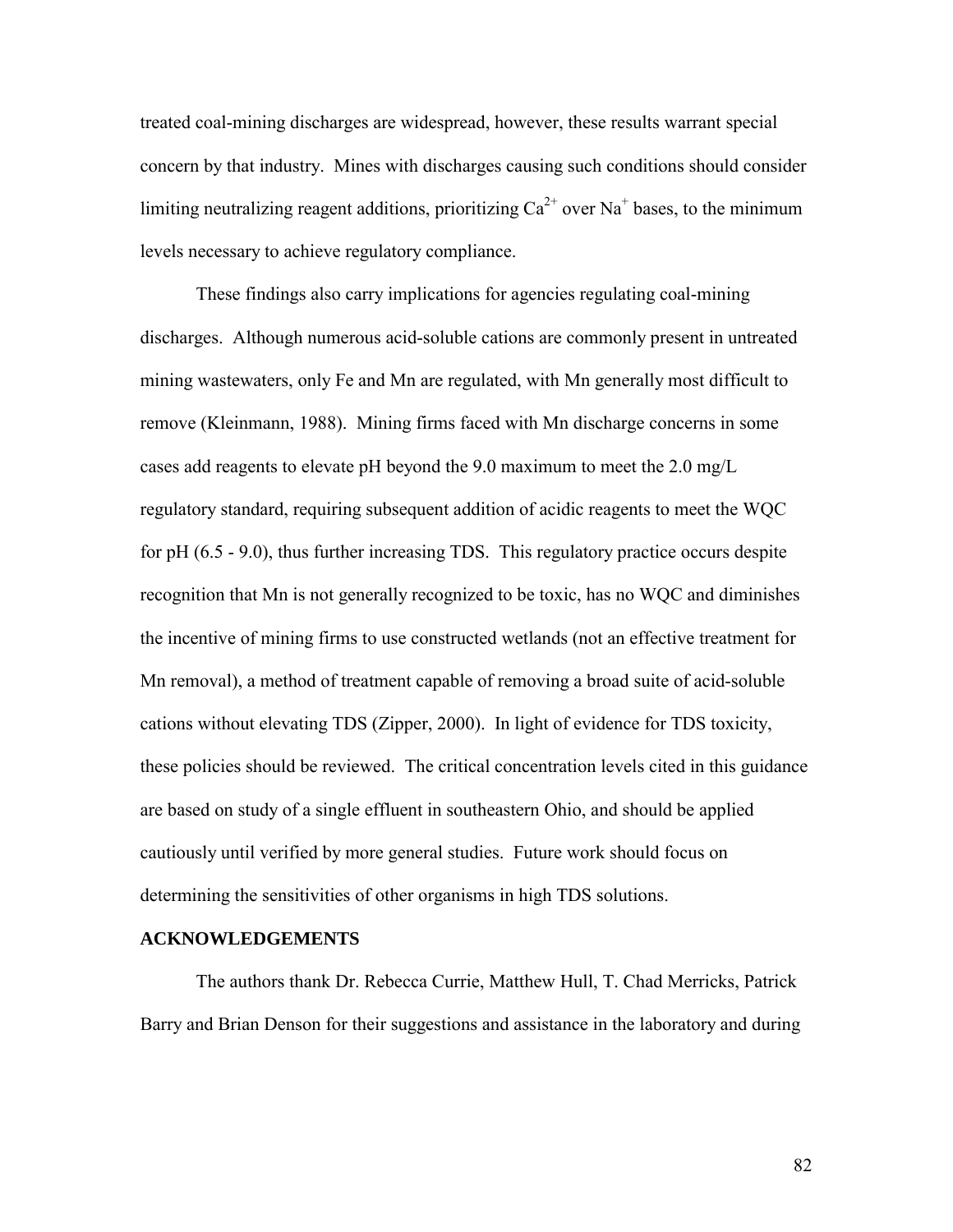treated coal-mining discharges are widespread, however, these results warrant special concern by that industry. Mines with discharges causing such conditions should consider limiting neutralizing reagent additions, prioritizing  $Ca^{2+}$  over Na<sup>+</sup> bases, to the minimum levels necessary to achieve regulatory compliance.

These findings also carry implications for agencies regulating coal-mining discharges. Although numerous acid-soluble cations are commonly present in untreated mining wastewaters, only Fe and Mn are regulated, with Mn generally most difficult to remove (Kleinmann, 1988). Mining firms faced with Mn discharge concerns in some cases add reagents to elevate pH beyond the 9.0 maximum to meet the 2.0 mg/L regulatory standard, requiring subsequent addition of acidic reagents to meet the WQC for pH (6.5 - 9.0), thus further increasing TDS. This regulatory practice occurs despite recognition that Mn is not generally recognized to be toxic, has no WQC and diminishes the incentive of mining firms to use constructed wetlands (not an effective treatment for Mn removal), a method of treatment capable of removing a broad suite of acid-soluble cations without elevating TDS (Zipper, 2000). In light of evidence for TDS toxicity, these policies should be reviewed. The critical concentration levels cited in this guidance are based on study of a single effluent in southeastern Ohio, and should be applied cautiously until verified by more general studies. Future work should focus on determining the sensitivities of other organisms in high TDS solutions.

#### **ACKNOWLEDGEMENTS**

 The authors thank Dr. Rebecca Currie, Matthew Hull, T. Chad Merricks, Patrick Barry and Brian Denson for their suggestions and assistance in the laboratory and during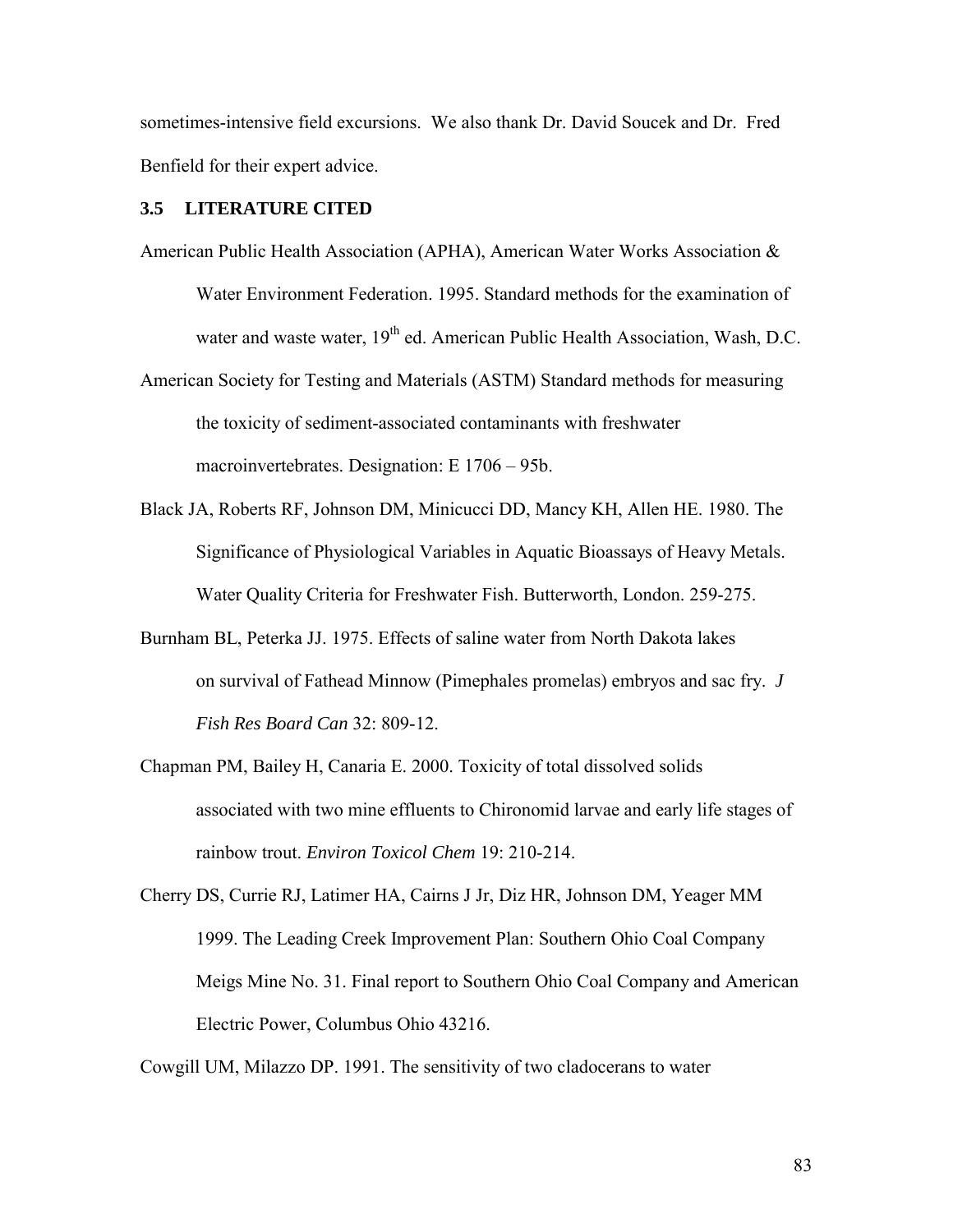sometimes-intensive field excursions. We also thank Dr. David Soucek and Dr. Fred Benfield for their expert advice.

# **3.5 LITERATURE CITED**

- American Public Health Association (APHA), American Water Works Association & Water Environment Federation. 1995. Standard methods for the examination of water and waste water, 19<sup>th</sup> ed. American Public Health Association, Wash, D.C.
- American Society for Testing and Materials (ASTM) Standard methods for measuring the toxicity of sediment-associated contaminants with freshwater macroinvertebrates. Designation: E 1706 – 95b.
- Black JA, Roberts RF, Johnson DM, Minicucci DD, Mancy KH, Allen HE. 1980. The Significance of Physiological Variables in Aquatic Bioassays of Heavy Metals. Water Quality Criteria for Freshwater Fish. Butterworth, London. 259-275.
- Burnham BL, Peterka JJ. 1975. Effects of saline water from North Dakota lakes on survival of Fathead Minnow (Pimephales promelas) embryos and sac fry. *J Fish Res Board Can* 32: 809-12.
- Chapman PM, Bailey H, Canaria E. 2000. Toxicity of total dissolved solids associated with two mine effluents to Chironomid larvae and early life stages of rainbow trout. *Environ Toxicol Chem* 19: 210-214.
- Cherry DS, Currie RJ, Latimer HA, Cairns J Jr, Diz HR, Johnson DM, Yeager MM 1999. The Leading Creek Improvement Plan: Southern Ohio Coal Company Meigs Mine No. 31. Final report to Southern Ohio Coal Company and American Electric Power, Columbus Ohio 43216.

Cowgill UM, Milazzo DP. 1991. The sensitivity of two cladocerans to water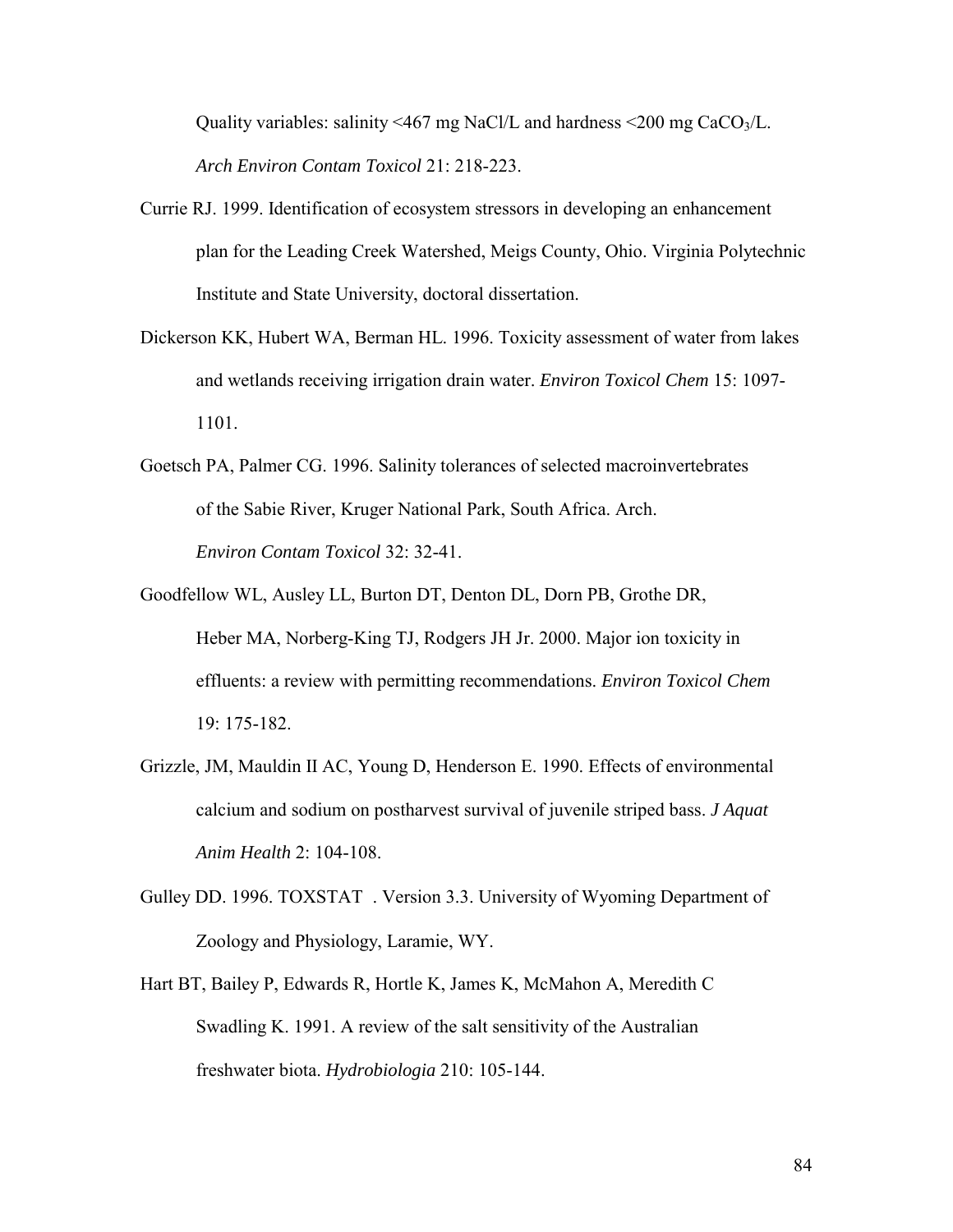Quality variables: salinity <467 mg NaCl/L and hardness <200 mg CaCO<sub>3</sub>/L. *Arch Environ Contam Toxicol* 21: 218-223.

- Currie RJ. 1999. Identification of ecosystem stressors in developing an enhancement plan for the Leading Creek Watershed, Meigs County, Ohio. Virginia Polytechnic Institute and State University, doctoral dissertation.
- Dickerson KK, Hubert WA, Berman HL. 1996. Toxicity assessment of water from lakes and wetlands receiving irrigation drain water. *Environ Toxicol Chem* 15: 1097- 1101.
- Goetsch PA, Palmer CG. 1996. Salinity tolerances of selected macroinvertebrates of the Sabie River, Kruger National Park, South Africa. Arch. *Environ Contam Toxicol* 32: 32-41.
- Goodfellow WL, Ausley LL, Burton DT, Denton DL, Dorn PB, Grothe DR, Heber MA, Norberg-King TJ, Rodgers JH Jr. 2000. Major ion toxicity in effluents: a review with permitting recommendations. *Environ Toxicol Chem*  19: 175-182.
- Grizzle, JM, Mauldin II AC, Young D, Henderson E. 1990. Effects of environmental calcium and sodium on postharvest survival of juvenile striped bass. *J Aquat Anim Health* 2: 104-108.
- Gulley DD. 1996. TOXSTAT<sup>®</sup>. Version 3.3. University of Wyoming Department of Zoology and Physiology, Laramie, WY.
- Hart BT, Bailey P, Edwards R, Hortle K, James K, McMahon A, Meredith C Swadling K. 1991. A review of the salt sensitivity of the Australian freshwater biota. *Hydrobiologia* 210: 105-144.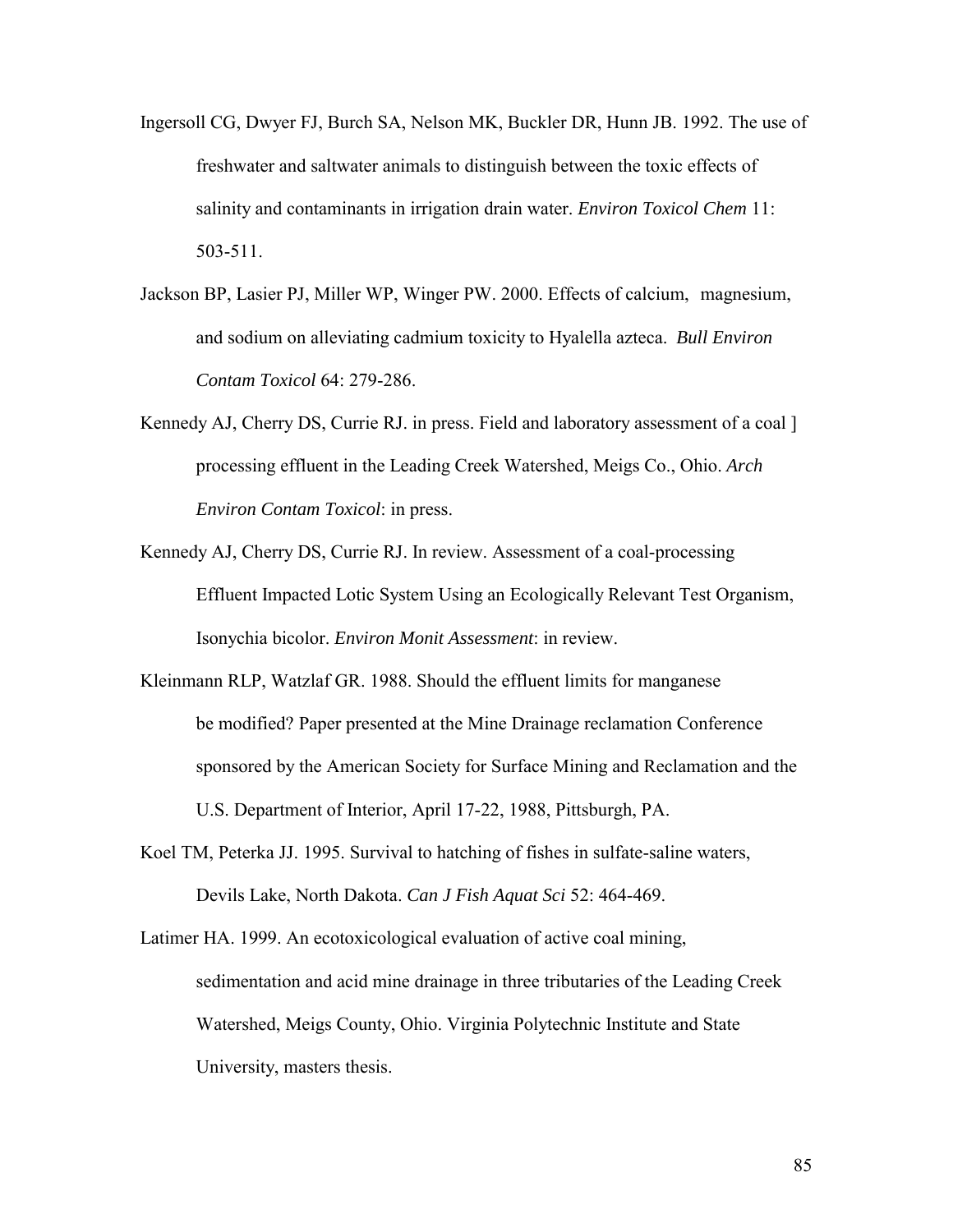- Ingersoll CG, Dwyer FJ, Burch SA, Nelson MK, Buckler DR, Hunn JB. 1992. The use of freshwater and saltwater animals to distinguish between the toxic effects of salinity and contaminants in irrigation drain water. *Environ Toxicol Chem* 11: 503-511.
- Jackson BP, Lasier PJ, Miller WP, Winger PW. 2000. Effects of calcium, magnesium, and sodium on alleviating cadmium toxicity to Hyalella azteca. *Bull Environ Contam Toxicol* 64: 279-286.
- Kennedy AJ, Cherry DS, Currie RJ. in press. Field and laboratory assessment of a coal ] processing effluent in the Leading Creek Watershed, Meigs Co., Ohio. *Arch Environ Contam Toxicol*: in press.
- Kennedy AJ, Cherry DS, Currie RJ. In review. Assessment of a coal-processing Effluent Impacted Lotic System Using an Ecologically Relevant Test Organism, Isonychia bicolor. *Environ Monit Assessment*: in review.
- Kleinmann RLP, Watzlaf GR. 1988. Should the effluent limits for manganese be modified? Paper presented at the Mine Drainage reclamation Conference sponsored by the American Society for Surface Mining and Reclamation and the U.S. Department of Interior, April 17-22, 1988, Pittsburgh, PA.
- Koel TM, Peterka JJ. 1995. Survival to hatching of fishes in sulfate-saline waters, Devils Lake, North Dakota. *Can J Fish Aquat Sci* 52: 464-469.

Latimer HA. 1999. An ecotoxicological evaluation of active coal mining, sedimentation and acid mine drainage in three tributaries of the Leading Creek Watershed, Meigs County, Ohio. Virginia Polytechnic Institute and State University, masters thesis.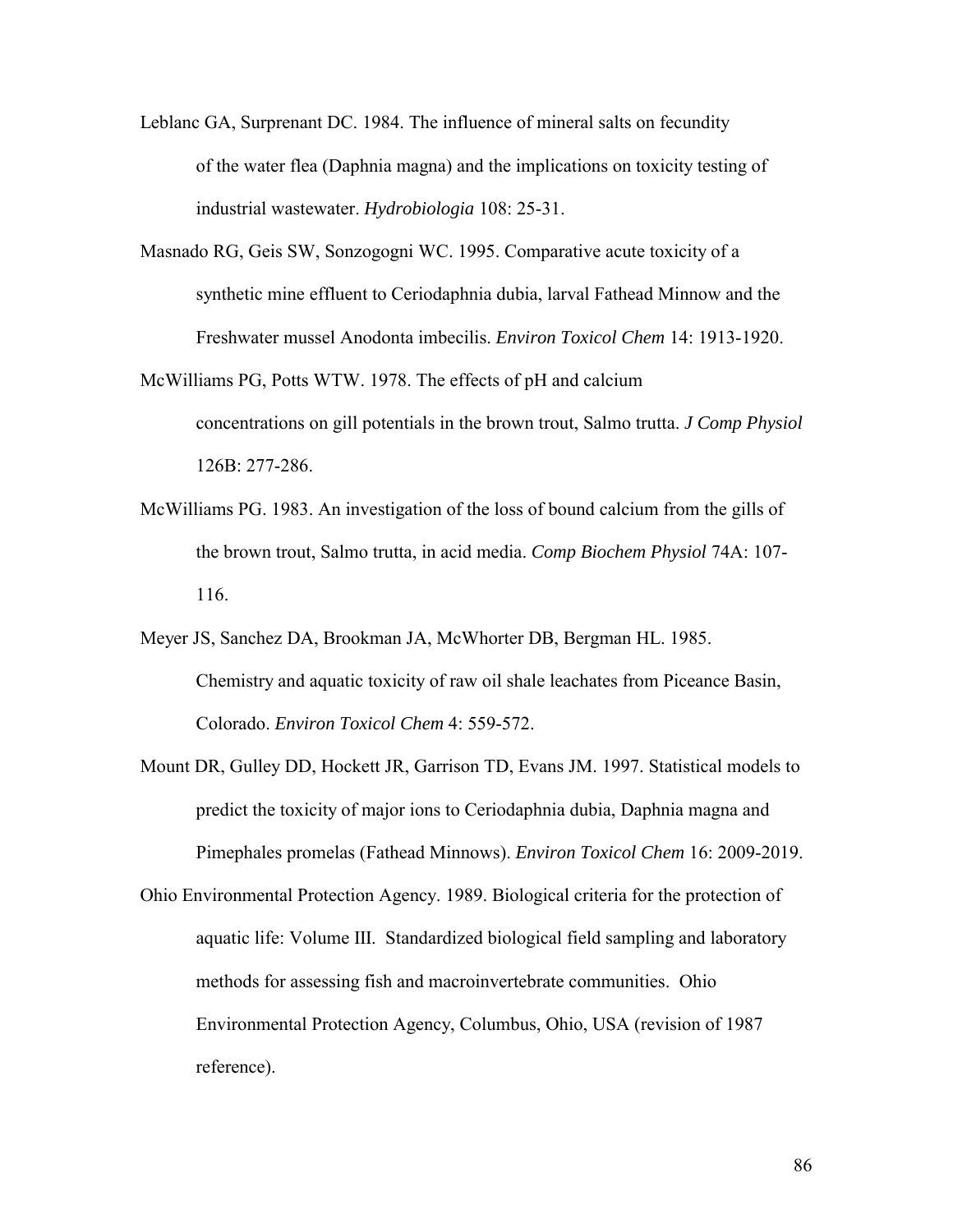- Leblanc GA, Surprenant DC. 1984. The influence of mineral salts on fecundity of the water flea (Daphnia magna) and the implications on toxicity testing of industrial wastewater. *Hydrobiologia* 108: 25-31.
- Masnado RG, Geis SW, Sonzogogni WC. 1995. Comparative acute toxicity of a synthetic mine effluent to Ceriodaphnia dubia, larval Fathead Minnow and the Freshwater mussel Anodonta imbecilis. *Environ Toxicol Chem* 14: 1913-1920.
- McWilliams PG, Potts WTW. 1978. The effects of pH and calcium concentrations on gill potentials in the brown trout, Salmo trutta. *J Comp Physiol* 126B: 277-286.
- McWilliams PG. 1983. An investigation of the loss of bound calcium from the gills of the brown trout, Salmo trutta, in acid media. *Comp Biochem Physiol* 74A: 107- 116.
- Meyer JS, Sanchez DA, Brookman JA, McWhorter DB, Bergman HL. 1985. Chemistry and aquatic toxicity of raw oil shale leachates from Piceance Basin, Colorado. *Environ Toxicol Chem* 4: 559-572.
- Mount DR, Gulley DD, Hockett JR, Garrison TD, Evans JM. 1997. Statistical models to predict the toxicity of major ions to Ceriodaphnia dubia, Daphnia magna and Pimephales promelas (Fathead Minnows). *Environ Toxicol Chem* 16: 2009-2019.
- Ohio Environmental Protection Agency. 1989. Biological criteria for the protection of aquatic life: Volume III. Standardized biological field sampling and laboratory methods for assessing fish and macroinvertebrate communities. Ohio Environmental Protection Agency, Columbus, Ohio, USA (revision of 1987 reference).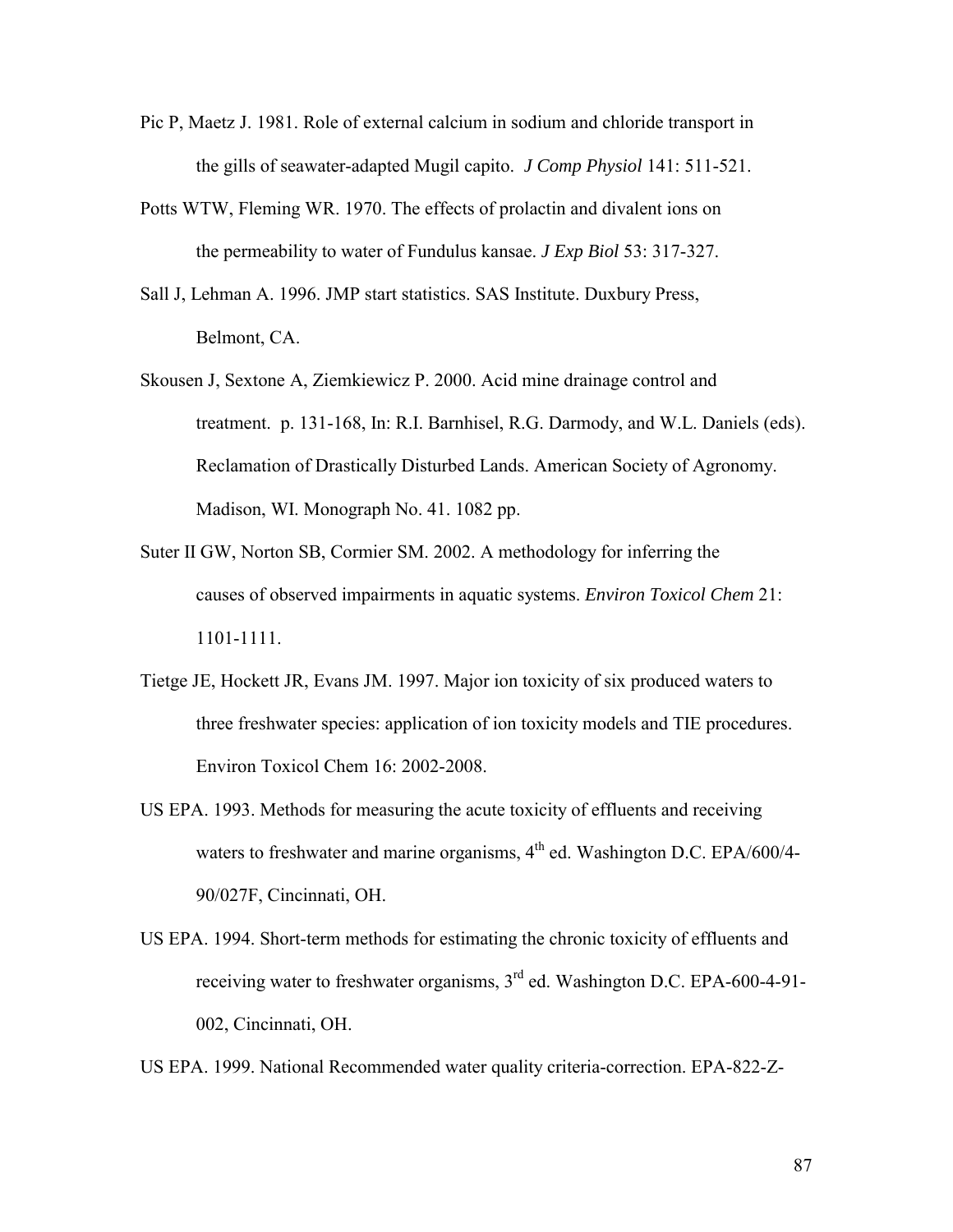- Pic P, Maetz J. 1981. Role of external calcium in sodium and chloride transport in the gills of seawater-adapted Mugil capito. *J Comp Physiol* 141: 511-521.
- Potts WTW, Fleming WR. 1970. The effects of prolactin and divalent ions on the permeability to water of Fundulus kansae. *J Exp Biol* 53: 317-327.
- Sall J, Lehman A. 1996. JMP start statistics. SAS Institute. Duxbury Press, Belmont, CA.
- Skousen J, Sextone A, Ziemkiewicz P. 2000. Acid mine drainage control and treatment. p. 131-168, In: R.I. Barnhisel, R.G. Darmody, and W.L. Daniels (eds). Reclamation of Drastically Disturbed Lands. American Society of Agronomy. Madison, WI. Monograph No. 41. 1082 pp.
- Suter II GW, Norton SB, Cormier SM. 2002. A methodology for inferring the causes of observed impairments in aquatic systems. *Environ Toxicol Chem* 21: 1101-1111.
- Tietge JE, Hockett JR, Evans JM. 1997. Major ion toxicity of six produced waters to three freshwater species: application of ion toxicity models and TIE procedures. Environ Toxicol Chem 16: 2002-2008.
- US EPA. 1993. Methods for measuring the acute toxicity of effluents and receiving waters to freshwater and marine organisms,  $4<sup>th</sup>$  ed. Washington D.C. EPA/600/4-90/027F, Cincinnati, OH.
- US EPA. 1994. Short-term methods for estimating the chronic toxicity of effluents and receiving water to freshwater organisms, 3<sup>rd</sup> ed. Washington D.C. EPA-600-4-91-002, Cincinnati, OH.

US EPA. 1999. National Recommended water quality criteria-correction. EPA-822-Z-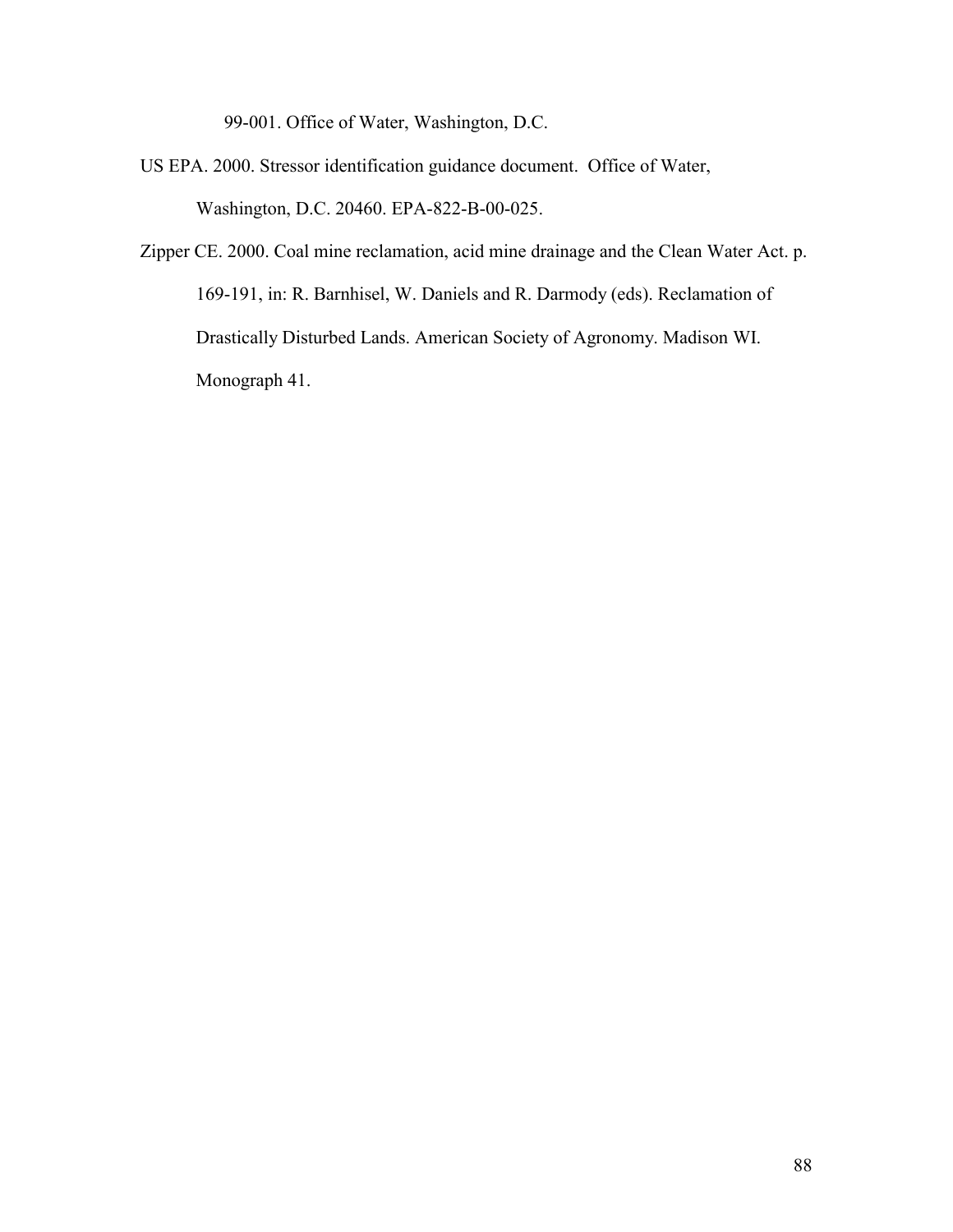99-001. Office of Water, Washington, D.C.

- US EPA. 2000. Stressor identification guidance document. Office of Water, Washington, D.C. 20460. EPA-822-B-00-025.
- Zipper CE. 2000. Coal mine reclamation, acid mine drainage and the Clean Water Act. p. 169-191, in: R. Barnhisel, W. Daniels and R. Darmody (eds). Reclamation of Drastically Disturbed Lands. American Society of Agronomy. Madison WI. Monograph 41.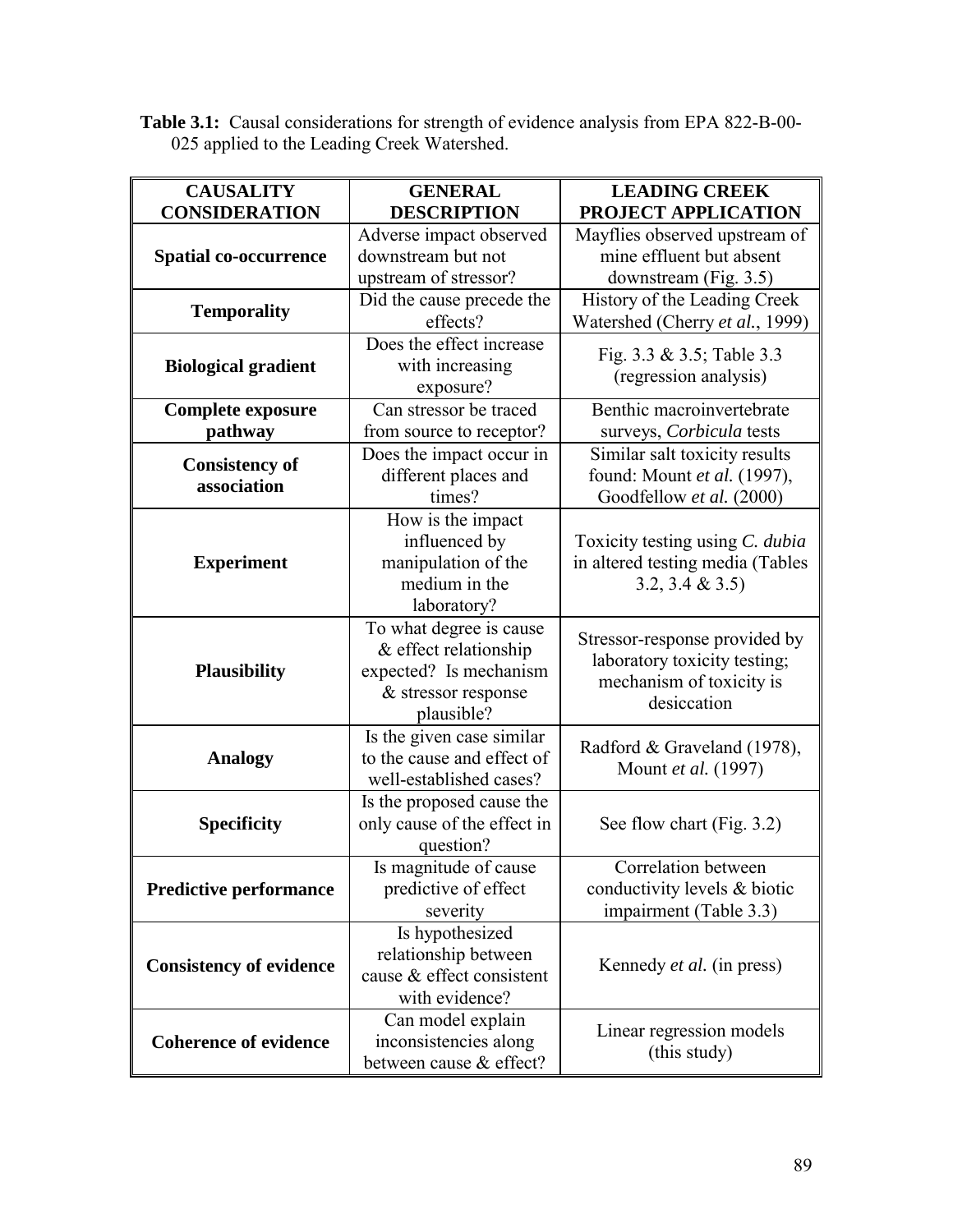**Table 3.1:** Causal considerations for strength of evidence analysis from EPA 822-B-00- 025 applied to the Leading Creek Watershed.

| <b>CAUSALITY</b>                     | <b>GENERAL</b>              | <b>LEADING CREEK</b>             |
|--------------------------------------|-----------------------------|----------------------------------|
| <b>CONSIDERATION</b>                 | <b>DESCRIPTION</b>          | PROJECT APPLICATION              |
|                                      | Adverse impact observed     | Mayflies observed upstream of    |
| <b>Spatial co-occurrence</b>         | downstream but not          | mine effluent but absent         |
|                                      | upstream of stressor?       | downstream (Fig. 3.5)            |
| <b>Temporality</b>                   | Did the cause precede the   | History of the Leading Creek     |
|                                      | effects?                    | Watershed (Cherry et al., 1999)  |
|                                      | Does the effect increase    | Fig. 3.3 & 3.5; Table 3.3        |
| <b>Biological gradient</b>           | with increasing             | (regression analysis)            |
|                                      | exposure?                   |                                  |
| <b>Complete exposure</b>             | Can stressor be traced      | Benthic macroinvertebrate        |
| pathway                              | from source to receptor?    | surveys, Corbicula tests         |
|                                      | Does the impact occur in    | Similar salt toxicity results    |
| <b>Consistency of</b><br>association | different places and        | found: Mount et al. (1997),      |
|                                      | times?                      | Goodfellow et al. (2000)         |
|                                      | How is the impact           |                                  |
|                                      | influenced by               | Toxicity testing using C. dubia  |
| <b>Experiment</b>                    | manipulation of the         | in altered testing media (Tables |
|                                      | medium in the               | 3.2, 3.4 & 3.5                   |
|                                      | laboratory?                 |                                  |
|                                      | To what degree is cause     |                                  |
|                                      | & effect relationship       | Stressor-response provided by    |
| <b>Plausibility</b>                  | expected? Is mechanism      | laboratory toxicity testing;     |
|                                      | & stressor response         | mechanism of toxicity is         |
|                                      | plausible?                  | desiccation                      |
|                                      | Is the given case similar   |                                  |
| <b>Analogy</b>                       | to the cause and effect of  | Radford & Graveland (1978),      |
|                                      | well-established cases?     | Mount et al. (1997)              |
|                                      | Is the proposed cause the   |                                  |
| <b>Specificity</b>                   | only cause of the effect in | See flow chart (Fig. 3.2)        |
|                                      | question?                   |                                  |
|                                      | Is magnitude of cause       | Correlation between              |
| <b>Predictive performance</b>        | predictive of effect        | conductivity levels & biotic     |
|                                      | severity                    | impairment (Table 3.3)           |
|                                      | Is hypothesized             |                                  |
|                                      | relationship between        |                                  |
| <b>Consistency of evidence</b>       | cause & effect consistent   | Kennedy <i>et al.</i> (in press) |
|                                      | with evidence?              |                                  |
|                                      | Can model explain           |                                  |
| <b>Coherence of evidence</b>         | inconsistencies along       | Linear regression models         |
|                                      | between cause & effect?     | (this study)                     |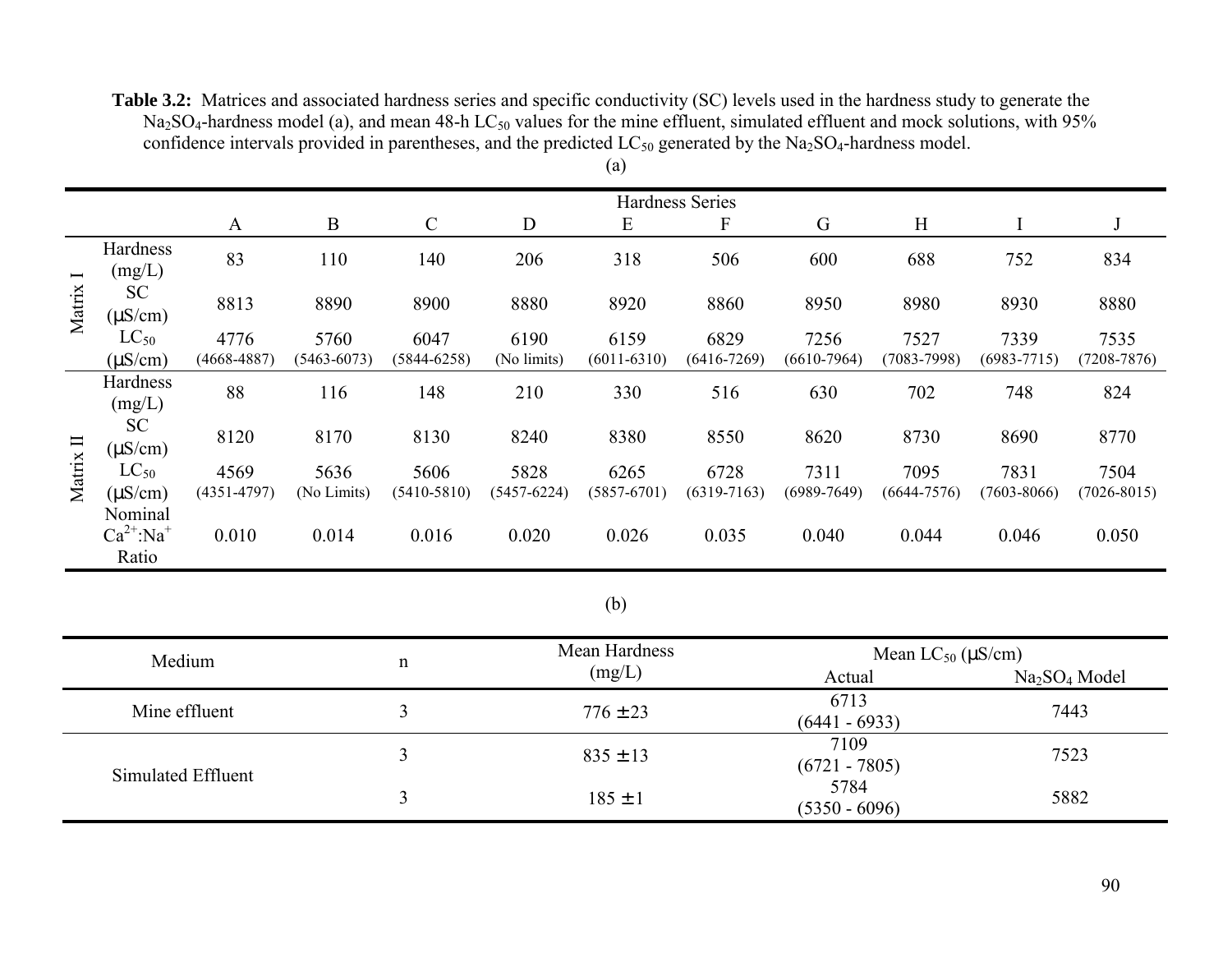**Table 3.2:** Matrices and associated hardness series and specific conductivity (SC) levels used in the hardness study to generate the  $Na<sub>2</sub>SO<sub>4</sub>$ -hardness model (a), and mean 48-h LC<sub>50</sub> values for the mine effluent, simulated effluent and mock solutions, with 95% confidence intervals provided in parentheses, and the predicted LC<sub>50</sub> generated by the Na<sub>2</sub>SO<sub>4</sub>-hardness model. (a)

|              |                                                |                 |                 |                 |             |                 | <b>Hardness Series</b> |                 |                 |                 |                 |
|--------------|------------------------------------------------|-----------------|-----------------|-----------------|-------------|-----------------|------------------------|-----------------|-----------------|-----------------|-----------------|
|              |                                                | A               | $\bf{B}$        | $\mathsf{C}$    | D           | E               | F                      | G               | H               |                 |                 |
| Ī<br>Matrix  | Hardness<br>(mg/L)                             | 83              | 110             | 140             | 206         | 318             | 506                    | 600             | 688             | 752             | 834             |
|              | <b>SC</b><br>$(\mu S/cm)$                      | 8813            | 8890            | 8900            | 8880        | 8920            | 8860                   | 8950            | 8980            | 8930            | 8880            |
|              | $LC_{50}$                                      | 4776            | 5760            | 6047            | 6190        | 6159            | 6829                   | 7256            | 7527            | 7339            | 7535            |
|              | $(\mu S/cm)$                                   | $(4668 - 4887)$ | $(5463 - 6073)$ | $(5844 - 6258)$ | (No limits) | $(6011 - 6310)$ | $(6416 - 7269)$        | $(6610-7964)$   | $(7083 - 7998)$ | $(6983 - 7715)$ | $(7208 - 7876)$ |
| Matrix $\Pi$ | Hardness<br>(mg/L)                             | 88              | 116             | 148             | 210         | 330             | 516                    | 630             | 702             | 748             | 824             |
|              | <b>SC</b><br>$(\mu S/cm)$                      | 8120            | 8170            | 8130            | 8240        | 8380            | 8550                   | 8620            | 8730            | 8690            | 8770            |
|              | $LC_{50}$                                      | 4569            | 5636            | 5606            | 5828        | 6265            | 6728                   | 7311            | 7095            | 7831            | 7504            |
|              | $(\mu S/cm)$                                   | $(4351 - 4797)$ | (No Limits)     | $(5410 - 5810)$ | (5457-6224) | $(5857 - 6701)$ | $(6319 - 7163)$        | $(6989 - 7649)$ | (6644-7576)     | $(7603 - 8066)$ | $(7026 - 8015)$ |
|              | Nominal<br>$Ca^{2+}$ :Na <sup>+</sup><br>Ratio | 0.010           | 0.014           | 0.016           | 0.020       | 0.026           | 0.035                  | 0.040           | 0.044           | 0.046           | 0.050           |

# (b)

| Medium             | n | Mean Hardness | Mean $LC_{50}$ ( $\mu$ S/cm) |                                       |  |
|--------------------|---|---------------|------------------------------|---------------------------------------|--|
|                    |   | (mg/L)        | Actual                       | Na <sub>2</sub> SO <sub>4</sub> Model |  |
| Mine effluent      |   | $776 \pm 23$  | 6713<br>$(6441 - 6933)$      | 7443                                  |  |
| Simulated Effluent |   | $835 \pm 13$  | 7109<br>$(6721 - 7805)$      | 7523                                  |  |
|                    |   | $185 \pm 1$   | 5784<br>$(5350 - 6096)$      | 5882                                  |  |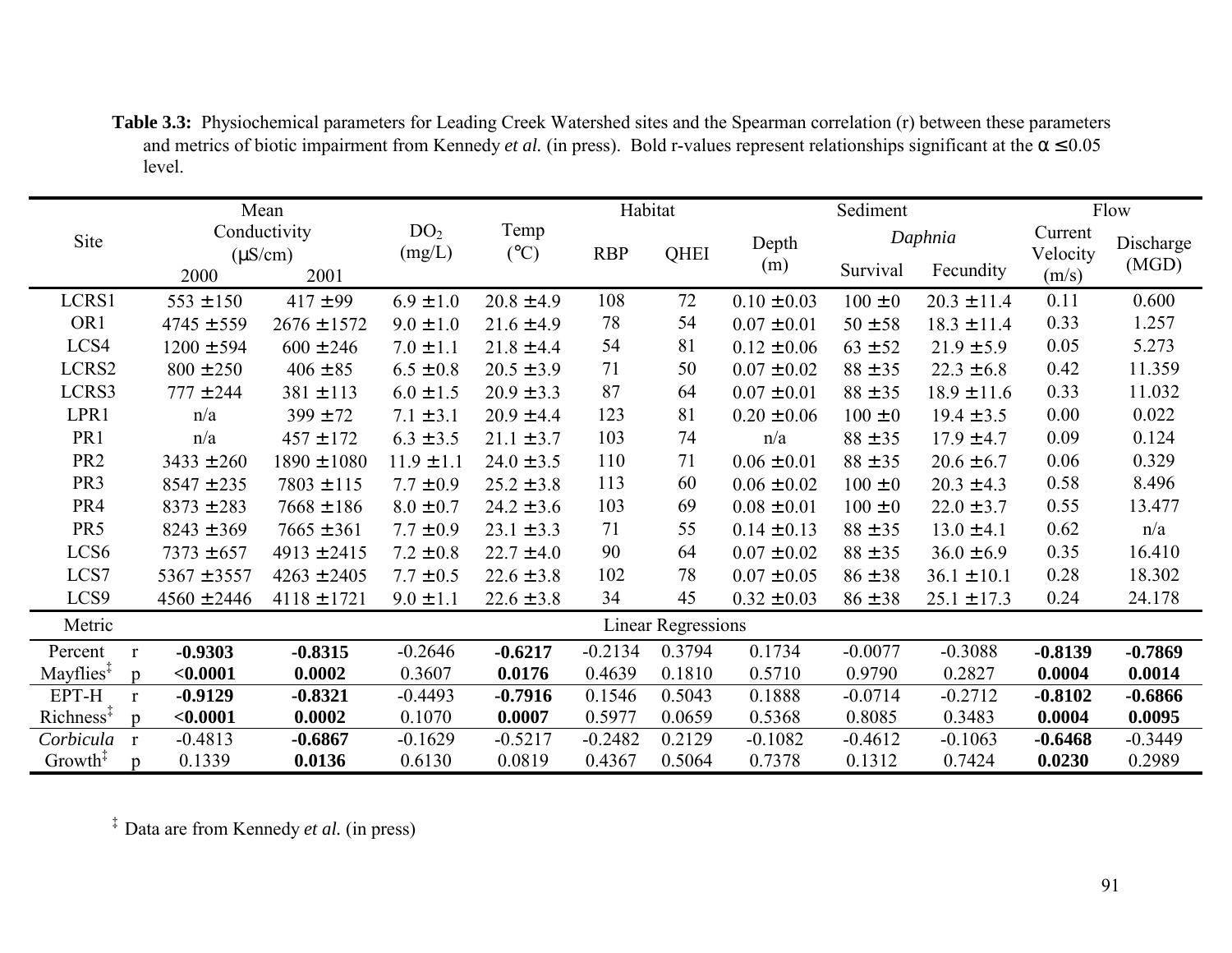**Table 3.3:** Physiochemical parameters for Leading Creek Watershed sites and the Spearman correlation (r) between these parameters and metrics of biotic impairment from Kennedy *et al.* (in press). Bold r-values represent relationships significant at the  $\alpha \le 0.05$ level.

|                                                                     | Mean            |                 |                 | Habitat                   |            |        |                 | Sediment    |                 |           | Flow      |  |
|---------------------------------------------------------------------|-----------------|-----------------|-----------------|---------------------------|------------|--------|-----------------|-------------|-----------------|-----------|-----------|--|
| Site                                                                |                 | Conductivity    | DO <sub>2</sub> | Temp                      |            |        | Depth           |             | Daphnia         | Current   | Discharge |  |
|                                                                     | $(\mu S/cm)$    |                 | (mg/L)          | $({}^{\circ}C)$           | <b>RBP</b> | QHEI   | (m)             |             |                 | Velocity  | (MGD)     |  |
|                                                                     | 2000            | 2001            |                 |                           |            |        |                 | Survival    | Fecundity       | (m/s)     |           |  |
| LCRS1                                                               | $553 \pm 150$   | $417 \pm 99$    | $6.9 \pm 1.0$   | $20.8 \pm 4.9$            | 108        | 72     | $0.10 \pm 0.03$ | $100 \pm 0$ | $20.3 \pm 11.4$ | 0.11      | 0.600     |  |
| OR <sub>1</sub>                                                     | $4745 \pm 559$  | $2676 \pm 1572$ | $9.0 \pm 1.0$   | $21.6 \pm 4.9$            | 78         | 54     | $0.07 \pm 0.01$ | $50 \pm 58$ | $18.3 \pm 11.4$ | 0.33      | 1.257     |  |
| LCS4                                                                | $1200 \pm 594$  | $600 \pm 246$   | $7.0 \pm 1.1$   | $21.8 \pm 4.4$            | 54         | 81     | $0.12 \pm 0.06$ | $63 \pm 52$ | $21.9 \pm 5.9$  | 0.05      | 5.273     |  |
| LCRS2                                                               | $800 \pm 250$   | $406 \pm 85$    | $6.5 \pm 0.8$   | $20.5 \pm 3.9$            | 71         | 50     | $0.07 \pm 0.02$ | $88 \pm 35$ | $22.3 \pm 6.8$  | 0.42      | 11.359    |  |
| LCRS3                                                               | $777 \pm 244$   | $381 \pm 113$   | $6.0 \pm 1.5$   | $20.9 \pm 3.3$            | 87         | 64     | $0.07 \pm 0.01$ | $88 \pm 35$ | $18.9 \pm 11.6$ | 0.33      | 11.032    |  |
| LPR1                                                                | n/a             | $399 \pm 72$    | $7.1 \pm 3.1$   | $20.9 \pm 4.4$            | 123        | 81     | $0.20 \pm 0.06$ | $100 \pm 0$ | $19.4 \pm 3.5$  | 0.00      | 0.022     |  |
| PR <sub>1</sub>                                                     | n/a             | $457 \pm 172$   | $6.3 \pm 3.5$   | $21.1 \pm 3.7$            | 103        | 74     | n/a             | $88 \pm 35$ | $17.9 \pm 4.7$  | 0.09      | 0.124     |  |
| PR <sub>2</sub>                                                     | $3433 \pm 260$  | $1890 \pm 1080$ | $11.9 \pm 1.1$  | $24.0 \pm 3.5$            | 110        | 71     | $0.06 \pm 0.01$ | $88 \pm 35$ | $20.6 \pm 6.7$  | 0.06      | 0.329     |  |
| PR <sub>3</sub>                                                     | $8547 \pm 235$  | $7803 \pm 115$  | $7.7 \pm 0.9$   | $25.2 \pm 3.8$            | 113        | 60     | $0.06 \pm 0.02$ | $100 \pm 0$ | $20.3 \pm 4.3$  | 0.58      | 8.496     |  |
| PR4                                                                 | $8373 \pm 283$  | $7668 \pm 186$  | $8.0 \pm 0.7$   | $24.2 \pm 3.6$            | 103        | 69     | $0.08 \pm 0.01$ | $100 \pm 0$ | $22.0 \pm 3.7$  | 0.55      | 13.477    |  |
| PR <sub>5</sub>                                                     | $8243 \pm 369$  | $7665 \pm 361$  | $7.7 \pm 0.9$   | $23.1 \pm 3.3$            | 71         | 55     | $0.14 \pm 0.13$ | $88 \pm 35$ | $13.0 \pm 4.1$  | 0.62      | n/a       |  |
| LCS <sub>6</sub>                                                    | $7373 \pm 657$  | $4913 \pm 2415$ | $7.2 \pm 0.8$   | $22.7 \pm 4.0$            | 90         | 64     | $0.07 \pm 0.02$ | $88 \pm 35$ | $36.0 \pm 6.9$  | 0.35      | 16.410    |  |
| LCS7                                                                | $5367 \pm 3557$ | $4263 \pm 2405$ | $7.7 \pm 0.5$   | $22.6 \pm 3.8$            | 102        | 78     | $0.07 \pm 0.05$ | $86 \pm 38$ | $36.1 \pm 10.1$ | 0.28      | 18.302    |  |
| LCS9                                                                | $4560 \pm 2446$ | $4118 \pm 1721$ | $9.0 \pm 1.1$   | $22.6 \pm 3.8$            | 34         | 45     | $0.32 \pm 0.03$ | $86 \pm 38$ | $25.1 \pm 17.3$ | 0.24      | 24.178    |  |
| Metric                                                              |                 |                 |                 | <b>Linear Regressions</b> |            |        |                 |             |                 |           |           |  |
| Percent<br>$\mathbf{r}$                                             | $-0.9303$       | $-0.8315$       | $-0.2646$       | $-0.6217$                 | $-0.2134$  | 0.3794 | 0.1734          | $-0.0077$   | $-0.3088$       | $-0.8139$ | $-0.7869$ |  |
| Mayflies $\ddagger$<br>$\mathbf{D}$                                 | < 0.0001        | 0.0002          | 0.3607          | 0.0176                    | 0.4639     | 0.1810 | 0.5710          | 0.9790      | 0.2827          | 0.0004    | 0.0014    |  |
| EPT-H<br>$\mathbf{r}$                                               | $-0.9129$       | $-0.8321$       | $-0.4493$       | $-0.7916$                 | 0.1546     | 0.5043 | 0.1888          | $-0.0714$   | $-0.2712$       | $-0.8102$ | $-0.6866$ |  |
| $Richard$ Richness <sup><math>\ddagger</math></sup><br>$\mathbf{D}$ | < 0.0001        | 0.0002          | 0.1070          | 0.0007                    | 0.5977     | 0.0659 | 0.5368          | 0.8085      | 0.3483          | 0.0004    | 0.0095    |  |
| Corbicula r                                                         | $-0.4813$       | $-0.6867$       | $-0.1629$       | $-0.5217$                 | $-0.2482$  | 0.2129 | $-0.1082$       | $-0.4612$   | $-0.1063$       | $-0.6468$ | $-0.3449$ |  |
| Growth <sup><math>\ddagger</math></sup><br>p                        | 0.1339          | 0.0136          | 0.6130          | 0.0819                    | 0.4367     | 0.5064 | 0.7378          | 0.1312      | 0.7424          | 0.0230    | 0.2989    |  |

‡ Data are from Kennedy *et al.* (in press)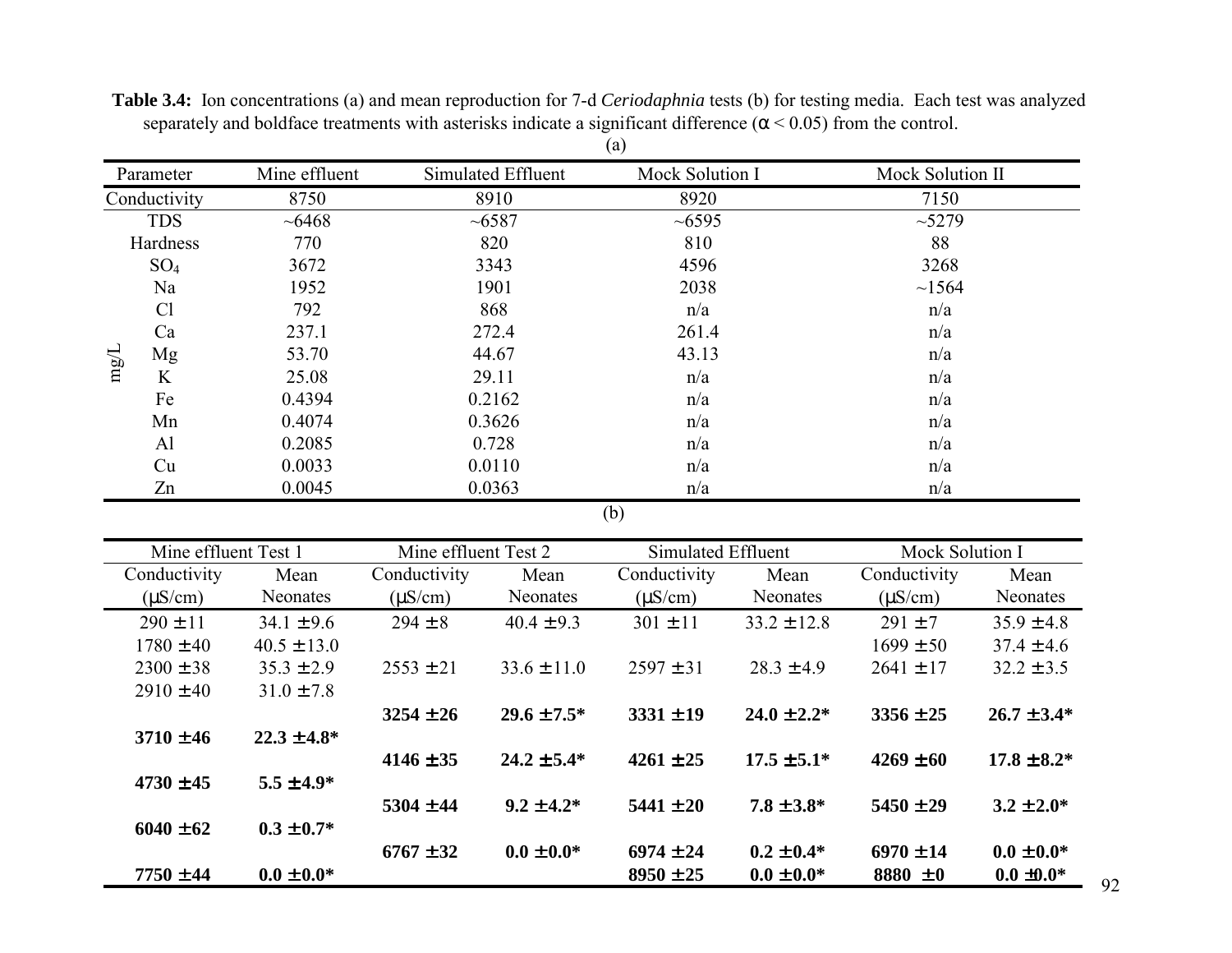| Parameter    |                 | Mine effluent | Simulated Effluent | Mock Solution I | Mock Solution II |
|--------------|-----------------|---------------|--------------------|-----------------|------------------|
| Conductivity |                 | 8750          | 8910               | 8920            | 7150             |
|              | <b>TDS</b>      | $~10-6468$    | ~1000              |                 | ~15279           |
|              | Hardness        | 770           | 820                | 810             | 88               |
|              | SO <sub>4</sub> | 3672          | 3343               | 4596            | 3268             |
|              | Na              | 1952          | 1901               | 2038            | ~1564            |
|              | Cl              | 792           | 868                | n/a             | n/a              |
|              | Ca<br>237.1     |               | 272.4              | 261.4           | n/a              |
| $\rm mg/L$   | Mg              | 53.70         | 44.67              | 43.13           | n/a              |
|              | K               | 25.08         | 29.11              | n/a             | n/a              |
|              | Fe              | 0.4394        | 0.2162             | n/a             | n/a              |
|              | Mn              | 0.4074        | 0.3626             | n/a             | n/a              |
|              | Al              | 0.2085        | 0.728              | n/a             | n/a              |
|              | Cu              | 0.0033        | 0.0110             | n/a             | n/a              |
|              | Zn              | 0.0045        | 0.0363             | n/a             | n/a              |

**Table 3.4:** Ion concentrations (a) and mean reproduction for 7-d *Ceriodaphnia* tests (b) for testing media. Each test was analyzed separately and boldface treatments with asterisks indicate a significant difference  $(\alpha < 0.05)$  from the control. (a)

(b)

| Mine effluent Test 1 |                              | Mine effluent Test 2 |                  | Simulated Effluent |                  | Mock Solution I |                  |
|----------------------|------------------------------|----------------------|------------------|--------------------|------------------|-----------------|------------------|
| Conductivity         | Conductivity<br>Mean<br>Mean |                      |                  | Conductivity       | Mean             | Conductivity    | Mean             |
| $(\mu S/cm)$         | Neonates                     | $(\mu S/cm)$         | <b>Neonates</b>  | $(\mu S/cm)$       | <b>Neonates</b>  | $(\mu S/cm)$    | <b>Neonates</b>  |
| $290 \pm 11$         | $34.1 \pm 9.6$               | $294 \pm 8$          | $40.4 \pm 9.3$   | $301 \pm 11$       | $33.2 \pm 12.8$  | $291 \pm 7$     | $35.9 \pm 4.8$   |
| $1780 \pm 40$        | $40.5 \pm 13.0$              |                      |                  |                    |                  | $1699 \pm 50$   | $37.4 \pm 4.6$   |
| $2300 \pm 38$        | $35.3 \pm 2.9$               | $2553 \pm 21$        | $33.6 \pm 11.0$  | $2597 \pm 31$      | $28.3 \pm 4.9$   | $2641 \pm 17$   | $32.2 \pm 3.5$   |
| $2910 \pm 40$        | $31.0 \pm 7.8$               |                      |                  |                    |                  |                 |                  |
|                      |                              | $3254 \pm 26$        | $29.6 \pm 7.5^*$ | $3331 \pm 19$      | $24.0 \pm 2.2^*$ | $3356 \pm 25$   | $26.7 \pm 3.4*$  |
| $3710 \pm 46$        | $22.3 \pm 4.8^*$             |                      |                  |                    |                  |                 |                  |
|                      |                              | $4146 \pm 35$        | $24.2 \pm 5.4^*$ | $4261 \pm 25$      | $17.5 \pm 5.1^*$ | $4269 \pm 60$   | $17.8 \pm 8.2^*$ |
| $4730 \pm 45$        | $5.5 \pm 4.9^*$              |                      |                  |                    |                  |                 |                  |
|                      |                              | $5304 \pm 44$        | $9.2 \pm 4.2^*$  | $5441 \pm 20$      | $7.8 \pm 3.8^*$  | $5450 \pm 29$   | $3.2 \pm 2.0^*$  |
| $6040 \pm 62$        | $0.3 \pm 0.7^*$              |                      |                  |                    |                  |                 |                  |
|                      |                              | $6767 \pm 32$        | $0.0 \pm 0.0*$   | $6974 \pm 24$      | $0.2 \pm 0.4^*$  | $6970 \pm 14$   | $0.0 \pm 0.0*$   |
| $7750 \pm 44$        | $0.0 \pm 0.0*$               |                      |                  | $8950 \pm 25$      | $0.0 \pm 0.0^*$  | 8880 $\pm 0$    | $0.0 \pm 0.0*$   |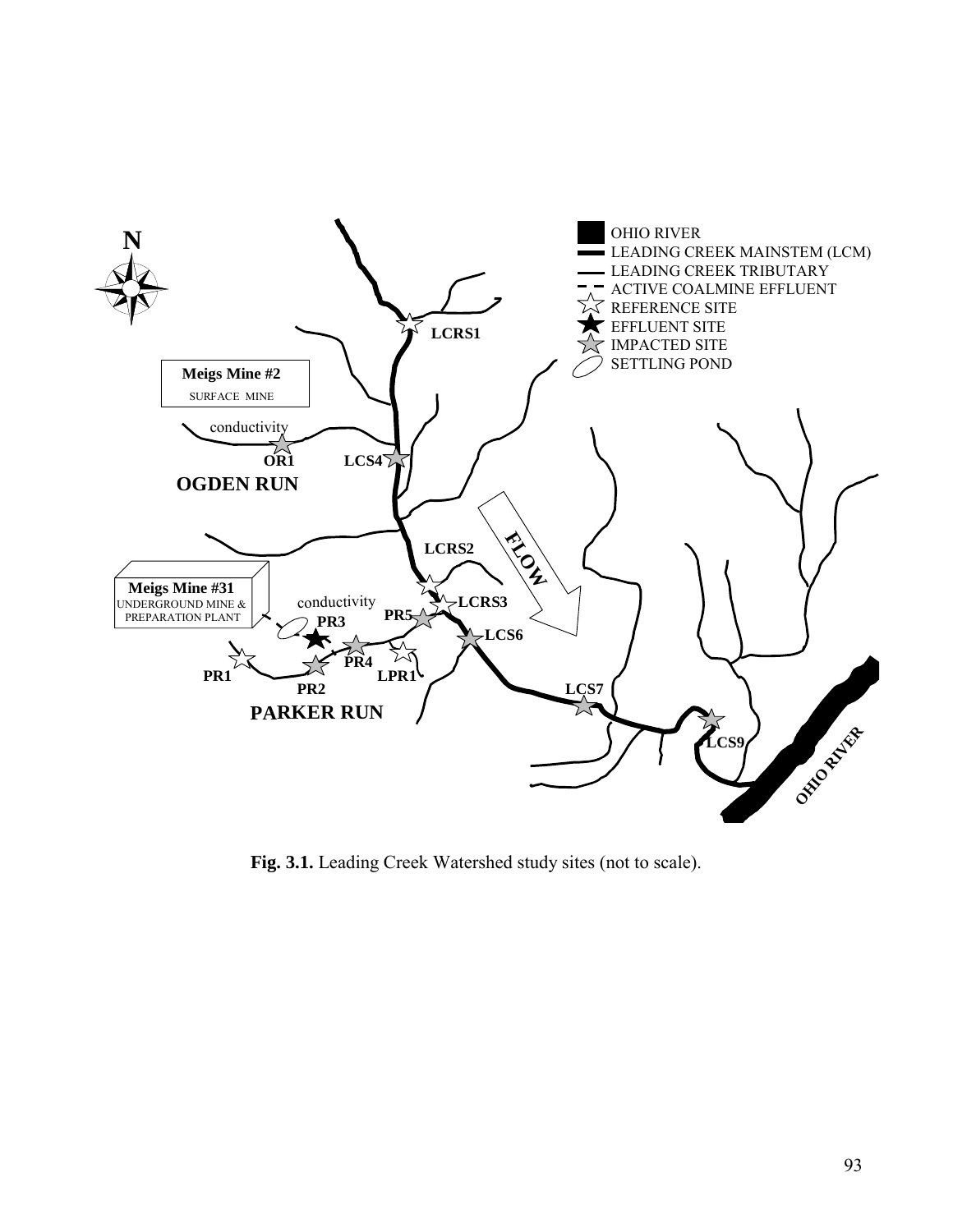

**Fig. 3.1.** Leading Creek Watershed study sites (not to scale).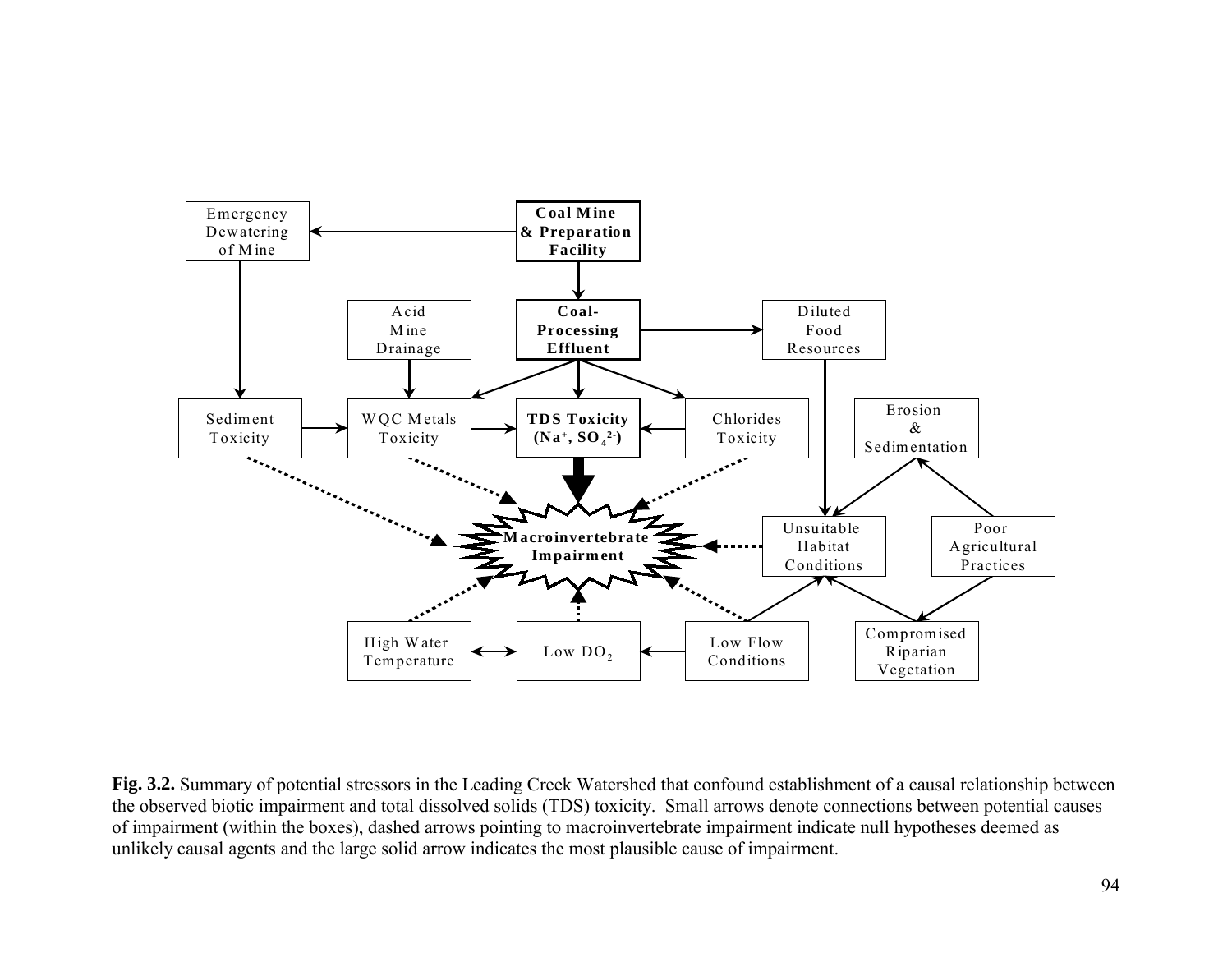

**Fig. 3.2.** Summary of potential stressors in the Leading Creek Watershed that confound establishment of a causal relationship between the observed biotic impairment and total dissolved solids (TDS) toxicity. Small arrows denote connections between potential causes of impairment (within the boxes), dashed arrows pointing to macroinvertebrate impairment indicate null hypotheses deemed as unlikely causal agents and the large solid arrow indicates the most plausible cause of impairment.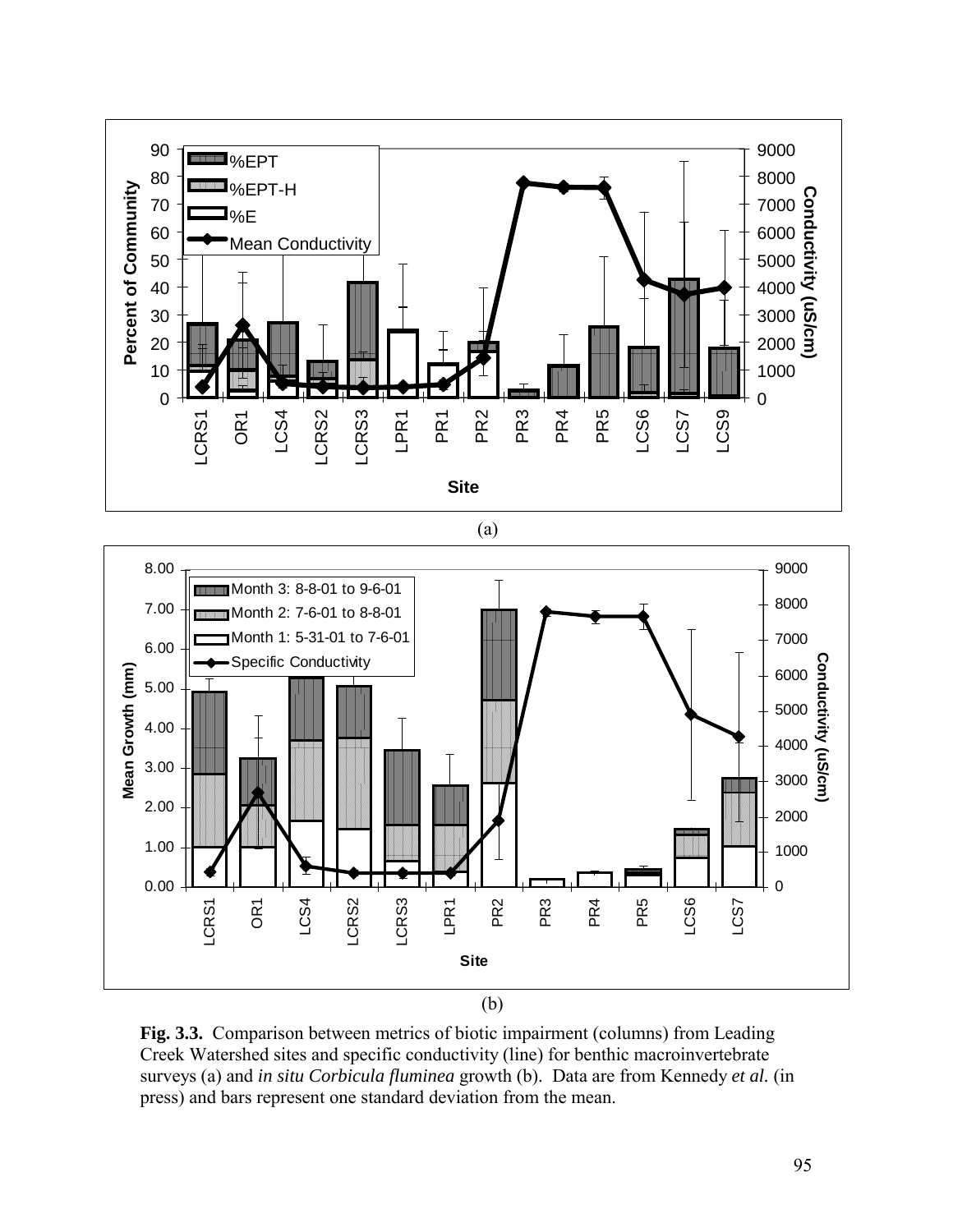

**Fig. 3.3.** Comparison between metrics of biotic impairment (columns) from Leading Creek Watershed sites and specific conductivity (line) for benthic macroinvertebrate surveys (a) and *in situ Corbicula fluminea* growth (b). Data are from Kennedy *et al.* (in press) and bars represent one standard deviation from the mean.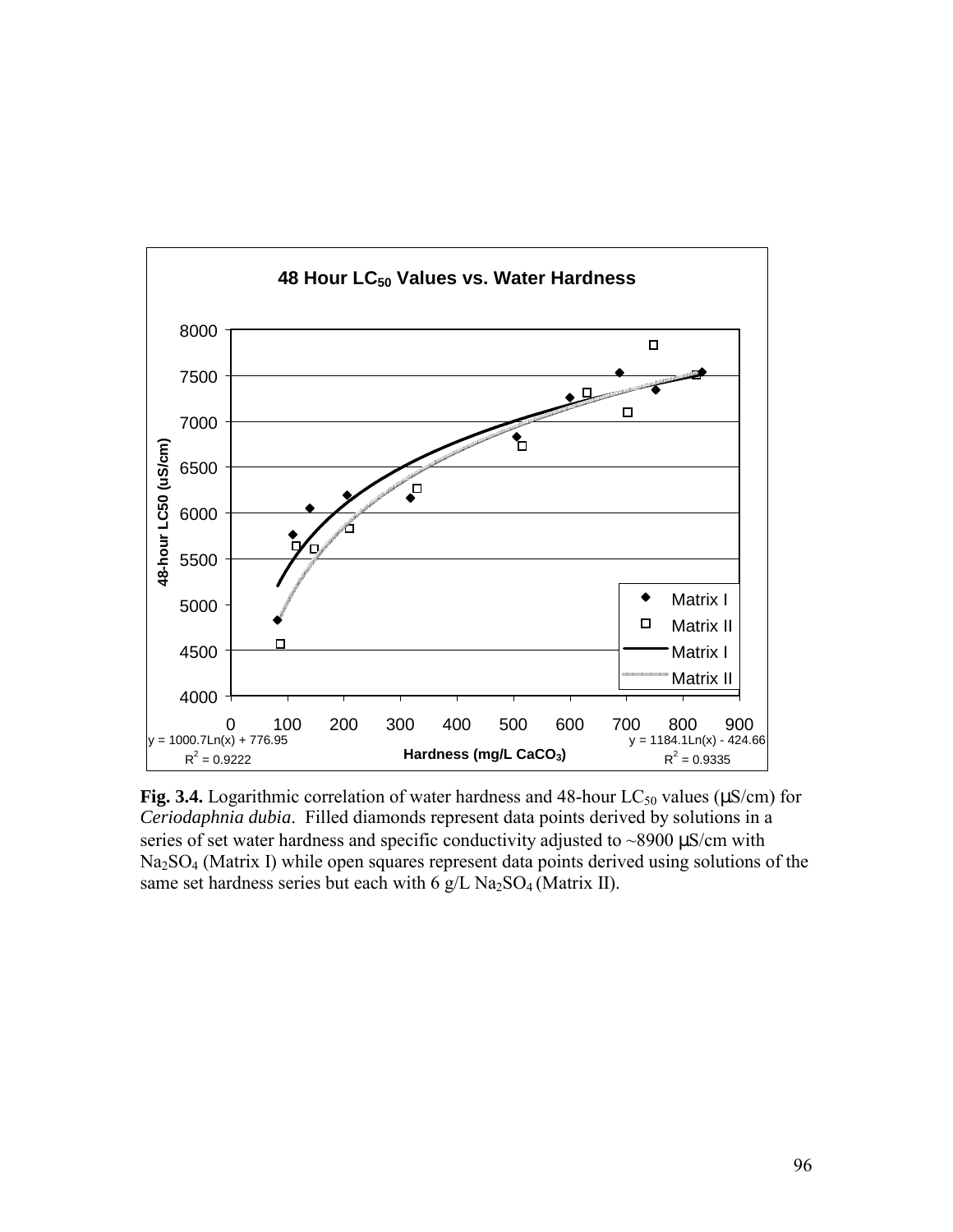

Fig. 3.4. Logarithmic correlation of water hardness and  $48$ -hour LC<sub>50</sub> values ( $\mu$ S/cm) for *Ceriodaphnia dubia*. Filled diamonds represent data points derived by solutions in a series of set water hardness and specific conductivity adjusted to  $\sim$ 8900  $\mu$ S/cm with Na2SO4 (Matrix I) while open squares represent data points derived using solutions of the same set hardness series but each with 6  $g/L$  Na<sub>2</sub>SO<sub>4</sub> (Matrix II).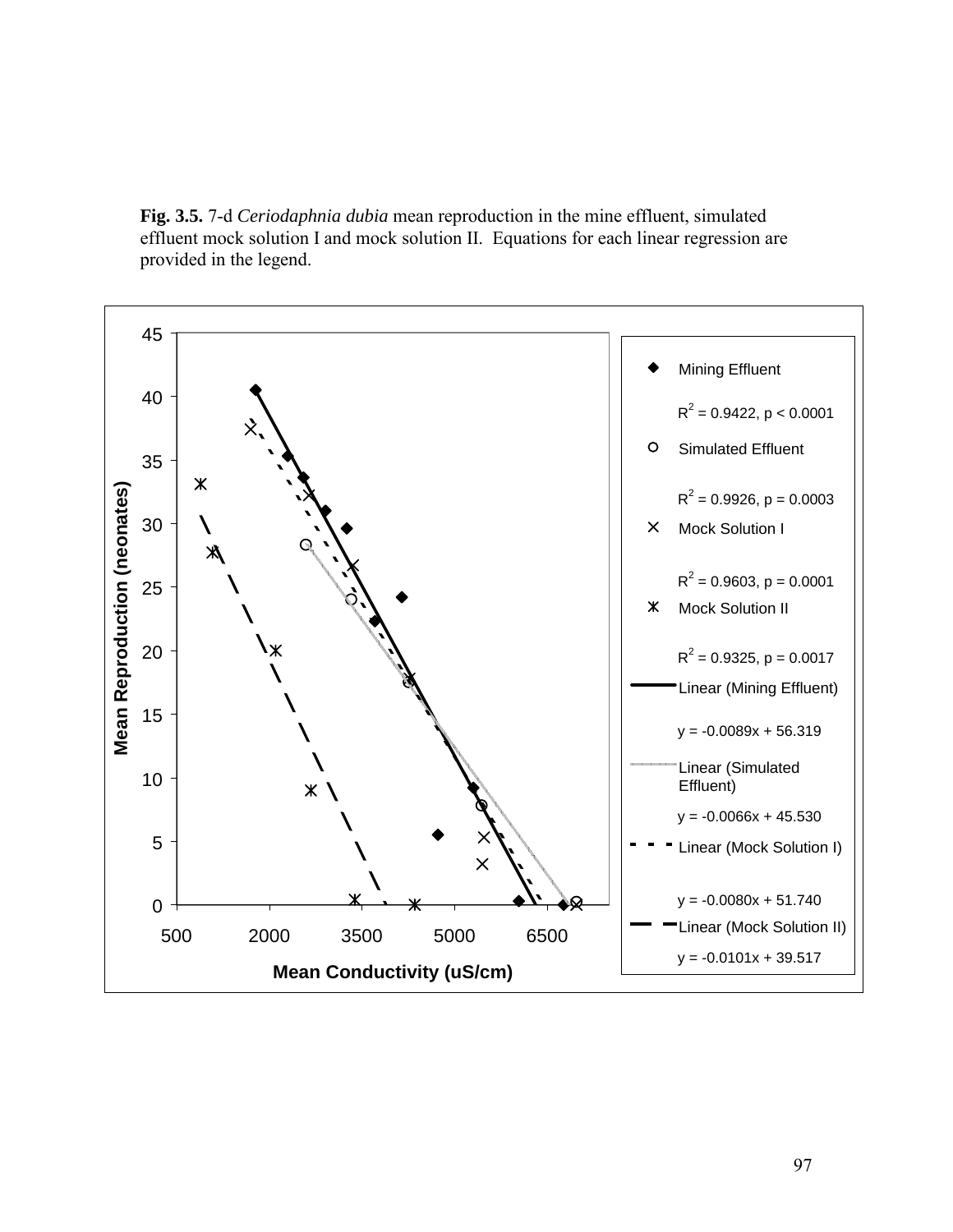**Fig. 3.5.** 7-d *Ceriodaphnia dubia* mean reproduction in the mine effluent, simulated effluent mock solution I and mock solution II. Equations for each linear regression are provided in the legend.

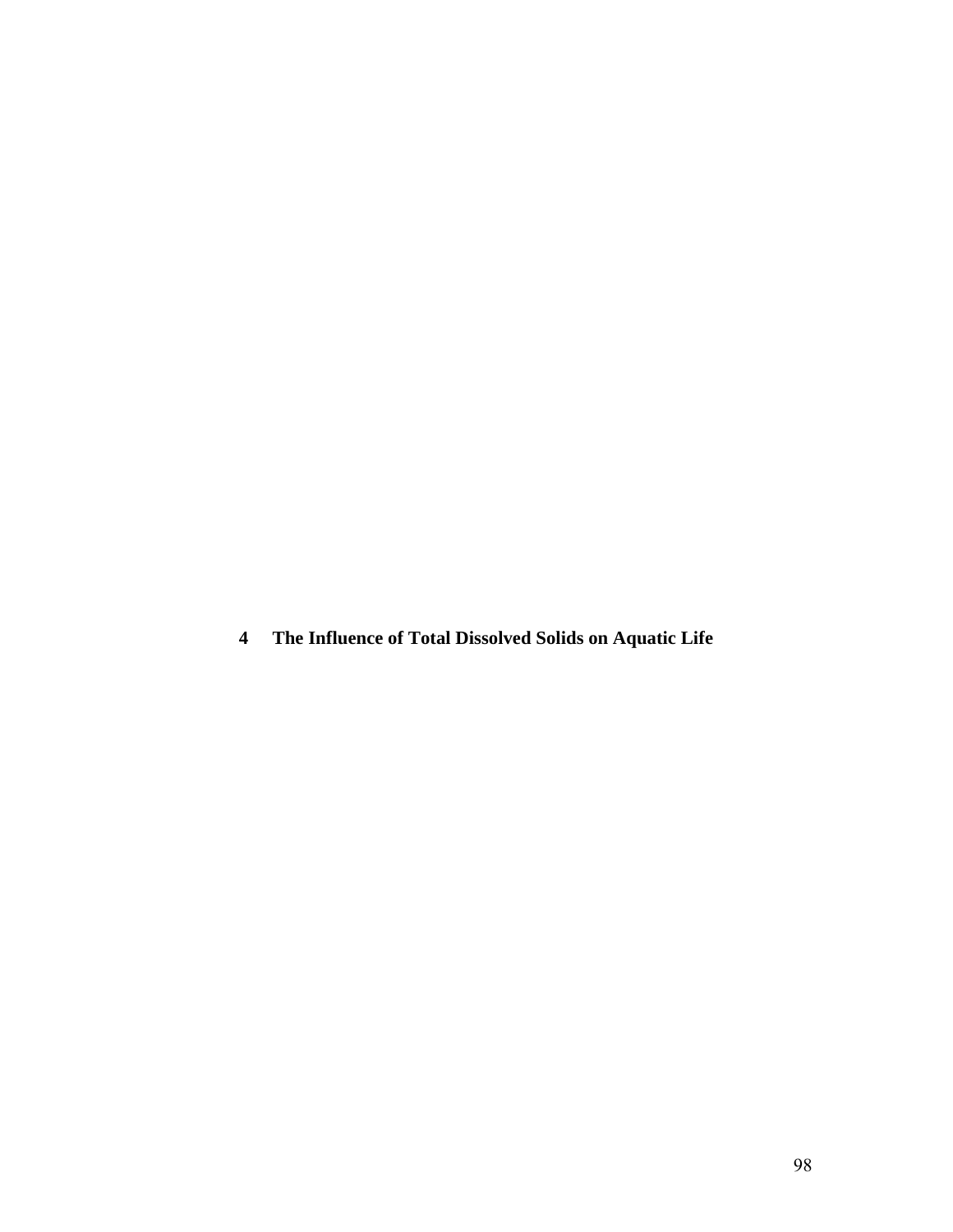**4 The Influence of Total Dissolved Solids on Aquatic Life**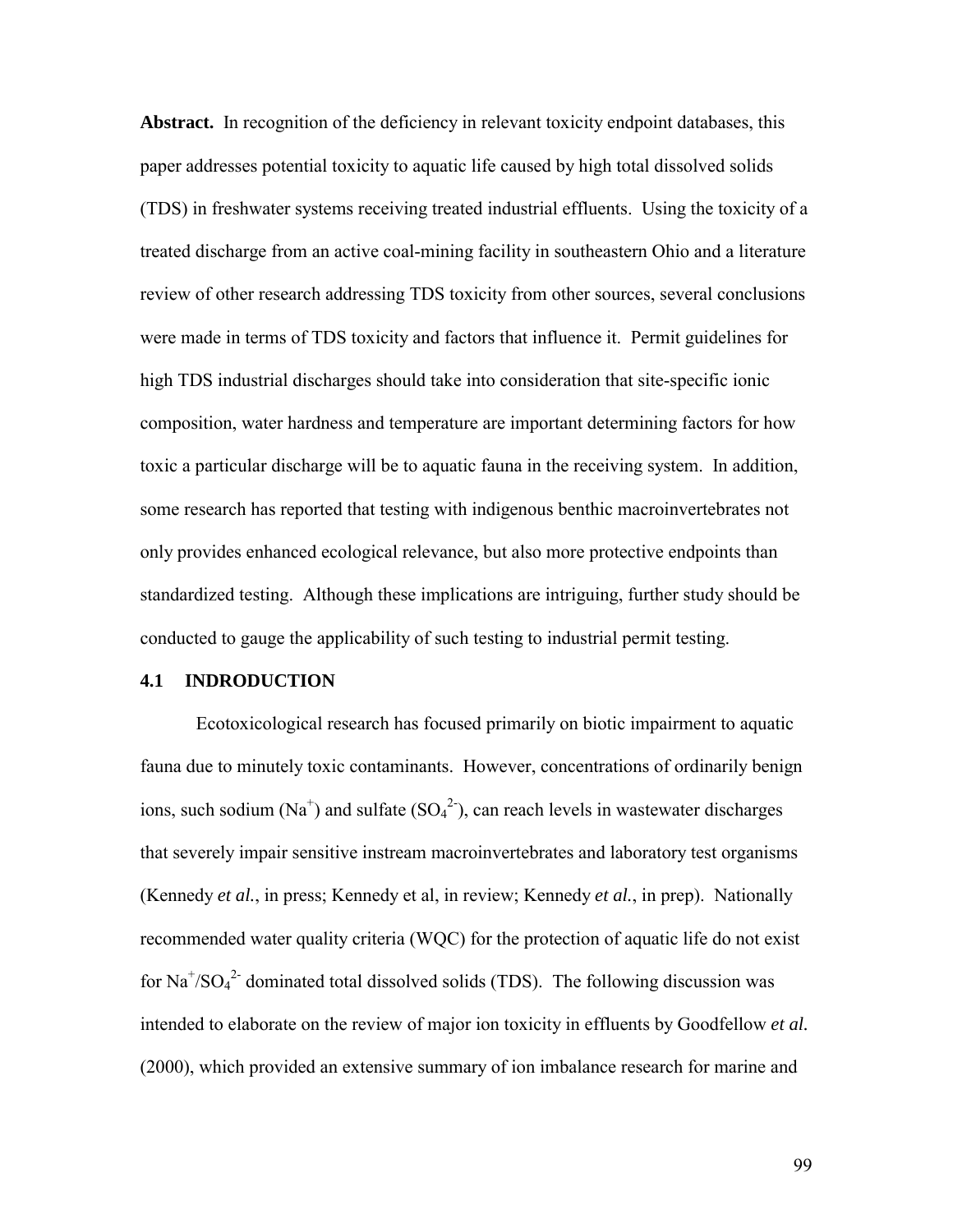**Abstract.** In recognition of the deficiency in relevant toxicity endpoint databases, this paper addresses potential toxicity to aquatic life caused by high total dissolved solids (TDS) in freshwater systems receiving treated industrial effluents. Using the toxicity of a treated discharge from an active coal-mining facility in southeastern Ohio and a literature review of other research addressing TDS toxicity from other sources, several conclusions were made in terms of TDS toxicity and factors that influence it. Permit guidelines for high TDS industrial discharges should take into consideration that site-specific ionic composition, water hardness and temperature are important determining factors for how toxic a particular discharge will be to aquatic fauna in the receiving system. In addition, some research has reported that testing with indigenous benthic macroinvertebrates not only provides enhanced ecological relevance, but also more protective endpoints than standardized testing. Although these implications are intriguing, further study should be conducted to gauge the applicability of such testing to industrial permit testing.

## **4.1 INDRODUCTION**

Ecotoxicological research has focused primarily on biotic impairment to aquatic fauna due to minutely toxic contaminants. However, concentrations of ordinarily benign ions, such sodium  $(Na^+)$  and sulfate  $(SO_4^2)$ , can reach levels in wastewater discharges that severely impair sensitive instream macroinvertebrates and laboratory test organisms (Kennedy *et al.*, in press; Kennedy et al, in review; Kennedy *et al.*, in prep). Nationally recommended water quality criteria (WQC) for the protection of aquatic life do not exist for  $\text{Na}^+\text{/SO}_4^2$  dominated total dissolved solids (TDS). The following discussion was intended to elaborate on the review of major ion toxicity in effluents by Goodfellow *et al.* (2000), which provided an extensive summary of ion imbalance research for marine and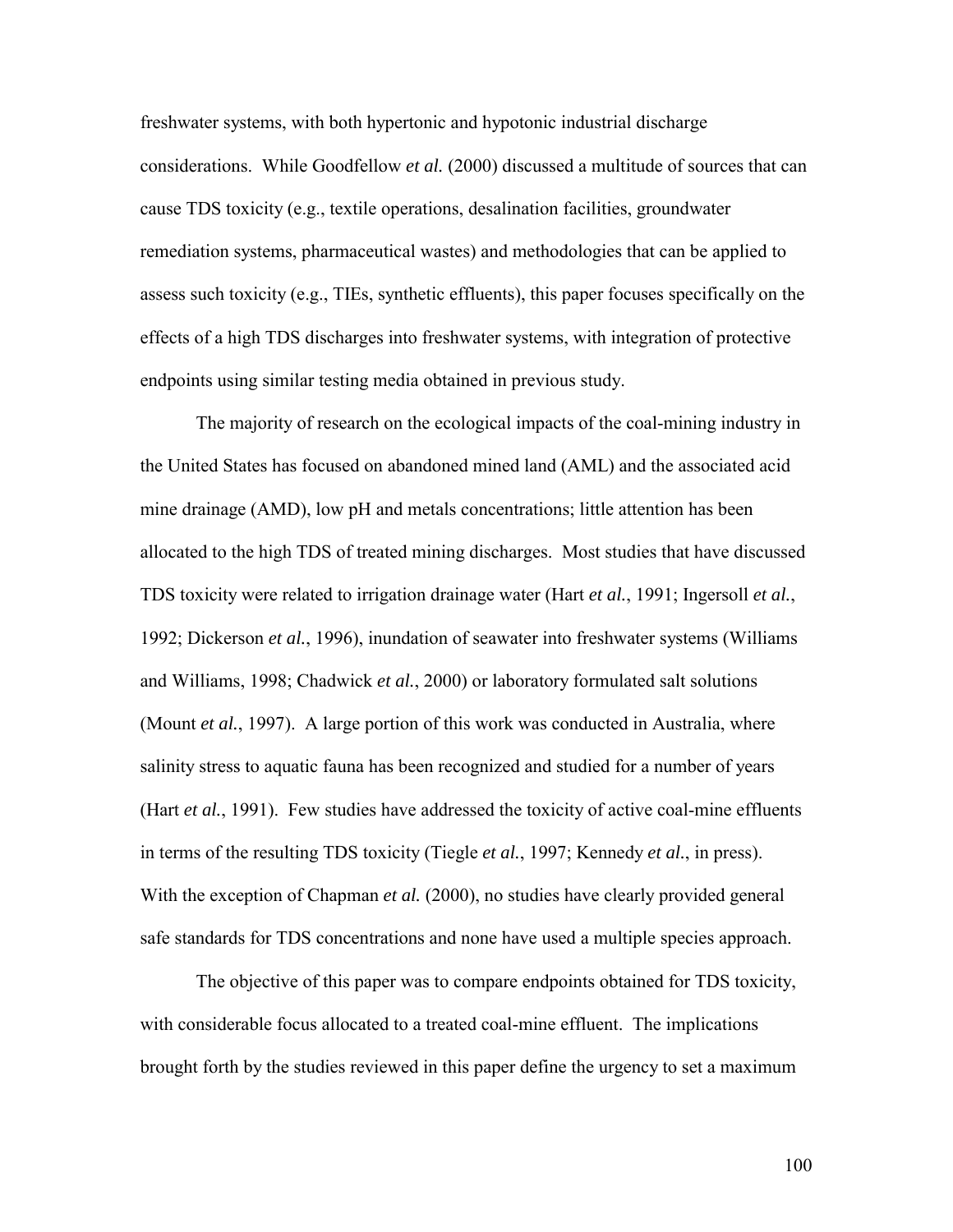freshwater systems, with both hypertonic and hypotonic industrial discharge considerations. While Goodfellow *et al.* (2000) discussed a multitude of sources that can cause TDS toxicity (e.g., textile operations, desalination facilities, groundwater remediation systems, pharmaceutical wastes) and methodologies that can be applied to assess such toxicity (e.g., TIEs, synthetic effluents), this paper focuses specifically on the effects of a high TDS discharges into freshwater systems, with integration of protective endpoints using similar testing media obtained in previous study.

 The majority of research on the ecological impacts of the coal-mining industry in the United States has focused on abandoned mined land (AML) and the associated acid mine drainage (AMD), low pH and metals concentrations; little attention has been allocated to the high TDS of treated mining discharges. Most studies that have discussed TDS toxicity were related to irrigation drainage water (Hart *et al.*, 1991; Ingersoll *et al.*, 1992; Dickerson *et al.*, 1996), inundation of seawater into freshwater systems (Williams and Williams, 1998; Chadwick *et al.*, 2000) or laboratory formulated salt solutions (Mount *et al.*, 1997). A large portion of this work was conducted in Australia, where salinity stress to aquatic fauna has been recognized and studied for a number of years (Hart *et al.*, 1991). Few studies have addressed the toxicity of active coal-mine effluents in terms of the resulting TDS toxicity (Tiegle *et al.*, 1997; Kennedy *et al.*, in press). With the exception of Chapman *et al.* (2000), no studies have clearly provided general safe standards for TDS concentrations and none have used a multiple species approach.

 The objective of this paper was to compare endpoints obtained for TDS toxicity, with considerable focus allocated to a treated coal-mine effluent. The implications brought forth by the studies reviewed in this paper define the urgency to set a maximum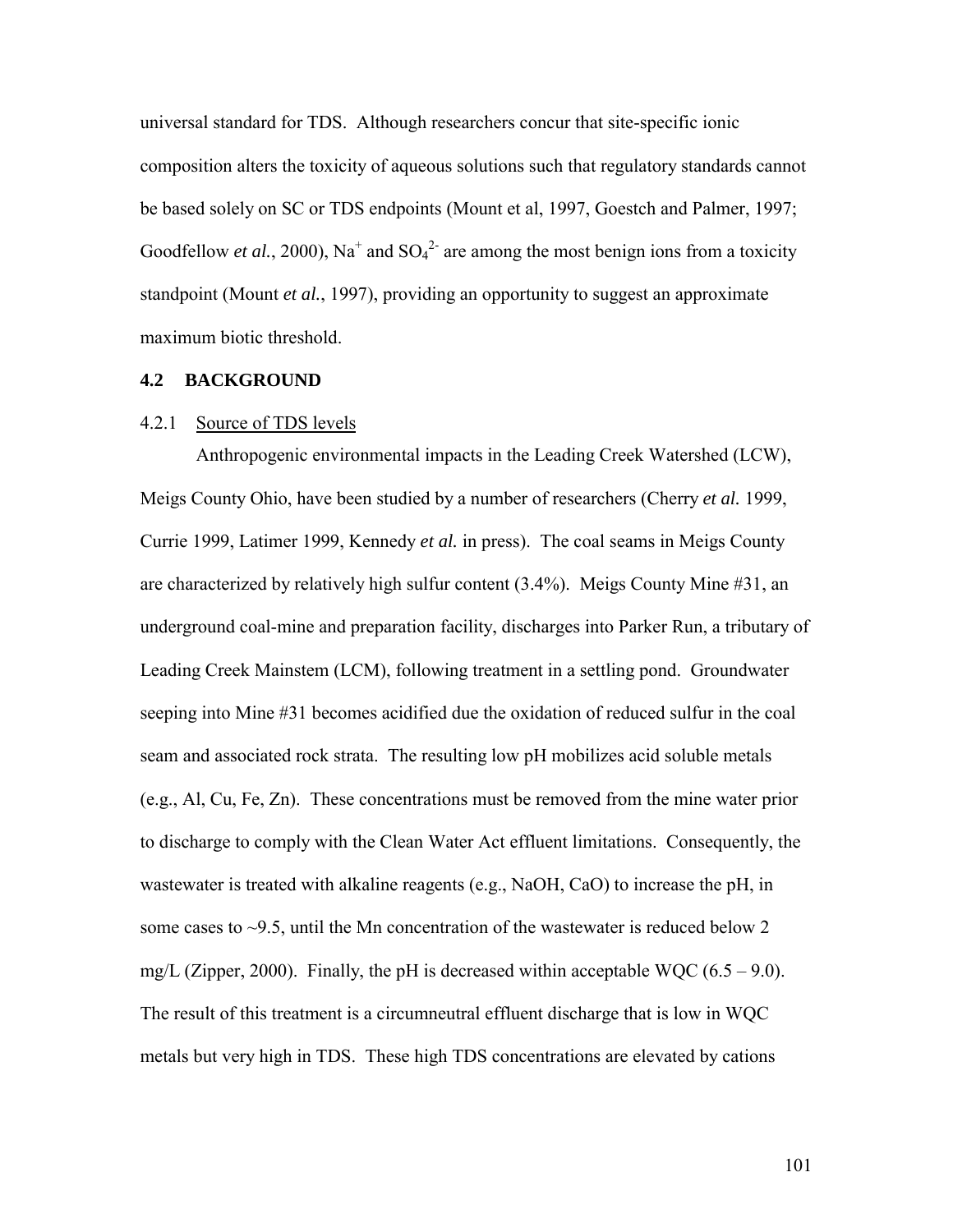universal standard for TDS. Although researchers concur that site-specific ionic composition alters the toxicity of aqueous solutions such that regulatory standards cannot be based solely on SC or TDS endpoints (Mount et al, 1997, Goestch and Palmer, 1997; Goodfellow *et al.*, 2000), Na<sup>+</sup> and  $SO_4^2$ <sup>-</sup> are among the most benign ions from a toxicity standpoint (Mount *et al.*, 1997), providing an opportunity to suggest an approximate maximum biotic threshold.

#### **4.2 BACKGROUND**

### 4.2.1 Source of TDS levels

Anthropogenic environmental impacts in the Leading Creek Watershed (LCW), Meigs County Ohio, have been studied by a number of researchers (Cherry *et al.* 1999, Currie 1999, Latimer 1999, Kennedy *et al.* in press). The coal seams in Meigs County are characterized by relatively high sulfur content (3.4%). Meigs County Mine #31, an underground coal-mine and preparation facility, discharges into Parker Run, a tributary of Leading Creek Mainstem (LCM), following treatment in a settling pond. Groundwater seeping into Mine #31 becomes acidified due the oxidation of reduced sulfur in the coal seam and associated rock strata. The resulting low pH mobilizes acid soluble metals (e.g., Al, Cu, Fe, Zn). These concentrations must be removed from the mine water prior to discharge to comply with the Clean Water Act effluent limitations. Consequently, the wastewater is treated with alkaline reagents (e.g., NaOH, CaO) to increase the pH, in some cases to  $\sim$ 9.5, until the Mn concentration of the wastewater is reduced below 2 mg/L (Zipper, 2000). Finally, the pH is decreased within acceptable WQC  $(6.5 - 9.0)$ . The result of this treatment is a circumneutral effluent discharge that is low in WQC metals but very high in TDS. These high TDS concentrations are elevated by cations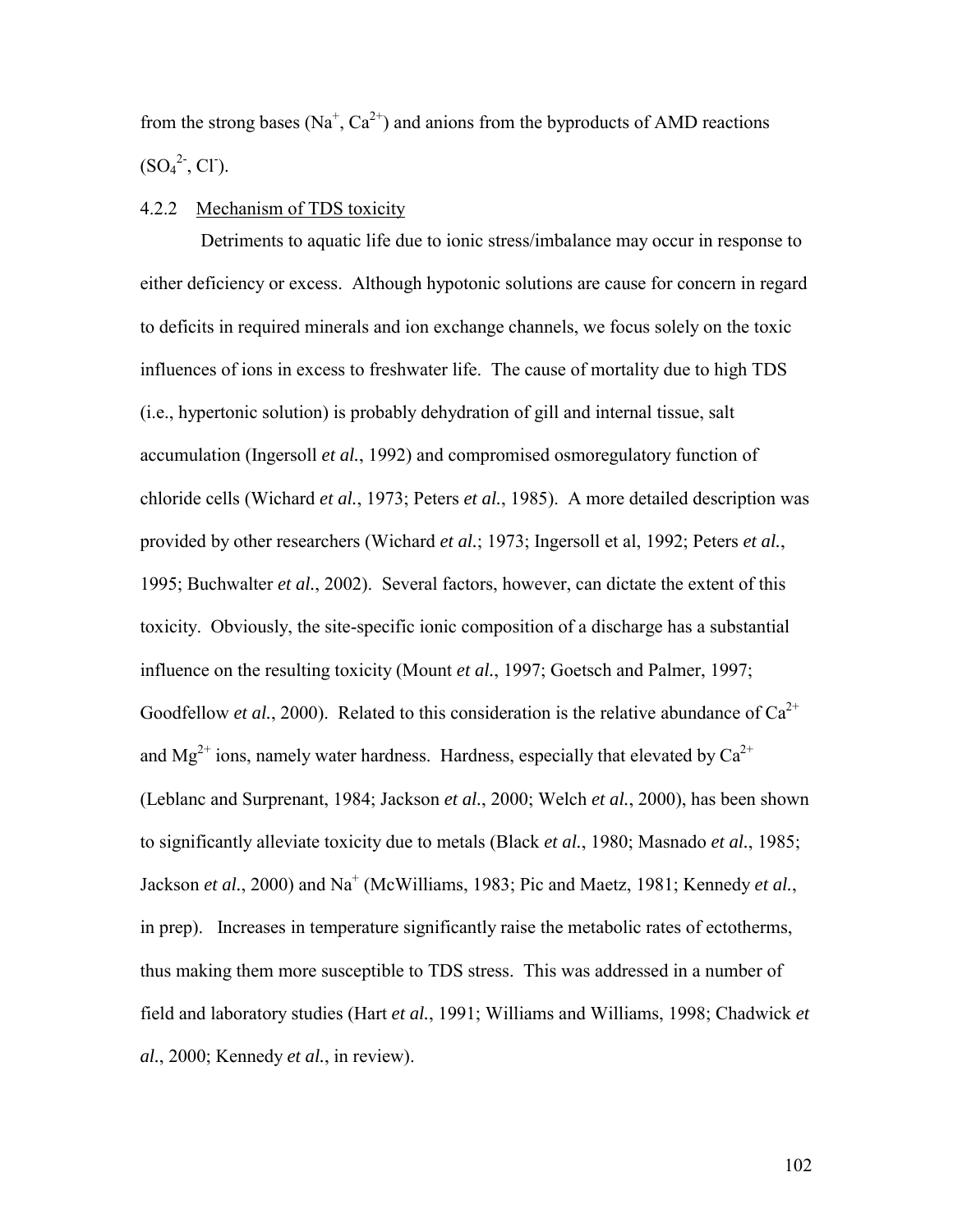from the strong bases ( $Na<sup>+</sup>, Ca<sup>2+</sup>$ ) and anions from the byproducts of AMD reactions  $(SO<sub>4</sub><sup>2</sup>, Cl<sub>-</sub>).$ 

### 4.2.2 Mechanism of TDS toxicity

 Detriments to aquatic life due to ionic stress/imbalance may occur in response to either deficiency or excess. Although hypotonic solutions are cause for concern in regard to deficits in required minerals and ion exchange channels, we focus solely on the toxic influences of ions in excess to freshwater life. The cause of mortality due to high TDS (i.e., hypertonic solution) is probably dehydration of gill and internal tissue, salt accumulation (Ingersoll *et al.*, 1992) and compromised osmoregulatory function of chloride cells (Wichard *et al.*, 1973; Peters *et al.*, 1985). A more detailed description was provided by other researchers (Wichard *et al.*; 1973; Ingersoll et al, 1992; Peters *et al.*, 1995; Buchwalter *et al.*, 2002). Several factors, however, can dictate the extent of this toxicity. Obviously, the site-specific ionic composition of a discharge has a substantial influence on the resulting toxicity (Mount *et al.*, 1997; Goetsch and Palmer, 1997; Goodfellow *et al.*, 2000). Related to this consideration is the relative abundance of  $Ca^{2+}$ and  $Mg^{2+}$  ions, namely water hardness. Hardness, especially that elevated by  $Ca^{2+}$ (Leblanc and Surprenant, 1984; Jackson *et al.*, 2000; Welch *et al.*, 2000), has been shown to significantly alleviate toxicity due to metals (Black *et al.*, 1980; Masnado *et al.*, 1985; Jackson *et al.*, 2000) and Na<sup>+</sup> (McWilliams, 1983; Pic and Maetz, 1981; Kennedy *et al.*, in prep). Increases in temperature significantly raise the metabolic rates of ectotherms, thus making them more susceptible to TDS stress. This was addressed in a number of field and laboratory studies (Hart *et al.*, 1991; Williams and Williams, 1998; Chadwick *et al.*, 2000; Kennedy *et al.*, in review).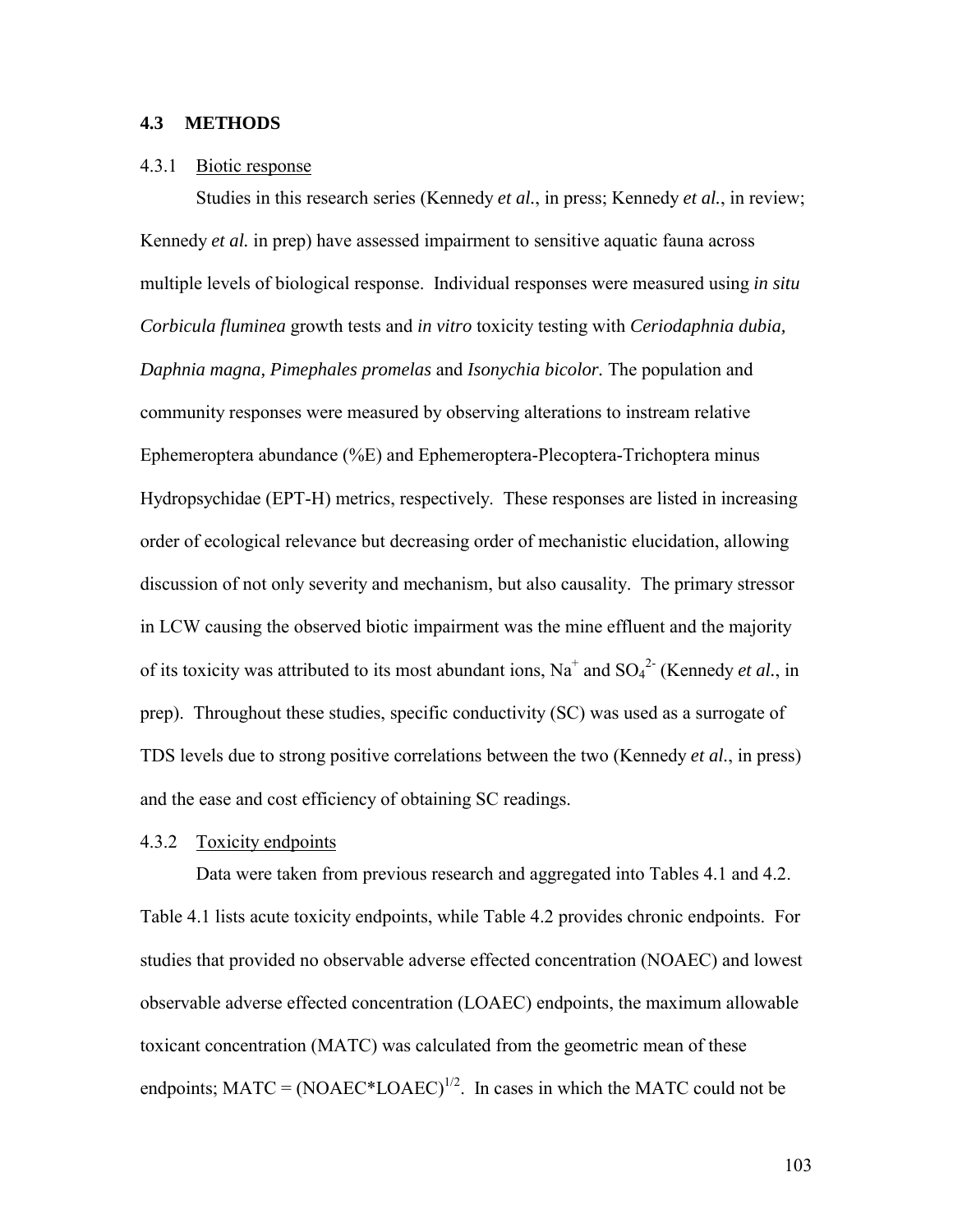### **4.3 METHODS**

#### 4.3.1 Biotic response

Studies in this research series (Kennedy *et al.*, in press; Kennedy *et al.*, in review; Kennedy *et al.* in prep) have assessed impairment to sensitive aquatic fauna across multiple levels of biological response. Individual responses were measured using *in situ Corbicula fluminea* growth tests and *in vitro* toxicity testing with *Ceriodaphnia dubia, Daphnia magna, Pimephales promelas* and *Isonychia bicolor.* The population and community responses were measured by observing alterations to instream relative Ephemeroptera abundance (%E) and Ephemeroptera-Plecoptera-Trichoptera minus Hydropsychidae (EPT-H) metrics, respectively. These responses are listed in increasing order of ecological relevance but decreasing order of mechanistic elucidation, allowing discussion of not only severity and mechanism, but also causality. The primary stressor in LCW causing the observed biotic impairment was the mine effluent and the majority of its toxicity was attributed to its most abundant ions,  $Na^+$  and  $SO_4^2$ <sup>-</sup> (Kennedy *et al.*, in prep). Throughout these studies, specific conductivity (SC) was used as a surrogate of TDS levels due to strong positive correlations between the two (Kennedy *et al.*, in press) and the ease and cost efficiency of obtaining SC readings.

#### 4.3.2 Toxicity endpoints

 Data were taken from previous research and aggregated into Tables 4.1 and 4.2. Table 4.1 lists acute toxicity endpoints, while Table 4.2 provides chronic endpoints. For studies that provided no observable adverse effected concentration (NOAEC) and lowest observable adverse effected concentration (LOAEC) endpoints, the maximum allowable toxicant concentration (MATC) was calculated from the geometric mean of these endpoints;  $MATC = (NOAEC^*LOAEC)^{1/2}$ . In cases in which the MATC could not be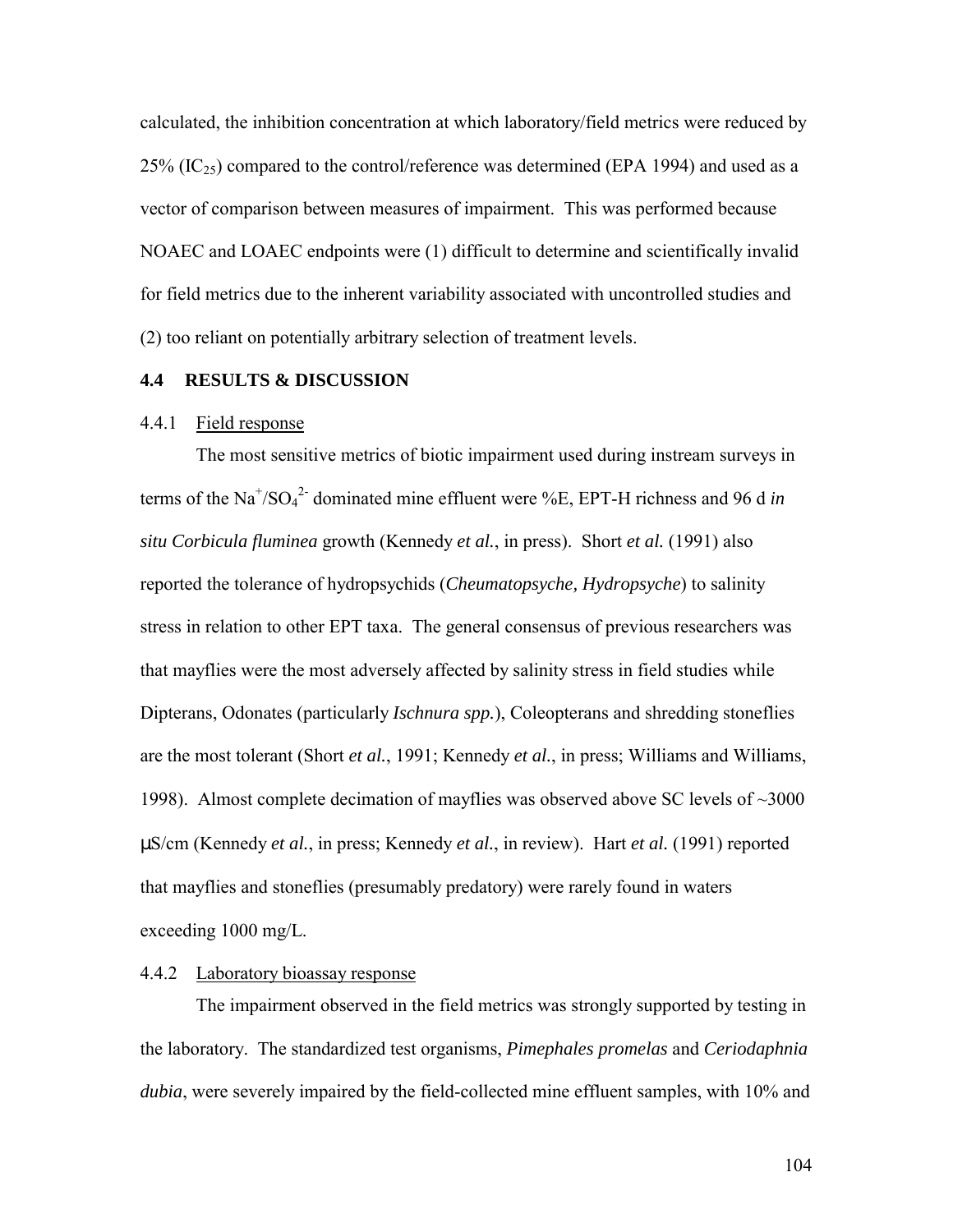calculated, the inhibition concentration at which laboratory/field metrics were reduced by  $25\%$  (IC<sub>25</sub>) compared to the control/reference was determined (EPA 1994) and used as a vector of comparison between measures of impairment. This was performed because NOAEC and LOAEC endpoints were (1) difficult to determine and scientifically invalid for field metrics due to the inherent variability associated with uncontrolled studies and (2) too reliant on potentially arbitrary selection of treatment levels.

### **4.4 RESULTS & DISCUSSION**

### 4.4.1 Field response

 The most sensitive metrics of biotic impairment used during instream surveys in terms of the  $Na^{+/SO_4^2}$  dominated mine effluent were %E, EPT-H richness and 96 d *in situ Corbicula fluminea* growth (Kennedy *et al.*, in press). Short *et al.* (1991) also reported the tolerance of hydropsychids (*Cheumatopsyche, Hydropsyche*) to salinity stress in relation to other EPT taxa. The general consensus of previous researchers was that mayflies were the most adversely affected by salinity stress in field studies while Dipterans, Odonates (particularly *Ischnura spp.*), Coleopterans and shredding stoneflies are the most tolerant (Short *et al.*, 1991; Kennedy *et al.*, in press; Williams and Williams, 1998). Almost complete decimation of mayflies was observed above SC levels of ~3000 µS/cm (Kennedy *et al.*, in press; Kennedy *et al.*, in review). Hart *et al.* (1991) reported that mayflies and stoneflies (presumably predatory) were rarely found in waters exceeding 1000 mg/L.

### 4.4.2 Laboratory bioassay response

The impairment observed in the field metrics was strongly supported by testing in the laboratory. The standardized test organisms, *Pimephales promelas* and *Ceriodaphnia dubia*, were severely impaired by the field-collected mine effluent samples, with 10% and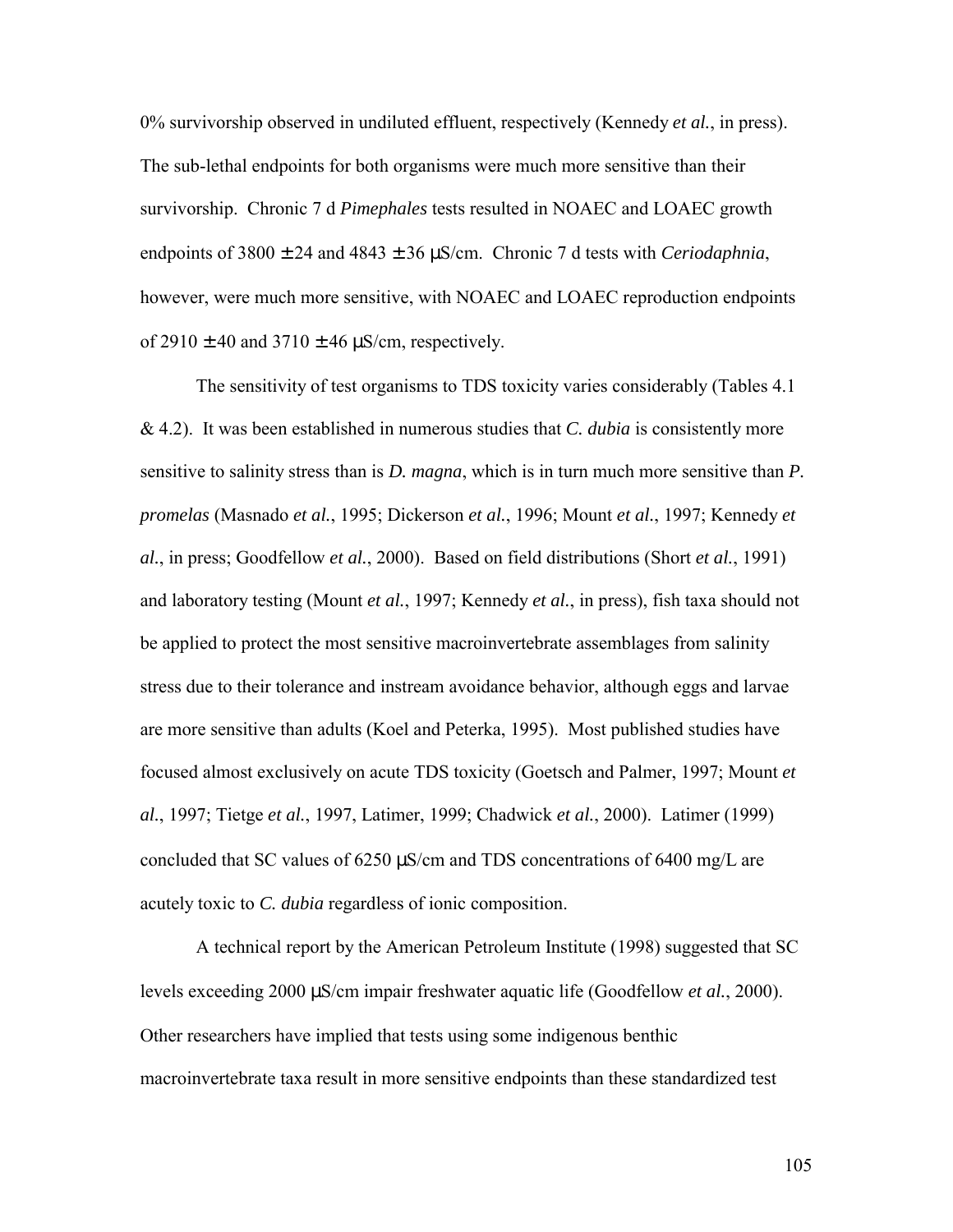0% survivorship observed in undiluted effluent, respectively (Kennedy *et al.*, in press). The sub-lethal endpoints for both organisms were much more sensitive than their survivorship. Chronic 7 d *Pimephales* tests resulted in NOAEC and LOAEC growth endpoints of 3800 ± 24 and 4843 ± 36 µS/cm. Chronic 7 d tests with *Ceriodaphnia*, however, were much more sensitive, with NOAEC and LOAEC reproduction endpoints of  $2910 \pm 40$  and  $3710 \pm 46$   $\mu$ S/cm, respectively.

 The sensitivity of test organisms to TDS toxicity varies considerably (Tables 4.1 & 4.2). It was been established in numerous studies that *C. dubia* is consistently more sensitive to salinity stress than is *D. magna*, which is in turn much more sensitive than *P. promelas* (Masnado *et al.*, 1995; Dickerson *et al.*, 1996; Mount *et al.*, 1997; Kennedy *et al.*, in press; Goodfellow *et al.*, 2000). Based on field distributions (Short *et al.*, 1991) and laboratory testing (Mount *et al.*, 1997; Kennedy *et al.*, in press), fish taxa should not be applied to protect the most sensitive macroinvertebrate assemblages from salinity stress due to their tolerance and instream avoidance behavior, although eggs and larvae are more sensitive than adults (Koel and Peterka, 1995). Most published studies have focused almost exclusively on acute TDS toxicity (Goetsch and Palmer, 1997; Mount *et al.*, 1997; Tietge *et al.*, 1997, Latimer, 1999; Chadwick *et al.*, 2000). Latimer (1999) concluded that SC values of 6250 µS/cm and TDS concentrations of 6400 mg/L are acutely toxic to *C. dubia* regardless of ionic composition.

 A technical report by the American Petroleum Institute (1998) suggested that SC levels exceeding 2000 µS/cm impair freshwater aquatic life (Goodfellow *et al.*, 2000). Other researchers have implied that tests using some indigenous benthic macroinvertebrate taxa result in more sensitive endpoints than these standardized test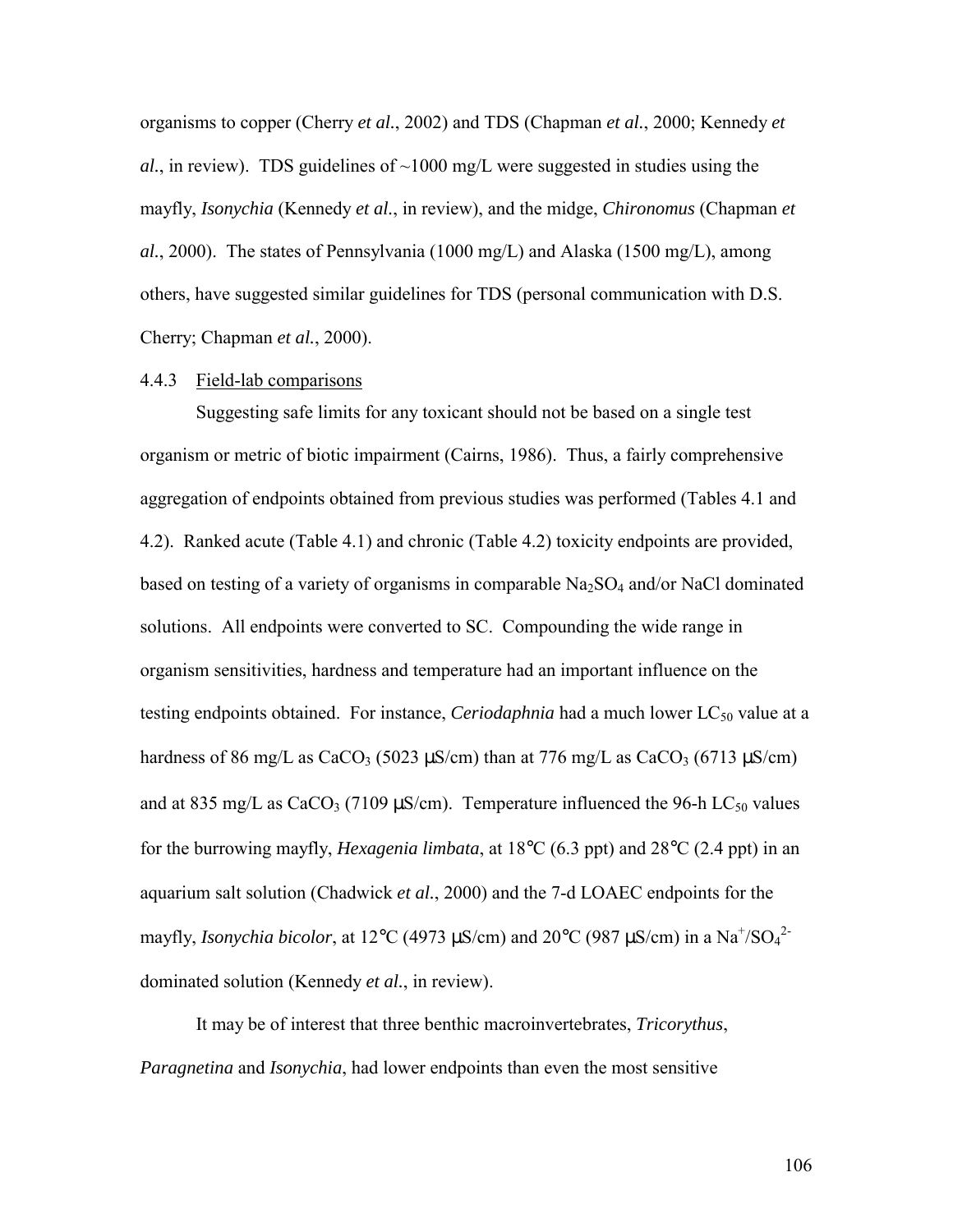organisms to copper (Cherry *et al.*, 2002) and TDS (Chapman *et al.*, 2000; Kennedy *et*   $al.$ , in review). TDS guidelines of  $\sim$ 1000 mg/L were suggested in studies using the mayfly, *Isonychia* (Kennedy *et al.*, in review), and the midge, *Chironomus* (Chapman *et al.*, 2000). The states of Pennsylvania (1000 mg/L) and Alaska (1500 mg/L), among others, have suggested similar guidelines for TDS (personal communication with D.S. Cherry; Chapman *et al.*, 2000).

#### 4.4.3 Field-lab comparisons

Suggesting safe limits for any toxicant should not be based on a single test organism or metric of biotic impairment (Cairns, 1986). Thus, a fairly comprehensive aggregation of endpoints obtained from previous studies was performed (Tables 4.1 and 4.2). Ranked acute (Table 4.1) and chronic (Table 4.2) toxicity endpoints are provided, based on testing of a variety of organisms in comparable  $Na<sub>2</sub>SO<sub>4</sub>$  and/or NaCl dominated solutions. All endpoints were converted to SC. Compounding the wide range in organism sensitivities, hardness and temperature had an important influence on the testing endpoints obtained. For instance, *Ceriodaphnia* had a much lower LC<sub>50</sub> value at a hardness of 86 mg/L as CaCO<sub>3</sub> (5023  $\mu$ S/cm) than at 776 mg/L as CaCO<sub>3</sub> (6713  $\mu$ S/cm) and at 835 mg/L as CaCO<sub>3</sub> (7109  $\mu$ S/cm). Temperature influenced the 96-h LC<sub>50</sub> values for the burrowing mayfly, *Hexagenia limbata*, at 18°C (6.3 ppt) and 28°C (2.4 ppt) in an aquarium salt solution (Chadwick *et al.*, 2000) and the 7-d LOAEC endpoints for the mayfly, *Isonychia bicolor*, at 12°C (4973  $\mu$ S/cm) and 20°C (987  $\mu$ S/cm) in a Na<sup>+</sup>/SO<sub>4</sub><sup>2</sup> dominated solution (Kennedy *et al.*, in review).

 It may be of interest that three benthic macroinvertebrates, *Tricorythus*, *Paragnetina* and *Isonychia*, had lower endpoints than even the most sensitive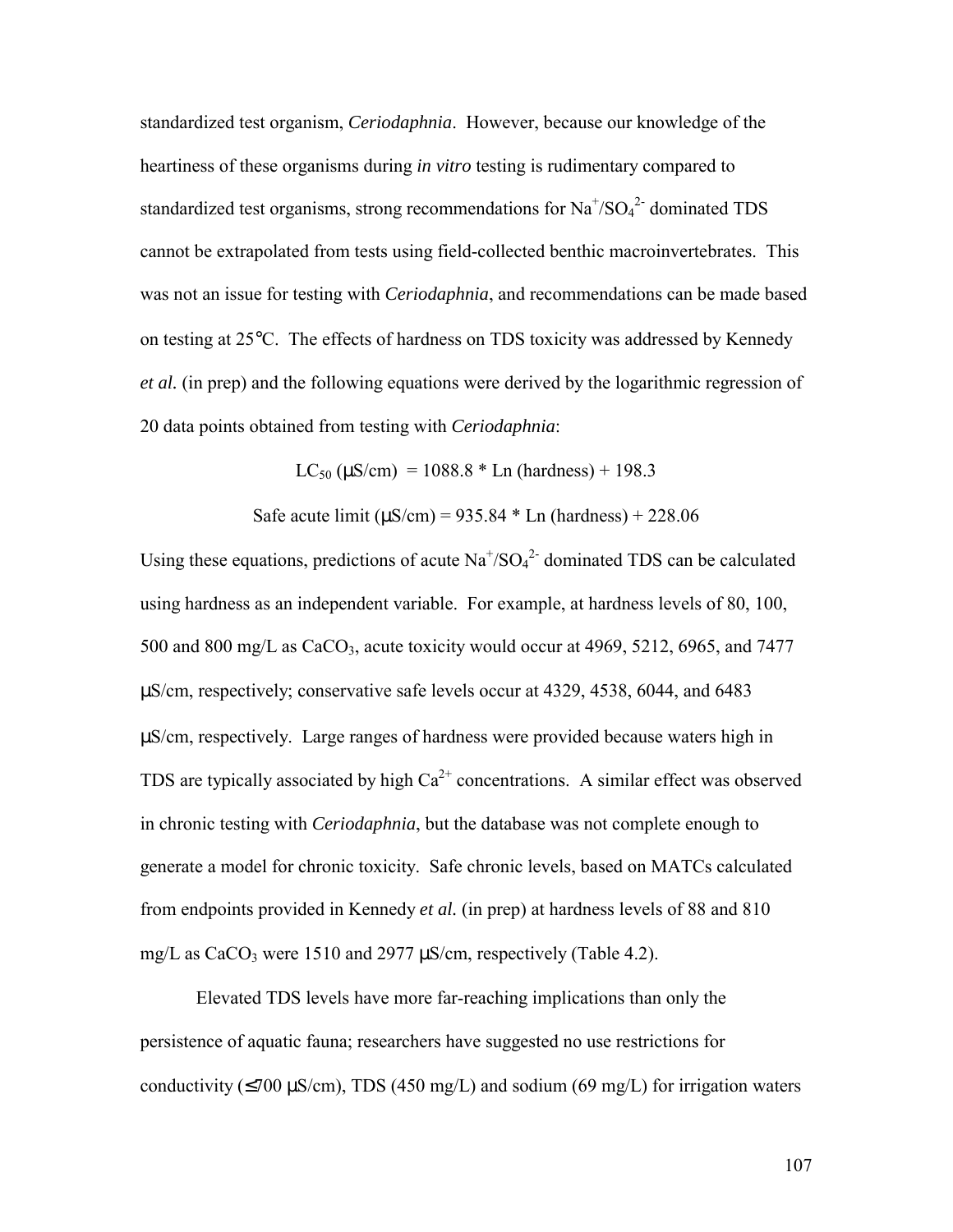standardized test organism, *Ceriodaphnia*. However, because our knowledge of the heartiness of these organisms during *in vitro* testing is rudimentary compared to standardized test organisms, strong recommendations for  $Na^{\dagger}/SO_4^{\dagger}$  dominated TDS cannot be extrapolated from tests using field-collected benthic macroinvertebrates. This was not an issue for testing with *Ceriodaphnia*, and recommendations can be made based on testing at 25°C. The effects of hardness on TDS toxicity was addressed by Kennedy *et al.* (in prep) and the following equations were derived by the logarithmic regression of 20 data points obtained from testing with *Ceriodaphnia*:

 $LC_{50}$  ( $\mu$ S/cm) = 1088.8  $*$  Ln (hardness) + 198.3

Safe acute limit  $(\mu S/cm) = 935.84 * \text{Ln}$  (hardness) + 228.06

Using these equations, predictions of acute  $\text{Na}^+\text{/SO}_4^2$  dominated TDS can be calculated using hardness as an independent variable. For example, at hardness levels of 80, 100, 500 and 800 mg/L as CaCO<sub>3</sub>, acute toxicity would occur at 4969, 5212, 6965, and 7477 µS/cm, respectively; conservative safe levels occur at 4329, 4538, 6044, and 6483 µS/cm, respectively. Large ranges of hardness were provided because waters high in TDS are typically associated by high  $Ca^{2+}$  concentrations. A similar effect was observed in chronic testing with *Ceriodaphnia*, but the database was not complete enough to generate a model for chronic toxicity. Safe chronic levels, based on MATCs calculated from endpoints provided in Kennedy *et al.* (in prep) at hardness levels of 88 and 810 mg/L as CaCO<sub>3</sub> were 1510 and 2977  $\mu$ S/cm, respectively (Table 4.2).

 Elevated TDS levels have more far-reaching implications than only the persistence of aquatic fauna; researchers have suggested no use restrictions for conductivity ( $\leq$ 700 µS/cm), TDS (450 mg/L) and sodium (69 mg/L) for irrigation waters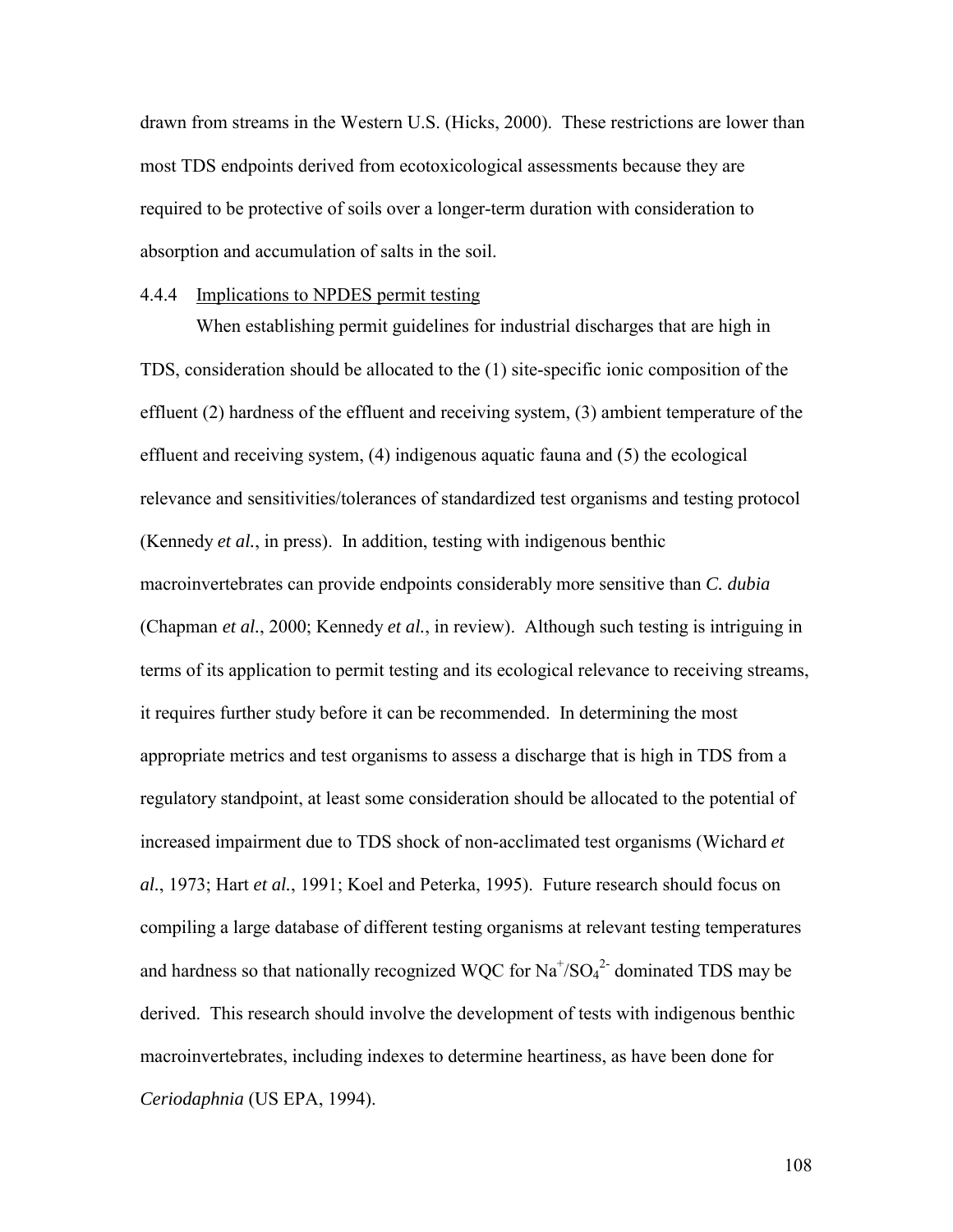drawn from streams in the Western U.S. (Hicks, 2000). These restrictions are lower than most TDS endpoints derived from ecotoxicological assessments because they are required to be protective of soils over a longer-term duration with consideration to absorption and accumulation of salts in the soil.

#### 4.4.4 Implications to NPDES permit testing

When establishing permit guidelines for industrial discharges that are high in TDS, consideration should be allocated to the (1) site-specific ionic composition of the effluent (2) hardness of the effluent and receiving system, (3) ambient temperature of the effluent and receiving system, (4) indigenous aquatic fauna and (5) the ecological relevance and sensitivities/tolerances of standardized test organisms and testing protocol (Kennedy *et al.*, in press). In addition, testing with indigenous benthic macroinvertebrates can provide endpoints considerably more sensitive than *C. dubia* (Chapman *et al.*, 2000; Kennedy *et al.*, in review). Although such testing is intriguing in terms of its application to permit testing and its ecological relevance to receiving streams, it requires further study before it can be recommended. In determining the most appropriate metrics and test organisms to assess a discharge that is high in TDS from a regulatory standpoint, at least some consideration should be allocated to the potential of increased impairment due to TDS shock of non-acclimated test organisms (Wichard *et al.*, 1973; Hart *et al.*, 1991; Koel and Peterka, 1995). Future research should focus on compiling a large database of different testing organisms at relevant testing temperatures and hardness so that nationally recognized WQC for  $\text{Na}^+\text{/SO}_4{}^2$  dominated TDS may be derived. This research should involve the development of tests with indigenous benthic macroinvertebrates, including indexes to determine heartiness, as have been done for *Ceriodaphnia* (US EPA, 1994).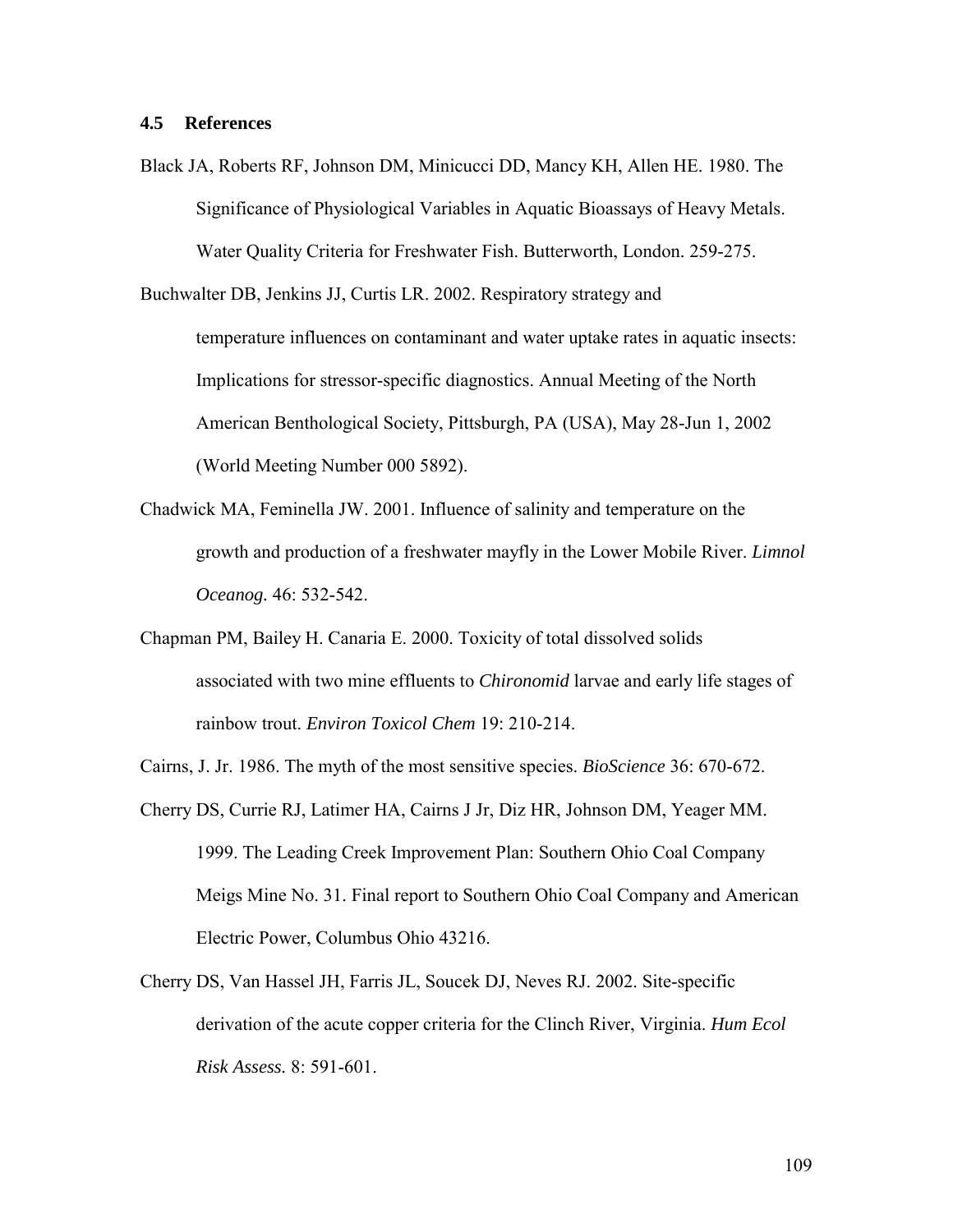Black JA, Roberts RF, Johnson DM, Minicucci DD, Mancy KH, Allen HE. 1980. The Significance of Physiological Variables in Aquatic Bioassays of Heavy Metals. Water Quality Criteria for Freshwater Fish. Butterworth, London. 259-275.

Buchwalter DB, Jenkins JJ, Curtis LR. 2002. Respiratory strategy and temperature influences on contaminant and water uptake rates in aquatic insects: Implications for stressor-specific diagnostics. Annual Meeting of the North American Benthological Society, Pittsburgh, PA (USA), May 28-Jun 1, 2002 (World Meeting Number 000 5892).

- Chadwick MA, Feminella JW. 2001. Influence of salinity and temperature on the growth and production of a freshwater mayfly in the Lower Mobile River. *Limnol Oceanog.* 46: 532-542.
- Chapman PM, Bailey H. Canaria E. 2000. Toxicity of total dissolved solids associated with two mine effluents to *Chironomid* larvae and early life stages of rainbow trout. *Environ Toxicol Chem* 19: 210-214.
- Cairns, J. Jr. 1986. The myth of the most sensitive species. *BioScience* 36: 670-672.
- Cherry DS, Currie RJ, Latimer HA, Cairns J Jr, Diz HR, Johnson DM, Yeager MM. 1999. The Leading Creek Improvement Plan: Southern Ohio Coal Company Meigs Mine No. 31. Final report to Southern Ohio Coal Company and American Electric Power, Columbus Ohio 43216.
- Cherry DS, Van Hassel JH, Farris JL, Soucek DJ, Neves RJ. 2002. Site-specific derivation of the acute copper criteria for the Clinch River, Virginia. *Hum Ecol Risk Assess.* 8: 591-601.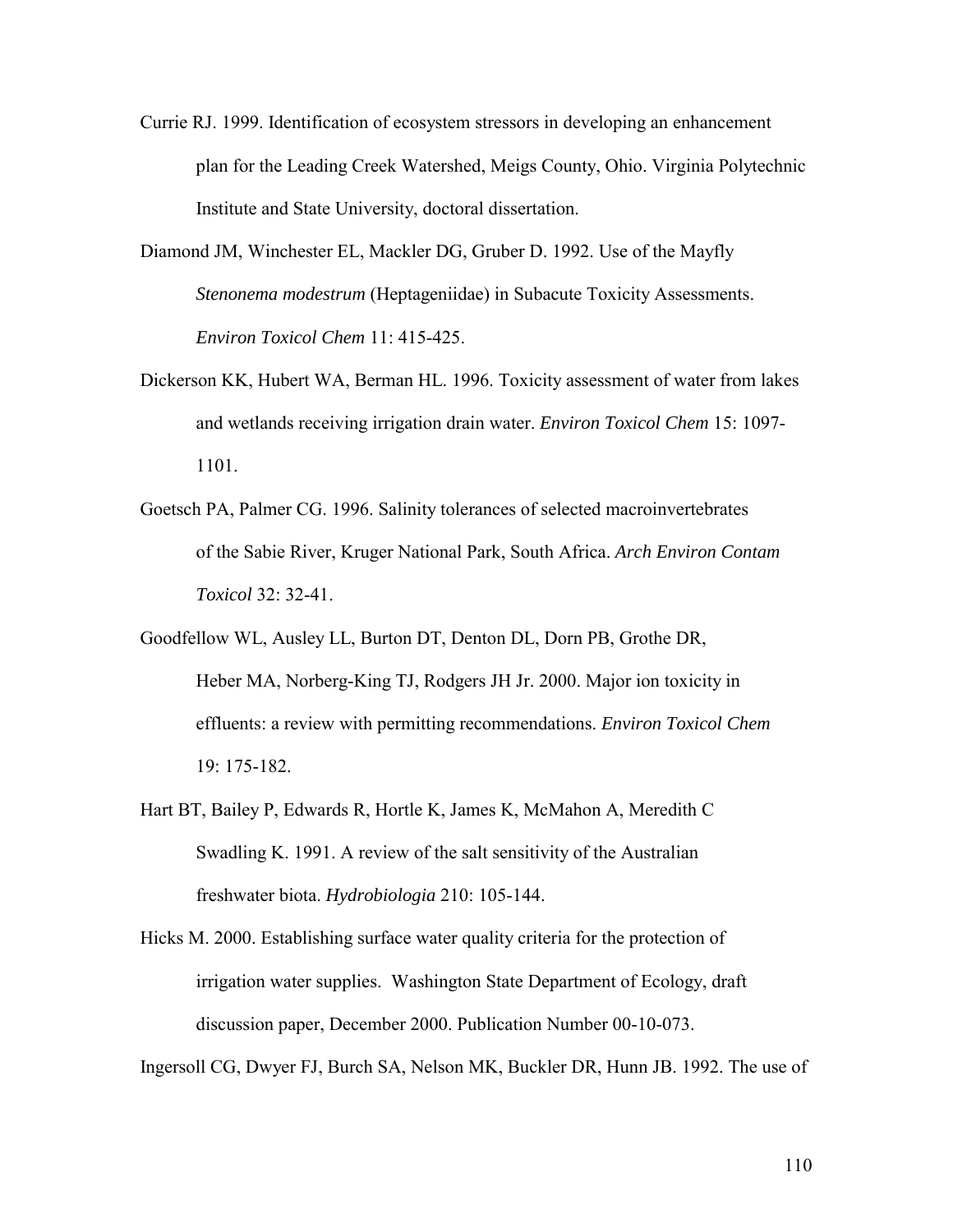- Currie RJ. 1999. Identification of ecosystem stressors in developing an enhancement plan for the Leading Creek Watershed, Meigs County, Ohio. Virginia Polytechnic Institute and State University, doctoral dissertation.
- Diamond JM, Winchester EL, Mackler DG, Gruber D. 1992. Use of the Mayfly *Stenonema modestrum* (Heptageniidae) in Subacute Toxicity Assessments. *Environ Toxicol Chem* 11: 415-425.
- Dickerson KK, Hubert WA, Berman HL. 1996. Toxicity assessment of water from lakes and wetlands receiving irrigation drain water. *Environ Toxicol Chem* 15: 1097- 1101.
- Goetsch PA, Palmer CG. 1996. Salinity tolerances of selected macroinvertebrates of the Sabie River, Kruger National Park, South Africa. *Arch Environ Contam Toxicol* 32: 32-41.
- Goodfellow WL, Ausley LL, Burton DT, Denton DL, Dorn PB, Grothe DR, Heber MA, Norberg-King TJ, Rodgers JH Jr. 2000. Major ion toxicity in effluents: a review with permitting recommendations. *Environ Toxicol Chem*  19: 175-182.
- Hart BT, Bailey P, Edwards R, Hortle K, James K, McMahon A, Meredith C Swadling K. 1991. A review of the salt sensitivity of the Australian freshwater biota. *Hydrobiologia* 210: 105-144.
- Hicks M. 2000. Establishing surface water quality criteria for the protection of irrigation water supplies. Washington State Department of Ecology, draft discussion paper, December 2000. Publication Number 00-10-073.

Ingersoll CG, Dwyer FJ, Burch SA, Nelson MK, Buckler DR, Hunn JB. 1992. The use of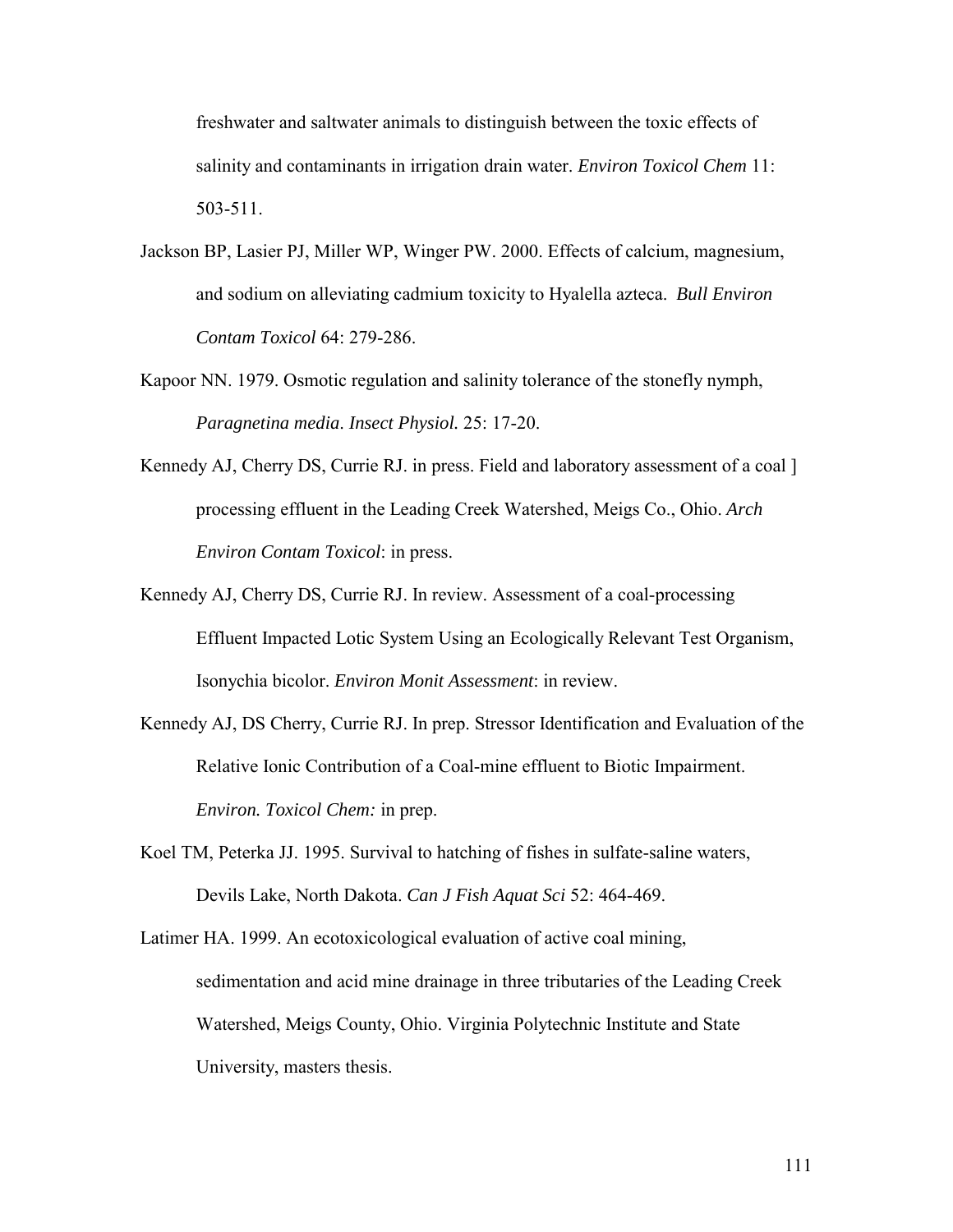freshwater and saltwater animals to distinguish between the toxic effects of salinity and contaminants in irrigation drain water. *Environ Toxicol Chem* 11: 503-511.

- Jackson BP, Lasier PJ, Miller WP, Winger PW. 2000. Effects of calcium, magnesium, and sodium on alleviating cadmium toxicity to Hyalella azteca. *Bull Environ Contam Toxicol* 64: 279-286.
- Kapoor NN. 1979. Osmotic regulation and salinity tolerance of the stonefly nymph, *Paragnetina media*. *Insect Physiol.* 25: 17-20.
- Kennedy AJ, Cherry DS, Currie RJ. in press. Field and laboratory assessment of a coal 1 processing effluent in the Leading Creek Watershed, Meigs Co., Ohio. *Arch Environ Contam Toxicol*: in press.
- Kennedy AJ, Cherry DS, Currie RJ. In review. Assessment of a coal-processing Effluent Impacted Lotic System Using an Ecologically Relevant Test Organism, Isonychia bicolor. *Environ Monit Assessment*: in review.
- Kennedy AJ, DS Cherry, Currie RJ. In prep. Stressor Identification and Evaluation of the Relative Ionic Contribution of a Coal-mine effluent to Biotic Impairment. *Environ. Toxicol Chem:* in prep.
- Koel TM, Peterka JJ. 1995. Survival to hatching of fishes in sulfate-saline waters, Devils Lake, North Dakota. *Can J Fish Aquat Sci* 52: 464-469.

Latimer HA. 1999. An ecotoxicological evaluation of active coal mining, sedimentation and acid mine drainage in three tributaries of the Leading Creek Watershed, Meigs County, Ohio. Virginia Polytechnic Institute and State University, masters thesis.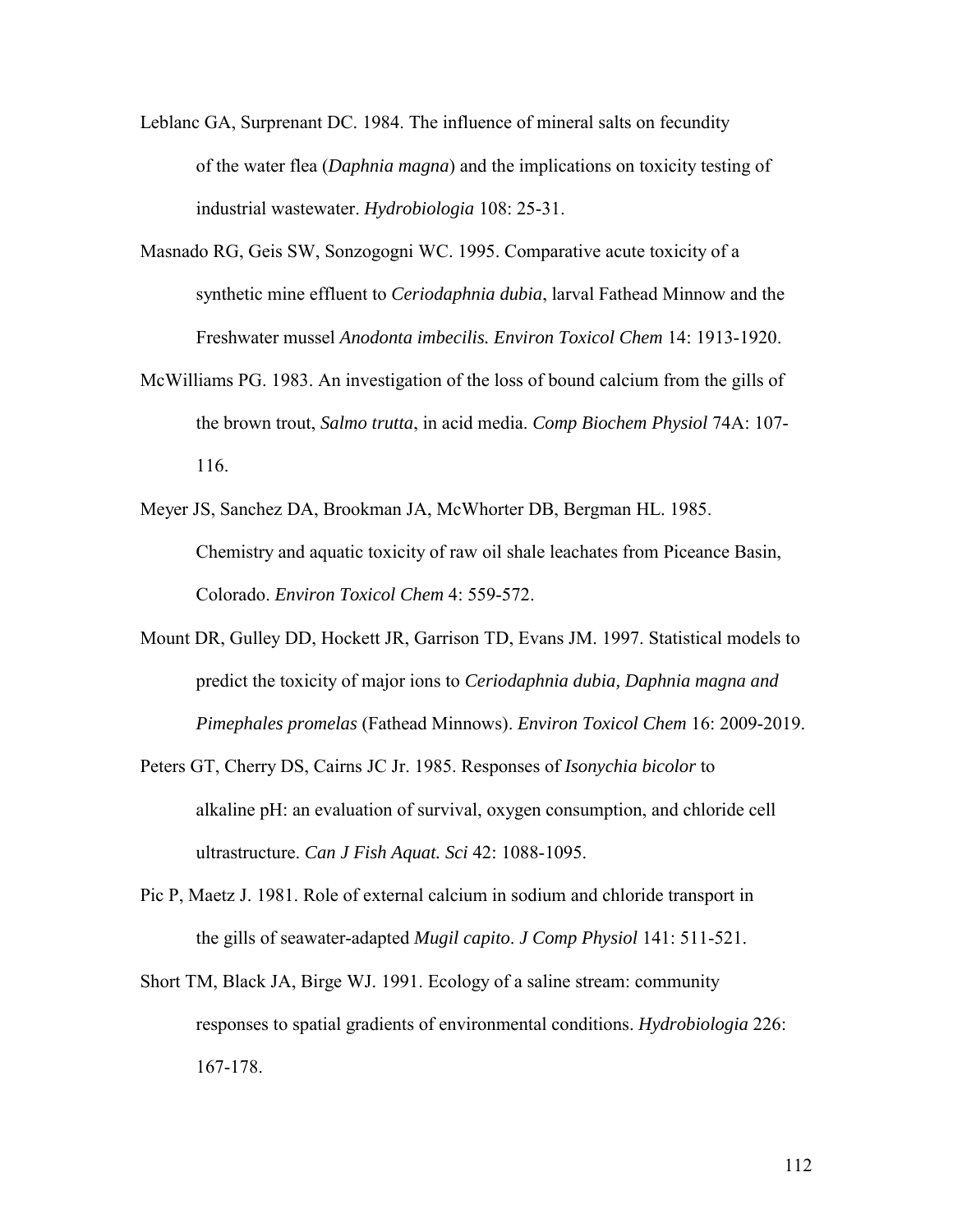- Leblanc GA, Surprenant DC. 1984. The influence of mineral salts on fecundity of the water flea (*Daphnia magna*) and the implications on toxicity testing of industrial wastewater. *Hydrobiologia* 108: 25-31.
- Masnado RG, Geis SW, Sonzogogni WC. 1995. Comparative acute toxicity of a synthetic mine effluent to *Ceriodaphnia dubia*, larval Fathead Minnow and the Freshwater mussel *Anodonta imbecilis. Environ Toxicol Chem* 14: 1913-1920.
- McWilliams PG. 1983. An investigation of the loss of bound calcium from the gills of the brown trout, *Salmo trutta*, in acid media. *Comp Biochem Physiol* 74A: 107- 116.
- Meyer JS, Sanchez DA, Brookman JA, McWhorter DB, Bergman HL. 1985. Chemistry and aquatic toxicity of raw oil shale leachates from Piceance Basin, Colorado. *Environ Toxicol Chem* 4: 559-572.
- Mount DR, Gulley DD, Hockett JR, Garrison TD, Evans JM. 1997. Statistical models to predict the toxicity of major ions to *Ceriodaphnia dubia, Daphnia magna and Pimephales promelas* (Fathead Minnows). *Environ Toxicol Chem* 16: 2009-2019.
- Peters GT, Cherry DS, Cairns JC Jr. 1985. Responses of *Isonychia bicolor* to alkaline pH: an evaluation of survival, oxygen consumption, and chloride cell ultrastructure. *Can J Fish Aquat. Sci* 42: 1088-1095.
- Pic P, Maetz J. 1981. Role of external calcium in sodium and chloride transport in the gills of seawater-adapted *Mugil capito*. *J Comp Physiol* 141: 511-521.
- Short TM, Black JA, Birge WJ. 1991. Ecology of a saline stream: community responses to spatial gradients of environmental conditions. *Hydrobiologia* 226: 167-178.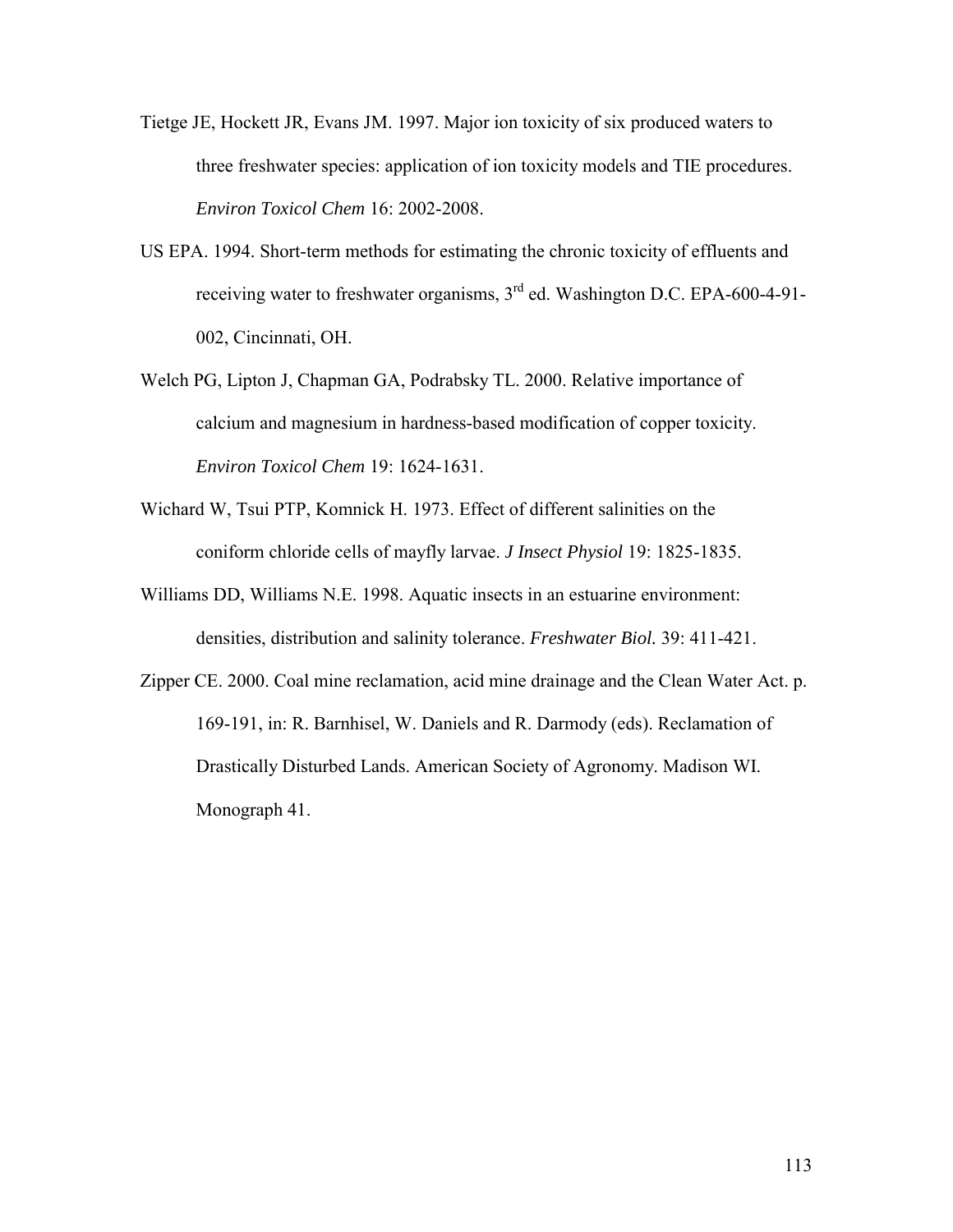- Tietge JE, Hockett JR, Evans JM. 1997. Major ion toxicity of six produced waters to three freshwater species: application of ion toxicity models and TIE procedures. *Environ Toxicol Chem* 16: 2002-2008.
- US EPA. 1994. Short-term methods for estimating the chronic toxicity of effluents and receiving water to freshwater organisms, 3<sup>rd</sup> ed. Washington D.C. EPA-600-4-91-002, Cincinnati, OH.
- Welch PG, Lipton J, Chapman GA, Podrabsky TL. 2000. Relative importance of calcium and magnesium in hardness-based modification of copper toxicity. *Environ Toxicol Chem* 19: 1624-1631.
- Wichard W, Tsui PTP, Komnick H. 1973. Effect of different salinities on the coniform chloride cells of mayfly larvae. *J Insect Physiol* 19: 1825-1835.
- Williams DD, Williams N.E. 1998. Aquatic insects in an estuarine environment: densities, distribution and salinity tolerance. *Freshwater Biol.* 39: 411-421.
- Zipper CE. 2000. Coal mine reclamation, acid mine drainage and the Clean Water Act. p. 169-191, in: R. Barnhisel, W. Daniels and R. Darmody (eds). Reclamation of Drastically Disturbed Lands. American Society of Agronomy. Madison WI. Monograph 41.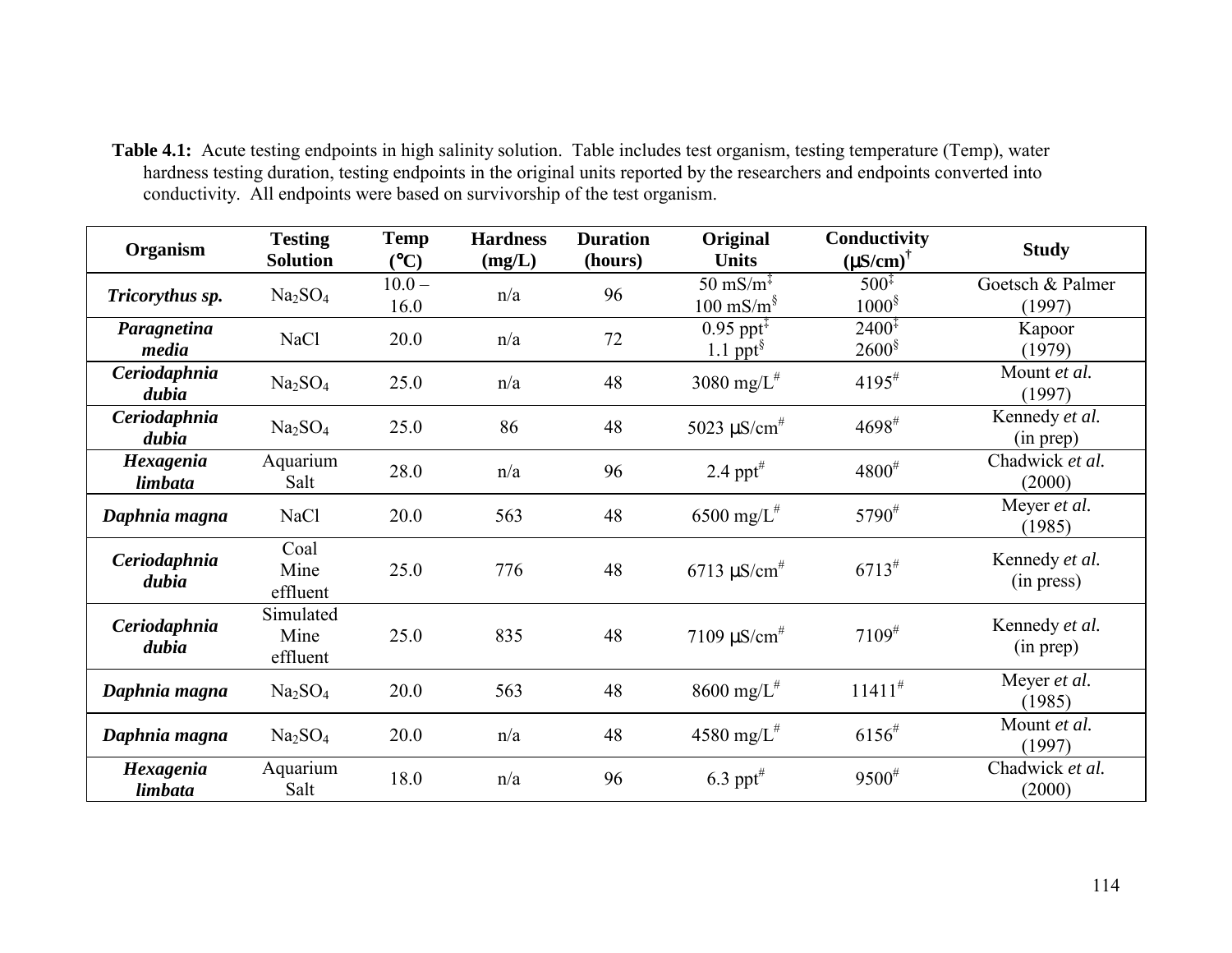**Table 4.1:** Acute testing endpoints in high salinity solution. Table includes test organism, testing temperature (Temp), water hardness testing duration, testing endpoints in the original units reported by the researchers and endpoints converted into conductivity. All endpoints were based on survivorship of the test organism.

| Organism              | <b>Testing</b><br><b>Solution</b> | <b>Temp</b><br>(C) | <b>Hardness</b><br>(mg/L) | <b>Duration</b><br>(hours) | Original<br><b>Units</b>                                             | Conductivity<br>$(MS/cm)^{\dagger}$      | <b>Study</b>                  |
|-----------------------|-----------------------------------|--------------------|---------------------------|----------------------------|----------------------------------------------------------------------|------------------------------------------|-------------------------------|
| Tricorythus sp.       | Na <sub>2</sub> SO <sub>4</sub>   | $10.0 -$<br>16.0   | n/a                       | 96                         | $50 \text{ mS/m}^{\ddagger}$<br>$100 \text{ mS/m}^{\$}$              | $500^{\ddagger}$<br>$1000^{\frac{5}{3}}$ | Goetsch & Palmer<br>(1997)    |
| Paragnetina<br>media  | <b>NaCl</b>                       | 20.0               | n/a                       | 72                         | $0.95$ ppt <sup><math>\ddagger</math></sup><br>1.1 ppt $\frac{8}{3}$ | $2400^{\ddagger}$<br>$2600^{\$}$         | Kapoor<br>(1979)              |
| Ceriodaphnia<br>dubia | Na <sub>2</sub> SO <sub>4</sub>   | 25.0               | n/a                       | 48                         | 3080 mg/ $L^*$                                                       | $4195^{\#}$                              | Mount et al.<br>(1997)        |
| Ceriodaphnia<br>dubia | Na <sub>2</sub> SO <sub>4</sub>   | 25.0               | 86                        | 48                         | 5023 $\mu$ S/cm <sup>#</sup>                                         | $4698^{\#}$                              | Kennedy et al.<br>(in prep)   |
| Hexagenia<br>limbata  | Aquarium<br>Salt                  | 28.0               | n/a                       | 96                         | 2.4 pp $t^{\#}$                                                      | $4800^{\#}$                              | Chadwick et al.<br>(2000)     |
| Daphnia magna         | NaCl                              | 20.0               | 563                       | 48                         | 6500 mg/ $L^*$                                                       | $5790^{\#}$                              | Meyer <i>et al.</i><br>(1985) |
| Ceriodaphnia<br>dubia | Coal<br>Mine<br>effluent          | 25.0               | 776                       | 48                         | $6713 \mu$ S/cm <sup>#</sup>                                         | $6713^{\#}$                              | Kennedy et al.<br>(in press)  |
| Ceriodaphnia<br>dubia | Simulated<br>Mine<br>effluent     | 25.0               | 835                       | 48                         | 7109 $\mu$ S/cm <sup>#</sup>                                         | $7109^{\#}$                              | Kennedy et al.<br>(in prep)   |
| Daphnia magna         | Na <sub>2</sub> SO <sub>4</sub>   | 20.0               | 563                       | 48                         | 8600 mg/ $L^*$                                                       | $11411^{\#}$                             | Meyer <i>et al.</i><br>(1985) |
| Daphnia magna         | Na <sub>2</sub> SO <sub>4</sub>   | 20.0               | n/a                       | 48                         | 4580 mg/ $L^*$                                                       | $6156^{\#}$                              | Mount et al.<br>(1997)        |
| Hexagenia<br>limbata  | Aquarium<br>Salt                  | 18.0               | n/a                       | 96                         | $6.3$ ppt <sup>#</sup>                                               | $9500^{\#}$                              | Chadwick et al.<br>(2000)     |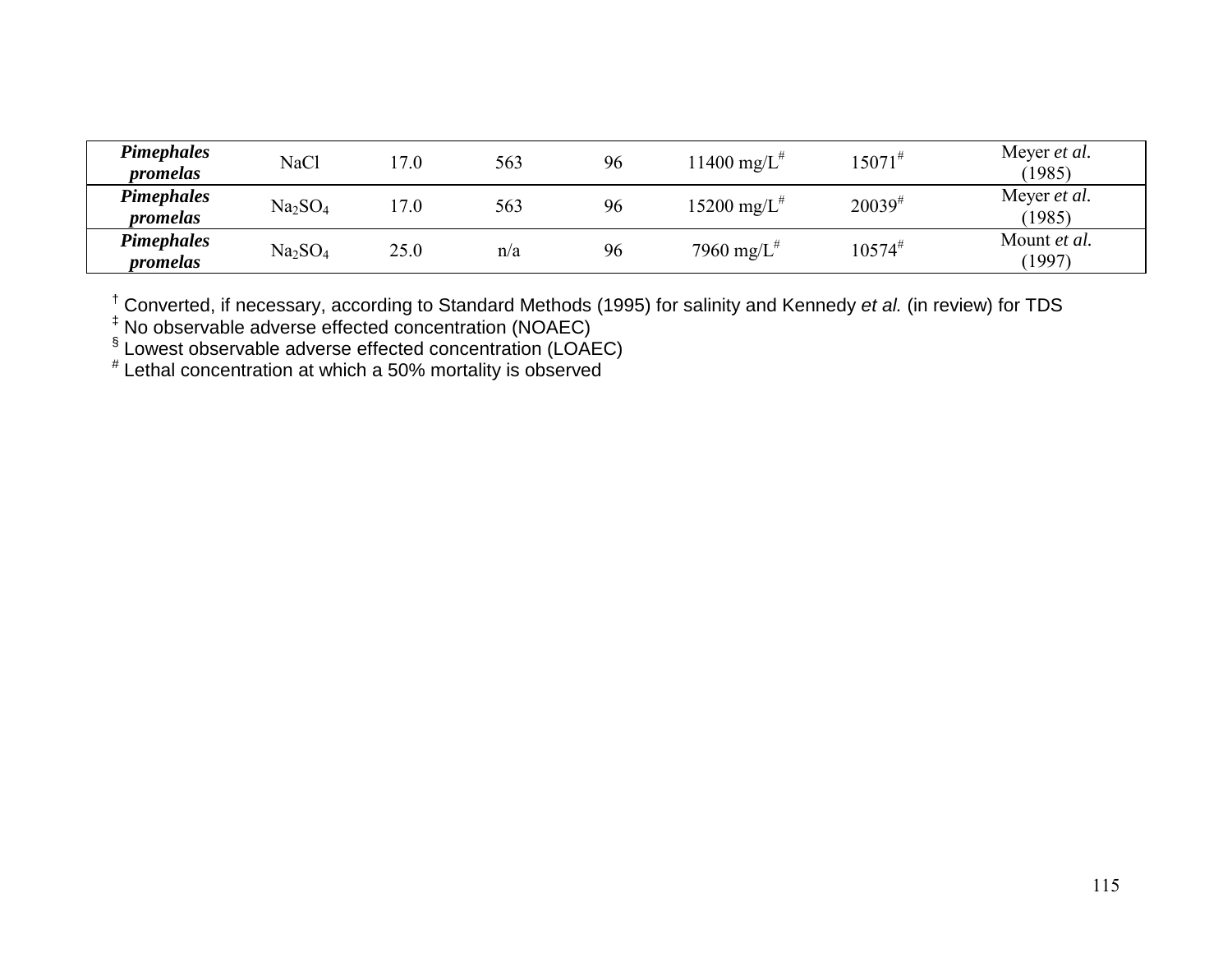| <b>Pimephales</b><br>promelas | <b>NaCl</b>                     | 17.0 | 563 | 96 | 1400 mg/L <sup>#</sup>    | $15071^{#}$ | Meyer et al.<br>(1985) |
|-------------------------------|---------------------------------|------|-----|----|---------------------------|-------------|------------------------|
| <b>Pimephales</b><br>promelas | Na <sub>2</sub> SO <sub>4</sub> | 17.0 | 563 | 96 | $15200 \text{ mg/L}^{\#}$ | $20039^{#}$ | Meyer et al.<br>(1985) |
| <b>Pimephales</b><br>promelas | Na <sub>2</sub> SO <sub>4</sub> | 25.0 | n/a | 96 | 7960 mg/ $L^*$            | $10574^{#}$ | Mount et al.<br>(1997) |

† Converted, if necessary, according to Standard Methods (1995) for salinity and Kennedy *et al.* (in review) for TDS

‡ No observable adverse effected concentration (NOAEC)

 $\sqrt[6]{}$  Lowest observable adverse effected concentration (LOAEC)

# Lethal concentration at which a 50% mortality is observed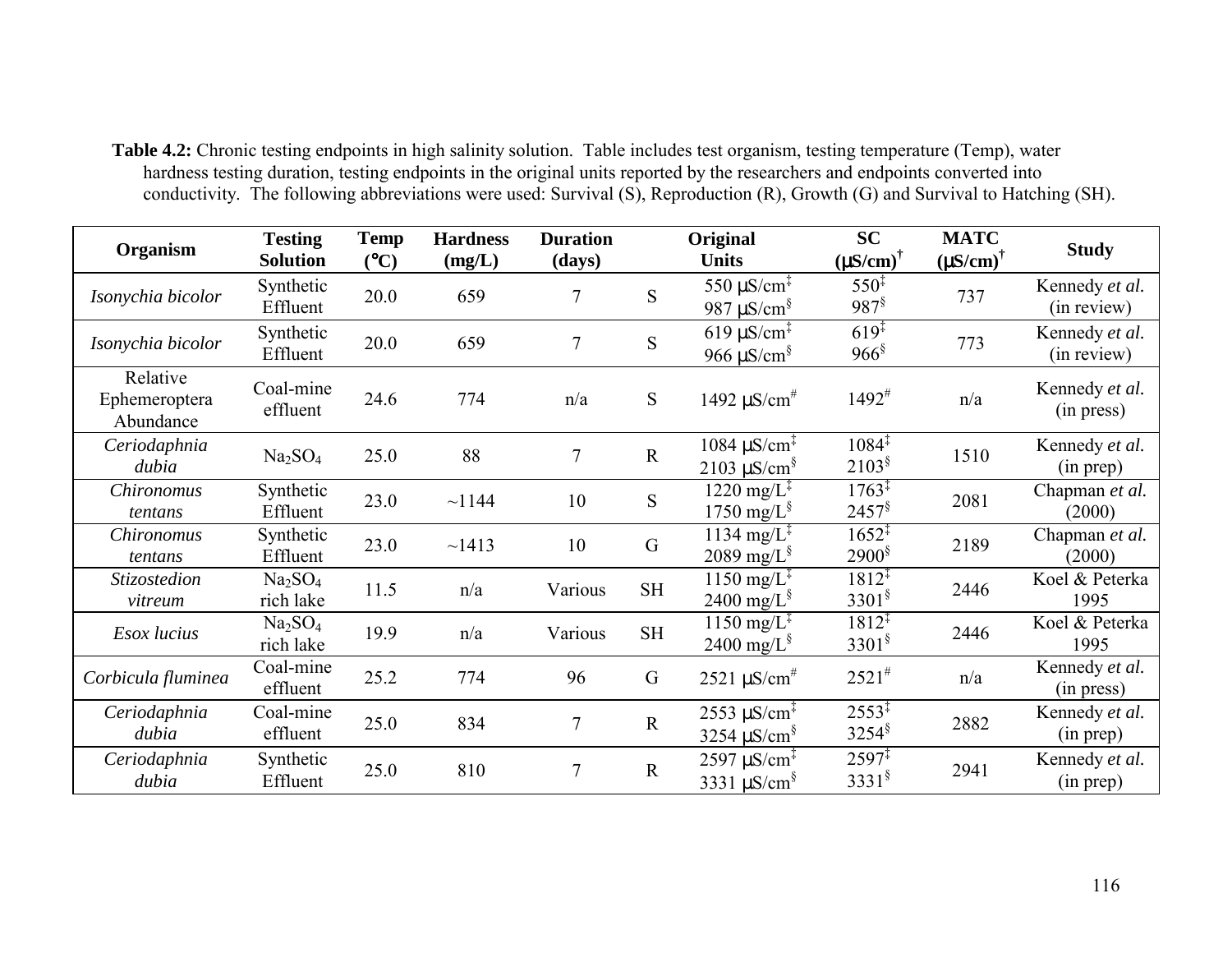**Table 4.2:** Chronic testing endpoints in high salinity solution. Table includes test organism, testing temperature (Temp), water hardness testing duration, testing endpoints in the original units reported by the researchers and endpoints converted into conductivity. The following abbreviations were used: Survival (S), Reproduction (R), Growth (G) and Survival to Hatching (SH).

| Organism                               | <b>Testing</b><br><b>Solution</b>            | <b>Temp</b><br>(C) | <b>Hardness</b><br>(mg/L) | <b>Duration</b><br>(days) |             | Original<br><b>Units</b>                                                       | <b>SC</b><br>$(\mu S/cm)^{\dagger}$       | <b>MATC</b><br>$(\mu S/cm)^{\dagger}$ | <b>Study</b>                  |
|----------------------------------------|----------------------------------------------|--------------------|---------------------------|---------------------------|-------------|--------------------------------------------------------------------------------|-------------------------------------------|---------------------------------------|-------------------------------|
| Isonychia bicolor                      | Synthetic<br>Effluent                        | 20.0               | 659                       | 7                         | S           | 550 $\mu$ S/cm <sup><math>\ddagger</math></sup><br>987 $\mu$ S/cm <sup>§</sup> | $550^{\ddagger}$<br>$987^{\$}$            | 737                                   | Kennedy et al.<br>(in review) |
| Isonychia bicolor                      | Synthetic<br>Effluent                        | 20.0               | 659                       | $\overline{7}$            | S           | $619 \mu S/cm^2$<br>966 $\mu$ S/cm <sup>§</sup>                                | $619^{\ddagger}$<br>$966$ <sup>§</sup>    | 773                                   | Kennedy et al.<br>(in review) |
| Relative<br>Ephemeroptera<br>Abundance | Coal-mine<br>effluent                        | 24.6               | 774                       | n/a                       | S           | 1492 $\mu$ S/cm <sup>#</sup>                                                   | $1492^{\#}$                               | n/a                                   | Kennedy et al.<br>(in press)  |
| Ceriodaphnia<br>dubia                  | Na <sub>2</sub> SO <sub>4</sub>              | 25.0               | 88                        | $\tau$                    | $\mathbf R$ | $1084 \mu S/cm^2$<br>$2103 \mu S/cm^8$                                         | $1084^{\ddagger}$<br>$2103^{\frac{8}{3}}$ | 1510                                  | Kennedy et al.<br>(in prep)   |
| Chironomus<br>tentans                  | Synthetic<br>Effluent                        | 23.0               | ~1144                     | 10                        | S           | $1220 \text{ mg/L}^2$<br>1750 mg/ $L^{\S}$                                     | $1763^{\frac{1}{4}}$<br>$2457^{\$}$       | 2081                                  | Chapman et al.<br>(2000)      |
| <i>Chironomus</i><br>tentans           | Synthetic<br>Effluent                        | 23.0               | ~1413                     | 10                        | $\mathbf G$ | $1134 \text{ mg/L}^{\ddagger}$<br>2089 mg/ $L^{\S}$                            | $1652^{\ddagger}$<br>$2900^{\frac{5}{3}}$ | 2189                                  | Chapman et al.<br>(2000)      |
| Stizostedion<br>vitreum                | Na <sub>2</sub> SO <sub>4</sub><br>rich lake | 11.5               | n/a                       | Various                   | <b>SH</b>   | $1150 \text{ mg/L}^3$<br>2400 mg/ $L^{\S}$                                     | $1812^{4}$<br>$3301^{\frac{6}{5}}$        | 2446                                  | Koel & Peterka<br>1995        |
| Esox lucius                            | Na <sub>2</sub> SO <sub>4</sub><br>rich lake | 19.9               | n/a                       | Various                   | <b>SH</b>   | $1150 \text{ mg/L}^3$<br>2400 mg/ $L^{\S}$                                     | $1812^{4}$<br>$3301^{\frac{6}{5}}$        | 2446                                  | Koel & Peterka<br>1995        |
| Corbicula fluminea                     | Coal-mine<br>effluent                        | 25.2               | 774                       | 96                        | G           | $2521 \,\mu\text{S/cm}^{\#}$                                                   | $2521^{#}$                                | n/a                                   | Kennedy et al.<br>(in press)  |
| Ceriodaphnia<br>dubia                  | Coal-mine<br>effluent                        | 25.0               | 834                       | 7                         | $\mathbf R$ | $2553 \mu S/cm^2$<br>3254 $\mu$ S/cm <sup>§</sup>                              | $2553^{\ddagger}$<br>$3254^{\frac{8}{3}}$ | 2882                                  | Kennedy et al.<br>(in prep)   |
| Ceriodaphnia<br>dubia                  | Synthetic<br>Effluent                        | 25.0               | 810                       | 7                         | $\mathbf R$ | $2597 \,\mathrm{\upmu S/cm^{\ddagger}}$<br>3331 $\mu$ S/cm <sup>§</sup>        | $2597^{\ddagger}$<br>$3331^{\frac{6}{5}}$ | 2941                                  | Kennedy et al.<br>(in prep)   |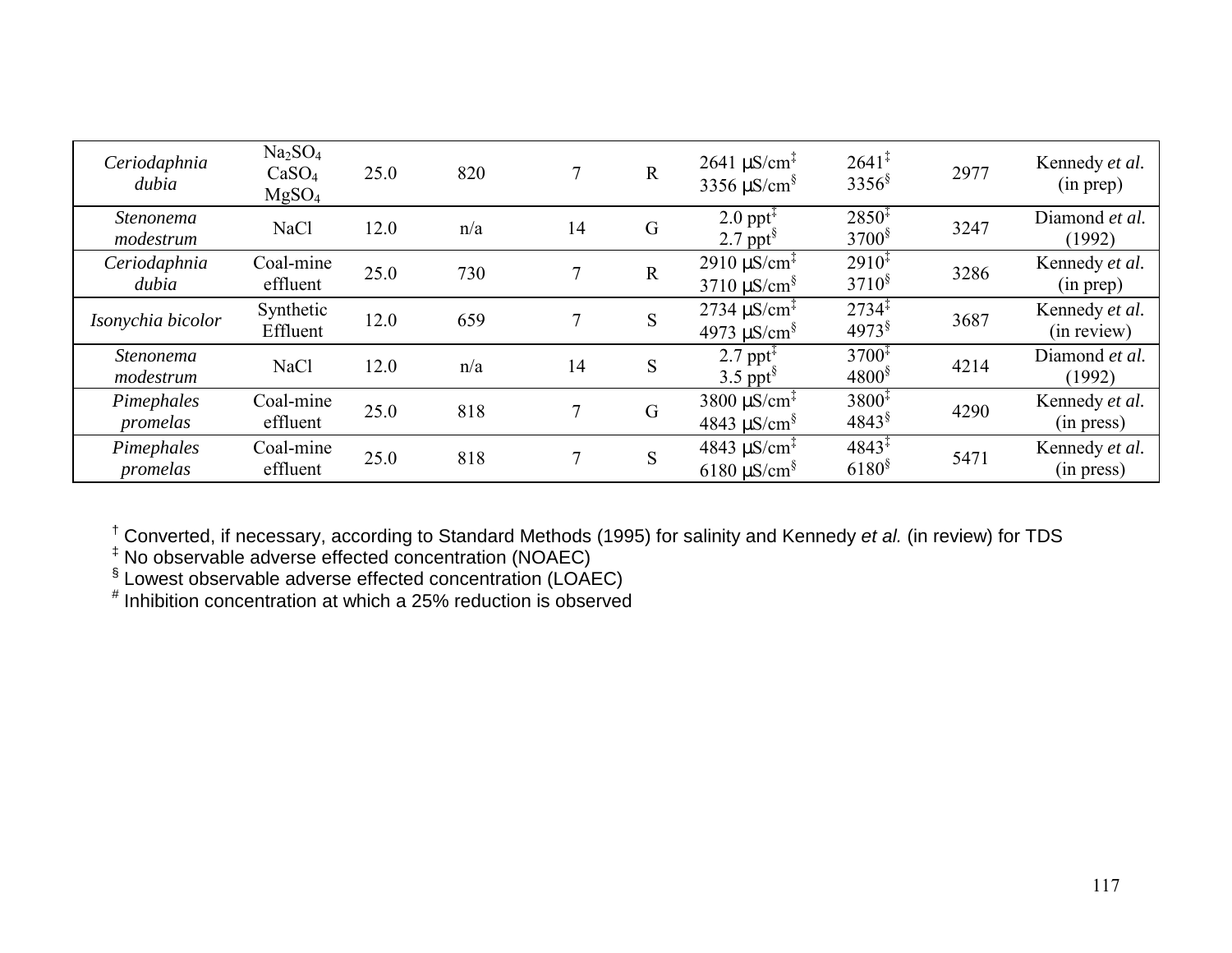| Ceriodaphnia<br>dubia         | Na <sub>2</sub> SO <sub>4</sub><br>CaSO <sub>4</sub><br>MgSO <sub>4</sub> | 25.0 | 820 |    | $\mathbf R$ | $2641 \mu S/cm^2$<br>3356 $\mu$ S/cm <sup>§</sup>                                | $2641^{\ddagger}$<br>$3356^{\$}$          | 2977 | Kennedy et al.<br>(in prep)   |
|-------------------------------|---------------------------------------------------------------------------|------|-----|----|-------------|----------------------------------------------------------------------------------|-------------------------------------------|------|-------------------------------|
| <i>Stenonema</i><br>modestrum | <b>NaCl</b>                                                               | 12.0 | n/a | 14 | G           | $2.0$ ppt <sup><math>\ddagger</math></sup><br>2.7 ppt $\frac{8}{3}$              | $2850^{\ddagger}$<br>$3700^{\frac{5}{2}}$ | 3247 | Diamond et al.<br>(1992)      |
| Ceriodaphnia<br>dubia         | Coal-mine<br>effluent                                                     | 25.0 | 730 | 7  | $\mathbf R$ | $2910 \mu S/cm^2$<br>$3710 \mu$ S/cm <sup>§</sup>                                | $2910^{\ddagger}$<br>$3710^8$             | 3286 | Kennedy et al.<br>(in prep)   |
| Isonychia bicolor             | Synthetic<br>Effluent                                                     | 12.0 | 659 | 7  | S           | $2734 \mu S/cm^2$<br>4973 $\mu$ S/cm <sup>§</sup>                                | $2734^{\ddagger}$<br>$4973$ <sup>§</sup>  | 3687 | Kennedy et al.<br>(in review) |
| Stenonema<br>modestrum        | <b>NaCl</b>                                                               | 12.0 | n/a | 14 | S           | 2.7 ppt <sup><math>\ddagger</math></sup><br>$3.5$ ppt <sup>§</sup>               | $3700^{\ddagger}$<br>$4800^{\frac{5}{3}}$ | 4214 | Diamond et al.<br>(1992)      |
| Pimephales<br>promelas        | Coal-mine<br>effluent                                                     | 25.0 | 818 | 7  | G           | 3800 $\mu$ S/cm <sup><math>\ddagger</math></sup><br>$4843 \mu$ S/cm <sup>§</sup> | $3800^{\ddagger}$<br>$4843^{\$}$          | 4290 | Kennedy et al.<br>(in press)  |
| Pimephales<br>promelas        | Coal-mine<br>effluent                                                     | 25.0 | 818 | 7  | S           | 4843 $\mu$ S/cm <sup><math>\ddagger</math></sup><br>$6180 \mu S/cm^8$            | $4843^{\ddagger}$<br>$6180^{\frac{5}{2}}$ | 5471 | Kennedy et al.<br>(in press)  |

† Converted, if necessary, according to Standard Methods (1995) for salinity and Kennedy *et al.* (in review) for TDS

‡ No observable adverse effected concentration (NOAEC)

 $\sqrt[6]{}$  Lowest observable adverse effected concentration (LOAEC)

 $^\text{\#}$  Inhibition concentration at which a 25% reduction is observed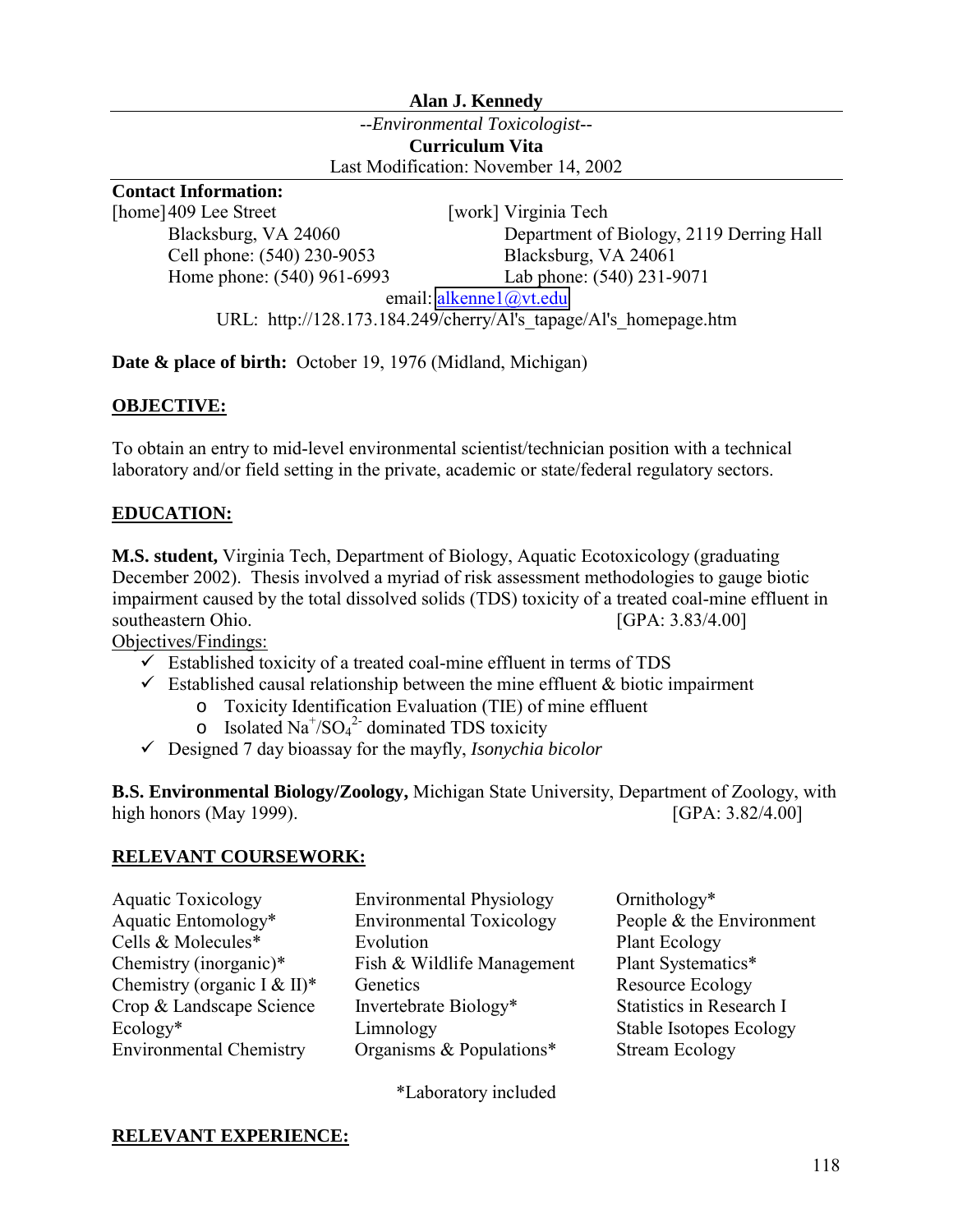## **Alan J. Kennedy**

--*Environmental Toxicologist*-- **Curriculum Vita**  Last Modification: November 14, 2002

# **Contact Information:**

[home] 409 Lee Street [work] Virginia Tech Cell phone: (540) 230-9053 Blacksburg, VA 24061

 Blacksburg, VA 24060 Department of Biology, 2119 Derring Hall Home phone: (540) 961-6993 Lab phone: (540) 231-9071

email: [alkenne1@vt.edu](mailto:alkenne1@vt.edu)

URL: http://128.173.184.249/cherry/Al's\_tapage/Al's\_homepage.htm

**Date & place of birth:** October 19, 1976 (Midland, Michigan)

## **OBJECTIVE:**

To obtain an entry to mid-level environmental scientist/technician position with a technical laboratory and/or field setting in the private, academic or state/federal regulatory sectors.

# **EDUCATION:**

**M.S. student,** Virginia Tech, Department of Biology, Aquatic Ecotoxicology (graduating December 2002). Thesis involved a myriad of risk assessment methodologies to gauge biotic impairment caused by the total dissolved solids (TDS) toxicity of a treated coal-mine effluent in southeastern Ohio. [GPA: 3.83/4.00]

Objectives/Findings:

- $\checkmark$  Established toxicity of a treated coal-mine effluent in terms of TDS
- $\checkmark$  Established causal relationship between the mine effluent & biotic impairment
	- o Toxicity Identification Evaluation (TIE) of mine effluent
		- o Isolated Na<sup>+</sup>/SO<sub>4</sub><sup>2</sup> dominated TDS toxicity
- !"Designed 7 day bioassay for the mayfly, *Isonychia bicolor*

**B.S. Environmental Biology/Zoology,** Michigan State University, Department of Zoology, with high honors (May 1999). [GPA: 3.82/4.00]

### **RELEVANT COURSEWORK:**

- Aquatic Toxicology **Environmental Physiology** Ornithology<sup>\*</sup>
- Aquatic Entomology\* Environmental Toxicology People & the Environment Cells & Molecules<sup>\*</sup> Evolution Plant Ecology Chemistry (inorganic)\* Fish & Wildlife Management Plant Systematics\* Chemistry (organic I & II)\* Genetics Resource Ecology Crop & Landscape Science Invertebrate Biology\* Statistics in Research I Ecology\* Limnology Limnology Stable Isotopes Ecology Environmental Chemistry Organisms & Populations\* Stream Ecology
- 

\*Laboratory included

# **RELEVANT EXPERIENCE:**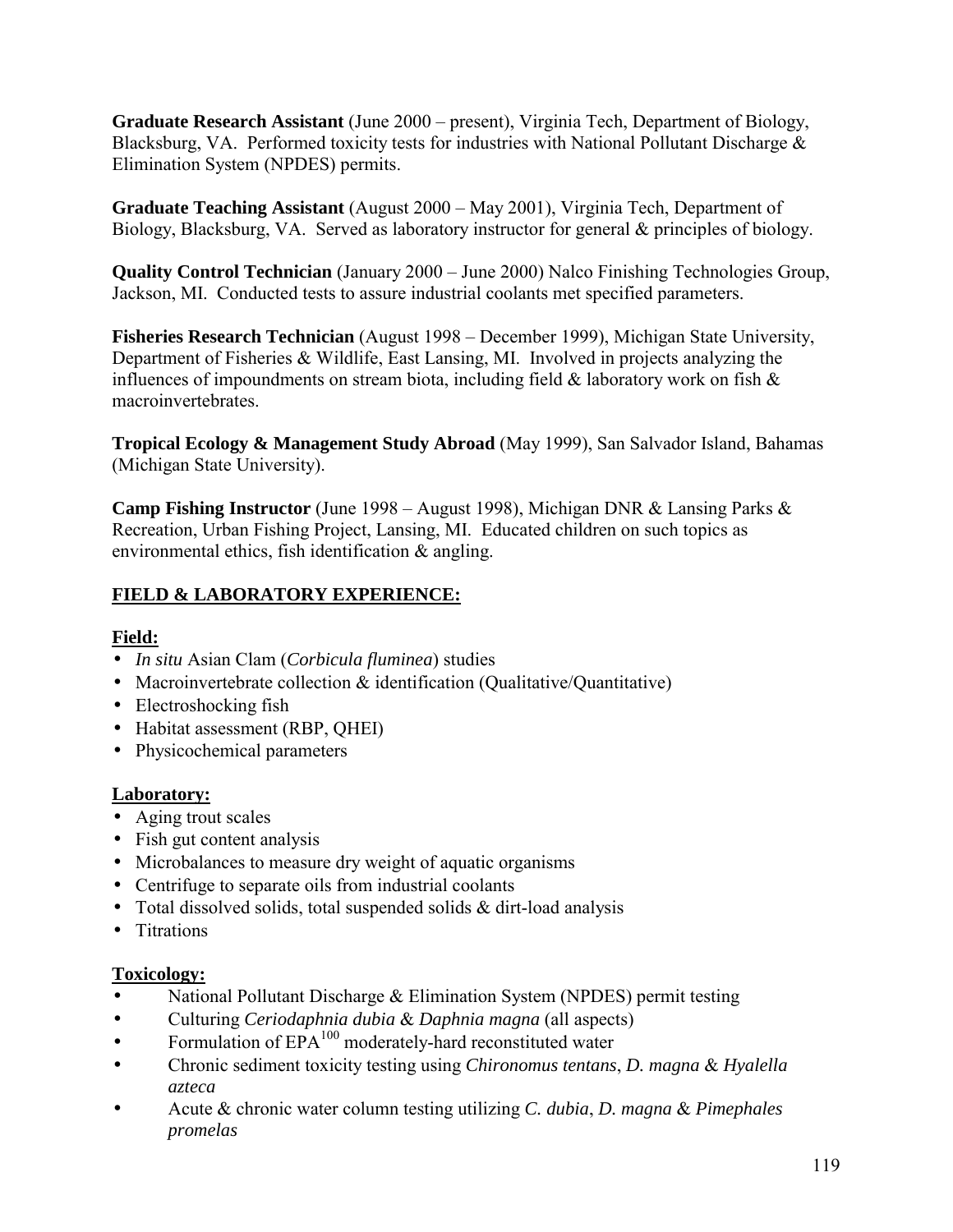**Graduate Research Assistant** (June 2000 – present), Virginia Tech, Department of Biology, Blacksburg, VA. Performed toxicity tests for industries with National Pollutant Discharge & Elimination System (NPDES) permits.

**Graduate Teaching Assistant** (August 2000 – May 2001), Virginia Tech, Department of Biology, Blacksburg, VA. Served as laboratory instructor for general & principles of biology.

**Quality Control Technician** (January 2000 – June 2000) Nalco Finishing Technologies Group, Jackson, MI. Conducted tests to assure industrial coolants met specified parameters.

**Fisheries Research Technician** (August 1998 – December 1999), Michigan State University, Department of Fisheries & Wildlife, East Lansing, MI. Involved in projects analyzing the influences of impoundments on stream biota, including field  $\&$  laboratory work on fish  $\&$ macroinvertebrates.

**Tropical Ecology & Management Study Abroad** (May 1999), San Salvador Island, Bahamas (Michigan State University).

**Camp Fishing Instructor** (June 1998 – August 1998), Michigan DNR & Lansing Parks & Recreation, Urban Fishing Project, Lansing, MI. Educated children on such topics as environmental ethics, fish identification & angling.

# **FIELD & LABORATORY EXPERIENCE:**

# **Field:**

- *In situ* Asian Clam (*Corbicula fluminea*) studies
- Macroinvertebrate collection & identification (Qualitative/Quantitative)
- Electroshocking fish
- Habitat assessment (RBP, OHEI)
- Physicochemical parameters

# **Laboratory:**

- Aging trout scales
- Fish gut content analysis
- Microbalances to measure dry weight of aquatic organisms
- Centrifuge to separate oils from industrial coolants
- Total dissolved solids, total suspended solids  $&$  dirt-load analysis
- Titrations

# **Toxicology:**

- National Pollutant Discharge & Elimination System (NPDES) permit testing
- Culturing *Ceriodaphnia dubia* & *Daphnia magna* (all aspects)
- Formulation of  $EPA^{100}$  moderately-hard reconstituted water
- Chronic sediment toxicity testing using *Chironomus tentans*, *D. magna* & *Hyalella azteca*
- Acute & chronic water column testing utilizing *C. dubia*, *D. magna* & *Pimephales promelas*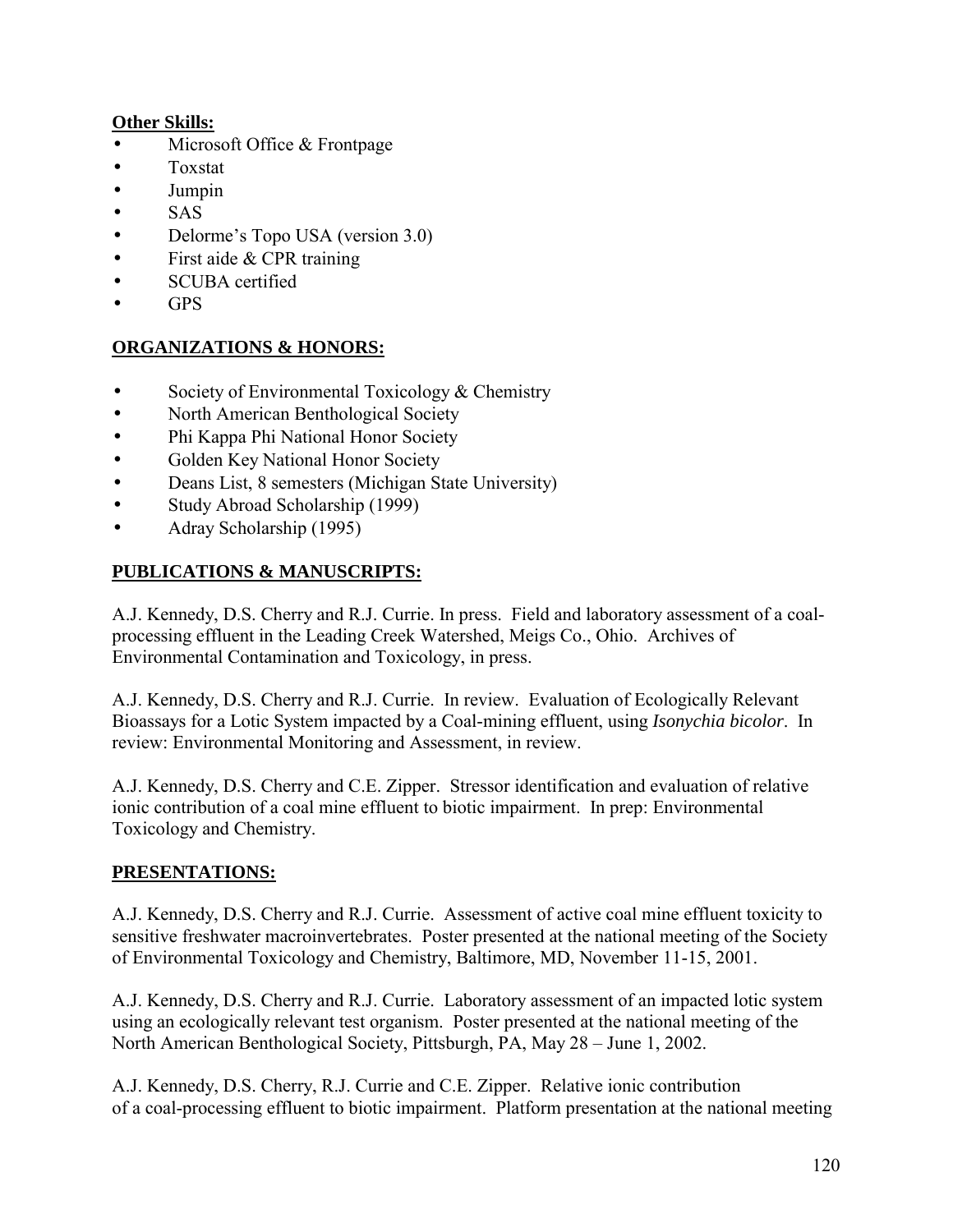# **Other Skills:**

- Microsoft Office  $&$  Frontpage
- Toxstat
- Jumpin
- SAS
- Delorme's Topo USA (version 3.0)
- First aide & CPR training
- SCUBA certified
- GPS

# **ORGANIZATIONS & HONORS:**

- Society of Environmental Toxicology & Chemistry
- North American Benthological Society
- Phi Kappa Phi National Honor Society
- Golden Key National Honor Society
- Deans List, 8 semesters (Michigan State University)
- Study Abroad Scholarship (1999)
- Adray Scholarship (1995)

# **PUBLICATIONS & MANUSCRIPTS:**

A.J. Kennedy, D.S. Cherry and R.J. Currie. In press. Field and laboratory assessment of a coalprocessing effluent in the Leading Creek Watershed, Meigs Co., Ohio. Archives of Environmental Contamination and Toxicology, in press.

A.J. Kennedy, D.S. Cherry and R.J. Currie. In review. Evaluation of Ecologically Relevant Bioassays for a Lotic System impacted by a Coal-mining effluent, using *Isonychia bicolor*. In review: Environmental Monitoring and Assessment, in review.

A.J. Kennedy, D.S. Cherry and C.E. Zipper. Stressor identification and evaluation of relative ionic contribution of a coal mine effluent to biotic impairment. In prep: Environmental Toxicology and Chemistry.

# **PRESENTATIONS:**

A.J. Kennedy, D.S. Cherry and R.J. Currie. Assessment of active coal mine effluent toxicity to sensitive freshwater macroinvertebrates. Poster presented at the national meeting of the Society of Environmental Toxicology and Chemistry, Baltimore, MD, November 11-15, 2001.

A.J. Kennedy, D.S. Cherry and R.J. Currie. Laboratory assessment of an impacted lotic system using an ecologically relevant test organism. Poster presented at the national meeting of the North American Benthological Society, Pittsburgh, PA, May 28 – June 1, 2002.

A.J. Kennedy, D.S. Cherry, R.J. Currie and C.E. Zipper. Relative ionic contribution of a coal-processing effluent to biotic impairment. Platform presentation at the national meeting